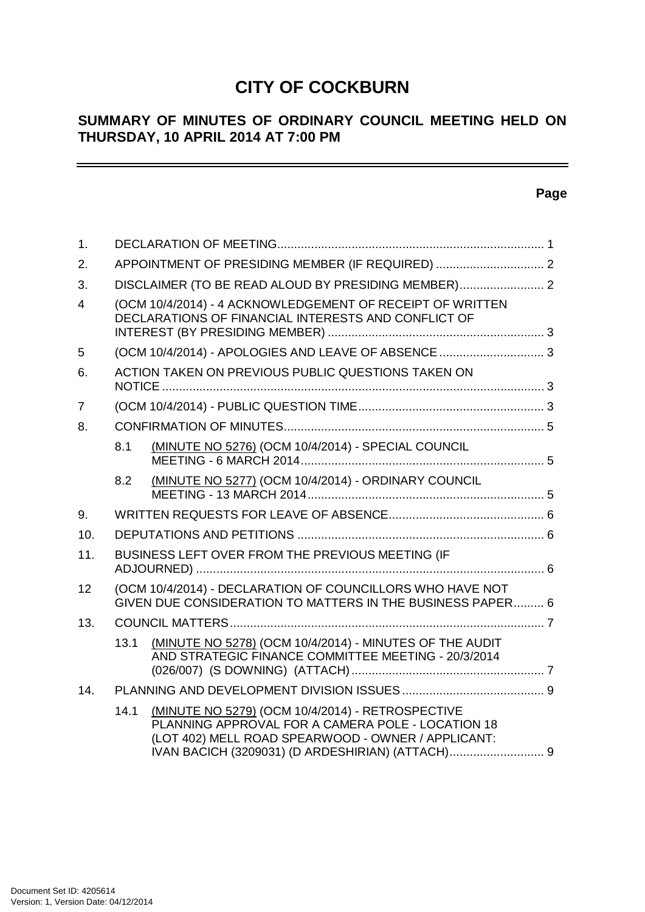# **CITY OF COCKBURN**

# **SUMMARY OF MINUTES OF ORDINARY COUNCIL MEETING HELD ON THURSDAY, 10 APRIL 2014 AT 7:00 PM**

# **Page**

| 1.             |                                                                                                                         |                                                                                                                                                                                                                 |  |
|----------------|-------------------------------------------------------------------------------------------------------------------------|-----------------------------------------------------------------------------------------------------------------------------------------------------------------------------------------------------------------|--|
| 2.             |                                                                                                                         |                                                                                                                                                                                                                 |  |
| 3.             | DISCLAIMER (TO BE READ ALOUD BY PRESIDING MEMBER) 2                                                                     |                                                                                                                                                                                                                 |  |
| $\overline{4}$ | (OCM 10/4/2014) - 4 ACKNOWLEDGEMENT OF RECEIPT OF WRITTEN<br>DECLARATIONS OF FINANCIAL INTERESTS AND CONFLICT OF        |                                                                                                                                                                                                                 |  |
| 5              |                                                                                                                         | (OCM 10/4/2014) - APOLOGIES AND LEAVE OF ABSENCE  3                                                                                                                                                             |  |
| 6.             | ACTION TAKEN ON PREVIOUS PUBLIC QUESTIONS TAKEN ON                                                                      |                                                                                                                                                                                                                 |  |
| $\overline{7}$ |                                                                                                                         |                                                                                                                                                                                                                 |  |
| 8.             |                                                                                                                         |                                                                                                                                                                                                                 |  |
|                | 8.1                                                                                                                     | (MINUTE NO 5276) (OCM 10/4/2014) - SPECIAL COUNCIL                                                                                                                                                              |  |
|                | 8.2                                                                                                                     | (MINUTE NO 5277) (OCM 10/4/2014) - ORDINARY COUNCIL                                                                                                                                                             |  |
| 9.             |                                                                                                                         |                                                                                                                                                                                                                 |  |
| 10.            |                                                                                                                         |                                                                                                                                                                                                                 |  |
| 11.            | BUSINESS LEFT OVER FROM THE PREVIOUS MEETING (IF                                                                        |                                                                                                                                                                                                                 |  |
| 12             | (OCM 10/4/2014) - DECLARATION OF COUNCILLORS WHO HAVE NOT<br>GIVEN DUE CONSIDERATION TO MATTERS IN THE BUSINESS PAPER 6 |                                                                                                                                                                                                                 |  |
| 13.            |                                                                                                                         |                                                                                                                                                                                                                 |  |
|                | 13.1                                                                                                                    | (MINUTE NO 5278) (OCM 10/4/2014) - MINUTES OF THE AUDIT<br>AND STRATEGIC FINANCE COMMITTEE MEETING - 20/3/2014                                                                                                  |  |
| 14.            |                                                                                                                         |                                                                                                                                                                                                                 |  |
|                | 14.1                                                                                                                    | (MINUTE NO 5279) (OCM 10/4/2014) - RETROSPECTIVE<br>PLANNING APPROVAL FOR A CAMERA POLE - LOCATION 18<br>(LOT 402) MELL ROAD SPEARWOOD - OWNER / APPLICANT:<br>IVAN BACICH (3209031) (D ARDESHIRIAN) (ATTACH) 9 |  |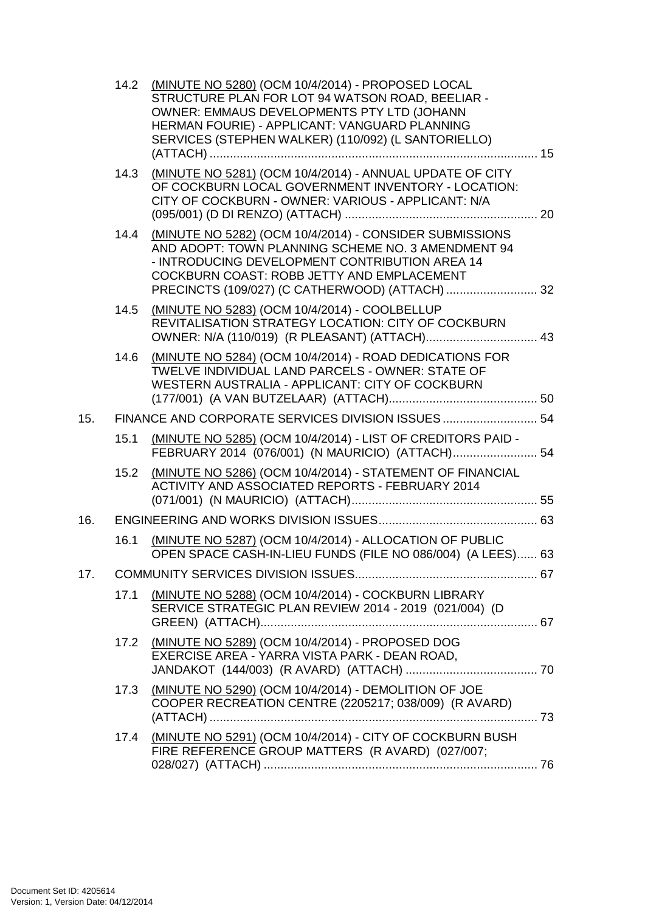|     |      | 14.2 (MINUTE NO 5280) (OCM 10/4/2014) - PROPOSED LOCAL<br>STRUCTURE PLAN FOR LOT 94 WATSON ROAD, BEELIAR -<br>OWNER: EMMAUS DEVELOPMENTS PTY LTD (JOHANN<br>HERMAN FOURIE) - APPLICANT: VANGUARD PLANNING<br>SERVICES (STEPHEN WALKER) (110/092) (L SANTORIELLO) |  |
|-----|------|------------------------------------------------------------------------------------------------------------------------------------------------------------------------------------------------------------------------------------------------------------------|--|
|     | 14.3 | (MINUTE NO 5281) (OCM 10/4/2014) - ANNUAL UPDATE OF CITY<br>OF COCKBURN LOCAL GOVERNMENT INVENTORY - LOCATION:<br>CITY OF COCKBURN - OWNER: VARIOUS - APPLICANT: N/A                                                                                             |  |
|     | 14.4 | (MINUTE NO 5282) (OCM 10/4/2014) - CONSIDER SUBMISSIONS<br>AND ADOPT: TOWN PLANNING SCHEME NO. 3 AMENDMENT 94<br>- INTRODUCING DEVELOPMENT CONTRIBUTION AREA 14<br>COCKBURN COAST: ROBB JETTY AND EMPLACEMENT                                                    |  |
|     |      | 14.5 (MINUTE NO 5283) (OCM 10/4/2014) - COOLBELLUP<br>REVITALISATION STRATEGY LOCATION: CITY OF COCKBURN<br>OWNER: N/A (110/019) (R PLEASANT) (ATTACH) 43                                                                                                        |  |
|     | 14.6 | (MINUTE NO 5284) (OCM 10/4/2014) - ROAD DEDICATIONS FOR<br>TWELVE INDIVIDUAL LAND PARCELS - OWNER: STATE OF<br>WESTERN AUSTRALIA - APPLICANT: CITY OF COCKBURN                                                                                                   |  |
| 15. |      | FINANCE AND CORPORATE SERVICES DIVISION ISSUES 54                                                                                                                                                                                                                |  |
|     | 15.1 | (MINUTE NO 5285) (OCM 10/4/2014) - LIST OF CREDITORS PAID -<br>FEBRUARY 2014 (076/001) (N MAURICIO) (ATTACH) 54                                                                                                                                                  |  |
|     | 15.2 | (MINUTE NO 5286) (OCM 10/4/2014) - STATEMENT OF FINANCIAL<br><b>ACTIVITY AND ASSOCIATED REPORTS - FEBRUARY 2014</b>                                                                                                                                              |  |
| 16. |      |                                                                                                                                                                                                                                                                  |  |
|     | 16.1 | (MINUTE NO 5287) (OCM 10/4/2014) - ALLOCATION OF PUBLIC<br>OPEN SPACE CASH-IN-LIEU FUNDS (FILE NO 086/004) (A LEES) 63                                                                                                                                           |  |
| 17. |      |                                                                                                                                                                                                                                                                  |  |
|     | 17.1 | (MINUTE NO 5288) (OCM 10/4/2014) - COCKBURN LIBRARY                                                                                                                                                                                                              |  |
|     |      | SERVICE STRATEGIC PLAN REVIEW 2014 - 2019 (021/004) (D                                                                                                                                                                                                           |  |
|     |      | 17.2 (MINUTE NO 5289) (OCM 10/4/2014) - PROPOSED DOG<br>EXERCISE AREA - YARRA VISTA PARK - DEAN ROAD,                                                                                                                                                            |  |
|     | 17.3 | (MINUTE NO 5290) (OCM 10/4/2014) - DEMOLITION OF JOE<br>COOPER RECREATION CENTRE (2205217; 038/009) (R AVARD)                                                                                                                                                    |  |
|     | 17.4 | (MINUTE NO 5291) (OCM 10/4/2014) - CITY OF COCKBURN BUSH<br>FIRE REFERENCE GROUP MATTERS (R AVARD) (027/007;                                                                                                                                                     |  |
|     |      |                                                                                                                                                                                                                                                                  |  |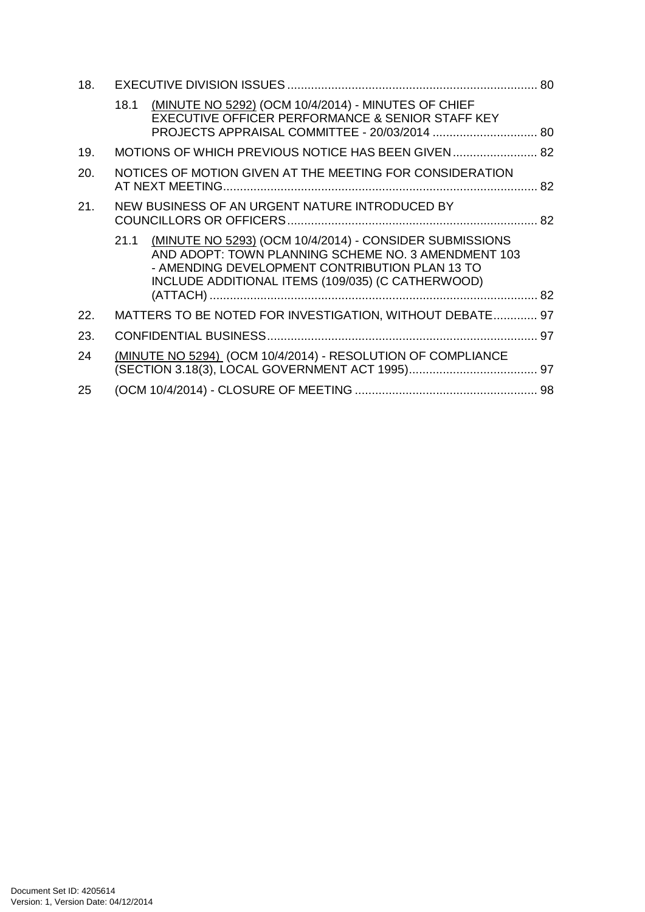| 18. |      |                                                                                                                                                                                                                       |  |
|-----|------|-----------------------------------------------------------------------------------------------------------------------------------------------------------------------------------------------------------------------|--|
|     | 18.1 | (MINUTE NO 5292) (OCM 10/4/2014) - MINUTES OF CHIEF<br>EXECUTIVE OFFICER PERFORMANCE & SENIOR STAFF KEY                                                                                                               |  |
| 19. |      | MOTIONS OF WHICH PREVIOUS NOTICE HAS BEEN GIVEN  82                                                                                                                                                                   |  |
| 20. |      | NOTICES OF MOTION GIVEN AT THE MEETING FOR CONSIDERATION                                                                                                                                                              |  |
| 21. |      | NEW BUSINESS OF AN URGENT NATURE INTRODUCED BY                                                                                                                                                                        |  |
|     | 21.1 | (MINUTE NO 5293) (OCM 10/4/2014) - CONSIDER SUBMISSIONS<br>AND ADOPT: TOWN PLANNING SCHEME NO. 3 AMENDMENT 103<br>- AMENDING DEVELOPMENT CONTRIBUTION PLAN 13 TO<br>INCLUDE ADDITIONAL ITEMS (109/035) (C CATHERWOOD) |  |
| 22. |      | MATTERS TO BE NOTED FOR INVESTIGATION, WITHOUT DEBATE 97                                                                                                                                                              |  |
| 23. |      |                                                                                                                                                                                                                       |  |
| 24  |      | (MINUTE NO 5294) (OCM 10/4/2014) - RESOLUTION OF COMPLIANCE                                                                                                                                                           |  |
| 25  |      |                                                                                                                                                                                                                       |  |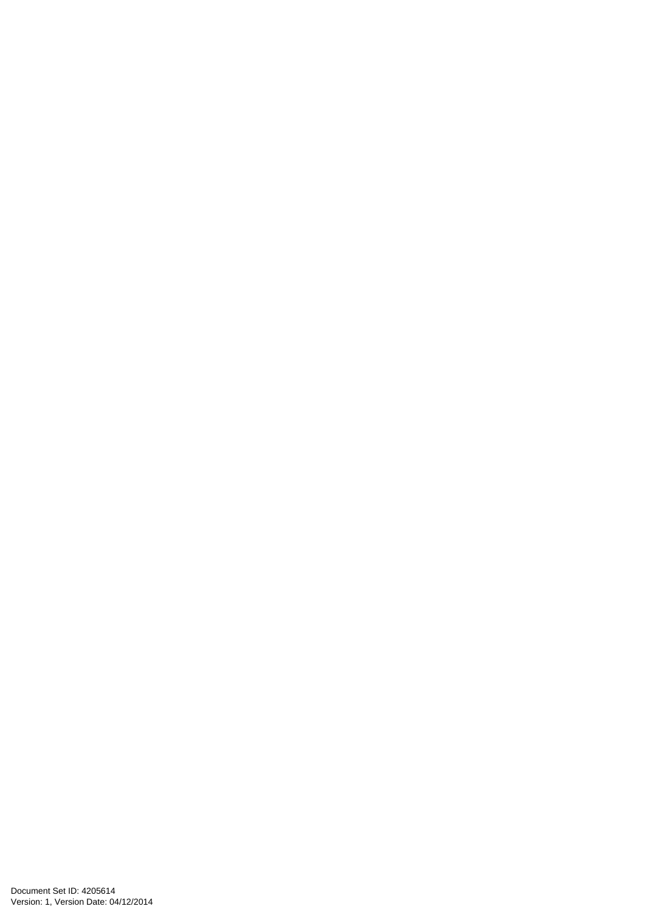Document Set ID: 4205614<br>Version: 1, Version Date: 04/12/2014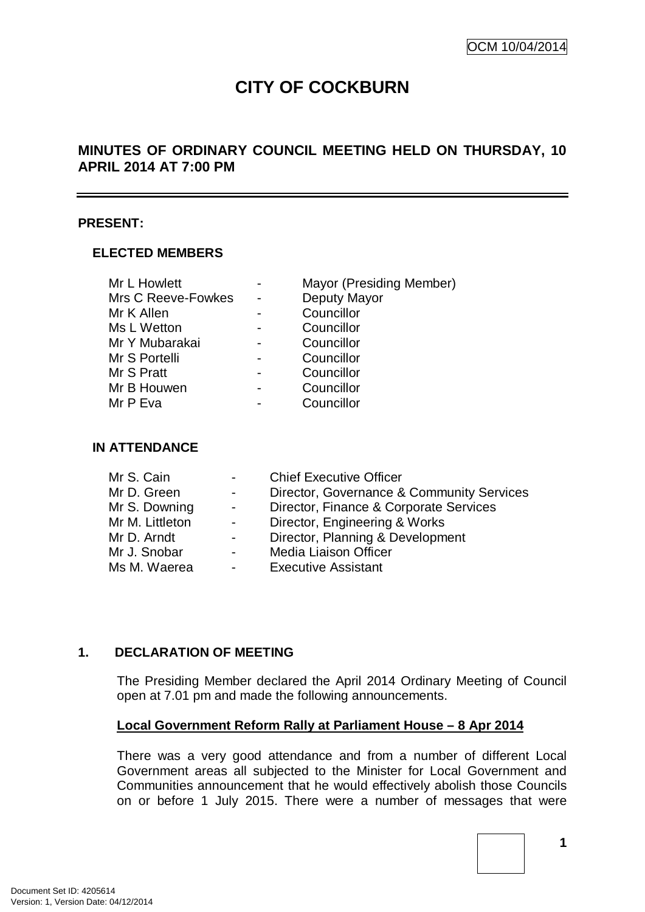# **CITY OF COCKBURN**

# **MINUTES OF ORDINARY COUNCIL MEETING HELD ON THURSDAY, 10 APRIL 2014 AT 7:00 PM**

#### **PRESENT:**

#### **ELECTED MEMBERS**

| Mr L Howlett       | Mayor (Presiding Member) |
|--------------------|--------------------------|
| Mrs C Reeve-Fowkes | Deputy Mayor             |
| Mr K Allen         | Councillor               |
| Ms L Wetton        | Councillor               |
| Mr Y Mubarakai     | Councillor               |
| Mr S Portelli      | Councillor               |
| Mr S Pratt         | Councillor               |
| Mr B Houwen        | Councillor               |
| Mr P Eva           | Councillor               |

#### **IN ATTENDANCE**

| Mr S. Cain      | $\sim 100$       | <b>Chief Executive Officer</b>            |
|-----------------|------------------|-------------------------------------------|
| Mr D. Green     | $\sim$ 10 $\pm$  | Director, Governance & Community Services |
| Mr S. Downing   | $\sim$ 100 $\mu$ | Director, Finance & Corporate Services    |
| Mr M. Littleton | $\sim 100$       | Director, Engineering & Works             |
| Mr D. Arndt     | $\sim$           | Director, Planning & Development          |
| Mr J. Snobar    | $\sim$ 10 $\pm$  | Media Liaison Officer                     |
| Ms M. Waerea    | $\sim$ 10 $\pm$  | <b>Executive Assistant</b>                |
|                 |                  |                                           |

### **1. DECLARATION OF MEETING**

The Presiding Member declared the April 2014 Ordinary Meeting of Council open at 7.01 pm and made the following announcements.

### **Local Government Reform Rally at Parliament House – 8 Apr 2014**

There was a very good attendance and from a number of different Local Government areas all subjected to the Minister for Local Government and Communities announcement that he would effectively abolish those Councils on or before 1 July 2015. There were a number of messages that were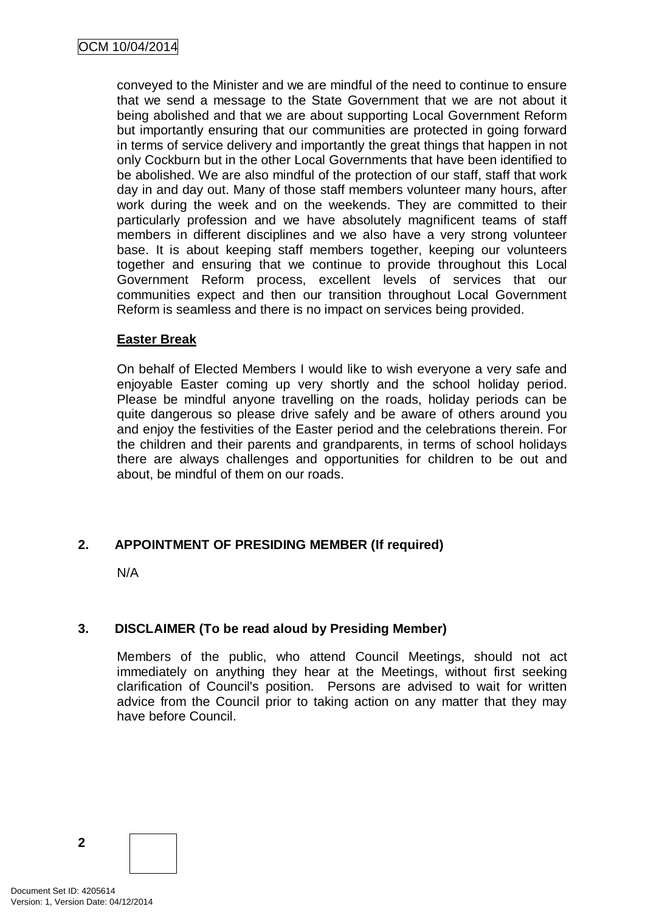conveyed to the Minister and we are mindful of the need to continue to ensure that we send a message to the State Government that we are not about it being abolished and that we are about supporting Local Government Reform but importantly ensuring that our communities are protected in going forward in terms of service delivery and importantly the great things that happen in not only Cockburn but in the other Local Governments that have been identified to be abolished. We are also mindful of the protection of our staff, staff that work day in and day out. Many of those staff members volunteer many hours, after work during the week and on the weekends. They are committed to their particularly profession and we have absolutely magnificent teams of staff members in different disciplines and we also have a very strong volunteer base. It is about keeping staff members together, keeping our volunteers together and ensuring that we continue to provide throughout this Local Government Reform process, excellent levels of services that our communities expect and then our transition throughout Local Government Reform is seamless and there is no impact on services being provided.

### **Easter Break**

On behalf of Elected Members I would like to wish everyone a very safe and enjoyable Easter coming up very shortly and the school holiday period. Please be mindful anyone travelling on the roads, holiday periods can be quite dangerous so please drive safely and be aware of others around you and enjoy the festivities of the Easter period and the celebrations therein. For the children and their parents and grandparents, in terms of school holidays there are always challenges and opportunities for children to be out and about, be mindful of them on our roads.

# **2. APPOINTMENT OF PRESIDING MEMBER (If required)**

N/A

# **3. DISCLAIMER (To be read aloud by Presiding Member)**

Members of the public, who attend Council Meetings, should not act immediately on anything they hear at the Meetings, without first seeking clarification of Council's position. Persons are advised to wait for written advice from the Council prior to taking action on any matter that they may have before Council.

**2**

Document Set ID: 4205614<br>Version: 1, Version Date: 04/12/2014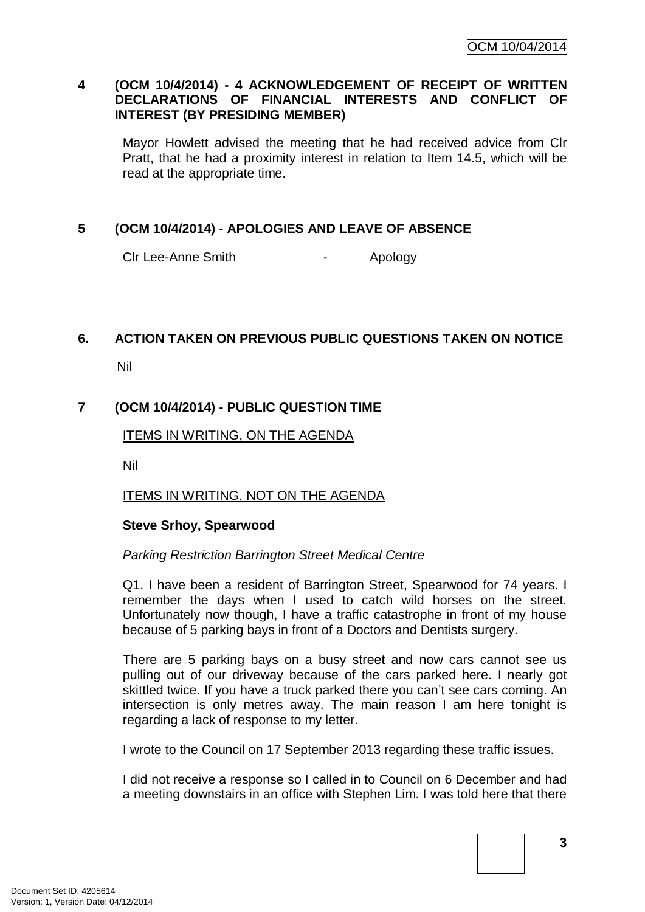### **4 (OCM 10/4/2014) - 4 ACKNOWLEDGEMENT OF RECEIPT OF WRITTEN DECLARATIONS OF FINANCIAL INTERESTS AND CONFLICT OF INTEREST (BY PRESIDING MEMBER)**

Mayor Howlett advised the meeting that he had received advice from Clr Pratt, that he had a proximity interest in relation to Item 14.5, which will be read at the appropriate time.

### **5 (OCM 10/4/2014) - APOLOGIES AND LEAVE OF ABSENCE**

CIr Lee-Anne Smith The Contract of the Apology

# **6. ACTION TAKEN ON PREVIOUS PUBLIC QUESTIONS TAKEN ON NOTICE**

Nil

# **7 (OCM 10/4/2014) - PUBLIC QUESTION TIME**

### ITEMS IN WRITING, ON THE AGENDA

Nil

#### ITEMS IN WRITING, NOT ON THE AGENDA

#### **Steve Srhoy, Spearwood**

### *Parking Restriction Barrington Street Medical Centre*

Q1. I have been a resident of Barrington Street, Spearwood for 74 years. I remember the days when I used to catch wild horses on the street. Unfortunately now though, I have a traffic catastrophe in front of my house because of 5 parking bays in front of a Doctors and Dentists surgery.

There are 5 parking bays on a busy street and now cars cannot see us pulling out of our driveway because of the cars parked here. I nearly got skittled twice. If you have a truck parked there you can't see cars coming. An intersection is only metres away. The main reason I am here tonight is regarding a lack of response to my letter.

I wrote to the Council on 17 September 2013 regarding these traffic issues.

I did not receive a response so I called in to Council on 6 December and had a meeting downstairs in an office with Stephen Lim. I was told here that there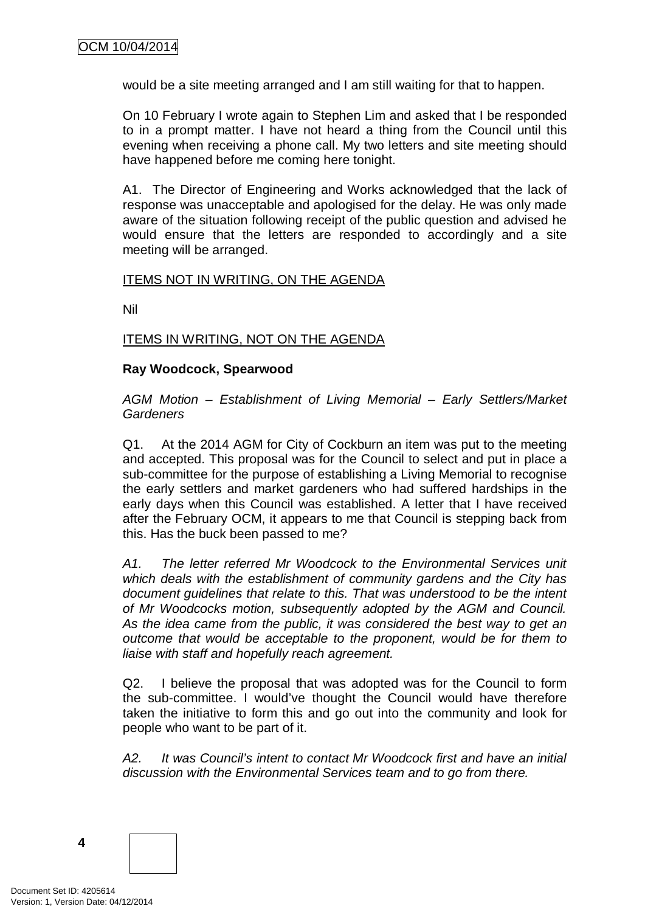would be a site meeting arranged and I am still waiting for that to happen.

On 10 February I wrote again to Stephen Lim and asked that I be responded to in a prompt matter. I have not heard a thing from the Council until this evening when receiving a phone call. My two letters and site meeting should have happened before me coming here tonight.

A1. The Director of Engineering and Works acknowledged that the lack of response was unacceptable and apologised for the delay. He was only made aware of the situation following receipt of the public question and advised he would ensure that the letters are responded to accordingly and a site meeting will be arranged.

### ITEMS NOT IN WRITING, ON THE AGENDA

Nil

ITEMS IN WRITING, NOT ON THE AGENDA

### **Ray Woodcock, Spearwood**

*AGM Motion – Establishment of Living Memorial – Early Settlers/Market Gardeners* 

Q1. At the 2014 AGM for City of Cockburn an item was put to the meeting and accepted. This proposal was for the Council to select and put in place a sub-committee for the purpose of establishing a Living Memorial to recognise the early settlers and market gardeners who had suffered hardships in the early days when this Council was established. A letter that I have received after the February OCM, it appears to me that Council is stepping back from this. Has the buck been passed to me?

*A1. The letter referred Mr Woodcock to the Environmental Services unit which deals with the establishment of community gardens and the City has document guidelines that relate to this. That was understood to be the intent of Mr Woodcocks motion, subsequently adopted by the AGM and Council. As the idea came from the public, it was considered the best way to get an outcome that would be acceptable to the proponent, would be for them to liaise with staff and hopefully reach agreement.* 

Q2. I believe the proposal that was adopted was for the Council to form the sub-committee. I would've thought the Council would have therefore taken the initiative to form this and go out into the community and look for people who want to be part of it.

*A2. It was Council's intent to contact Mr Woodcock first and have an initial discussion with the Environmental Services team and to go from there.*

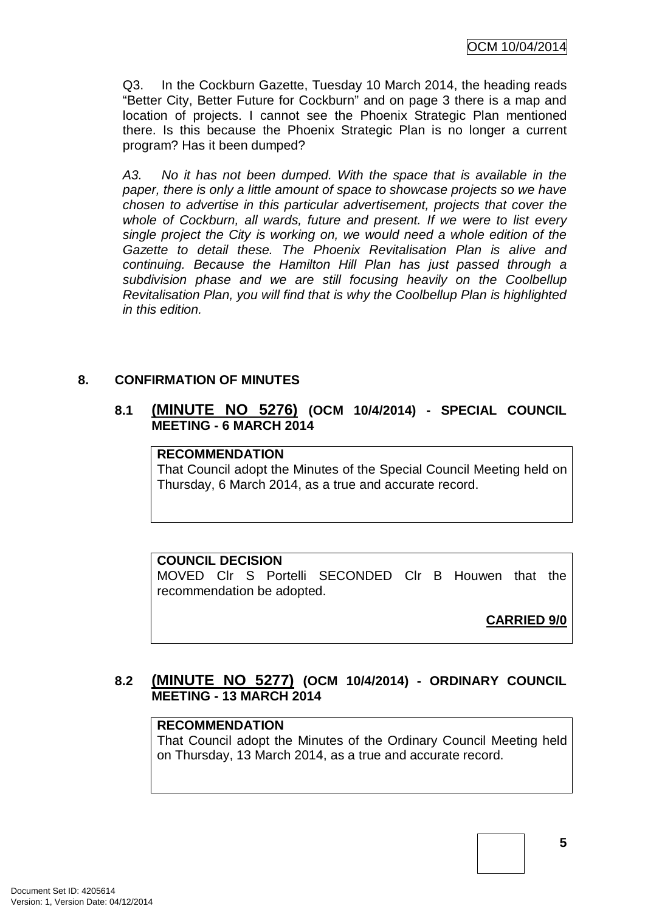Q3. In the Cockburn Gazette, Tuesday 10 March 2014, the heading reads "Better City, Better Future for Cockburn" and on page 3 there is a map and location of projects. I cannot see the Phoenix Strategic Plan mentioned there. Is this because the Phoenix Strategic Plan is no longer a current program? Has it been dumped?

*A3. No it has not been dumped. With the space that is available in the paper, there is only a little amount of space to showcase projects so we have chosen to advertise in this particular advertisement, projects that cover the whole of Cockburn, all wards, future and present. If we were to list every single project the City is working on, we would need a whole edition of the Gazette to detail these. The Phoenix Revitalisation Plan is alive and continuing. Because the Hamilton Hill Plan has just passed through a subdivision phase and we are still focusing heavily on the Coolbellup Revitalisation Plan, you will find that is why the Coolbellup Plan is highlighted in this edition.* 

### **8. CONFIRMATION OF MINUTES**

### **8.1 (MINUTE NO 5276) (OCM 10/4/2014) - SPECIAL COUNCIL MEETING - 6 MARCH 2014**

#### **RECOMMENDATION**

That Council adopt the Minutes of the Special Council Meeting held on Thursday, 6 March 2014, as a true and accurate record.

### **COUNCIL DECISION**

MOVED Clr S Portelli SECONDED Clr B Houwen that the recommendation be adopted.

**CARRIED 9/0**

### **8.2 (MINUTE NO 5277) (OCM 10/4/2014) - ORDINARY COUNCIL MEETING - 13 MARCH 2014**

#### **RECOMMENDATION**

That Council adopt the Minutes of the Ordinary Council Meeting held on Thursday, 13 March 2014, as a true and accurate record.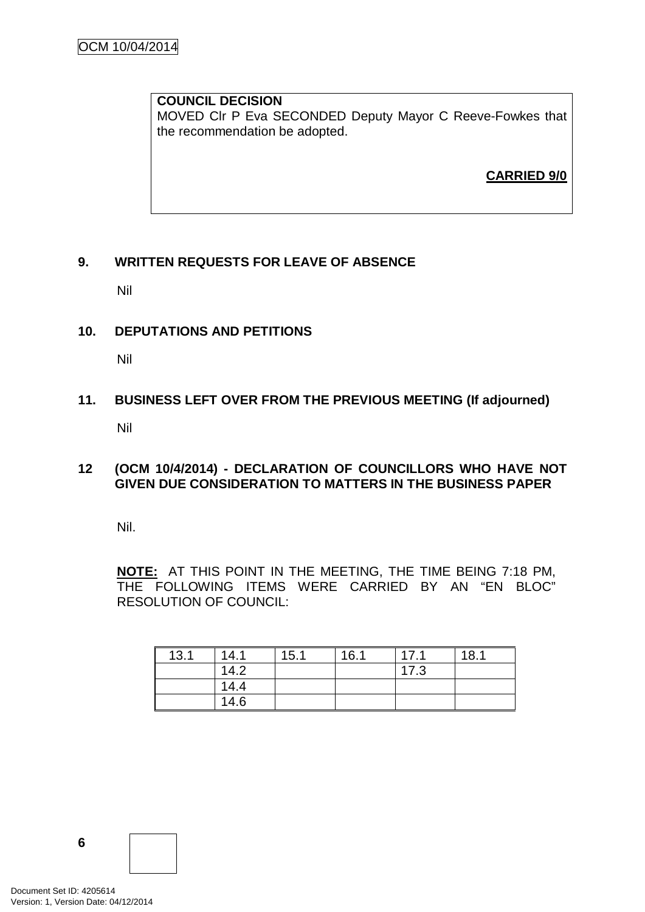### **COUNCIL DECISION**

MOVED Clr P Eva SECONDED Deputy Mayor C Reeve-Fowkes that the recommendation be adopted.

**CARRIED 9/0**

# **9. WRITTEN REQUESTS FOR LEAVE OF ABSENCE**

Nil

**10. DEPUTATIONS AND PETITIONS**

Nil

**11. BUSINESS LEFT OVER FROM THE PREVIOUS MEETING (If adjourned)** Nil

### **12 (OCM 10/4/2014) - DECLARATION OF COUNCILLORS WHO HAVE NOT GIVEN DUE CONSIDERATION TO MATTERS IN THE BUSINESS PAPER**

Nil.

**NOTE:** AT THIS POINT IN THE MEETING, THE TIME BEING 7:18 PM, THE FOLLOWING ITEMS WERE CARRIED BY AN "EN BLOC" RESOLUTION OF COUNCIL:

| 13.1 | 14.1 | 15.1 | 16.1 | 17.1 | 18.1 |
|------|------|------|------|------|------|
|      | 14.2 |      |      | 17.3 |      |
|      | 14.4 |      |      |      |      |
|      | 14.6 |      |      |      |      |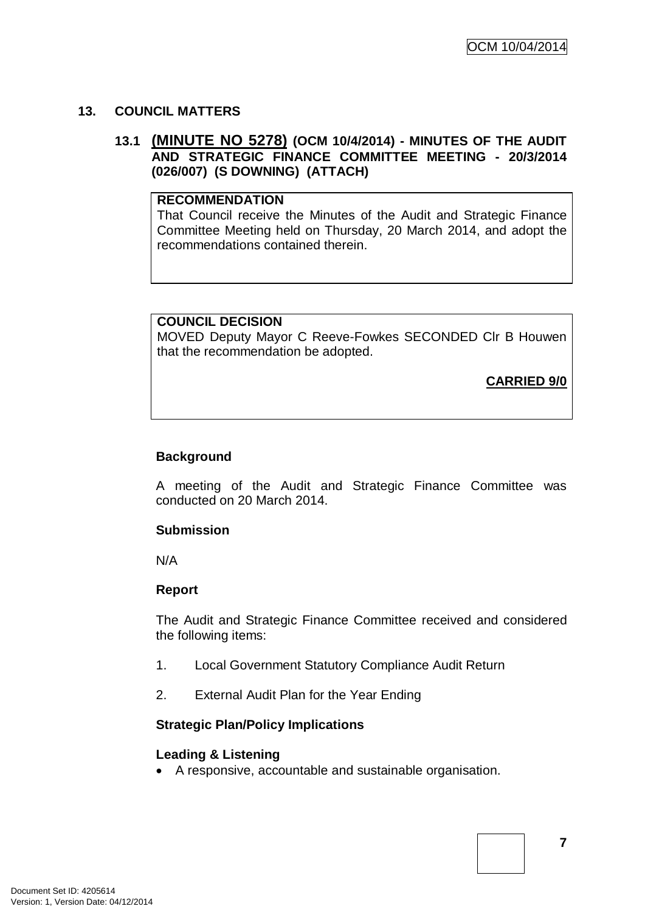### **13. COUNCIL MATTERS**

# **13.1 (MINUTE NO 5278) (OCM 10/4/2014) - MINUTES OF THE AUDIT AND STRATEGIC FINANCE COMMITTEE MEETING - 20/3/2014 (026/007) (S DOWNING) (ATTACH)**

#### **RECOMMENDATION**

That Council receive the Minutes of the Audit and Strategic Finance Committee Meeting held on Thursday, 20 March 2014, and adopt the recommendations contained therein.

### **COUNCIL DECISION**

MOVED Deputy Mayor C Reeve-Fowkes SECONDED Clr B Houwen that the recommendation be adopted.

**CARRIED 9/0**

# **Background**

A meeting of the Audit and Strategic Finance Committee was conducted on 20 March 2014.

### **Submission**

N/A

### **Report**

The Audit and Strategic Finance Committee received and considered the following items:

- 1. Local Government Statutory Compliance Audit Return
- 2. External Audit Plan for the Year Ending

### **Strategic Plan/Policy Implications**

### **Leading & Listening**

• A responsive, accountable and sustainable organisation.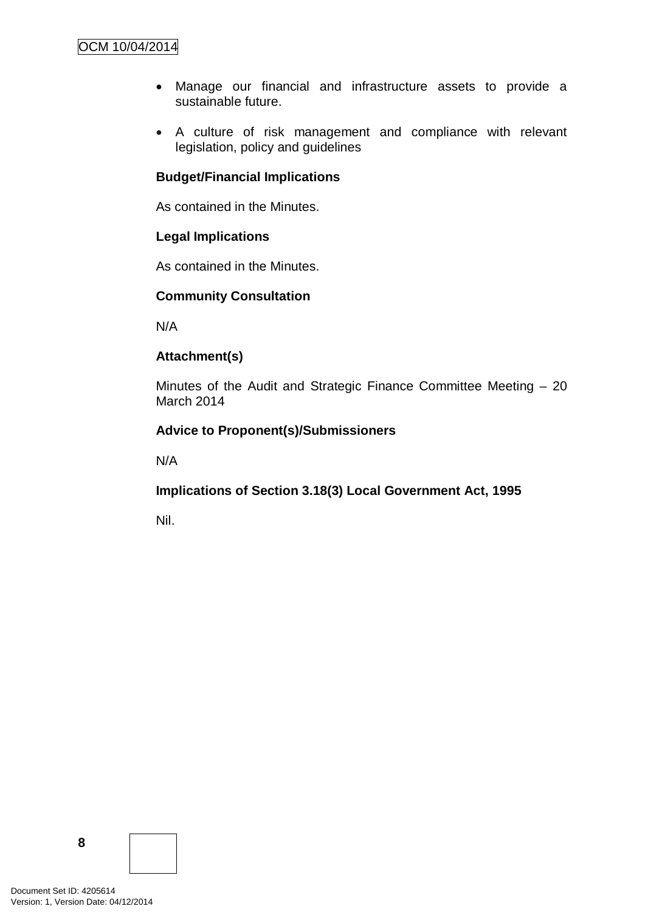- Manage our financial and infrastructure assets to provide a sustainable future.
- A culture of risk management and compliance with relevant legislation, policy and guidelines

# **Budget/Financial Implications**

As contained in the Minutes.

### **Legal Implications**

As contained in the Minutes.

### **Community Consultation**

N/A

# **Attachment(s)**

Minutes of the Audit and Strategic Finance Committee Meeting – 20 March 2014

# **Advice to Proponent(s)/Submissioners**

N/A

# **Implications of Section 3.18(3) Local Government Act, 1995**

Nil.

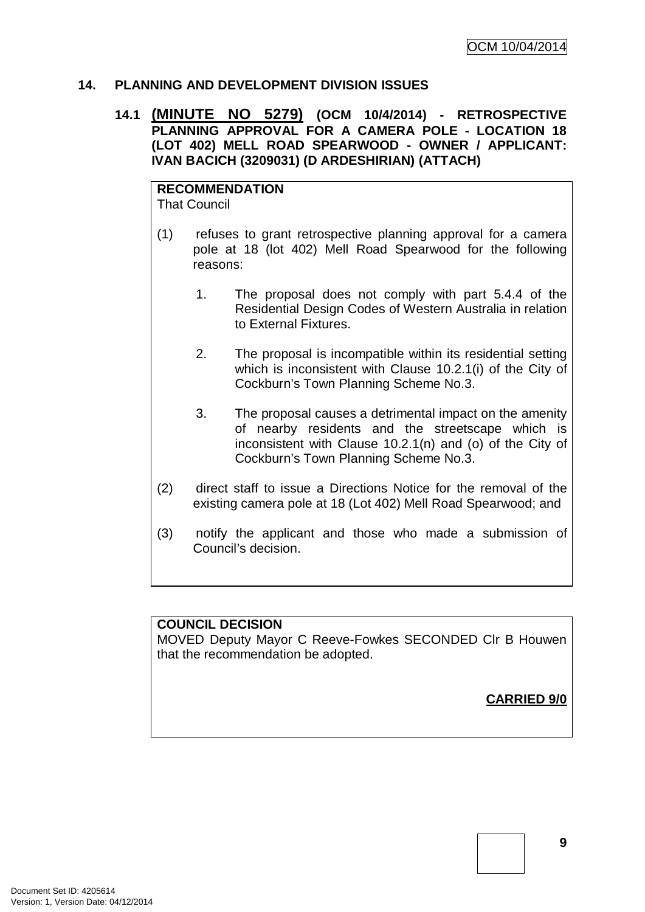### **14. PLANNING AND DEVELOPMENT DIVISION ISSUES**

### **14.1 (MINUTE NO 5279) (OCM 10/4/2014) - RETROSPECTIVE PLANNING APPROVAL FOR A CAMERA POLE - LOCATION 18 (LOT 402) MELL ROAD SPEARWOOD - OWNER / APPLICANT: IVAN BACICH (3209031) (D ARDESHIRIAN) (ATTACH)**

#### **RECOMMENDATION** That Council

- (1) refuses to grant retrospective planning approval for a camera pole at 18 (lot 402) Mell Road Spearwood for the following reasons:
	- 1. The proposal does not comply with part 5.4.4 of the Residential Design Codes of Western Australia in relation to External Fixtures.
	- 2. The proposal is incompatible within its residential setting which is inconsistent with Clause 10.2.1(i) of the City of Cockburn's Town Planning Scheme No.3.
	- 3. The proposal causes a detrimental impact on the amenity of nearby residents and the streetscape which is inconsistent with Clause 10.2.1(n) and (o) of the City of Cockburn's Town Planning Scheme No.3.
- (2) direct staff to issue a Directions Notice for the removal of the existing camera pole at 18 (Lot 402) Mell Road Spearwood; and
- (3) notify the applicant and those who made a submission of Council's decision.

# **COUNCIL DECISION**

MOVED Deputy Mayor C Reeve-Fowkes SECONDED Clr B Houwen that the recommendation be adopted.

**CARRIED 9/0**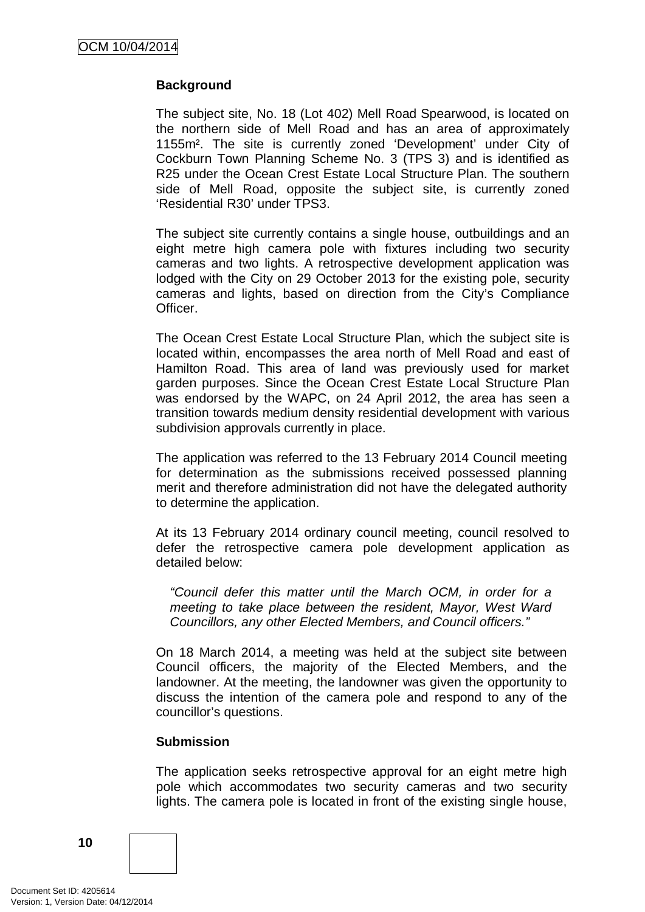### **Background**

The subject site, No. 18 (Lot 402) Mell Road Spearwood, is located on the northern side of Mell Road and has an area of approximately 1155m². The site is currently zoned 'Development' under City of Cockburn Town Planning Scheme No. 3 (TPS 3) and is identified as R25 under the Ocean Crest Estate Local Structure Plan. The southern side of Mell Road, opposite the subject site, is currently zoned 'Residential R30' under TPS3.

The subject site currently contains a single house, outbuildings and an eight metre high camera pole with fixtures including two security cameras and two lights. A retrospective development application was lodged with the City on 29 October 2013 for the existing pole, security cameras and lights, based on direction from the City's Compliance Officer.

The Ocean Crest Estate Local Structure Plan, which the subject site is located within, encompasses the area north of Mell Road and east of Hamilton Road. This area of land was previously used for market garden purposes. Since the Ocean Crest Estate Local Structure Plan was endorsed by the WAPC, on 24 April 2012, the area has seen a transition towards medium density residential development with various subdivision approvals currently in place.

The application was referred to the 13 February 2014 Council meeting for determination as the submissions received possessed planning merit and therefore administration did not have the delegated authority to determine the application.

At its 13 February 2014 ordinary council meeting, council resolved to defer the retrospective camera pole development application as detailed below:

*"Council defer this matter until the March OCM, in order for a meeting to take place between the resident, Mayor, West Ward Councillors, any other Elected Members, and Council officers."*

On 18 March 2014, a meeting was held at the subject site between Council officers, the majority of the Elected Members, and the landowner. At the meeting, the landowner was given the opportunity to discuss the intention of the camera pole and respond to any of the councillor's questions.

### **Submission**

The application seeks retrospective approval for an eight metre high pole which accommodates two security cameras and two security lights. The camera pole is located in front of the existing single house,

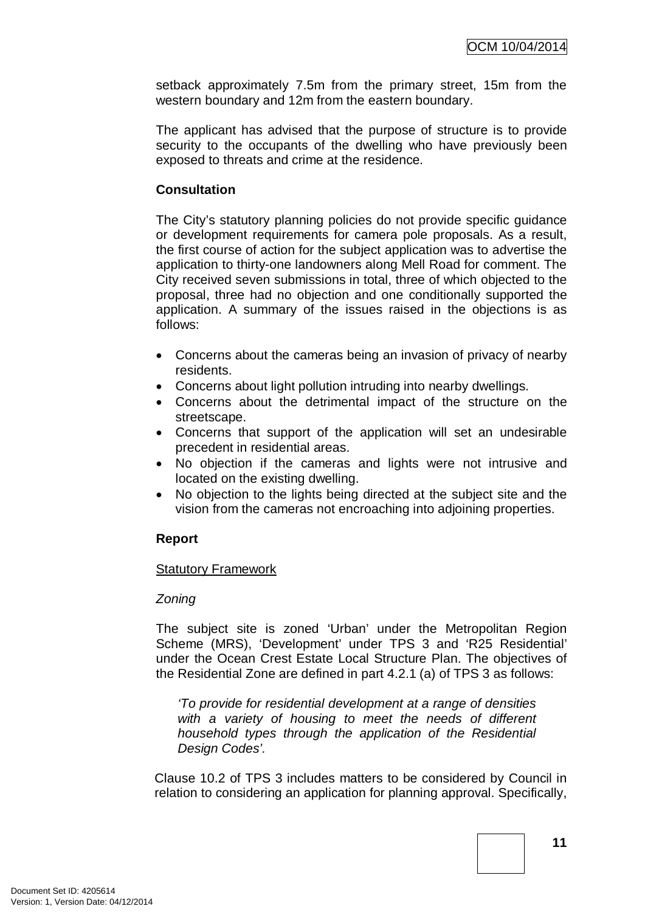setback approximately 7.5m from the primary street, 15m from the western boundary and 12m from the eastern boundary.

The applicant has advised that the purpose of structure is to provide security to the occupants of the dwelling who have previously been exposed to threats and crime at the residence.

### **Consultation**

The City's statutory planning policies do not provide specific guidance or development requirements for camera pole proposals. As a result, the first course of action for the subject application was to advertise the application to thirty-one landowners along Mell Road for comment. The City received seven submissions in total, three of which objected to the proposal, three had no objection and one conditionally supported the application. A summary of the issues raised in the objections is as follows:

- Concerns about the cameras being an invasion of privacy of nearby residents.
- Concerns about light pollution intruding into nearby dwellings.
- Concerns about the detrimental impact of the structure on the streetscape.
- Concerns that support of the application will set an undesirable precedent in residential areas.
- No objection if the cameras and lights were not intrusive and located on the existing dwelling.
- No objection to the lights being directed at the subject site and the vision from the cameras not encroaching into adjoining properties.

### **Report**

### Statutory Framework

### *Zoning*

The subject site is zoned 'Urban' under the Metropolitan Region Scheme (MRS), 'Development' under TPS 3 and 'R25 Residential' under the Ocean Crest Estate Local Structure Plan. The objectives of the Residential Zone are defined in part 4.2.1 (a) of TPS 3 as follows:

*'To provide for residential development at a range of densities with a variety of housing to meet the needs of different household types through the application of the Residential Design Codes'.*

Clause 10.2 of TPS 3 includes matters to be considered by Council in relation to considering an application for planning approval. Specifically,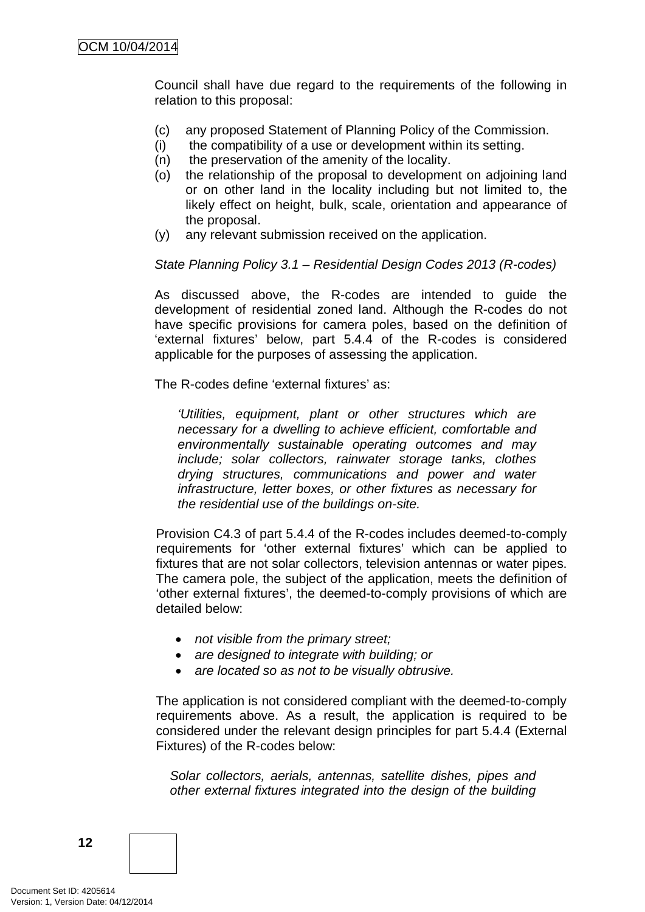Council shall have due regard to the requirements of the following in relation to this proposal:

- (c) any proposed Statement of Planning Policy of the Commission.
- (i) the compatibility of a use or development within its setting.
- (n) the preservation of the amenity of the locality.<br>(o) the relationship of the proposal to development
- the relationship of the proposal to development on adjoining land or on other land in the locality including but not limited to, the likely effect on height, bulk, scale, orientation and appearance of the proposal.
- (y) any relevant submission received on the application.

*State Planning Policy 3.1 – Residential Design Codes 2013 (R-codes)*

As discussed above, the R-codes are intended to guide the development of residential zoned land. Although the R-codes do not have specific provisions for camera poles, based on the definition of 'external fixtures' below, part 5.4.4 of the R-codes is considered applicable for the purposes of assessing the application.

The R-codes define 'external fixtures' as:

*'Utilities, equipment, plant or other structures which are necessary for a dwelling to achieve efficient, comfortable and environmentally sustainable operating outcomes and may include; solar collectors, rainwater storage tanks, clothes drying structures, communications and power and water infrastructure, letter boxes, or other fixtures as necessary for the residential use of the buildings on-site.* 

Provision C4.3 of part 5.4.4 of the R-codes includes deemed-to-comply requirements for 'other external fixtures' which can be applied to fixtures that are not solar collectors, television antennas or water pipes. The camera pole, the subject of the application, meets the definition of 'other external fixtures', the deemed-to-comply provisions of which are detailed below:

- *not visible from the primary street;*
- *are designed to integrate with building; or*
- *are located so as not to be visually obtrusive.*

The application is not considered compliant with the deemed-to-comply requirements above. As a result, the application is required to be considered under the relevant design principles for part 5.4.4 (External Fixtures) of the R-codes below:

*Solar collectors, aerials, antennas, satellite dishes, pipes and other external fixtures integrated into the design of the building* 

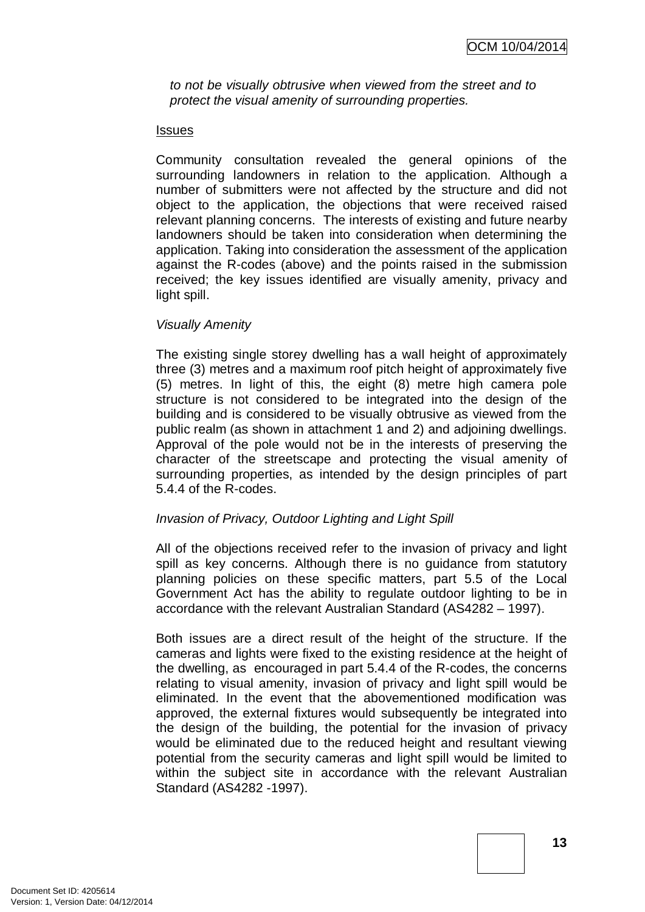*to not be visually obtrusive when viewed from the street and to protect the visual amenity of surrounding properties.* 

#### Issues

Community consultation revealed the general opinions of the surrounding landowners in relation to the application. Although a number of submitters were not affected by the structure and did not object to the application, the objections that were received raised relevant planning concerns. The interests of existing and future nearby landowners should be taken into consideration when determining the application. Taking into consideration the assessment of the application against the R-codes (above) and the points raised in the submission received; the key issues identified are visually amenity, privacy and light spill.

#### *Visually Amenity*

The existing single storey dwelling has a wall height of approximately three (3) metres and a maximum roof pitch height of approximately five (5) metres. In light of this, the eight (8) metre high camera pole structure is not considered to be integrated into the design of the building and is considered to be visually obtrusive as viewed from the public realm (as shown in attachment 1 and 2) and adjoining dwellings. Approval of the pole would not be in the interests of preserving the character of the streetscape and protecting the visual amenity of surrounding properties, as intended by the design principles of part 5.4.4 of the R-codes.

### *Invasion of Privacy, Outdoor Lighting and Light Spill*

All of the objections received refer to the invasion of privacy and light spill as key concerns. Although there is no guidance from statutory planning policies on these specific matters, part 5.5 of the Local Government Act has the ability to regulate outdoor lighting to be in accordance with the relevant Australian Standard (AS4282 – 1997).

Both issues are a direct result of the height of the structure. If the cameras and lights were fixed to the existing residence at the height of the dwelling, as encouraged in part 5.4.4 of the R-codes, the concerns relating to visual amenity, invasion of privacy and light spill would be eliminated. In the event that the abovementioned modification was approved, the external fixtures would subsequently be integrated into the design of the building, the potential for the invasion of privacy would be eliminated due to the reduced height and resultant viewing potential from the security cameras and light spill would be limited to within the subject site in accordance with the relevant Australian Standard (AS4282 -1997).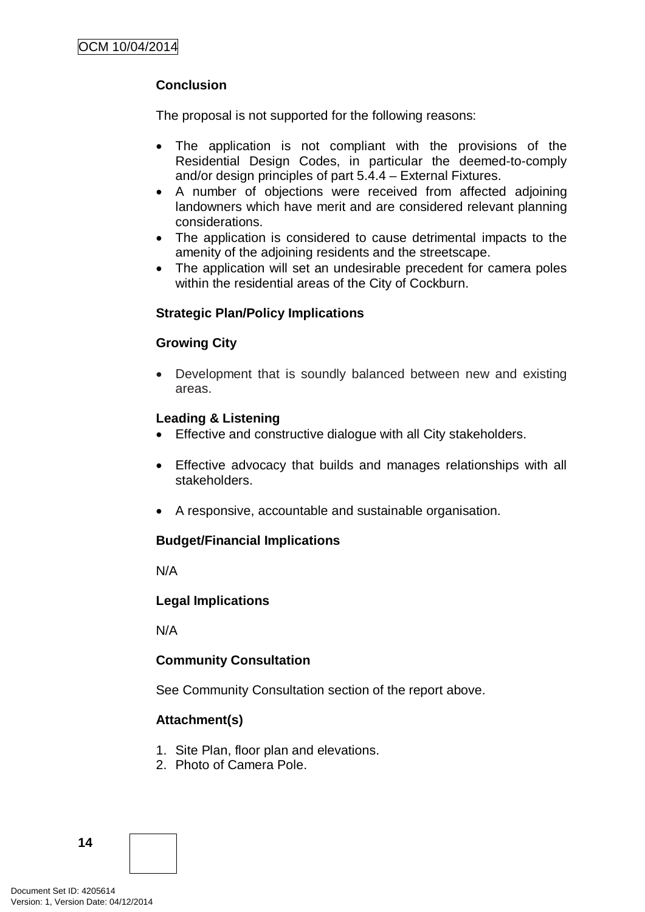# **Conclusion**

The proposal is not supported for the following reasons:

- The application is not compliant with the provisions of the Residential Design Codes, in particular the deemed-to-comply and/or design principles of part 5.4.4 – External Fixtures.
- A number of objections were received from affected adjoining landowners which have merit and are considered relevant planning considerations.
- The application is considered to cause detrimental impacts to the amenity of the adjoining residents and the streetscape.
- The application will set an undesirable precedent for camera poles within the residential areas of the City of Cockburn.

### **Strategic Plan/Policy Implications**

### **Growing City**

• Development that is soundly balanced between new and existing areas.

### **Leading & Listening**

- Effective and constructive dialogue with all City stakeholders.
- Effective advocacy that builds and manages relationships with all stakeholders.
- A responsive, accountable and sustainable organisation.

# **Budget/Financial Implications**

N/A

# **Legal Implications**

N/A

# **Community Consultation**

See Community Consultation section of the report above.

# **Attachment(s)**

- 1. Site Plan, floor plan and elevations.
- 2. Photo of Camera Pole.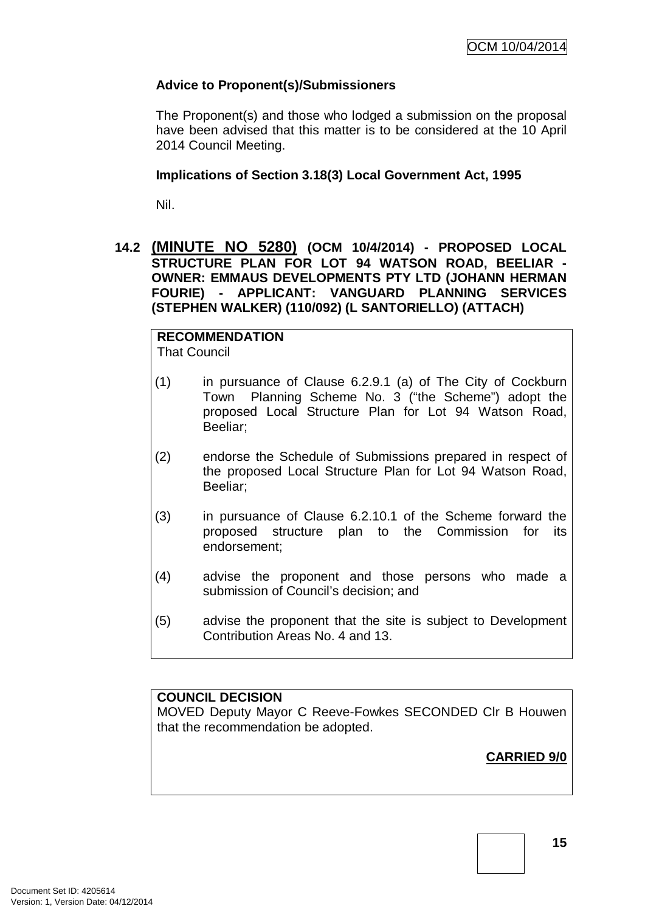### **Advice to Proponent(s)/Submissioners**

The Proponent(s) and those who lodged a submission on the proposal have been advised that this matter is to be considered at the 10 April 2014 Council Meeting.

#### **Implications of Section 3.18(3) Local Government Act, 1995**

Nil.

### **14.2 (MINUTE NO 5280) (OCM 10/4/2014) - PROPOSED LOCAL STRUCTURE PLAN FOR LOT 94 WATSON ROAD, BEELIAR - OWNER: EMMAUS DEVELOPMENTS PTY LTD (JOHANN HERMAN FOURIE) - APPLICANT: VANGUARD PLANNING SERVICES (STEPHEN WALKER) (110/092) (L SANTORIELLO) (ATTACH)**

# **RECOMMENDATION**

That Council

- (1) in pursuance of Clause 6.2.9.1 (a) of The City of Cockburn Town Planning Scheme No. 3 ("the Scheme") adopt the proposed Local Structure Plan for Lot 94 Watson Road, Beeliar;
- (2) endorse the Schedule of Submissions prepared in respect of the proposed Local Structure Plan for Lot 94 Watson Road, Beeliar;
- (3) in pursuance of Clause 6.2.10.1 of the Scheme forward the proposed structure plan to the Commission for its endorsement;
- (4) advise the proponent and those persons who made a submission of Council's decision; and
- (5) advise the proponent that the site is subject to Development Contribution Areas No. 4 and 13.

# **COUNCIL DECISION**

MOVED Deputy Mayor C Reeve-Fowkes SECONDED Clr B Houwen that the recommendation be adopted.

**CARRIED 9/0**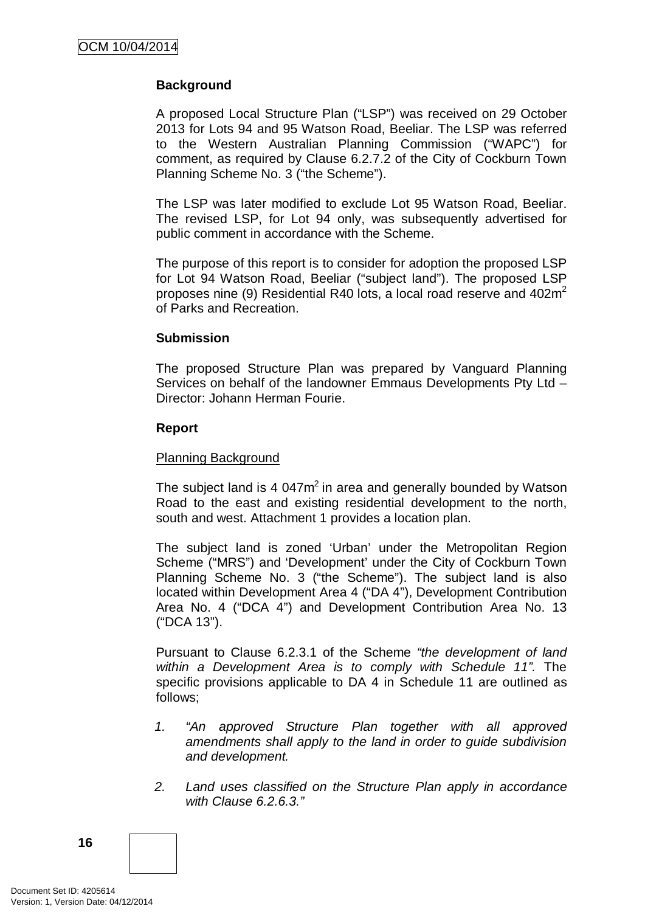# **Background**

A proposed Local Structure Plan ("LSP") was received on 29 October 2013 for Lots 94 and 95 Watson Road, Beeliar. The LSP was referred to the Western Australian Planning Commission ("WAPC") for comment, as required by Clause 6.2.7.2 of the City of Cockburn Town Planning Scheme No. 3 ("the Scheme").

The LSP was later modified to exclude Lot 95 Watson Road, Beeliar. The revised LSP, for Lot 94 only, was subsequently advertised for public comment in accordance with the Scheme.

The purpose of this report is to consider for adoption the proposed LSP for Lot 94 Watson Road, Beeliar ("subject land"). The proposed LSP proposes nine (9) Residential R40 lots, a local road reserve and  $402m<sup>2</sup>$ of Parks and Recreation.

#### **Submission**

The proposed Structure Plan was prepared by Vanguard Planning Services on behalf of the landowner Emmaus Developments Pty Ltd – Director: Johann Herman Fourie.

### **Report**

#### Planning Background

The subject land is 4 047 $m<sup>2</sup>$  in area and generally bounded by Watson Road to the east and existing residential development to the north, south and west. Attachment 1 provides a location plan.

The subject land is zoned 'Urban' under the Metropolitan Region Scheme ("MRS") and 'Development' under the City of Cockburn Town Planning Scheme No. 3 ("the Scheme"). The subject land is also located within Development Area 4 ("DA 4"), Development Contribution Area No. 4 ("DCA 4") and Development Contribution Area No. 13 ("DCA 13").

Pursuant to Clause 6.2.3.1 of the Scheme *"the development of land within a Development Area is to comply with Schedule 11".* The specific provisions applicable to DA 4 in Schedule 11 are outlined as follows;

- *1. "An approved Structure Plan together with all approved amendments shall apply to the land in order to guide subdivision and development.*
- *2. Land uses classified on the Structure Plan apply in accordance with Clause 6.2.6.3."*

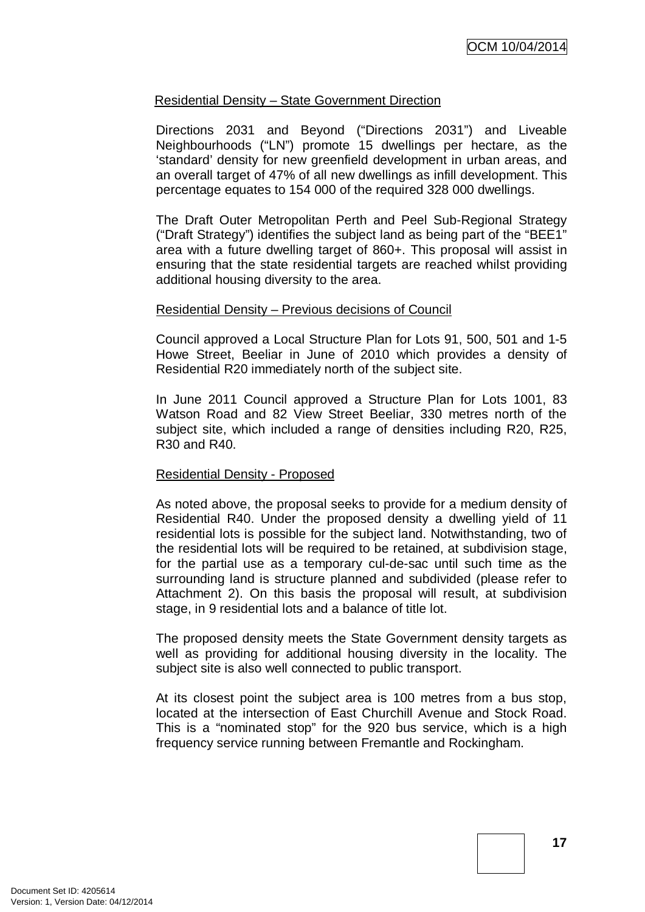#### Residential Density – State Government Direction

Directions 2031 and Beyond ("Directions 2031") and Liveable Neighbourhoods ("LN") promote 15 dwellings per hectare, as the 'standard' density for new greenfield development in urban areas, and an overall target of 47% of all new dwellings as infill development. This percentage equates to 154 000 of the required 328 000 dwellings.

The Draft Outer Metropolitan Perth and Peel Sub-Regional Strategy ("Draft Strategy") identifies the subject land as being part of the "BEE1" area with a future dwelling target of 860+. This proposal will assist in ensuring that the state residential targets are reached whilst providing additional housing diversity to the area.

#### Residential Density – Previous decisions of Council

Council approved a Local Structure Plan for Lots 91, 500, 501 and 1-5 Howe Street, Beeliar in June of 2010 which provides a density of Residential R20 immediately north of the subject site.

In June 2011 Council approved a Structure Plan for Lots 1001, 83 Watson Road and 82 View Street Beeliar, 330 metres north of the subject site, which included a range of densities including R20, R25, R30 and R40.

#### Residential Density - Proposed

As noted above, the proposal seeks to provide for a medium density of Residential R40. Under the proposed density a dwelling yield of 11 residential lots is possible for the subject land. Notwithstanding, two of the residential lots will be required to be retained, at subdivision stage, for the partial use as a temporary cul-de-sac until such time as the surrounding land is structure planned and subdivided (please refer to Attachment 2). On this basis the proposal will result, at subdivision stage, in 9 residential lots and a balance of title lot.

The proposed density meets the State Government density targets as well as providing for additional housing diversity in the locality. The subject site is also well connected to public transport.

At its closest point the subject area is 100 metres from a bus stop, located at the intersection of East Churchill Avenue and Stock Road. This is a "nominated stop" for the 920 bus service, which is a high frequency service running between Fremantle and Rockingham.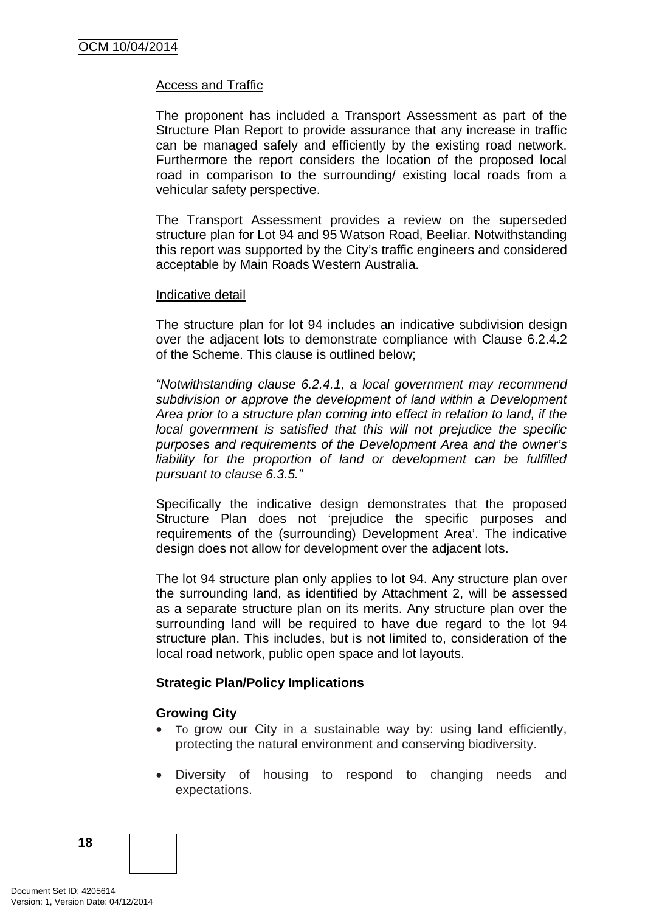### Access and Traffic

The proponent has included a Transport Assessment as part of the Structure Plan Report to provide assurance that any increase in traffic can be managed safely and efficiently by the existing road network. Furthermore the report considers the location of the proposed local road in comparison to the surrounding/ existing local roads from a vehicular safety perspective.

The Transport Assessment provides a review on the superseded structure plan for Lot 94 and 95 Watson Road, Beeliar. Notwithstanding this report was supported by the City's traffic engineers and considered acceptable by Main Roads Western Australia.

#### Indicative detail

The structure plan for lot 94 includes an indicative subdivision design over the adjacent lots to demonstrate compliance with Clause 6.2.4.2 of the Scheme. This clause is outlined below;

*"Notwithstanding clause 6.2.4.1, a local government may recommend subdivision or approve the development of land within a Development Area prior to a structure plan coming into effect in relation to land, if the local government is satisfied that this will not prejudice the specific purposes and requirements of the Development Area and the owner's liability for the proportion of land or development can be fulfilled pursuant to clause 6.3.5."*

Specifically the indicative design demonstrates that the proposed Structure Plan does not 'prejudice the specific purposes and requirements of the (surrounding) Development Area'. The indicative design does not allow for development over the adjacent lots.

The lot 94 structure plan only applies to lot 94. Any structure plan over the surrounding land, as identified by Attachment 2, will be assessed as a separate structure plan on its merits. Any structure plan over the surrounding land will be required to have due regard to the lot 94 structure plan. This includes, but is not limited to, consideration of the local road network, public open space and lot layouts.

#### **Strategic Plan/Policy Implications**

#### **Growing City**

- To grow our City in a sustainable way by: using land efficiently, protecting the natural environment and conserving biodiversity.
- Diversity of housing to respond to changing needs and expectations.

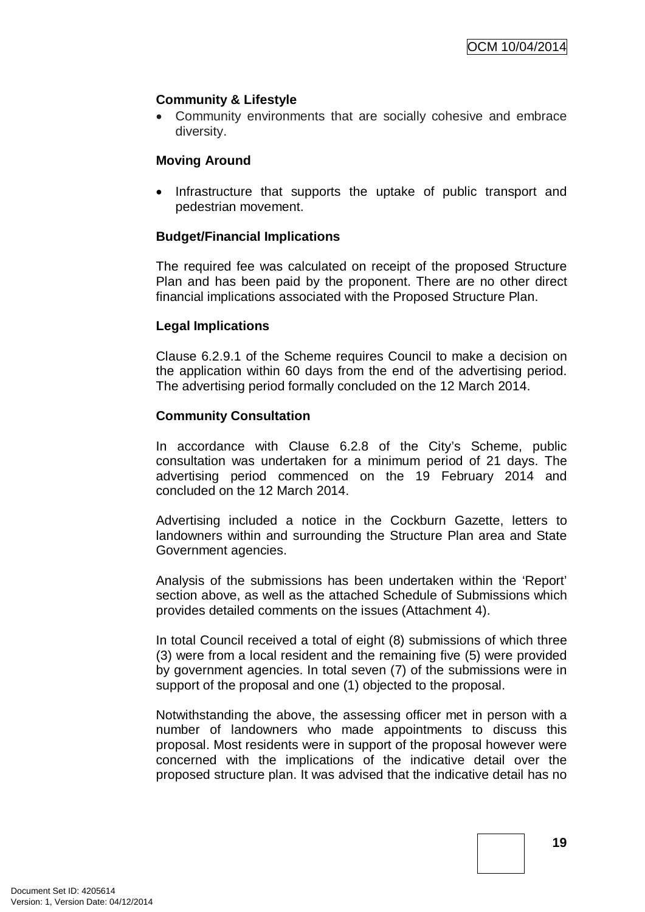### **Community & Lifestyle**

• Community environments that are socially cohesive and embrace diversity.

#### **Moving Around**

• Infrastructure that supports the uptake of public transport and pedestrian movement.

#### **Budget/Financial Implications**

The required fee was calculated on receipt of the proposed Structure Plan and has been paid by the proponent. There are no other direct financial implications associated with the Proposed Structure Plan.

#### **Legal Implications**

Clause 6.2.9.1 of the Scheme requires Council to make a decision on the application within 60 days from the end of the advertising period. The advertising period formally concluded on the 12 March 2014.

#### **Community Consultation**

In accordance with Clause 6.2.8 of the City's Scheme, public consultation was undertaken for a minimum period of 21 days. The advertising period commenced on the 19 February 2014 and concluded on the 12 March 2014.

Advertising included a notice in the Cockburn Gazette, letters to landowners within and surrounding the Structure Plan area and State Government agencies.

Analysis of the submissions has been undertaken within the 'Report' section above, as well as the attached Schedule of Submissions which provides detailed comments on the issues (Attachment 4).

In total Council received a total of eight (8) submissions of which three (3) were from a local resident and the remaining five (5) were provided by government agencies. In total seven (7) of the submissions were in support of the proposal and one (1) objected to the proposal.

Notwithstanding the above, the assessing officer met in person with a number of landowners who made appointments to discuss this proposal. Most residents were in support of the proposal however were concerned with the implications of the indicative detail over the proposed structure plan. It was advised that the indicative detail has no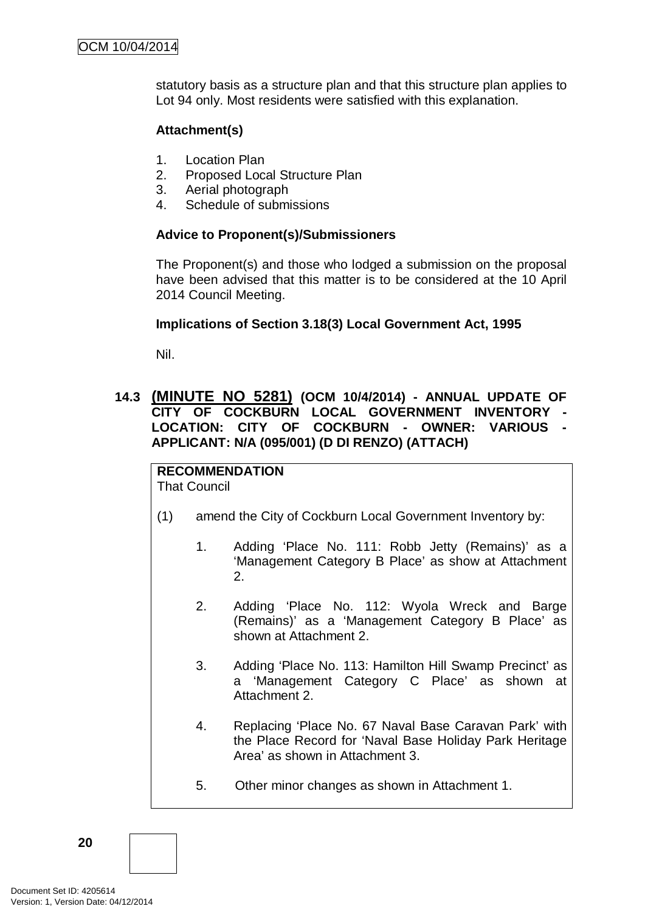statutory basis as a structure plan and that this structure plan applies to Lot 94 only. Most residents were satisfied with this explanation.

### **Attachment(s)**

- 1. Location Plan
- 2. Proposed Local Structure Plan
- 3. Aerial photograph
- 4. Schedule of submissions

### **Advice to Proponent(s)/Submissioners**

The Proponent(s) and those who lodged a submission on the proposal have been advised that this matter is to be considered at the 10 April 2014 Council Meeting.

### **Implications of Section 3.18(3) Local Government Act, 1995**

Nil.

### **14.3 (MINUTE NO 5281) (OCM 10/4/2014) - ANNUAL UPDATE OF**  CITY OF COCKBURN LOCAL GOVERNMENT INVENTORY **LOCATION: CITY OF COCKBURN - OWNER: VARIOUS - APPLICANT: N/A (095/001) (D DI RENZO) (ATTACH)**

# **RECOMMENDATION**

That Council

- (1) amend the City of Cockburn Local Government Inventory by:
	- 1. Adding 'Place No. 111: Robb Jetty (Remains)' as a 'Management Category B Place' as show at Attachment 2.
	- 2. Adding 'Place No. 112: Wyola Wreck and Barge (Remains)' as a 'Management Category B Place' as shown at Attachment 2.
	- 3. Adding 'Place No. 113: Hamilton Hill Swamp Precinct' as a 'Management Category C Place' as shown at Attachment 2.
	- 4. Replacing 'Place No. 67 Naval Base Caravan Park' with the Place Record for 'Naval Base Holiday Park Heritage Area' as shown in Attachment 3.
	- 5. Other minor changes as shown in Attachment 1.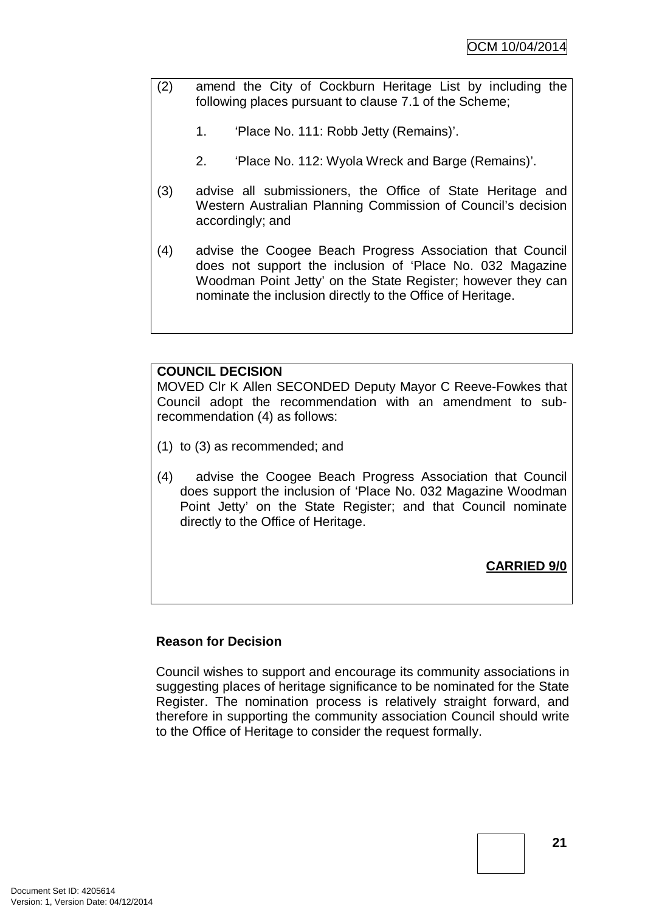- (2) amend the City of Cockburn Heritage List by including the following places pursuant to clause 7.1 of the Scheme;
	- 1. 'Place No. 111: Robb Jetty (Remains)'.
	- 2. 'Place No. 112: Wyola Wreck and Barge (Remains)'.
- (3) advise all submissioners, the Office of State Heritage and Western Australian Planning Commission of Council's decision accordingly; and
- (4) advise the Coogee Beach Progress Association that Council does not support the inclusion of 'Place No. 032 Magazine Woodman Point Jetty' on the State Register; however they can nominate the inclusion directly to the Office of Heritage.

### **COUNCIL DECISION**

MOVED Clr K Allen SECONDED Deputy Mayor C Reeve-Fowkes that Council adopt the recommendation with an amendment to subrecommendation (4) as follows:

- (1) to (3) as recommended; and
- (4) advise the Coogee Beach Progress Association that Council does support the inclusion of 'Place No. 032 Magazine Woodman Point Jetty' on the State Register; and that Council nominate directly to the Office of Heritage.

# **CARRIED 9/0**

### **Reason for Decision**

Council wishes to support and encourage its community associations in suggesting places of heritage significance to be nominated for the State Register. The nomination process is relatively straight forward, and therefore in supporting the community association Council should write to the Office of Heritage to consider the request formally.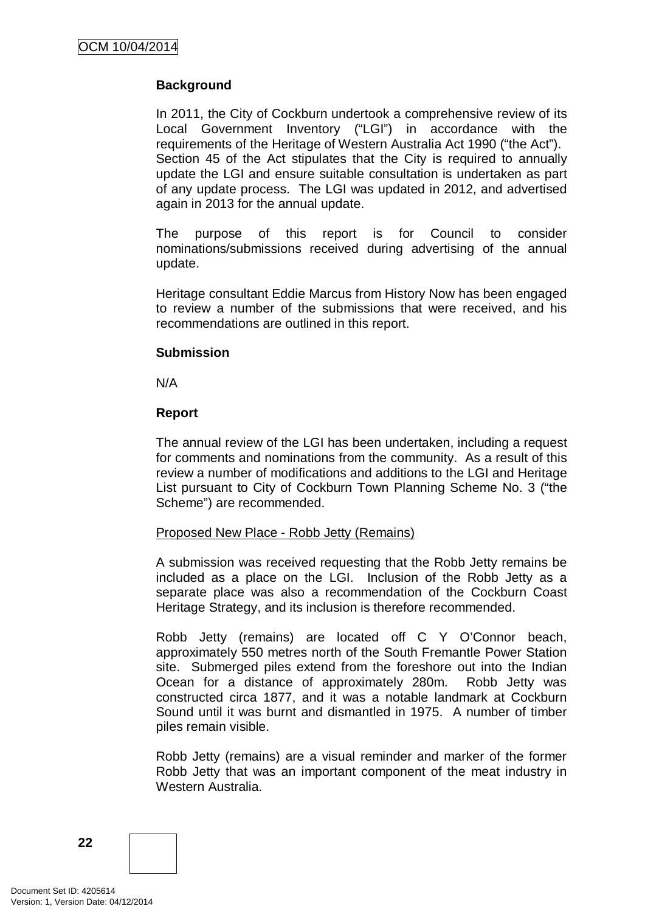### **Background**

In 2011, the City of Cockburn undertook a comprehensive review of its Local Government Inventory ("LGI") in accordance with the requirements of the Heritage of Western Australia Act 1990 ("the Act"). Section 45 of the Act stipulates that the City is required to annually update the LGI and ensure suitable consultation is undertaken as part of any update process. The LGI was updated in 2012, and advertised again in 2013 for the annual update.

The purpose of this report is for Council to consider nominations/submissions received during advertising of the annual update.

Heritage consultant Eddie Marcus from History Now has been engaged to review a number of the submissions that were received, and his recommendations are outlined in this report.

#### **Submission**

N/A

### **Report**

The annual review of the LGI has been undertaken, including a request for comments and nominations from the community. As a result of this review a number of modifications and additions to the LGI and Heritage List pursuant to City of Cockburn Town Planning Scheme No. 3 ("the Scheme") are recommended.

### Proposed New Place - Robb Jetty (Remains)

A submission was received requesting that the Robb Jetty remains be included as a place on the LGI. Inclusion of the Robb Jetty as a separate place was also a recommendation of the Cockburn Coast Heritage Strategy, and its inclusion is therefore recommended.

Robb Jetty (remains) are located off C Y O'Connor beach, approximately 550 metres north of the South Fremantle Power Station site. Submerged piles extend from the foreshore out into the Indian Ocean for a distance of approximately 280m. Robb Jetty was constructed circa 1877, and it was a notable landmark at Cockburn Sound until it was burnt and dismantled in 1975. A number of timber piles remain visible.

Robb Jetty (remains) are a visual reminder and marker of the former Robb Jetty that was an important component of the meat industry in Western Australia.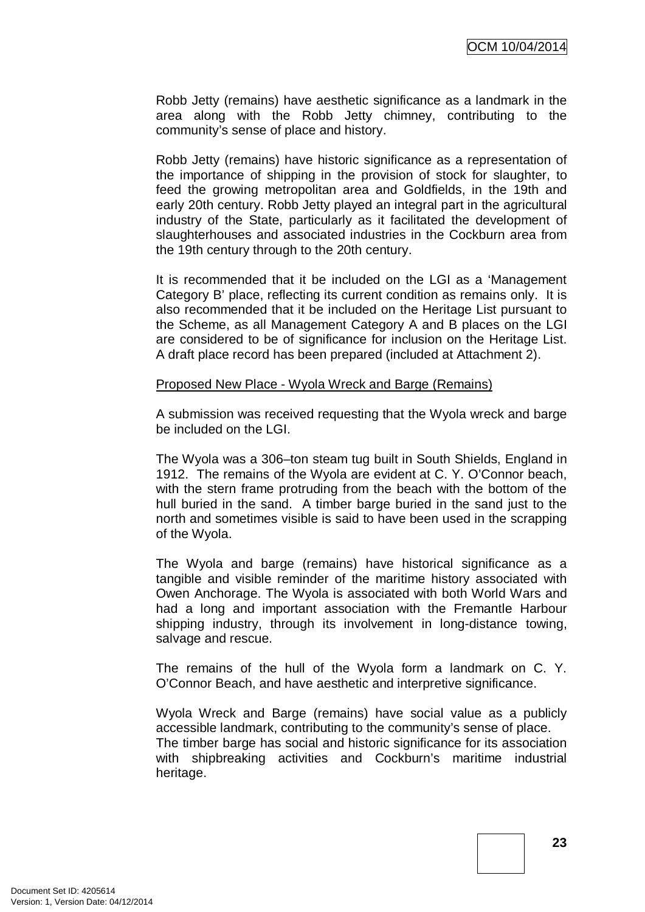Robb Jetty (remains) have aesthetic significance as a landmark in the area along with the Robb Jetty chimney, contributing to the community's sense of place and history.

Robb Jetty (remains) have historic significance as a representation of the importance of shipping in the provision of stock for slaughter, to feed the growing metropolitan area and Goldfields, in the 19th and early 20th century. Robb Jetty played an integral part in the agricultural industry of the State, particularly as it facilitated the development of slaughterhouses and associated industries in the Cockburn area from the 19th century through to the 20th century.

It is recommended that it be included on the LGI as a 'Management Category B' place, reflecting its current condition as remains only. It is also recommended that it be included on the Heritage List pursuant to the Scheme, as all Management Category A and B places on the LGI are considered to be of significance for inclusion on the Heritage List. A draft place record has been prepared (included at Attachment 2).

#### Proposed New Place - Wyola Wreck and Barge (Remains)

A submission was received requesting that the Wyola wreck and barge be included on the LGI.

The Wyola was a 306–ton steam tug built in South Shields, England in 1912. The remains of the Wyola are evident at C. Y. O'Connor beach, with the stern frame protruding from the beach with the bottom of the hull buried in the sand. A timber barge buried in the sand just to the north and sometimes visible is said to have been used in the scrapping of the Wyola.

The Wyola and barge (remains) have historical significance as a tangible and visible reminder of the maritime history associated with Owen Anchorage. The Wyola is associated with both World Wars and had a long and important association with the Fremantle Harbour shipping industry, through its involvement in long-distance towing, salvage and rescue.

The remains of the hull of the Wyola form a landmark on C. Y. O'Connor Beach, and have aesthetic and interpretive significance.

Wyola Wreck and Barge (remains) have social value as a publicly accessible landmark, contributing to the community's sense of place. The timber barge has social and historic significance for its association with shipbreaking activities and Cockburn's maritime industrial heritage.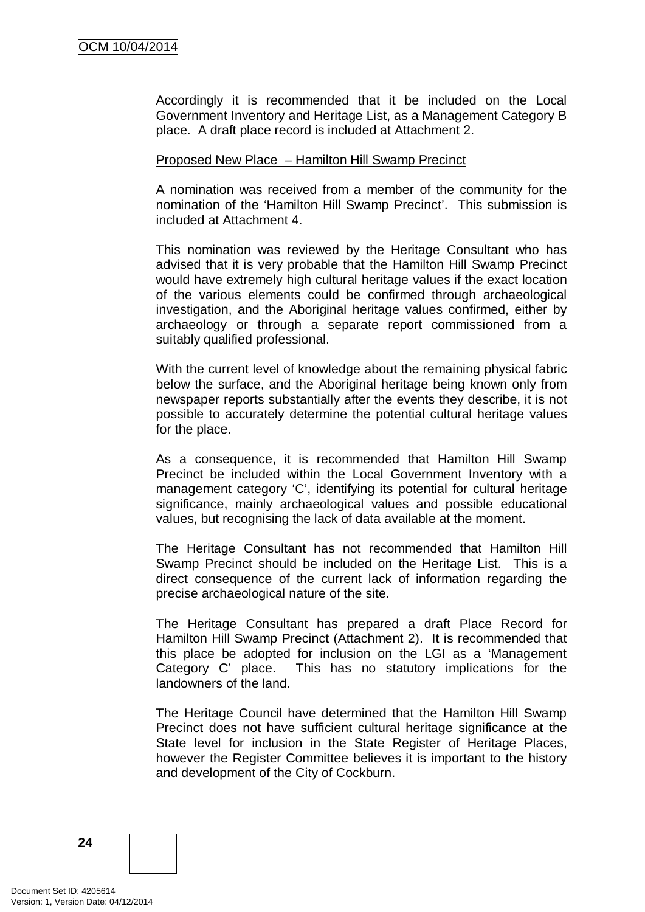Accordingly it is recommended that it be included on the Local Government Inventory and Heritage List, as a Management Category B place. A draft place record is included at Attachment 2.

#### Proposed New Place – Hamilton Hill Swamp Precinct

A nomination was received from a member of the community for the nomination of the 'Hamilton Hill Swamp Precinct'. This submission is included at Attachment 4.

This nomination was reviewed by the Heritage Consultant who has advised that it is very probable that the Hamilton Hill Swamp Precinct would have extremely high cultural heritage values if the exact location of the various elements could be confirmed through archaeological investigation, and the Aboriginal heritage values confirmed, either by archaeology or through a separate report commissioned from a suitably qualified professional.

With the current level of knowledge about the remaining physical fabric below the surface, and the Aboriginal heritage being known only from newspaper reports substantially after the events they describe, it is not possible to accurately determine the potential cultural heritage values for the place.

As a consequence, it is recommended that Hamilton Hill Swamp Precinct be included within the Local Government Inventory with a management category 'C', identifying its potential for cultural heritage significance, mainly archaeological values and possible educational values, but recognising the lack of data available at the moment.

The Heritage Consultant has not recommended that Hamilton Hill Swamp Precinct should be included on the Heritage List. This is a direct consequence of the current lack of information regarding the precise archaeological nature of the site.

The Heritage Consultant has prepared a draft Place Record for Hamilton Hill Swamp Precinct (Attachment 2). It is recommended that this place be adopted for inclusion on the LGI as a 'Management Category C' place. This has no statutory implications for the landowners of the land.

The Heritage Council have determined that the Hamilton Hill Swamp Precinct does not have sufficient cultural heritage significance at the State level for inclusion in the State Register of Heritage Places, however the Register Committee believes it is important to the history and development of the City of Cockburn.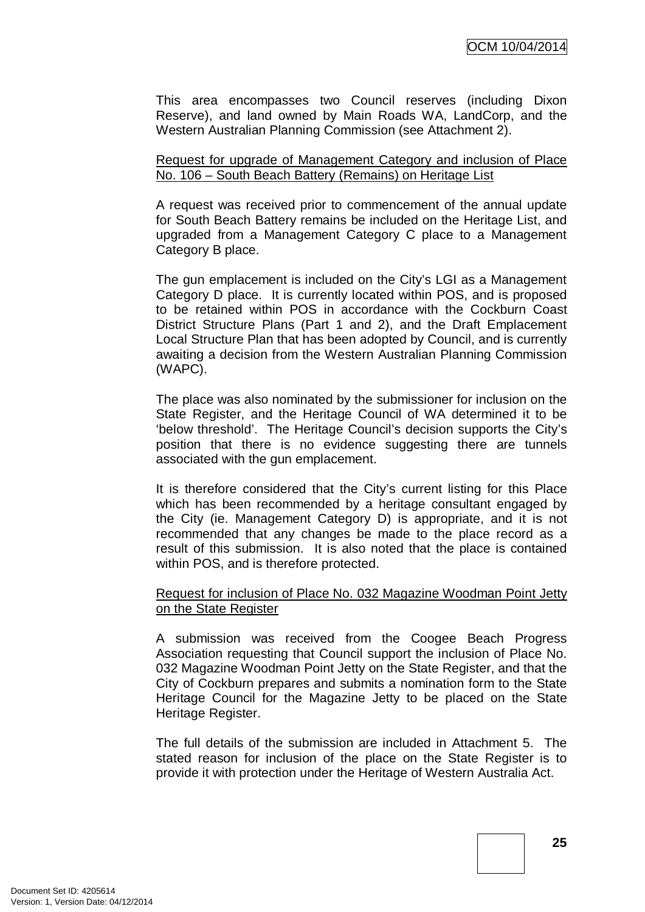This area encompasses two Council reserves (including Dixon Reserve), and land owned by Main Roads WA, LandCorp, and the Western Australian Planning Commission (see Attachment 2).

#### Request for upgrade of Management Category and inclusion of Place No. 106 – South Beach Battery (Remains) on Heritage List

A request was received prior to commencement of the annual update for South Beach Battery remains be included on the Heritage List, and upgraded from a Management Category C place to a Management Category B place.

The gun emplacement is included on the City's LGI as a Management Category D place. It is currently located within POS, and is proposed to be retained within POS in accordance with the Cockburn Coast District Structure Plans (Part 1 and 2), and the Draft Emplacement Local Structure Plan that has been adopted by Council, and is currently awaiting a decision from the Western Australian Planning Commission (WAPC).

The place was also nominated by the submissioner for inclusion on the State Register, and the Heritage Council of WA determined it to be 'below threshold'. The Heritage Council's decision supports the City's position that there is no evidence suggesting there are tunnels associated with the gun emplacement.

It is therefore considered that the City's current listing for this Place which has been recommended by a heritage consultant engaged by the City (ie. Management Category D) is appropriate, and it is not recommended that any changes be made to the place record as a result of this submission. It is also noted that the place is contained within POS, and is therefore protected.

#### Request for inclusion of Place No. 032 Magazine Woodman Point Jetty on the State Register

A submission was received from the Coogee Beach Progress Association requesting that Council support the inclusion of Place No. 032 Magazine Woodman Point Jetty on the State Register, and that the City of Cockburn prepares and submits a nomination form to the State Heritage Council for the Magazine Jetty to be placed on the State Heritage Register.

The full details of the submission are included in Attachment 5. The stated reason for inclusion of the place on the State Register is to provide it with protection under the Heritage of Western Australia Act.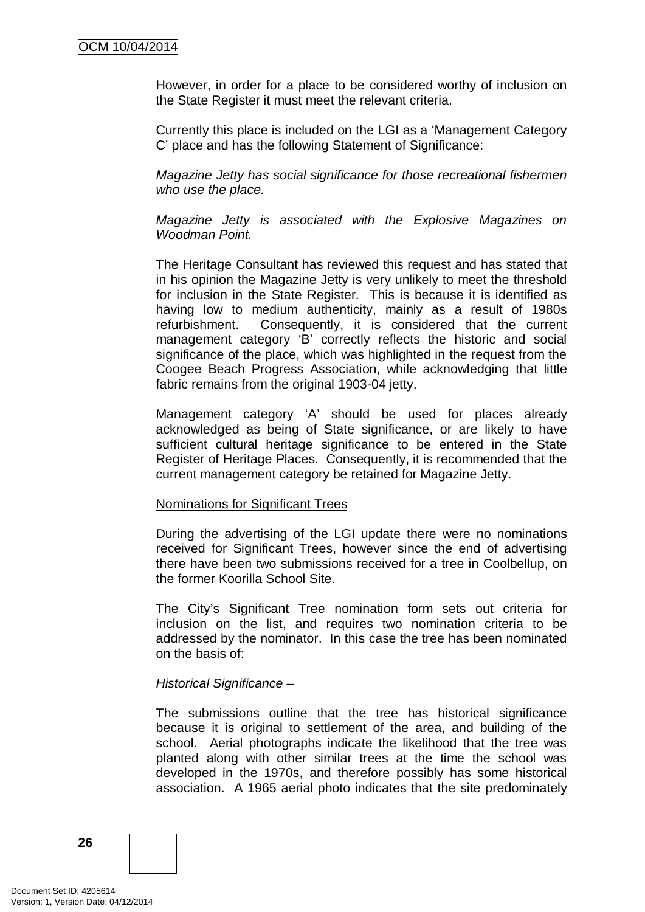However, in order for a place to be considered worthy of inclusion on the State Register it must meet the relevant criteria.

Currently this place is included on the LGI as a 'Management Category C' place and has the following Statement of Significance:

*Magazine Jetty has social significance for those recreational fishermen who use the place.* 

#### *Magazine Jetty is associated with the Explosive Magazines on Woodman Point.*

The Heritage Consultant has reviewed this request and has stated that in his opinion the Magazine Jetty is very unlikely to meet the threshold for inclusion in the State Register. This is because it is identified as having low to medium authenticity, mainly as a result of 1980s refurbishment. Consequently, it is considered that the current management category 'B' correctly reflects the historic and social significance of the place, which was highlighted in the request from the Coogee Beach Progress Association, while acknowledging that little fabric remains from the original 1903-04 jetty.

Management category 'A' should be used for places already acknowledged as being of State significance, or are likely to have sufficient cultural heritage significance to be entered in the State Register of Heritage Places. Consequently, it is recommended that the current management category be retained for Magazine Jetty.

#### Nominations for Significant Trees

During the advertising of the LGI update there were no nominations received for Significant Trees, however since the end of advertising there have been two submissions received for a tree in Coolbellup, on the former Koorilla School Site.

The City's Significant Tree nomination form sets out criteria for inclusion on the list, and requires two nomination criteria to be addressed by the nominator. In this case the tree has been nominated on the basis of:

### *Historical Significance –*

The submissions outline that the tree has historical significance because it is original to settlement of the area, and building of the school. Aerial photographs indicate the likelihood that the tree was planted along with other similar trees at the time the school was developed in the 1970s, and therefore possibly has some historical association. A 1965 aerial photo indicates that the site predominately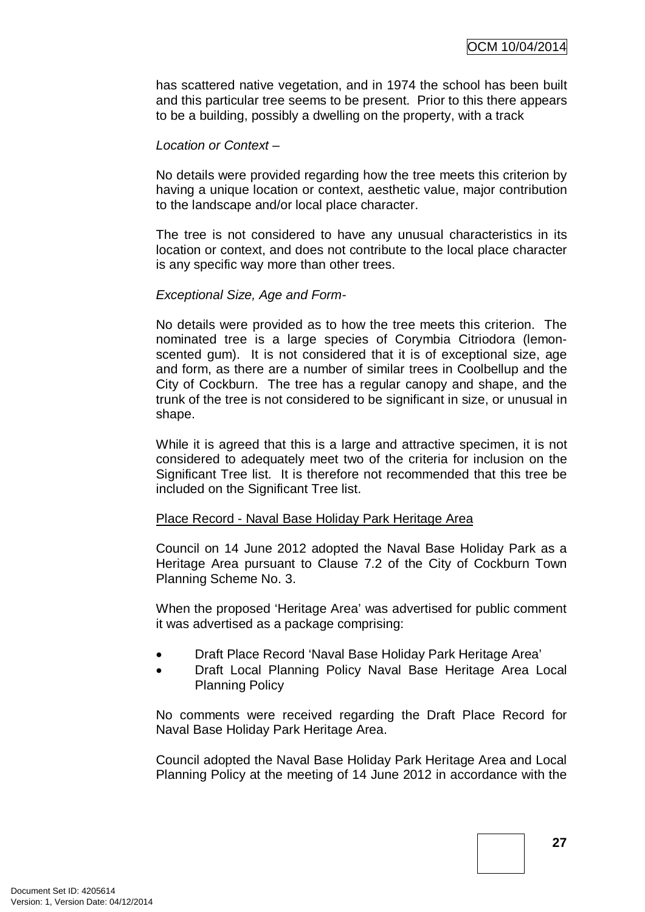has scattered native vegetation, and in 1974 the school has been built and this particular tree seems to be present. Prior to this there appears to be a building, possibly a dwelling on the property, with a track

#### *Location or Context –*

No details were provided regarding how the tree meets this criterion by having a unique location or context, aesthetic value, major contribution to the landscape and/or local place character.

The tree is not considered to have any unusual characteristics in its location or context, and does not contribute to the local place character is any specific way more than other trees.

#### *Exceptional Size, Age and Form-*

No details were provided as to how the tree meets this criterion. The nominated tree is a large species of Corymbia Citriodora (lemonscented gum). It is not considered that it is of exceptional size, age and form, as there are a number of similar trees in Coolbellup and the City of Cockburn. The tree has a regular canopy and shape, and the trunk of the tree is not considered to be significant in size, or unusual in shape.

While it is agreed that this is a large and attractive specimen, it is not considered to adequately meet two of the criteria for inclusion on the Significant Tree list. It is therefore not recommended that this tree be included on the Significant Tree list.

#### Place Record - Naval Base Holiday Park Heritage Area

Council on 14 June 2012 adopted the Naval Base Holiday Park as a Heritage Area pursuant to Clause 7.2 of the City of Cockburn Town Planning Scheme No. 3.

When the proposed 'Heritage Area' was advertised for public comment it was advertised as a package comprising:

- Draft Place Record 'Naval Base Holiday Park Heritage Area'
- Draft Local Planning Policy Naval Base Heritage Area Local Planning Policy

No comments were received regarding the Draft Place Record for Naval Base Holiday Park Heritage Area.

Council adopted the Naval Base Holiday Park Heritage Area and Local Planning Policy at the meeting of 14 June 2012 in accordance with the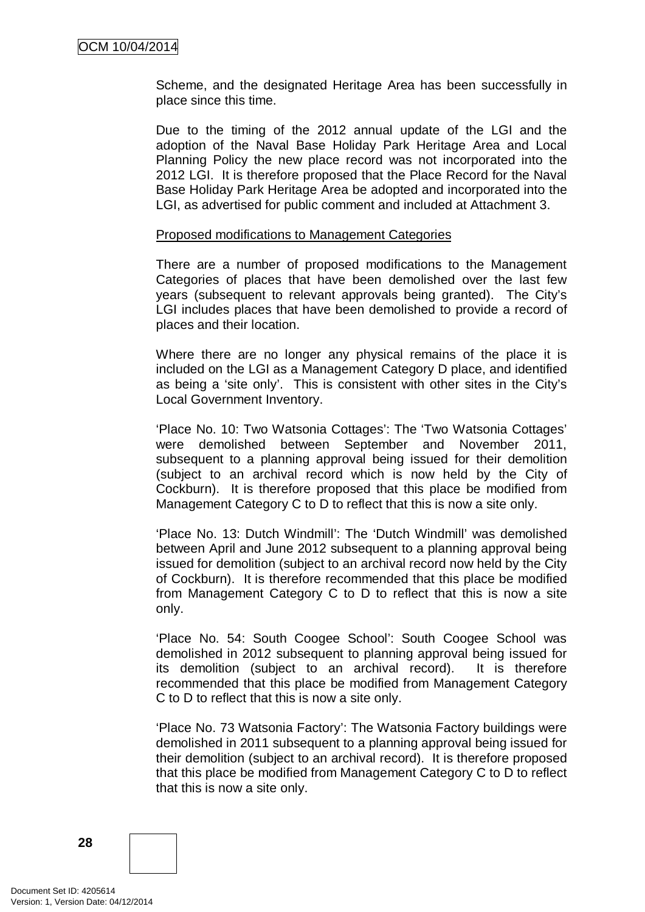Scheme, and the designated Heritage Area has been successfully in place since this time.

Due to the timing of the 2012 annual update of the LGI and the adoption of the Naval Base Holiday Park Heritage Area and Local Planning Policy the new place record was not incorporated into the 2012 LGI. It is therefore proposed that the Place Record for the Naval Base Holiday Park Heritage Area be adopted and incorporated into the LGI, as advertised for public comment and included at Attachment 3.

#### Proposed modifications to Management Categories

There are a number of proposed modifications to the Management Categories of places that have been demolished over the last few years (subsequent to relevant approvals being granted). The City's LGI includes places that have been demolished to provide a record of places and their location.

Where there are no longer any physical remains of the place it is included on the LGI as a Management Category D place, and identified as being a 'site only'. This is consistent with other sites in the City's Local Government Inventory.

'Place No. 10: Two Watsonia Cottages': The 'Two Watsonia Cottages' were demolished between September and November 2011, subsequent to a planning approval being issued for their demolition (subject to an archival record which is now held by the City of Cockburn). It is therefore proposed that this place be modified from Management Category C to D to reflect that this is now a site only.

'Place No. 13: Dutch Windmill': The 'Dutch Windmill' was demolished between April and June 2012 subsequent to a planning approval being issued for demolition (subject to an archival record now held by the City of Cockburn). It is therefore recommended that this place be modified from Management Category C to D to reflect that this is now a site only.

'Place No. 54: South Coogee School': South Coogee School was demolished in 2012 subsequent to planning approval being issued for its demolition (subject to an archival record). It is therefore recommended that this place be modified from Management Category C to D to reflect that this is now a site only.

'Place No. 73 Watsonia Factory': The Watsonia Factory buildings were demolished in 2011 subsequent to a planning approval being issued for their demolition (subject to an archival record). It is therefore proposed that this place be modified from Management Category C to D to reflect that this is now a site only.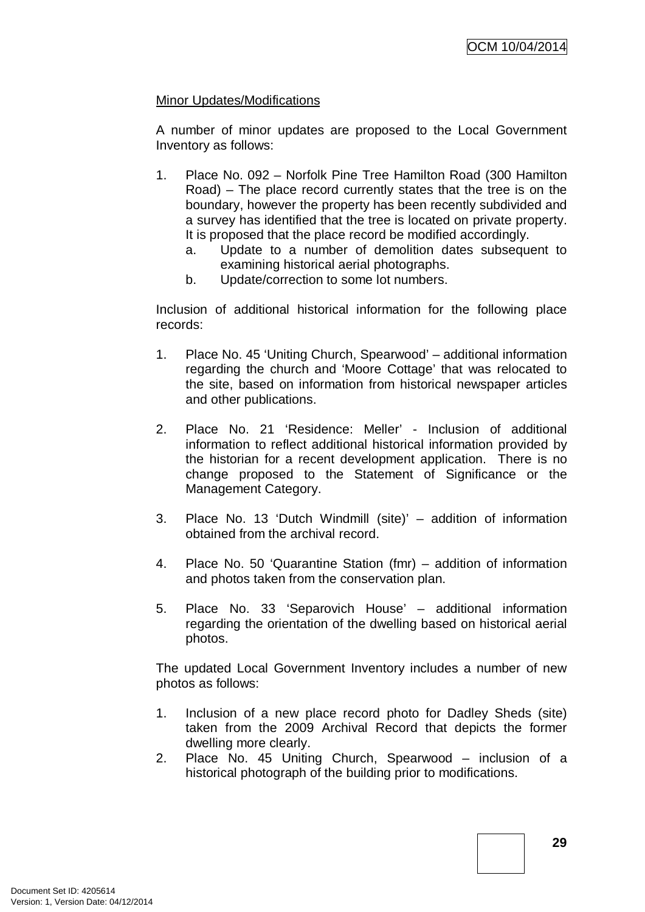#### Minor Updates/Modifications

A number of minor updates are proposed to the Local Government Inventory as follows:

- 1. Place No. 092 Norfolk Pine Tree Hamilton Road (300 Hamilton Road) – The place record currently states that the tree is on the boundary, however the property has been recently subdivided and a survey has identified that the tree is located on private property. It is proposed that the place record be modified accordingly.
	- a. Update to a number of demolition dates subsequent to examining historical aerial photographs.
	- b. Update/correction to some lot numbers.

Inclusion of additional historical information for the following place records:

- 1. Place No. 45 'Uniting Church, Spearwood' additional information regarding the church and 'Moore Cottage' that was relocated to the site, based on information from historical newspaper articles and other publications.
- 2. Place No. 21 'Residence: Meller' Inclusion of additional information to reflect additional historical information provided by the historian for a recent development application. There is no change proposed to the Statement of Significance or the Management Category.
- 3. Place No. 13 'Dutch Windmill (site)' addition of information obtained from the archival record.
- 4. Place No. 50 'Quarantine Station (fmr) addition of information and photos taken from the conservation plan.
- 5. Place No. 33 'Separovich House' additional information regarding the orientation of the dwelling based on historical aerial photos.

The updated Local Government Inventory includes a number of new photos as follows:

- 1. Inclusion of a new place record photo for Dadley Sheds (site) taken from the 2009 Archival Record that depicts the former dwelling more clearly.
- 2. Place No. 45 Uniting Church, Spearwood inclusion of a historical photograph of the building prior to modifications.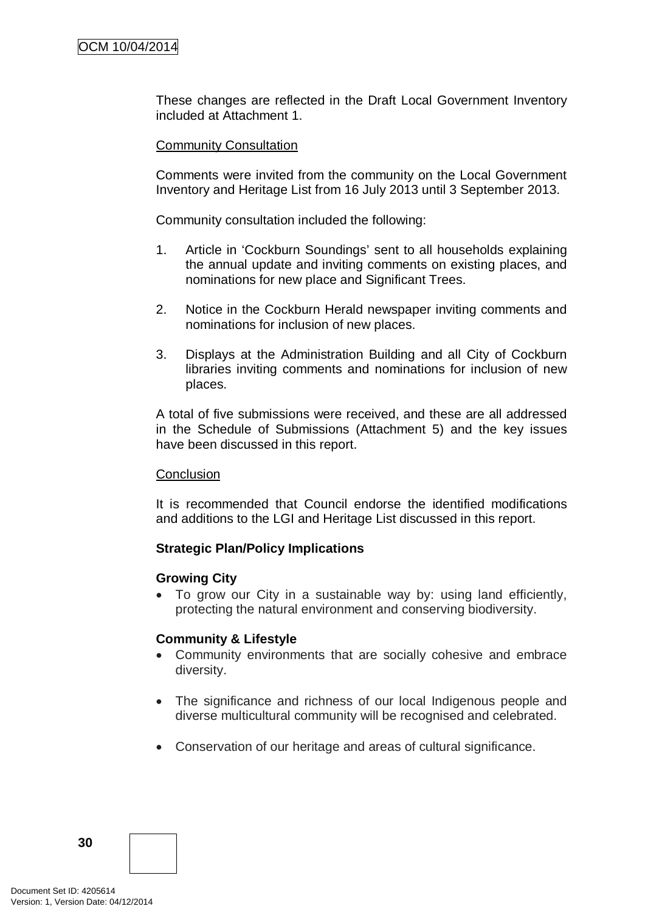These changes are reflected in the Draft Local Government Inventory included at Attachment 1.

#### Community Consultation

Comments were invited from the community on the Local Government Inventory and Heritage List from 16 July 2013 until 3 September 2013.

Community consultation included the following:

- 1. Article in 'Cockburn Soundings' sent to all households explaining the annual update and inviting comments on existing places, and nominations for new place and Significant Trees.
- 2. Notice in the Cockburn Herald newspaper inviting comments and nominations for inclusion of new places.
- 3. Displays at the Administration Building and all City of Cockburn libraries inviting comments and nominations for inclusion of new places.

A total of five submissions were received, and these are all addressed in the Schedule of Submissions (Attachment 5) and the key issues have been discussed in this report.

#### **Conclusion**

It is recommended that Council endorse the identified modifications and additions to the LGI and Heritage List discussed in this report.

### **Strategic Plan/Policy Implications**

### **Growing City**

• To grow our City in a sustainable way by: using land efficiently, protecting the natural environment and conserving biodiversity.

### **Community & Lifestyle**

- Community environments that are socially cohesive and embrace diversity.
- The significance and richness of our local Indigenous people and diverse multicultural community will be recognised and celebrated.
- Conservation of our heritage and areas of cultural significance.

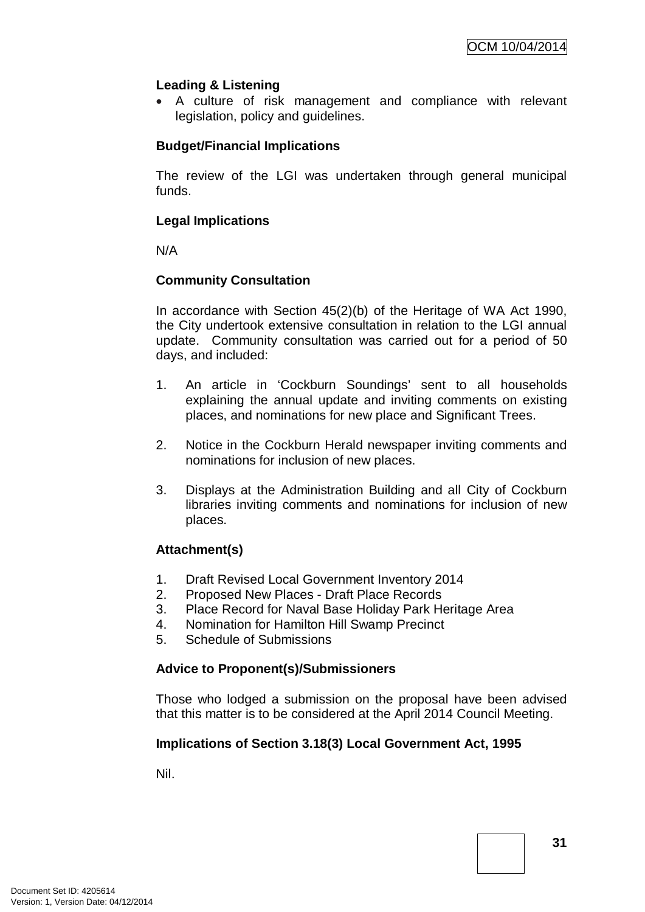### **Leading & Listening**

• A culture of risk management and compliance with relevant legislation, policy and guidelines.

### **Budget/Financial Implications**

The review of the LGI was undertaken through general municipal funds.

### **Legal Implications**

N/A

### **Community Consultation**

In accordance with Section 45(2)(b) of the Heritage of WA Act 1990, the City undertook extensive consultation in relation to the LGI annual update. Community consultation was carried out for a period of 50 days, and included:

- 1. An article in 'Cockburn Soundings' sent to all households explaining the annual update and inviting comments on existing places, and nominations for new place and Significant Trees.
- 2. Notice in the Cockburn Herald newspaper inviting comments and nominations for inclusion of new places.
- 3. Displays at the Administration Building and all City of Cockburn libraries inviting comments and nominations for inclusion of new places.

# **Attachment(s)**

- 1. Draft Revised Local Government Inventory 2014
- 2. Proposed New Places Draft Place Records
- 3. Place Record for Naval Base Holiday Park Heritage Area
- 4. Nomination for Hamilton Hill Swamp Precinct
- 5. Schedule of Submissions

### **Advice to Proponent(s)/Submissioners**

Those who lodged a submission on the proposal have been advised that this matter is to be considered at the April 2014 Council Meeting.

### **Implications of Section 3.18(3) Local Government Act, 1995**

Nil.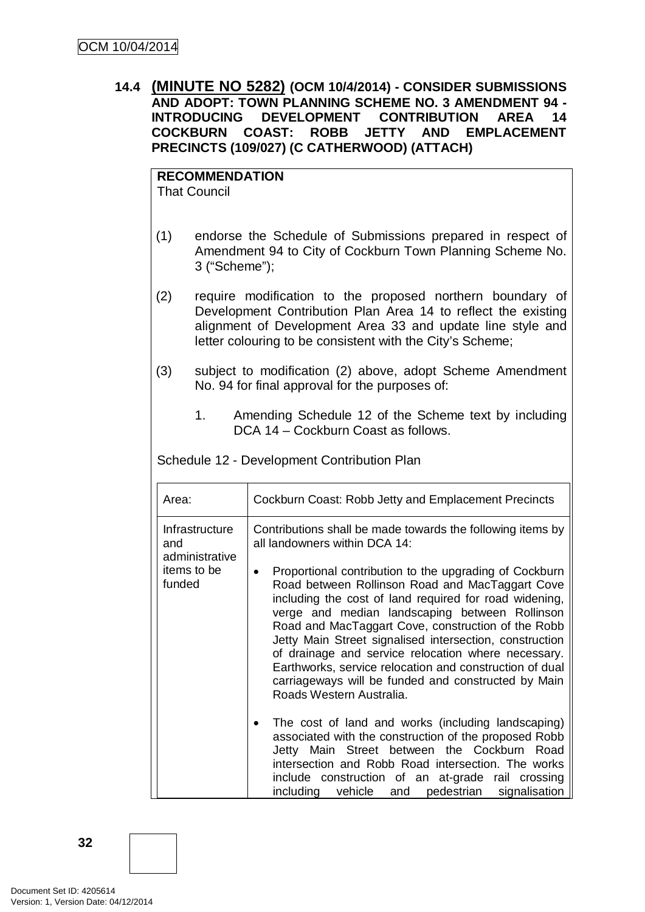**14.4 (MINUTE NO 5282) (OCM 10/4/2014) - CONSIDER SUBMISSIONS AND ADOPT: TOWN PLANNING SCHEME NO. 3 AMENDMENT 94 - INTRODUCING DEVELOPMENT CONTRIBUTION AREA 14 COCKBURN COAST: ROBB JETTY AND EMPLACEMENT PRECINCTS (109/027) (C CATHERWOOD) (ATTACH)**

**RECOMMENDATION** That Council

- (1) endorse the Schedule of Submissions prepared in respect of Amendment 94 to City of Cockburn Town Planning Scheme No. 3 ("Scheme");
- (2) require modification to the proposed northern boundary of Development Contribution Plan Area 14 to reflect the existing alignment of Development Area 33 and update line style and letter colouring to be consistent with the City's Scheme;
- (3) subject to modification (2) above, adopt Scheme Amendment No. 94 for final approval for the purposes of:
	- 1. Amending Schedule 12 of the Scheme text by including DCA 14 – Cockburn Coast as follows.

| Area:                                                            | Cockburn Coast: Robb Jetty and Emplacement Precincts                                                                                                                                                                                                                                                                                                                                                                                                                                                                                                                                                                                                                                                                                                                                                                                                                                                                                                                               |
|------------------------------------------------------------------|------------------------------------------------------------------------------------------------------------------------------------------------------------------------------------------------------------------------------------------------------------------------------------------------------------------------------------------------------------------------------------------------------------------------------------------------------------------------------------------------------------------------------------------------------------------------------------------------------------------------------------------------------------------------------------------------------------------------------------------------------------------------------------------------------------------------------------------------------------------------------------------------------------------------------------------------------------------------------------|
| Infrastructure<br>and<br>administrative<br>items to be<br>funded | Contributions shall be made towards the following items by<br>all landowners within DCA 14:<br>Proportional contribution to the upgrading of Cockburn<br>Road between Rollinson Road and MacTaggart Cove<br>including the cost of land required for road widening,<br>verge and median landscaping between Rollinson<br>Road and MacTaggart Cove, construction of the Robb<br>Jetty Main Street signalised intersection, construction<br>of drainage and service relocation where necessary.<br>Earthworks, service relocation and construction of dual<br>carriageways will be funded and constructed by Main<br>Roads Western Australia.<br>The cost of land and works (including landscaping)<br>$\bullet$<br>associated with the construction of the proposed Robb<br>Jetty Main Street between the Cockburn Road<br>intersection and Robb Road intersection. The works<br>include construction of an at-grade rail crossing<br>including vehicle and pedestrian signalisation |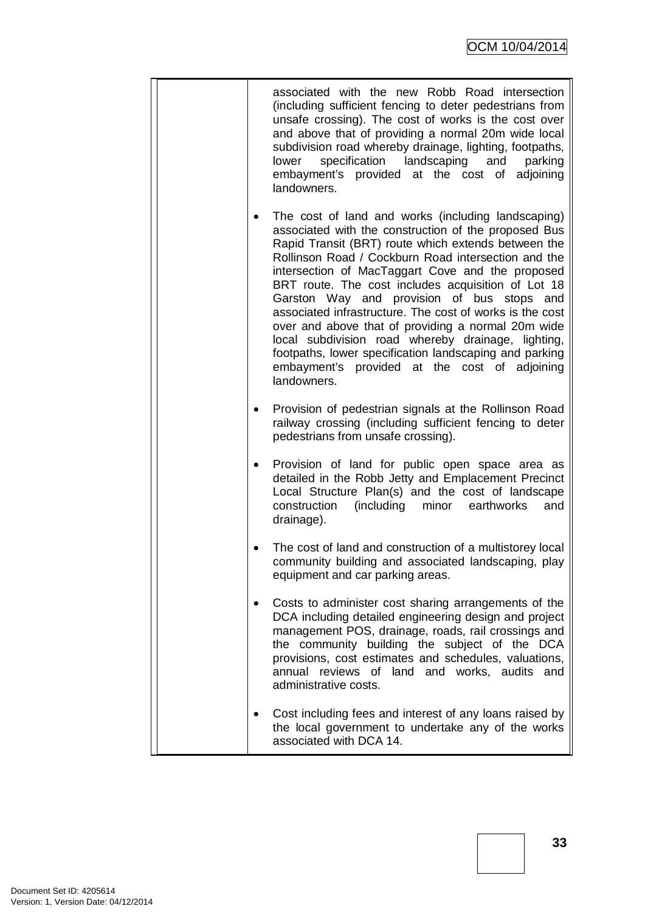| associated with the new Robb Road intersection<br>(including sufficient fencing to deter pedestrians from<br>unsafe crossing). The cost of works is the cost over<br>and above that of providing a normal 20m wide local<br>subdivision road whereby drainage, lighting, footpaths,<br>specification<br>landscaping<br>parking<br>lower<br>and<br>embayment's provided at the cost of<br>adjoining<br>landowners.                                                                                                                                                                                                                                                                  |
|------------------------------------------------------------------------------------------------------------------------------------------------------------------------------------------------------------------------------------------------------------------------------------------------------------------------------------------------------------------------------------------------------------------------------------------------------------------------------------------------------------------------------------------------------------------------------------------------------------------------------------------------------------------------------------|
| The cost of land and works (including landscaping)<br>associated with the construction of the proposed Bus<br>Rapid Transit (BRT) route which extends between the<br>Rollinson Road / Cockburn Road intersection and the<br>intersection of MacTaggart Cove and the proposed<br>BRT route. The cost includes acquisition of Lot 18<br>Garston Way and provision of bus stops and<br>associated infrastructure. The cost of works is the cost<br>over and above that of providing a normal 20m wide<br>local subdivision road whereby drainage, lighting,<br>footpaths, lower specification landscaping and parking<br>embayment's provided at the cost of adjoining<br>landowners. |
| Provision of pedestrian signals at the Rollinson Road<br>$\bullet$<br>railway crossing (including sufficient fencing to deter<br>pedestrians from unsafe crossing).                                                                                                                                                                                                                                                                                                                                                                                                                                                                                                                |
| Provision of land for public open space area as<br>detailed in the Robb Jetty and Emplacement Precinct<br>Local Structure Plan(s) and the cost of landscape<br>(including<br>minor earthworks<br>construction<br>and<br>drainage).                                                                                                                                                                                                                                                                                                                                                                                                                                                 |
| The cost of land and construction of a multistorey local<br>community building and associated landscaping, play<br>equipment and car parking areas.                                                                                                                                                                                                                                                                                                                                                                                                                                                                                                                                |
| Costs to administer cost sharing arrangements of the<br>DCA including detailed engineering design and project<br>management POS, drainage, roads, rail crossings and<br>the community building the subject of the DCA<br>provisions, cost estimates and schedules, valuations,<br>land and works, audits<br>annual reviews of<br>and<br>administrative costs.                                                                                                                                                                                                                                                                                                                      |
| Cost including fees and interest of any loans raised by<br>the local government to undertake any of the works<br>associated with DCA 14.                                                                                                                                                                                                                                                                                                                                                                                                                                                                                                                                           |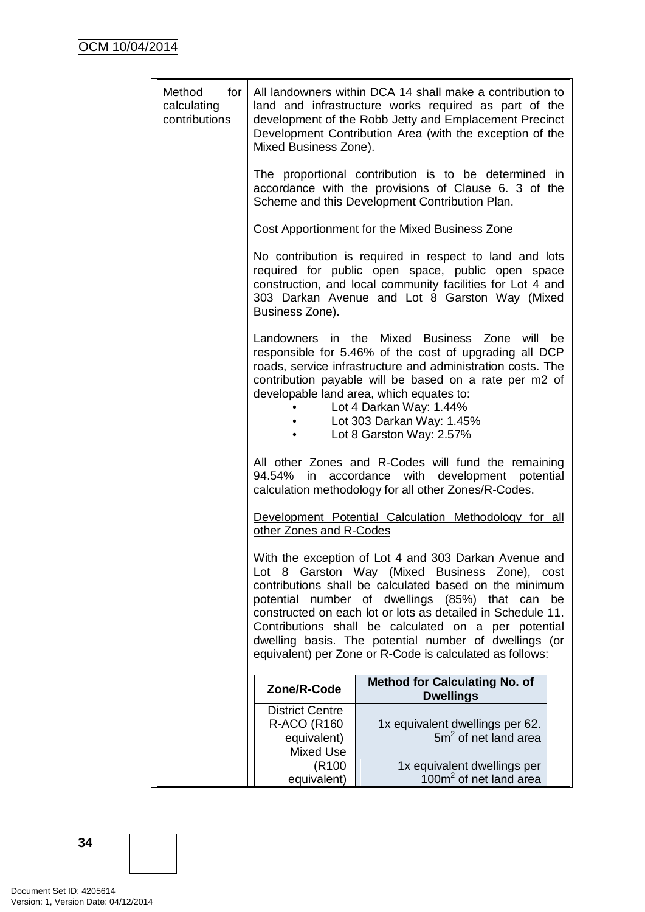| for<br>Method<br>calculating<br>contributions | All landowners within DCA 14 shall make a contribution to<br>land and infrastructure works required as part of the<br>development of the Robb Jetty and Emplacement Precinct<br>Development Contribution Area (with the exception of the<br>Mixed Business Zone).                                                                                                                                                                                                  |                                                           |  |  |  |
|-----------------------------------------------|--------------------------------------------------------------------------------------------------------------------------------------------------------------------------------------------------------------------------------------------------------------------------------------------------------------------------------------------------------------------------------------------------------------------------------------------------------------------|-----------------------------------------------------------|--|--|--|
|                                               | The proportional contribution is to be determined in<br>accordance with the provisions of Clause 6. 3 of the<br>Scheme and this Development Contribution Plan.                                                                                                                                                                                                                                                                                                     |                                                           |  |  |  |
|                                               |                                                                                                                                                                                                                                                                                                                                                                                                                                                                    | <b>Cost Apportionment for the Mixed Business Zone</b>     |  |  |  |
|                                               | No contribution is required in respect to land and lots<br>required for public open space, public open space<br>construction, and local community facilities for Lot 4 and<br>303 Darkan Avenue and Lot 8 Garston Way (Mixed<br>Business Zone).                                                                                                                                                                                                                    |                                                           |  |  |  |
|                                               | Landowners in the Mixed Business<br>Zone<br>will<br>be<br>responsible for 5.46% of the cost of upgrading all DCP<br>roads, service infrastructure and administration costs. The<br>contribution payable will be based on a rate per m2 of<br>developable land area, which equates to:<br>Lot 4 Darkan Way: 1.44%<br>Lot 303 Darkan Way: 1.45%<br>Lot 8 Garston Way: 2.57%                                                                                          |                                                           |  |  |  |
|                                               | All other Zones and R-Codes will fund the remaining<br>accordance with development potential<br>94.54%<br>in<br>calculation methodology for all other Zones/R-Codes.                                                                                                                                                                                                                                                                                               |                                                           |  |  |  |
|                                               | Development Potential Calculation Methodology for all<br>other Zones and R-Codes                                                                                                                                                                                                                                                                                                                                                                                   |                                                           |  |  |  |
|                                               | With the exception of Lot 4 and 303 Darkan Avenue and<br>Lot 8 Garston Way (Mixed Business Zone), cost<br>contributions shall be calculated based on the minimum<br>potential number of dwellings (85%) that can<br>be<br>constructed on each lot or lots as detailed in Schedule 11.<br>Contributions shall be calculated on a per potential<br>dwelling basis. The potential number of dwellings (or<br>equivalent) per Zone or R-Code is calculated as follows: |                                                           |  |  |  |
|                                               | <b>Method for Calculating No. of</b><br>Zone/R-Code<br><b>Dwellings</b>                                                                                                                                                                                                                                                                                                                                                                                            |                                                           |  |  |  |
|                                               | <b>District Centre</b><br><b>R-ACO (R160</b><br>equivalent)                                                                                                                                                                                                                                                                                                                                                                                                        | 1x equivalent dwellings per 62.<br>$5m2$ of net land area |  |  |  |
|                                               | <b>Mixed Use</b><br>(R <sub>100</sub><br>equivalent)                                                                                                                                                                                                                                                                                                                                                                                                               | 1x equivalent dwellings per<br>100 $m2$ of net land area  |  |  |  |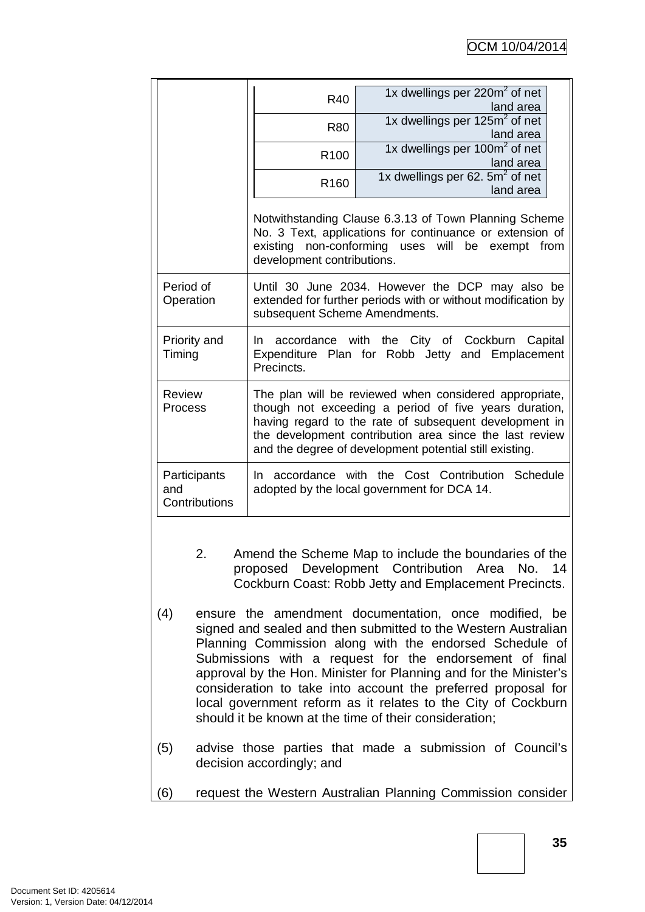|                                      | R40                                                                                                                                                                                                                                                                                             | 1x dwellings per $220m^2$ of net<br>land area                                                                                                                   |  |  |
|--------------------------------------|-------------------------------------------------------------------------------------------------------------------------------------------------------------------------------------------------------------------------------------------------------------------------------------------------|-----------------------------------------------------------------------------------------------------------------------------------------------------------------|--|--|
|                                      | R <sub>80</sub>                                                                                                                                                                                                                                                                                 | 1x dwellings per 125m <sup>2</sup> of net<br>land area                                                                                                          |  |  |
|                                      | R <sub>100</sub>                                                                                                                                                                                                                                                                                | 1x dwellings per $100m^2$ of net<br>land area                                                                                                                   |  |  |
|                                      | R <sub>160</sub>                                                                                                                                                                                                                                                                                | 1x dwellings per 62. $5m^2$ of net<br>land area                                                                                                                 |  |  |
|                                      | existing<br>development contributions.                                                                                                                                                                                                                                                          | Notwithstanding Clause 6.3.13 of Town Planning Scheme<br>No. 3 Text, applications for continuance or extension of<br>non-conforming uses will<br>be exempt from |  |  |
| Period of<br>Operation               | Until 30 June 2034. However the DCP may also be<br>extended for further periods with or without modification by<br>subsequent Scheme Amendments.                                                                                                                                                |                                                                                                                                                                 |  |  |
| Priority and<br>Timing               | In accordance with the City of Cockburn<br>Capital<br>Expenditure Plan for Robb Jetty and Emplacement<br>Precincts.                                                                                                                                                                             |                                                                                                                                                                 |  |  |
| Review<br><b>Process</b>             | The plan will be reviewed when considered appropriate,<br>though not exceeding a period of five years duration,<br>having regard to the rate of subsequent development in<br>the development contribution area since the last review<br>and the degree of development potential still existing. |                                                                                                                                                                 |  |  |
| Participants<br>and<br>Contributions |                                                                                                                                                                                                                                                                                                 | In accordance with the Cost Contribution Schedule<br>adopted by the local government for DCA 14.                                                                |  |  |

- 2. Amend the Scheme Map to include the boundaries of the proposed Development Contribution Area No. 14 Cockburn Coast: Robb Jetty and Emplacement Precincts.
- (4) ensure the amendment documentation, once modified, be signed and sealed and then submitted to the Western Australian Planning Commission along with the endorsed Schedule of Submissions with a request for the endorsement of final approval by the Hon. Minister for Planning and for the Minister's consideration to take into account the preferred proposal for local government reform as it relates to the City of Cockburn should it be known at the time of their consideration;
- (5) advise those parties that made a submission of Council's decision accordingly; and
- (6) request the Western Australian Planning Commission consider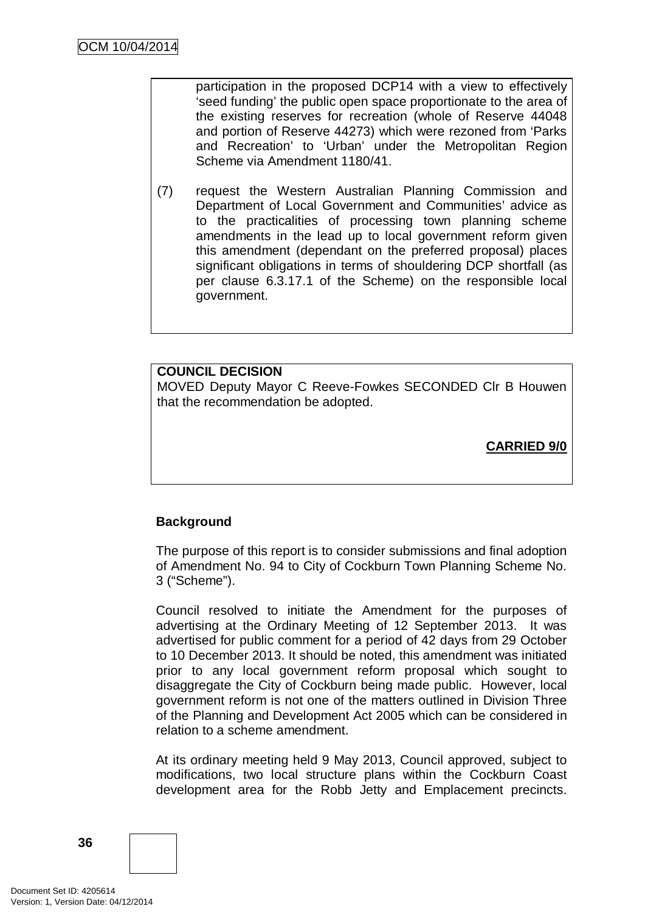participation in the proposed DCP14 with a view to effectively 'seed funding' the public open space proportionate to the area of the existing reserves for recreation (whole of Reserve 44048 and portion of Reserve 44273) which were rezoned from 'Parks and Recreation' to 'Urban' under the Metropolitan Region Scheme via Amendment 1180/41.

(7) request the Western Australian Planning Commission and Department of Local Government and Communities' advice as to the practicalities of processing town planning scheme amendments in the lead up to local government reform given this amendment (dependant on the preferred proposal) places significant obligations in terms of shouldering DCP shortfall (as per clause 6.3.17.1 of the Scheme) on the responsible local government.

### **COUNCIL DECISION**

MOVED Deputy Mayor C Reeve-Fowkes SECONDED Clr B Houwen that the recommendation be adopted.

**CARRIED 9/0**

### **Background**

The purpose of this report is to consider submissions and final adoption of Amendment No. 94 to City of Cockburn Town Planning Scheme No. 3 ("Scheme").

Council resolved to initiate the Amendment for the purposes of advertising at the Ordinary Meeting of 12 September 2013. It was advertised for public comment for a period of 42 days from 29 October to 10 December 2013. It should be noted, this amendment was initiated prior to any local government reform proposal which sought to disaggregate the City of Cockburn being made public. However, local government reform is not one of the matters outlined in Division Three of the Planning and Development Act 2005 which can be considered in relation to a scheme amendment.

At its ordinary meeting held 9 May 2013, Council approved, subject to modifications, two local structure plans within the Cockburn Coast development area for the Robb Jetty and Emplacement precincts.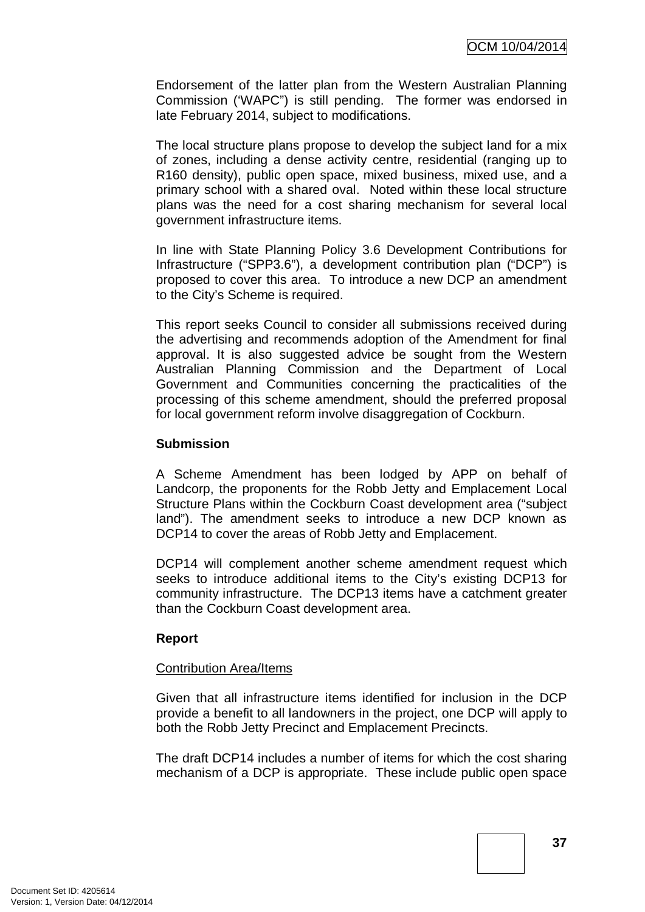Endorsement of the latter plan from the Western Australian Planning Commission ('WAPC") is still pending. The former was endorsed in late February 2014, subject to modifications.

The local structure plans propose to develop the subject land for a mix of zones, including a dense activity centre, residential (ranging up to R160 density), public open space, mixed business, mixed use, and a primary school with a shared oval. Noted within these local structure plans was the need for a cost sharing mechanism for several local government infrastructure items.

In line with State Planning Policy 3.6 Development Contributions for Infrastructure ("SPP3.6"), a development contribution plan ("DCP") is proposed to cover this area. To introduce a new DCP an amendment to the City's Scheme is required.

This report seeks Council to consider all submissions received during the advertising and recommends adoption of the Amendment for final approval. It is also suggested advice be sought from the Western Australian Planning Commission and the Department of Local Government and Communities concerning the practicalities of the processing of this scheme amendment, should the preferred proposal for local government reform involve disaggregation of Cockburn.

### **Submission**

A Scheme Amendment has been lodged by APP on behalf of Landcorp, the proponents for the Robb Jetty and Emplacement Local Structure Plans within the Cockburn Coast development area ("subject land"). The amendment seeks to introduce a new DCP known as DCP14 to cover the areas of Robb Jetty and Emplacement.

DCP14 will complement another scheme amendment request which seeks to introduce additional items to the City's existing DCP13 for community infrastructure. The DCP13 items have a catchment greater than the Cockburn Coast development area.

### **Report**

#### Contribution Area/Items

Given that all infrastructure items identified for inclusion in the DCP provide a benefit to all landowners in the project, one DCP will apply to both the Robb Jetty Precinct and Emplacement Precincts.

The draft DCP14 includes a number of items for which the cost sharing mechanism of a DCP is appropriate. These include public open space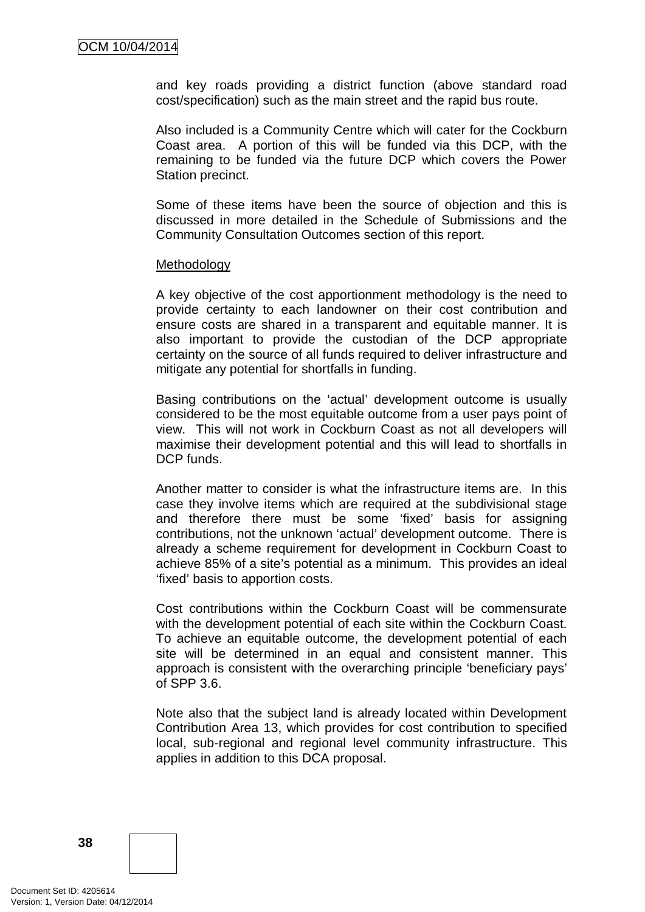and key roads providing a district function (above standard road cost/specification) such as the main street and the rapid bus route.

Also included is a Community Centre which will cater for the Cockburn Coast area. A portion of this will be funded via this DCP, with the remaining to be funded via the future DCP which covers the Power Station precinct.

Some of these items have been the source of objection and this is discussed in more detailed in the Schedule of Submissions and the Community Consultation Outcomes section of this report.

#### **Methodology**

A key objective of the cost apportionment methodology is the need to provide certainty to each landowner on their cost contribution and ensure costs are shared in a transparent and equitable manner. It is also important to provide the custodian of the DCP appropriate certainty on the source of all funds required to deliver infrastructure and mitigate any potential for shortfalls in funding.

Basing contributions on the 'actual' development outcome is usually considered to be the most equitable outcome from a user pays point of view. This will not work in Cockburn Coast as not all developers will maximise their development potential and this will lead to shortfalls in DCP funds.

Another matter to consider is what the infrastructure items are. In this case they involve items which are required at the subdivisional stage and therefore there must be some 'fixed' basis for assigning contributions, not the unknown 'actual' development outcome. There is already a scheme requirement for development in Cockburn Coast to achieve 85% of a site's potential as a minimum. This provides an ideal 'fixed' basis to apportion costs.

Cost contributions within the Cockburn Coast will be commensurate with the development potential of each site within the Cockburn Coast. To achieve an equitable outcome, the development potential of each site will be determined in an equal and consistent manner. This approach is consistent with the overarching principle 'beneficiary pays' of SPP 3.6.

Note also that the subject land is already located within Development Contribution Area 13, which provides for cost contribution to specified local, sub-regional and regional level community infrastructure. This applies in addition to this DCA proposal.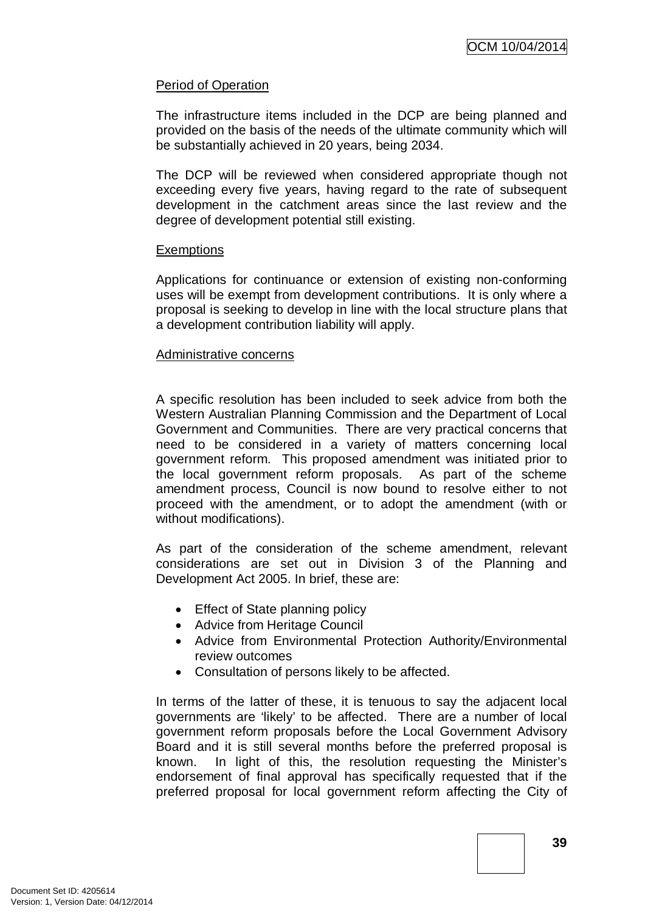### Period of Operation

The infrastructure items included in the DCP are being planned and provided on the basis of the needs of the ultimate community which will be substantially achieved in 20 years, being 2034.

The DCP will be reviewed when considered appropriate though not exceeding every five years, having regard to the rate of subsequent development in the catchment areas since the last review and the degree of development potential still existing.

#### **Exemptions**

Applications for continuance or extension of existing non-conforming uses will be exempt from development contributions. It is only where a proposal is seeking to develop in line with the local structure plans that a development contribution liability will apply.

#### Administrative concerns

A specific resolution has been included to seek advice from both the Western Australian Planning Commission and the Department of Local Government and Communities. There are very practical concerns that need to be considered in a variety of matters concerning local government reform. This proposed amendment was initiated prior to the local government reform proposals. As part of the scheme amendment process, Council is now bound to resolve either to not proceed with the amendment, or to adopt the amendment (with or without modifications).

As part of the consideration of the scheme amendment, relevant considerations are set out in Division 3 of the Planning and Development Act 2005. In brief, these are:

- Effect of State planning policy
- Advice from Heritage Council
- Advice from Environmental Protection Authority/Environmental review outcomes
- Consultation of persons likely to be affected.

In terms of the latter of these, it is tenuous to say the adjacent local governments are 'likely' to be affected. There are a number of local government reform proposals before the Local Government Advisory Board and it is still several months before the preferred proposal is known. In light of this, the resolution requesting the Minister's endorsement of final approval has specifically requested that if the preferred proposal for local government reform affecting the City of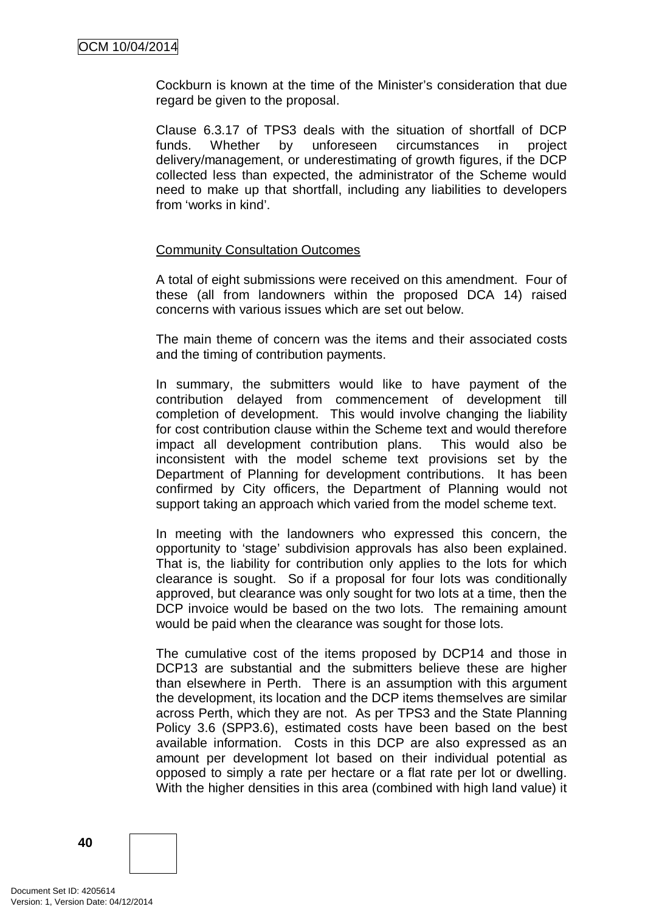Cockburn is known at the time of the Minister's consideration that due regard be given to the proposal.

Clause 6.3.17 of TPS3 deals with the situation of shortfall of DCP funds. Whether by unforeseen circumstances in project delivery/management, or underestimating of growth figures, if the DCP collected less than expected, the administrator of the Scheme would need to make up that shortfall, including any liabilities to developers from 'works in kind'.

#### Community Consultation Outcomes

A total of eight submissions were received on this amendment. Four of these (all from landowners within the proposed DCA 14) raised concerns with various issues which are set out below.

The main theme of concern was the items and their associated costs and the timing of contribution payments.

In summary, the submitters would like to have payment of the contribution delayed from commencement of development till completion of development. This would involve changing the liability for cost contribution clause within the Scheme text and would therefore impact all development contribution plans. This would also be inconsistent with the model scheme text provisions set by the Department of Planning for development contributions. It has been confirmed by City officers, the Department of Planning would not support taking an approach which varied from the model scheme text.

In meeting with the landowners who expressed this concern, the opportunity to 'stage' subdivision approvals has also been explained. That is, the liability for contribution only applies to the lots for which clearance is sought. So if a proposal for four lots was conditionally approved, but clearance was only sought for two lots at a time, then the DCP invoice would be based on the two lots. The remaining amount would be paid when the clearance was sought for those lots.

The cumulative cost of the items proposed by DCP14 and those in DCP13 are substantial and the submitters believe these are higher than elsewhere in Perth. There is an assumption with this argument the development, its location and the DCP items themselves are similar across Perth, which they are not. As per TPS3 and the State Planning Policy 3.6 (SPP3.6), estimated costs have been based on the best available information. Costs in this DCP are also expressed as an amount per development lot based on their individual potential as opposed to simply a rate per hectare or a flat rate per lot or dwelling. With the higher densities in this area (combined with high land value) it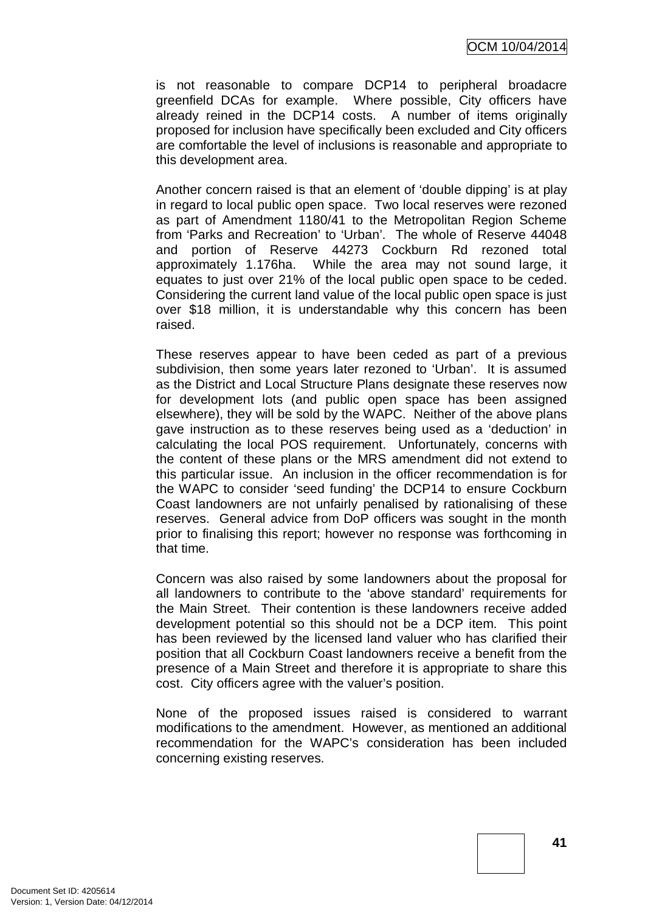is not reasonable to compare DCP14 to peripheral broadacre greenfield DCAs for example. Where possible, City officers have already reined in the DCP14 costs. A number of items originally proposed for inclusion have specifically been excluded and City officers are comfortable the level of inclusions is reasonable and appropriate to this development area.

Another concern raised is that an element of 'double dipping' is at play in regard to local public open space. Two local reserves were rezoned as part of Amendment 1180/41 to the Metropolitan Region Scheme from 'Parks and Recreation' to 'Urban'. The whole of Reserve 44048 and portion of Reserve 44273 Cockburn Rd rezoned total approximately 1.176ha. While the area may not sound large, it equates to just over 21% of the local public open space to be ceded. Considering the current land value of the local public open space is just over \$18 million, it is understandable why this concern has been raised.

These reserves appear to have been ceded as part of a previous subdivision, then some years later rezoned to 'Urban'. It is assumed as the District and Local Structure Plans designate these reserves now for development lots (and public open space has been assigned elsewhere), they will be sold by the WAPC. Neither of the above plans gave instruction as to these reserves being used as a 'deduction' in calculating the local POS requirement. Unfortunately, concerns with the content of these plans or the MRS amendment did not extend to this particular issue. An inclusion in the officer recommendation is for the WAPC to consider 'seed funding' the DCP14 to ensure Cockburn Coast landowners are not unfairly penalised by rationalising of these reserves. General advice from DoP officers was sought in the month prior to finalising this report; however no response was forthcoming in that time.

Concern was also raised by some landowners about the proposal for all landowners to contribute to the 'above standard' requirements for the Main Street. Their contention is these landowners receive added development potential so this should not be a DCP item. This point has been reviewed by the licensed land valuer who has clarified their position that all Cockburn Coast landowners receive a benefit from the presence of a Main Street and therefore it is appropriate to share this cost. City officers agree with the valuer's position.

None of the proposed issues raised is considered to warrant modifications to the amendment. However, as mentioned an additional recommendation for the WAPC's consideration has been included concerning existing reserves.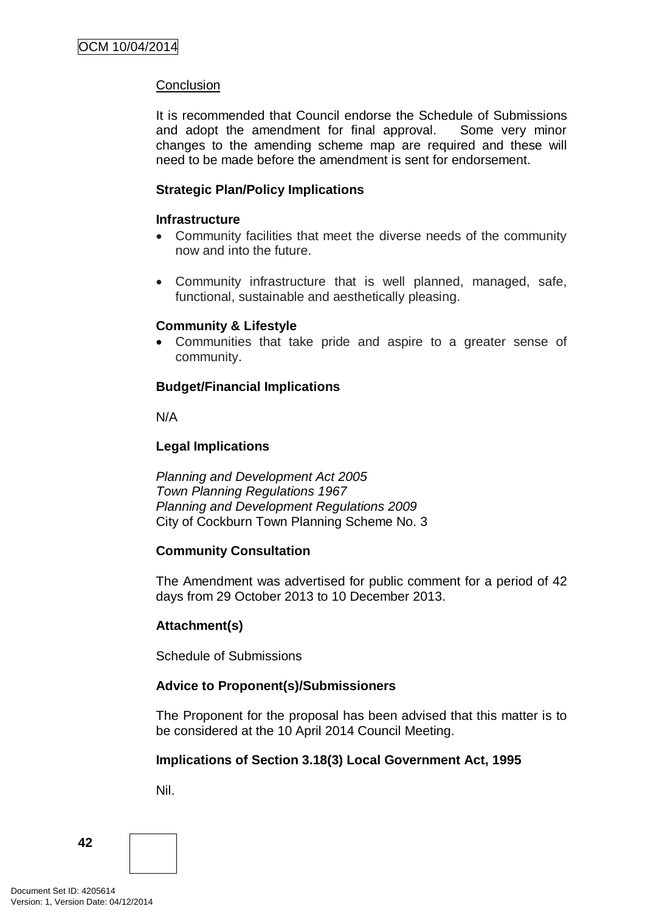## **Conclusion**

It is recommended that Council endorse the Schedule of Submissions and adopt the amendment for final approval. Some very minor changes to the amending scheme map are required and these will need to be made before the amendment is sent for endorsement.

### **Strategic Plan/Policy Implications**

#### **Infrastructure**

- Community facilities that meet the diverse needs of the community now and into the future.
- Community infrastructure that is well planned, managed, safe, functional, sustainable and aesthetically pleasing.

### **Community & Lifestyle**

• Communities that take pride and aspire to a greater sense of community.

### **Budget/Financial Implications**

N/A

## **Legal Implications**

*Planning and Development Act 2005 Town Planning Regulations 1967 Planning and Development Regulations 2009* City of Cockburn Town Planning Scheme No. 3

### **Community Consultation**

The Amendment was advertised for public comment for a period of 42 days from 29 October 2013 to 10 December 2013.

### **Attachment(s)**

Schedule of Submissions

### **Advice to Proponent(s)/Submissioners**

The Proponent for the proposal has been advised that this matter is to be considered at the 10 April 2014 Council Meeting.

### **Implications of Section 3.18(3) Local Government Act, 1995**

Nil.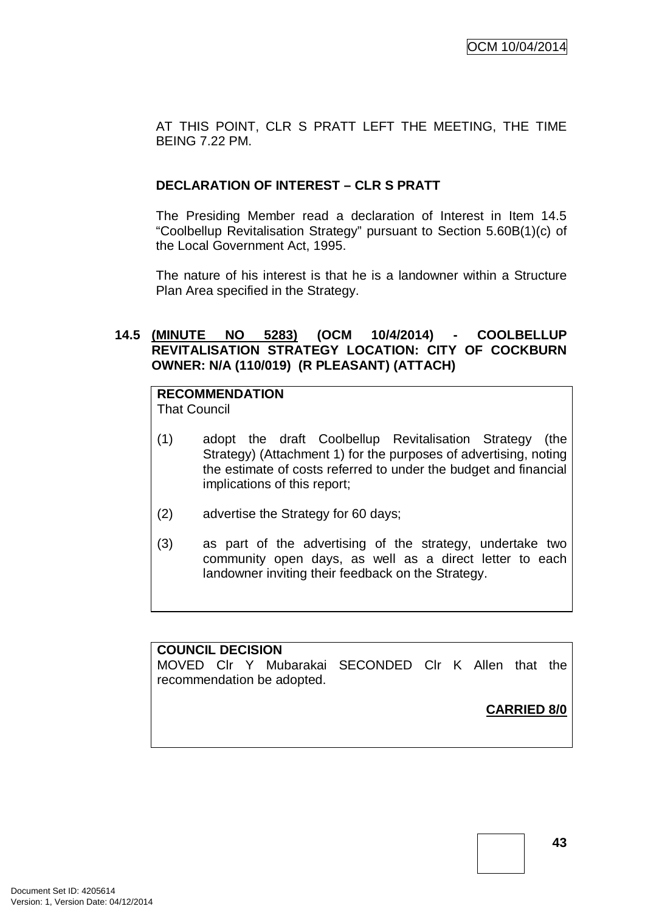AT THIS POINT, CLR S PRATT LEFT THE MEETING, THE TIME BEING 7.22 PM.

### **DECLARATION OF INTEREST – CLR S PRATT**

The Presiding Member read a declaration of Interest in Item 14.5 "Coolbellup Revitalisation Strategy" pursuant to Section 5.60B(1)(c) of the Local Government Act, 1995.

The nature of his interest is that he is a landowner within a Structure Plan Area specified in the Strategy.

## **14.5 (MINUTE NO 5283) (OCM 10/4/2014) - COOLBELLUP REVITALISATION STRATEGY LOCATION: CITY OF COCKBURN OWNER: N/A (110/019) (R PLEASANT) (ATTACH)**

# **RECOMMENDATION**

That Council

- (1) adopt the draft Coolbellup Revitalisation Strategy (the Strategy) (Attachment 1) for the purposes of advertising, noting the estimate of costs referred to under the budget and financial implications of this report;
- (2) advertise the Strategy for 60 days;
- (3) as part of the advertising of the strategy, undertake two community open days, as well as a direct letter to each landowner inviting their feedback on the Strategy.

# **COUNCIL DECISION**

MOVED Clr Y Mubarakai SECONDED Clr K Allen that the recommendation be adopted.

**CARRIED 8/0**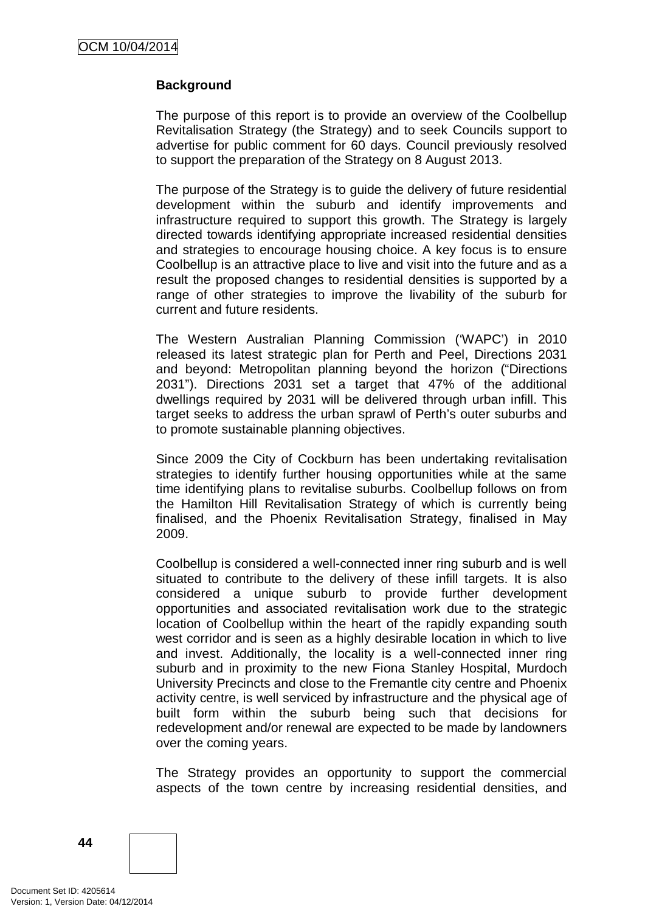## **Background**

The purpose of this report is to provide an overview of the Coolbellup Revitalisation Strategy (the Strategy) and to seek Councils support to advertise for public comment for 60 days. Council previously resolved to support the preparation of the Strategy on 8 August 2013.

The purpose of the Strategy is to guide the delivery of future residential development within the suburb and identify improvements and infrastructure required to support this growth. The Strategy is largely directed towards identifying appropriate increased residential densities and strategies to encourage housing choice. A key focus is to ensure Coolbellup is an attractive place to live and visit into the future and as a result the proposed changes to residential densities is supported by a range of other strategies to improve the livability of the suburb for current and future residents.

The Western Australian Planning Commission ('WAPC') in 2010 released its latest strategic plan for Perth and Peel, Directions 2031 and beyond: Metropolitan planning beyond the horizon ("Directions 2031"). Directions 2031 set a target that 47% of the additional dwellings required by 2031 will be delivered through urban infill. This target seeks to address the urban sprawl of Perth's outer suburbs and to promote sustainable planning objectives.

Since 2009 the City of Cockburn has been undertaking revitalisation strategies to identify further housing opportunities while at the same time identifying plans to revitalise suburbs. Coolbellup follows on from the Hamilton Hill Revitalisation Strategy of which is currently being finalised, and the Phoenix Revitalisation Strategy, finalised in May 2009.

Coolbellup is considered a well-connected inner ring suburb and is well situated to contribute to the delivery of these infill targets. It is also considered a unique suburb to provide further development opportunities and associated revitalisation work due to the strategic location of Coolbellup within the heart of the rapidly expanding south west corridor and is seen as a highly desirable location in which to live and invest. Additionally, the locality is a well-connected inner ring suburb and in proximity to the new Fiona Stanley Hospital, Murdoch University Precincts and close to the Fremantle city centre and Phoenix activity centre, is well serviced by infrastructure and the physical age of built form within the suburb being such that decisions for redevelopment and/or renewal are expected to be made by landowners over the coming years.

The Strategy provides an opportunity to support the commercial aspects of the town centre by increasing residential densities, and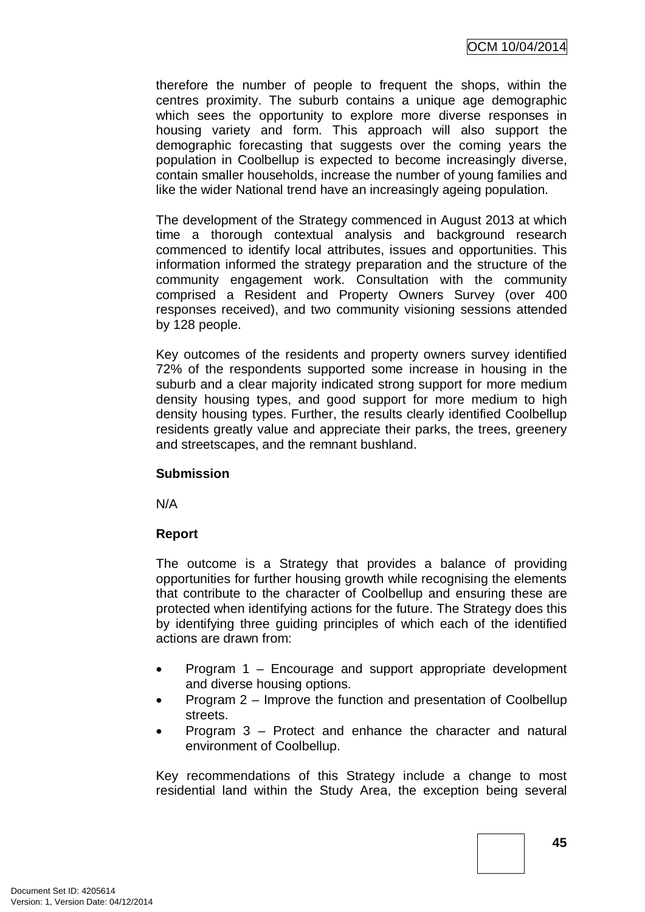therefore the number of people to frequent the shops, within the centres proximity. The suburb contains a unique age demographic which sees the opportunity to explore more diverse responses in housing variety and form. This approach will also support the demographic forecasting that suggests over the coming years the population in Coolbellup is expected to become increasingly diverse, contain smaller households, increase the number of young families and like the wider National trend have an increasingly ageing population.

The development of the Strategy commenced in August 2013 at which time a thorough contextual analysis and background research commenced to identify local attributes, issues and opportunities. This information informed the strategy preparation and the structure of the community engagement work. Consultation with the community comprised a Resident and Property Owners Survey (over 400 responses received), and two community visioning sessions attended by 128 people.

Key outcomes of the residents and property owners survey identified 72% of the respondents supported some increase in housing in the suburb and a clear majority indicated strong support for more medium density housing types, and good support for more medium to high density housing types. Further, the results clearly identified Coolbellup residents greatly value and appreciate their parks, the trees, greenery and streetscapes, and the remnant bushland.

### **Submission**

N/A

### **Report**

The outcome is a Strategy that provides a balance of providing opportunities for further housing growth while recognising the elements that contribute to the character of Coolbellup and ensuring these are protected when identifying actions for the future. The Strategy does this by identifying three guiding principles of which each of the identified actions are drawn from:

- Program 1 Encourage and support appropriate development and diverse housing options.
- Program 2 Improve the function and presentation of Coolbellup streets.
- Program 3 Protect and enhance the character and natural environment of Coolbellup.

Key recommendations of this Strategy include a change to most residential land within the Study Area, the exception being several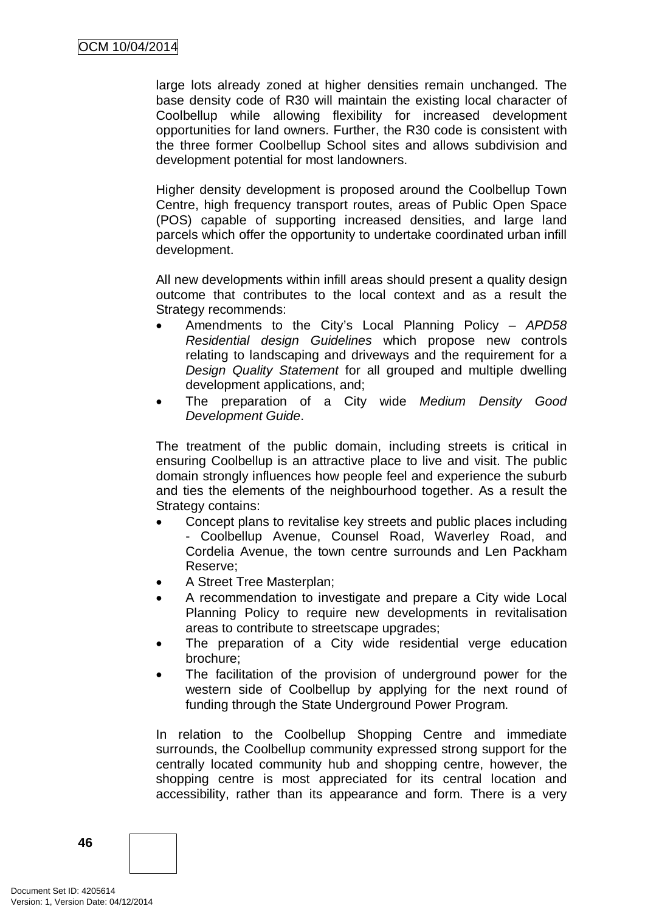large lots already zoned at higher densities remain unchanged. The base density code of R30 will maintain the existing local character of Coolbellup while allowing flexibility for increased development opportunities for land owners. Further, the R30 code is consistent with the three former Coolbellup School sites and allows subdivision and development potential for most landowners.

Higher density development is proposed around the Coolbellup Town Centre, high frequency transport routes, areas of Public Open Space (POS) capable of supporting increased densities, and large land parcels which offer the opportunity to undertake coordinated urban infill development.

All new developments within infill areas should present a quality design outcome that contributes to the local context and as a result the Strategy recommends:

- Amendments to the City's Local Planning Policy *APD58 Residential design Guidelines* which propose new controls relating to landscaping and driveways and the requirement for a *Design Quality Statement* for all grouped and multiple dwelling development applications, and;
- The preparation of a City wide *Medium Density Good Development Guide*.

The treatment of the public domain, including streets is critical in ensuring Coolbellup is an attractive place to live and visit. The public domain strongly influences how people feel and experience the suburb and ties the elements of the neighbourhood together. As a result the Strategy contains:

- Concept plans to revitalise key streets and public places including - Coolbellup Avenue, Counsel Road, Waverley Road, and Cordelia Avenue, the town centre surrounds and Len Packham Reserve;
- A Street Tree Masterplan;
- A recommendation to investigate and prepare a City wide Local Planning Policy to require new developments in revitalisation areas to contribute to streetscape upgrades;
- The preparation of a City wide residential verge education brochure;
- The facilitation of the provision of underground power for the western side of Coolbellup by applying for the next round of funding through the State Underground Power Program.

In relation to the Coolbellup Shopping Centre and immediate surrounds, the Coolbellup community expressed strong support for the centrally located community hub and shopping centre, however, the shopping centre is most appreciated for its central location and accessibility, rather than its appearance and form. There is a very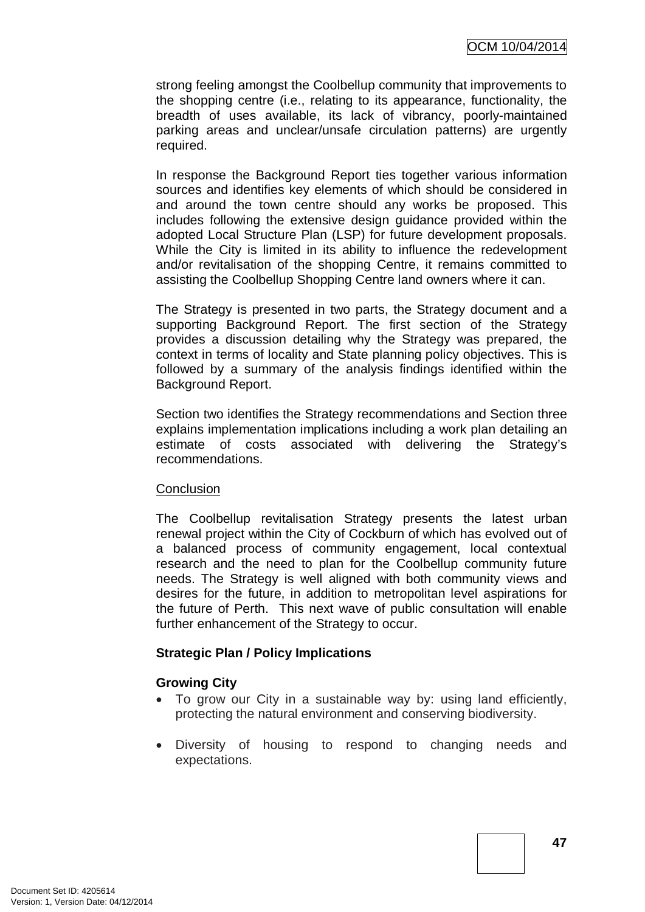strong feeling amongst the Coolbellup community that improvements to the shopping centre (i.e., relating to its appearance, functionality, the breadth of uses available, its lack of vibrancy, poorly-maintained parking areas and unclear/unsafe circulation patterns) are urgently required.

In response the Background Report ties together various information sources and identifies key elements of which should be considered in and around the town centre should any works be proposed. This includes following the extensive design guidance provided within the adopted Local Structure Plan (LSP) for future development proposals. While the City is limited in its ability to influence the redevelopment and/or revitalisation of the shopping Centre, it remains committed to assisting the Coolbellup Shopping Centre land owners where it can.

The Strategy is presented in two parts, the Strategy document and a supporting Background Report. The first section of the Strategy provides a discussion detailing why the Strategy was prepared, the context in terms of locality and State planning policy objectives. This is followed by a summary of the analysis findings identified within the Background Report.

Section two identifies the Strategy recommendations and Section three explains implementation implications including a work plan detailing an estimate of costs associated with delivering the Strategy's recommendations.

### **Conclusion**

The Coolbellup revitalisation Strategy presents the latest urban renewal project within the City of Cockburn of which has evolved out of a balanced process of community engagement, local contextual research and the need to plan for the Coolbellup community future needs. The Strategy is well aligned with both community views and desires for the future, in addition to metropolitan level aspirations for the future of Perth. This next wave of public consultation will enable further enhancement of the Strategy to occur.

### **Strategic Plan / Policy Implications**

### **Growing City**

- To grow our City in a sustainable way by: using land efficiently, protecting the natural environment and conserving biodiversity.
- Diversity of housing to respond to changing needs and expectations.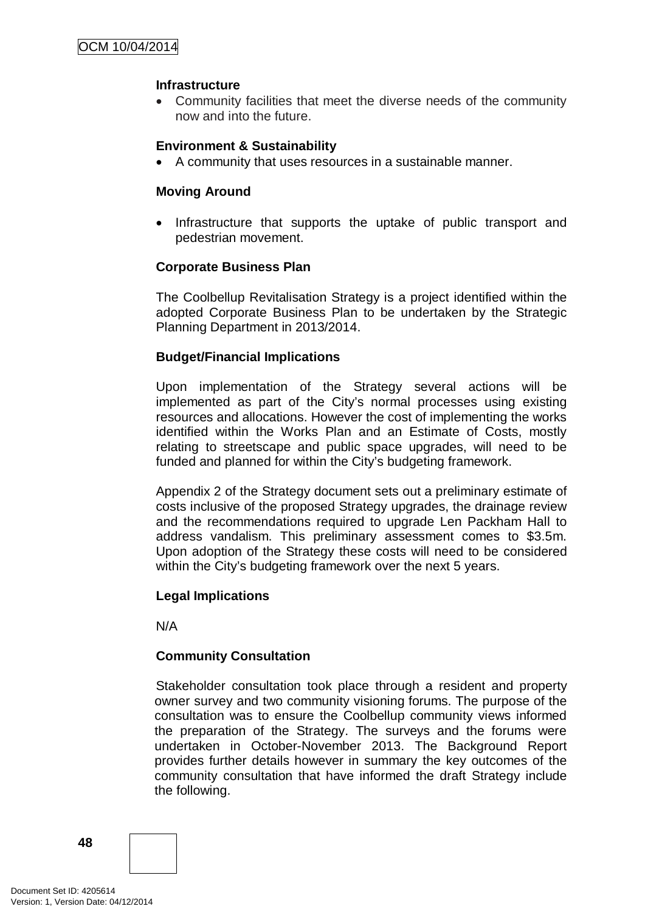### **Infrastructure**

• Community facilities that meet the diverse needs of the community now and into the future.

## **Environment & Sustainability**

• A community that uses resources in a sustainable manner.

### **Moving Around**

• Infrastructure that supports the uptake of public transport and pedestrian movement.

### **Corporate Business Plan**

The Coolbellup Revitalisation Strategy is a project identified within the adopted Corporate Business Plan to be undertaken by the Strategic Planning Department in 2013/2014.

### **Budget/Financial Implications**

Upon implementation of the Strategy several actions will be implemented as part of the City's normal processes using existing resources and allocations. However the cost of implementing the works identified within the Works Plan and an Estimate of Costs, mostly relating to streetscape and public space upgrades, will need to be funded and planned for within the City's budgeting framework.

Appendix 2 of the Strategy document sets out a preliminary estimate of costs inclusive of the proposed Strategy upgrades, the drainage review and the recommendations required to upgrade Len Packham Hall to address vandalism. This preliminary assessment comes to \$3.5m. Upon adoption of the Strategy these costs will need to be considered within the City's budgeting framework over the next 5 years.

### **Legal Implications**

N/A

### **Community Consultation**

Stakeholder consultation took place through a resident and property owner survey and two community visioning forums. The purpose of the consultation was to ensure the Coolbellup community views informed the preparation of the Strategy. The surveys and the forums were undertaken in October-November 2013. The Background Report provides further details however in summary the key outcomes of the community consultation that have informed the draft Strategy include the following.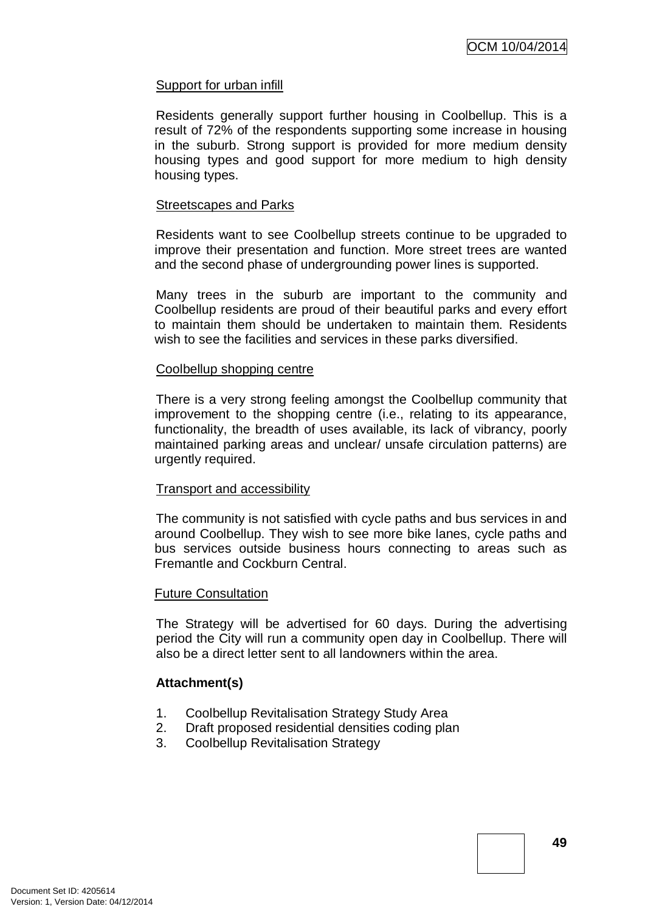### Support for urban infill

Residents generally support further housing in Coolbellup. This is a result of 72% of the respondents supporting some increase in housing in the suburb. Strong support is provided for more medium density housing types and good support for more medium to high density housing types.

#### Streetscapes and Parks

Residents want to see Coolbellup streets continue to be upgraded to improve their presentation and function. More street trees are wanted and the second phase of undergrounding power lines is supported.

Many trees in the suburb are important to the community and Coolbellup residents are proud of their beautiful parks and every effort to maintain them should be undertaken to maintain them. Residents wish to see the facilities and services in these parks diversified.

#### Coolbellup shopping centre

There is a very strong feeling amongst the Coolbellup community that improvement to the shopping centre (i.e., relating to its appearance, functionality, the breadth of uses available, its lack of vibrancy, poorly maintained parking areas and unclear/ unsafe circulation patterns) are urgently required.

### Transport and accessibility

The community is not satisfied with cycle paths and bus services in and around Coolbellup. They wish to see more bike lanes, cycle paths and bus services outside business hours connecting to areas such as Fremantle and Cockburn Central.

#### Future Consultation

The Strategy will be advertised for 60 days. During the advertising period the City will run a community open day in Coolbellup. There will also be a direct letter sent to all landowners within the area.

### **Attachment(s)**

- 1. Coolbellup Revitalisation Strategy Study Area
- 2. Draft proposed residential densities coding plan
- 3. Coolbellup Revitalisation Strategy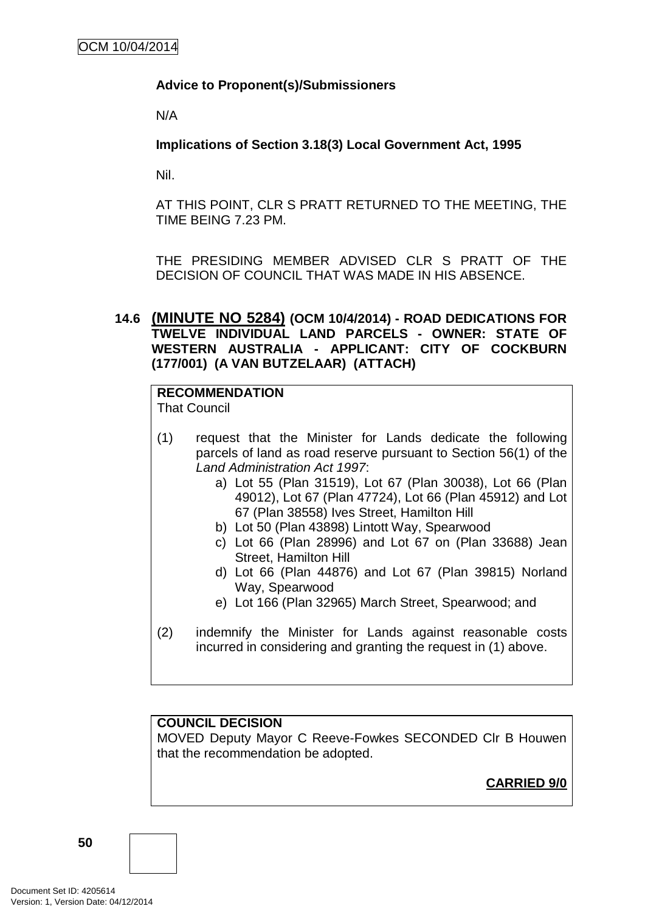### **Advice to Proponent(s)/Submissioners**

N/A

**Implications of Section 3.18(3) Local Government Act, 1995**

Nil.

AT THIS POINT, CLR S PRATT RETURNED TO THE MEETING, THE TIME BEING 7.23 PM.

THE PRESIDING MEMBER ADVISED CLR S PRATT OF THE DECISION OF COUNCIL THAT WAS MADE IN HIS ABSENCE.

## **14.6 (MINUTE NO 5284) (OCM 10/4/2014) - ROAD DEDICATIONS FOR TWELVE INDIVIDUAL LAND PARCELS - OWNER: STATE OF WESTERN AUSTRALIA - APPLICANT: CITY OF COCKBURN (177/001) (A VAN BUTZELAAR) (ATTACH)**

### **RECOMMENDATION**

That Council

- (1) request that the Minister for Lands dedicate the following parcels of land as road reserve pursuant to Section 56(1) of the *Land Administration Act 1997*:
	- a) Lot 55 (Plan 31519), Lot 67 (Plan 30038), Lot 66 (Plan 49012), Lot 67 (Plan 47724), Lot 66 (Plan 45912) and Lot 67 (Plan 38558) Ives Street, Hamilton Hill
	- b) Lot 50 (Plan 43898) Lintott Way, Spearwood
	- c) Lot 66 (Plan 28996) and Lot 67 on (Plan 33688) Jean Street, Hamilton Hill
	- d) Lot 66 (Plan 44876) and Lot 67 (Plan 39815) Norland Way, Spearwood
	- e) Lot 166 (Plan 32965) March Street, Spearwood; and
- (2) indemnify the Minister for Lands against reasonable costs incurred in considering and granting the request in (1) above.

# **COUNCIL DECISION**

MOVED Deputy Mayor C Reeve-Fowkes SECONDED Clr B Houwen that the recommendation be adopted.

**CARRIED 9/0**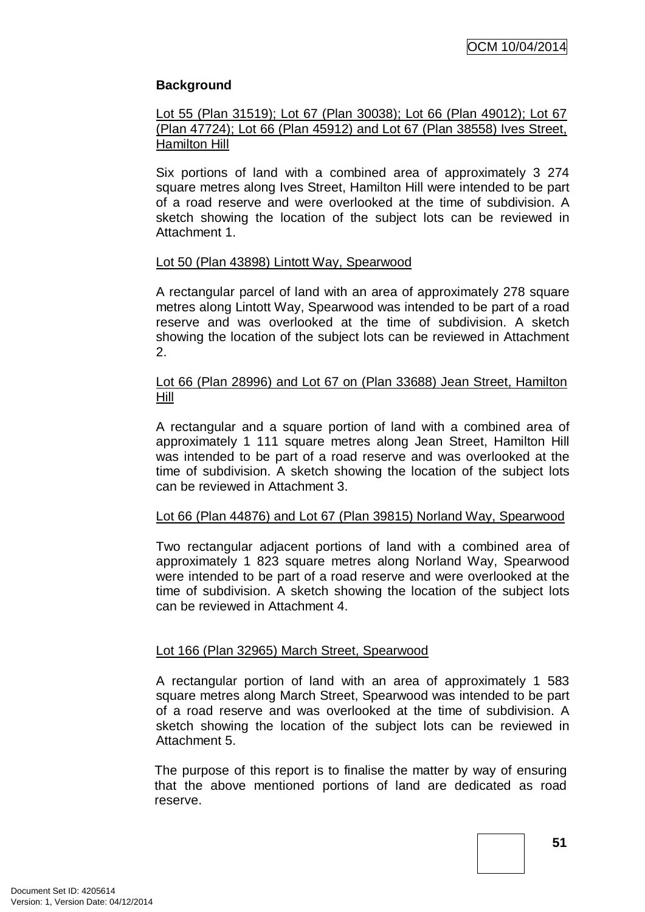# **Background**

#### Lot 55 (Plan 31519); Lot 67 (Plan 30038); Lot 66 (Plan 49012); Lot 67 (Plan 47724); Lot 66 (Plan 45912) and Lot 67 (Plan 38558) Ives Street, Hamilton Hill

Six portions of land with a combined area of approximately 3 274 square metres along Ives Street, Hamilton Hill were intended to be part of a road reserve and were overlooked at the time of subdivision. A sketch showing the location of the subject lots can be reviewed in Attachment 1.

### Lot 50 (Plan 43898) Lintott Way, Spearwood

A rectangular parcel of land with an area of approximately 278 square metres along Lintott Way, Spearwood was intended to be part of a road reserve and was overlooked at the time of subdivision. A sketch showing the location of the subject lots can be reviewed in Attachment 2.

#### Lot 66 (Plan 28996) and Lot 67 on (Plan 33688) Jean Street, Hamilton Hill

A rectangular and a square portion of land with a combined area of approximately 1 111 square metres along Jean Street, Hamilton Hill was intended to be part of a road reserve and was overlooked at the time of subdivision. A sketch showing the location of the subject lots can be reviewed in Attachment 3.

#### Lot 66 (Plan 44876) and Lot 67 (Plan 39815) Norland Way, Spearwood

Two rectangular adjacent portions of land with a combined area of approximately 1 823 square metres along Norland Way, Spearwood were intended to be part of a road reserve and were overlooked at the time of subdivision. A sketch showing the location of the subject lots can be reviewed in Attachment 4.

### Lot 166 (Plan 32965) March Street, Spearwood

A rectangular portion of land with an area of approximately 1 583 square metres along March Street, Spearwood was intended to be part of a road reserve and was overlooked at the time of subdivision. A sketch showing the location of the subject lots can be reviewed in Attachment 5.

The purpose of this report is to finalise the matter by way of ensuring that the above mentioned portions of land are dedicated as road reserve.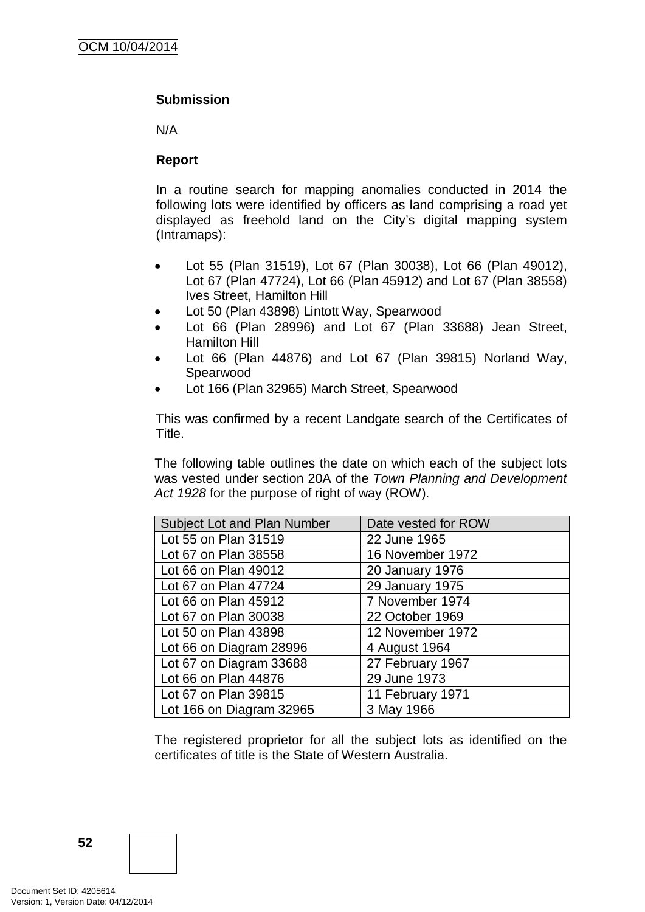### **Submission**

N/A

### **Report**

In a routine search for mapping anomalies conducted in 2014 the following lots were identified by officers as land comprising a road yet displayed as freehold land on the City's digital mapping system (Intramaps):

- Lot 55 (Plan 31519), Lot 67 (Plan 30038), Lot 66 (Plan 49012), Lot 67 (Plan 47724), Lot 66 (Plan 45912) and Lot 67 (Plan 38558) Ives Street, Hamilton Hill
- Lot 50 (Plan 43898) Lintott Way, Spearwood
- Lot 66 (Plan 28996) and Lot 67 (Plan 33688) Jean Street, Hamilton Hill
- Lot 66 (Plan 44876) and Lot 67 (Plan 39815) Norland Way, Spearwood
- Lot 166 (Plan 32965) March Street, Spearwood

This was confirmed by a recent Landgate search of the Certificates of Title.

The following table outlines the date on which each of the subject lots was vested under section 20A of the *Town Planning and Development Act 1928* for the purpose of right of way (ROW).

| Subject Lot and Plan Number | Date vested for ROW |
|-----------------------------|---------------------|
| Lot 55 on Plan 31519        | 22 June 1965        |
| Lot 67 on Plan 38558        | 16 November 1972    |
| Lot 66 on Plan 49012        | 20 January 1976     |
| Lot 67 on Plan 47724        | 29 January 1975     |
| Lot 66 on Plan 45912        | 7 November 1974     |
| Lot 67 on Plan 30038        | 22 October 1969     |
| Lot 50 on Plan 43898        | 12 November 1972    |
| Lot 66 on Diagram 28996     | 4 August 1964       |
| Lot 67 on Diagram 33688     | 27 February 1967    |
| Lot 66 on Plan 44876        | 29 June 1973        |
| Lot 67 on Plan 39815        | 11 February 1971    |
| Lot 166 on Diagram 32965    | 3 May 1966          |

The registered proprietor for all the subject lots as identified on the certificates of title is the State of Western Australia.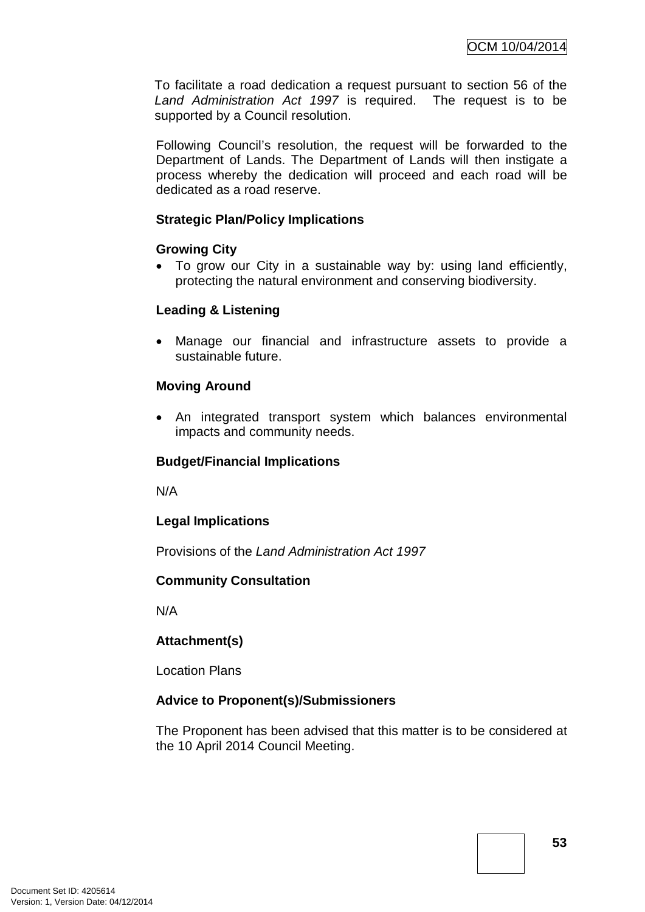To facilitate a road dedication a request pursuant to section 56 of the *Land Administration Act 1997* is required. The request is to be supported by a Council resolution.

Following Council's resolution, the request will be forwarded to the Department of Lands. The Department of Lands will then instigate a process whereby the dedication will proceed and each road will be dedicated as a road reserve.

### **Strategic Plan/Policy Implications**

### **Growing City**

• To grow our City in a sustainable way by: using land efficiently, protecting the natural environment and conserving biodiversity.

#### **Leading & Listening**

• Manage our financial and infrastructure assets to provide a sustainable future.

#### **Moving Around**

• An integrated transport system which balances environmental impacts and community needs.

#### **Budget/Financial Implications**

N/A

### **Legal Implications**

Provisions of the *Land Administration Act 1997*

#### **Community Consultation**

N/A

### **Attachment(s)**

Location Plans

### **Advice to Proponent(s)/Submissioners**

The Proponent has been advised that this matter is to be considered at the 10 April 2014 Council Meeting.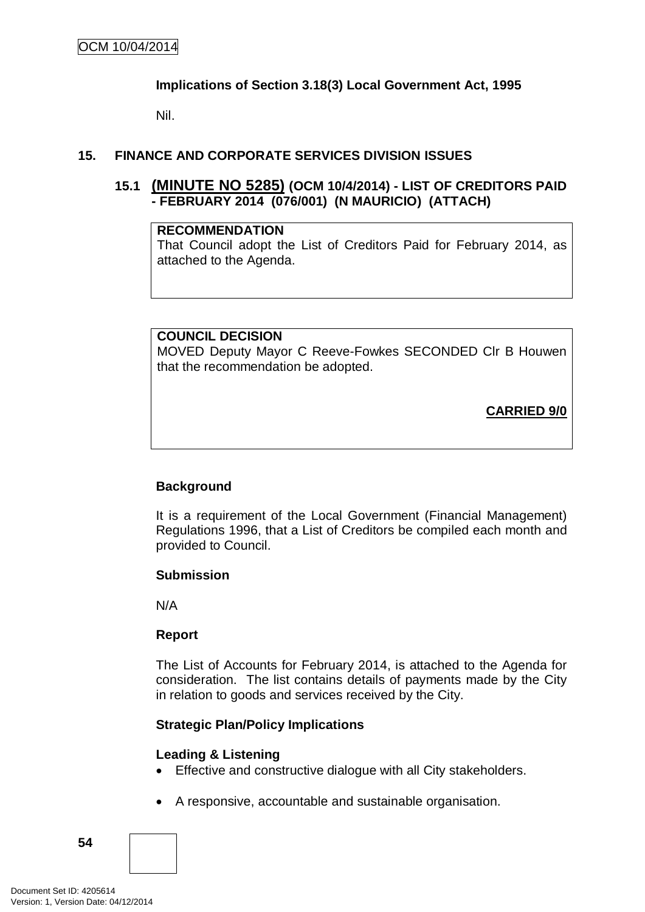### **Implications of Section 3.18(3) Local Government Act, 1995**

Nil.

# **15. FINANCE AND CORPORATE SERVICES DIVISION ISSUES**

# **15.1 (MINUTE NO 5285) (OCM 10/4/2014) - LIST OF CREDITORS PAID - FEBRUARY 2014 (076/001) (N MAURICIO) (ATTACH)**

#### **RECOMMENDATION**

That Council adopt the List of Creditors Paid for February 2014, as attached to the Agenda.

### **COUNCIL DECISION**

MOVED Deputy Mayor C Reeve-Fowkes SECONDED Clr B Houwen that the recommendation be adopted.

**CARRIED 9/0**

# **Background**

It is a requirement of the Local Government (Financial Management) Regulations 1996, that a List of Creditors be compiled each month and provided to Council.

#### **Submission**

N/A

### **Report**

The List of Accounts for February 2014, is attached to the Agenda for consideration. The list contains details of payments made by the City in relation to goods and services received by the City.

### **Strategic Plan/Policy Implications**

### **Leading & Listening**

- Effective and constructive dialogue with all City stakeholders.
- A responsive, accountable and sustainable organisation.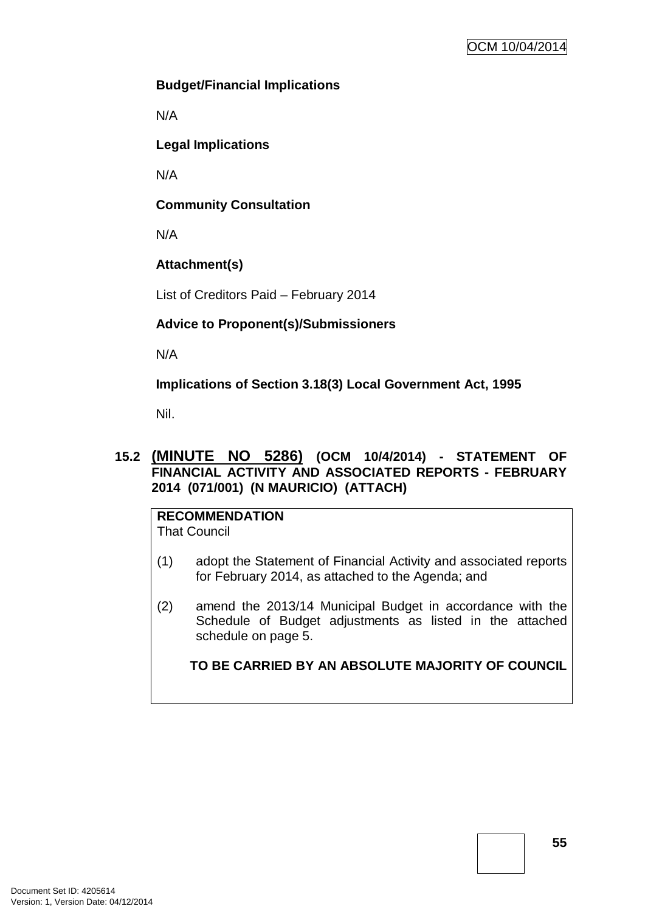## **Budget/Financial Implications**

N/A

**Legal Implications**

N/A

# **Community Consultation**

N/A

# **Attachment(s)**

List of Creditors Paid – February 2014

# **Advice to Proponent(s)/Submissioners**

N/A

**Implications of Section 3.18(3) Local Government Act, 1995**

Nil.

# **15.2 (MINUTE NO 5286) (OCM 10/4/2014) - STATEMENT OF FINANCIAL ACTIVITY AND ASSOCIATED REPORTS - FEBRUARY 2014 (071/001) (N MAURICIO) (ATTACH)**

**RECOMMENDATION** That Council

- (1) adopt the Statement of Financial Activity and associated reports for February 2014, as attached to the Agenda; and
- (2) amend the 2013/14 Municipal Budget in accordance with the Schedule of Budget adjustments as listed in the attached schedule on page 5.

**TO BE CARRIED BY AN ABSOLUTE MAJORITY OF COUNCIL**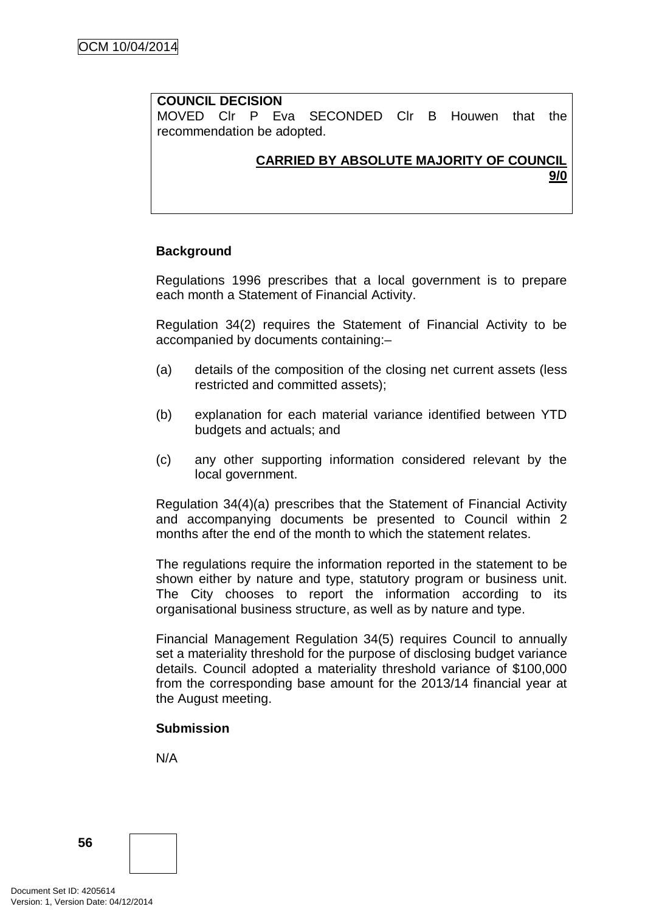### **COUNCIL DECISION**

MOVED Clr P Eva SECONDED Clr B Houwen that the recommendation be adopted.

# **CARRIED BY ABSOLUTE MAJORITY OF COUNCIL**

**9/0**

## **Background**

Regulations 1996 prescribes that a local government is to prepare each month a Statement of Financial Activity.

Regulation 34(2) requires the Statement of Financial Activity to be accompanied by documents containing:–

- (a) details of the composition of the closing net current assets (less restricted and committed assets);
- (b) explanation for each material variance identified between YTD budgets and actuals; and
- (c) any other supporting information considered relevant by the local government.

Regulation 34(4)(a) prescribes that the Statement of Financial Activity and accompanying documents be presented to Council within 2 months after the end of the month to which the statement relates.

The regulations require the information reported in the statement to be shown either by nature and type, statutory program or business unit. The City chooses to report the information according to its organisational business structure, as well as by nature and type.

Financial Management Regulation 34(5) requires Council to annually set a materiality threshold for the purpose of disclosing budget variance details. Council adopted a materiality threshold variance of \$100,000 from the corresponding base amount for the 2013/14 financial year at the August meeting.

### **Submission**

N/A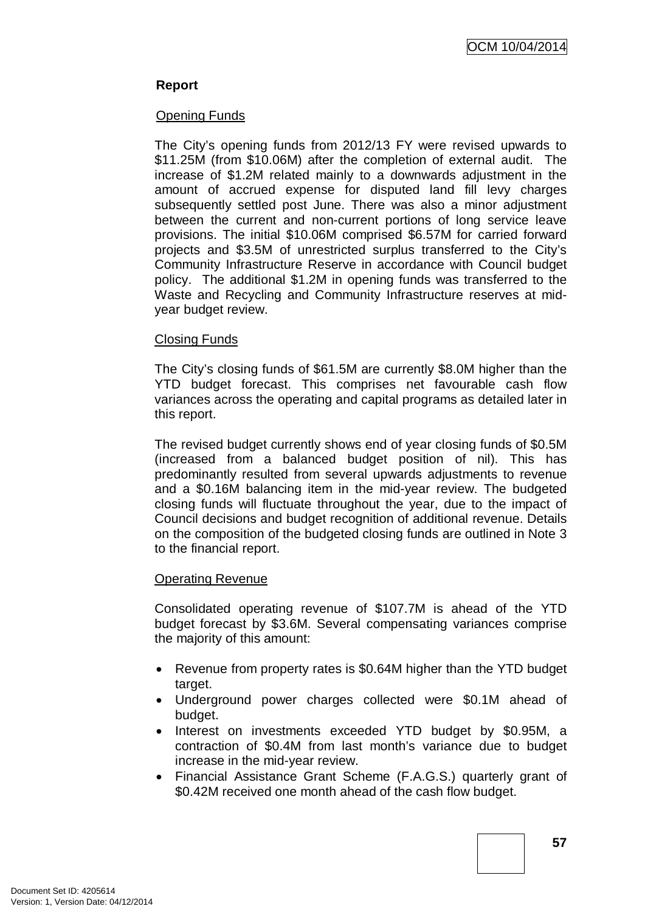## **Report**

#### Opening Funds

The City's opening funds from 2012/13 FY were revised upwards to \$11.25M (from \$10.06M) after the completion of external audit. The increase of \$1.2M related mainly to a downwards adjustment in the amount of accrued expense for disputed land fill levy charges subsequently settled post June. There was also a minor adjustment between the current and non-current portions of long service leave provisions. The initial \$10.06M comprised \$6.57M for carried forward projects and \$3.5M of unrestricted surplus transferred to the City's Community Infrastructure Reserve in accordance with Council budget policy. The additional \$1.2M in opening funds was transferred to the Waste and Recycling and Community Infrastructure reserves at midyear budget review.

### Closing Funds

The City's closing funds of \$61.5M are currently \$8.0M higher than the YTD budget forecast. This comprises net favourable cash flow variances across the operating and capital programs as detailed later in this report.

The revised budget currently shows end of year closing funds of \$0.5M (increased from a balanced budget position of nil). This has predominantly resulted from several upwards adjustments to revenue and a \$0.16M balancing item in the mid-year review. The budgeted closing funds will fluctuate throughout the year, due to the impact of Council decisions and budget recognition of additional revenue. Details on the composition of the budgeted closing funds are outlined in Note 3 to the financial report.

### Operating Revenue

Consolidated operating revenue of \$107.7M is ahead of the YTD budget forecast by \$3.6M. Several compensating variances comprise the majority of this amount:

- Revenue from property rates is \$0.64M higher than the YTD budget target.
- Underground power charges collected were \$0.1M ahead of budget.
- Interest on investments exceeded YTD budget by \$0.95M, a contraction of \$0.4M from last month's variance due to budget increase in the mid-year review.
- Financial Assistance Grant Scheme (F.A.G.S.) quarterly grant of \$0.42M received one month ahead of the cash flow budget.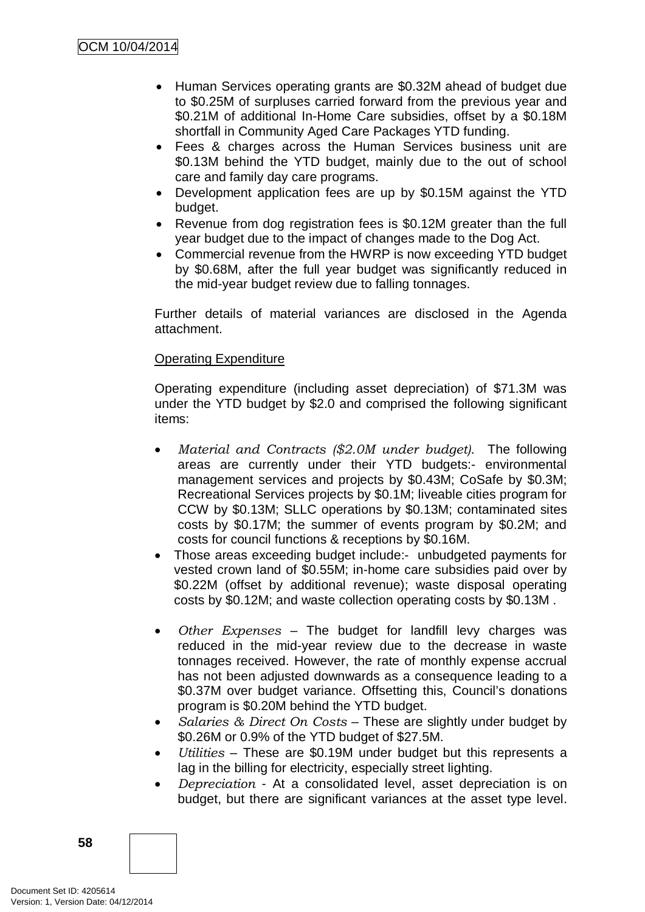- Human Services operating grants are \$0.32M ahead of budget due to \$0.25M of surpluses carried forward from the previous year and \$0.21M of additional In-Home Care subsidies, offset by a \$0.18M shortfall in Community Aged Care Packages YTD funding.
- Fees & charges across the Human Services business unit are \$0.13M behind the YTD budget, mainly due to the out of school care and family day care programs.
- Development application fees are up by \$0.15M against the YTD budget.
- Revenue from dog registration fees is \$0.12M greater than the full year budget due to the impact of changes made to the Dog Act.
- Commercial revenue from the HWRP is now exceeding YTD budget by \$0.68M, after the full year budget was significantly reduced in the mid-year budget review due to falling tonnages.

Further details of material variances are disclosed in the Agenda attachment.

## Operating Expenditure

Operating expenditure (including asset depreciation) of \$71.3M was under the YTD budget by \$2.0 and comprised the following significant items:

- *Material and Contracts (\$2.0M under budget).* The following areas are currently under their YTD budgets:- environmental management services and projects by \$0.43M; CoSafe by \$0.3M; Recreational Services projects by \$0.1M; liveable cities program for CCW by \$0.13M; SLLC operations by \$0.13M; contaminated sites costs by \$0.17M; the summer of events program by \$0.2M; and costs for council functions & receptions by \$0.16M.
- Those areas exceeding budget include:- unbudgeted payments for vested crown land of \$0.55M; in-home care subsidies paid over by \$0.22M (offset by additional revenue); waste disposal operating costs by \$0.12M; and waste collection operating costs by \$0.13M .
- *Other Expenses*  The budget for landfill levy charges was reduced in the mid-year review due to the decrease in waste tonnages received. However, the rate of monthly expense accrual has not been adjusted downwards as a consequence leading to a \$0.37M over budget variance. Offsetting this, Council's donations program is \$0.20M behind the YTD budget.
- *Salaries & Direct On Costs* These are slightly under budget by \$0.26M or 0.9% of the YTD budget of \$27.5M.
- *Utilities* These are \$0.19M under budget but this represents a lag in the billing for electricity, especially street lighting.
- *Depreciation* At a consolidated level, asset depreciation is on budget, but there are significant variances at the asset type level.

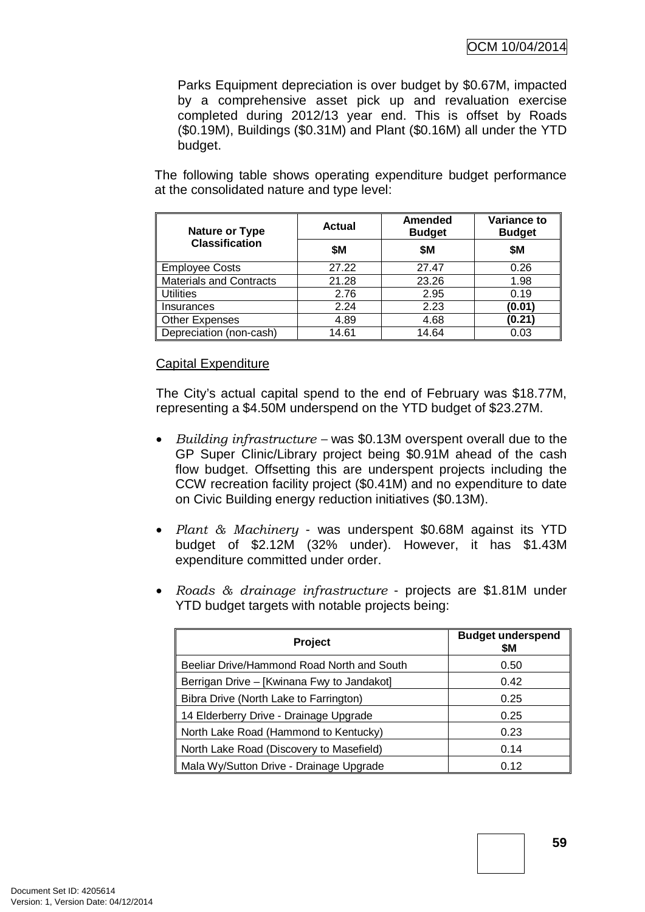Parks Equipment depreciation is over budget by \$0.67M, impacted by a comprehensive asset pick up and revaluation exercise completed during 2012/13 year end. This is offset by Roads (\$0.19M), Buildings (\$0.31M) and Plant (\$0.16M) all under the YTD budget.

The following table shows operating expenditure budget performance at the consolidated nature and type level:

| <b>Nature or Type</b>          | <b>Actual</b> | <b>Amended</b><br><b>Budget</b> | <b>Variance to</b><br><b>Budget</b> |
|--------------------------------|---------------|---------------------------------|-------------------------------------|
| <b>Classification</b>          | \$M           | \$M                             | \$M                                 |
| <b>Employee Costs</b>          | 27.22         | 27.47                           | 0.26                                |
| <b>Materials and Contracts</b> | 21.28         | 23.26                           | 1.98                                |
| <b>Utilities</b>               | 2.76          | 2.95                            | 0.19                                |
| Insurances                     | 2.24          | 2.23                            | (0.01)                              |
| <b>Other Expenses</b>          | 4.89          | 4.68                            | (0.21)                              |
| Depreciation (non-cash)        | 14.61         | 14.64                           | 0.03                                |

#### Capital Expenditure

The City's actual capital spend to the end of February was \$18.77M, representing a \$4.50M underspend on the YTD budget of \$23.27M.

- *Building infrastructure –* was \$0.13M overspent overall due to the GP Super Clinic/Library project being \$0.91M ahead of the cash flow budget. Offsetting this are underspent projects including the CCW recreation facility project (\$0.41M) and no expenditure to date on Civic Building energy reduction initiatives (\$0.13M).
- *Plant & Machinery* was underspent \$0.68M against its YTD budget of \$2.12M (32% under). However, it has \$1.43M expenditure committed under order.
- *Roads & drainage infrastructure* projects are \$1.81M under YTD budget targets with notable projects being:

| Project                                    | <b>Budget underspend</b><br>\$Μ |
|--------------------------------------------|---------------------------------|
| Beeliar Drive/Hammond Road North and South | 0.50                            |
| Berrigan Drive - [Kwinana Fwy to Jandakot] | 0.42                            |
| Bibra Drive (North Lake to Farrington)     | 0.25                            |
| 14 Elderberry Drive - Drainage Upgrade     | 0.25                            |
| North Lake Road (Hammond to Kentucky)      | 0.23                            |
| North Lake Road (Discovery to Masefield)   | 0.14                            |
| Mala Wy/Sutton Drive - Drainage Upgrade    | 0.12                            |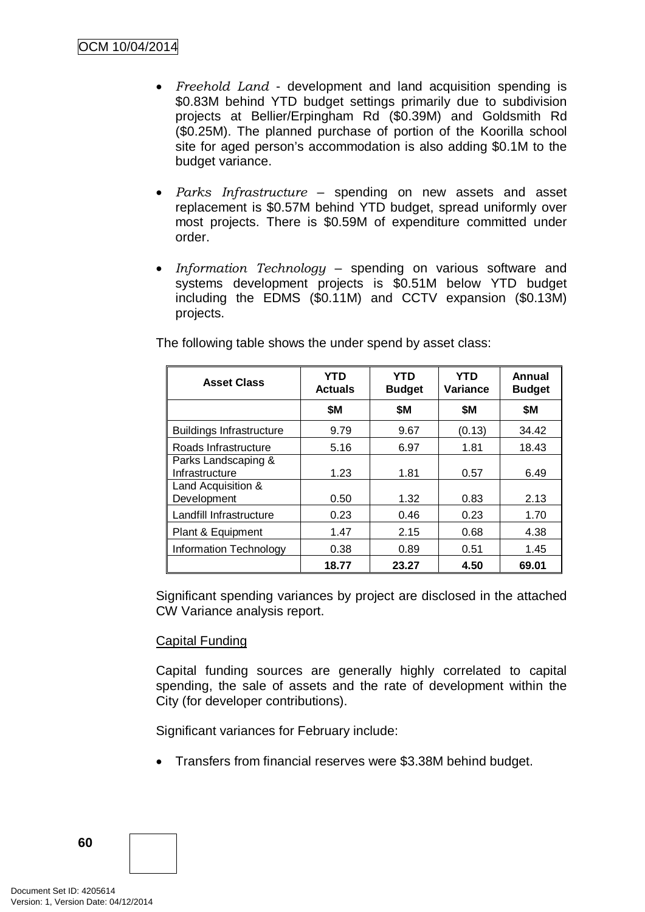- *Freehold Land*  development and land acquisition spending is \$0.83M behind YTD budget settings primarily due to subdivision projects at Bellier/Erpingham Rd (\$0.39M) and Goldsmith Rd (\$0.25M). The planned purchase of portion of the Koorilla school site for aged person's accommodation is also adding \$0.1M to the budget variance.
- *Parks Infrastructure* spending on new assets and asset replacement is \$0.57M behind YTD budget, spread uniformly over most projects. There is \$0.59M of expenditure committed under order.
- *Information Technology* spending on various software and systems development projects is \$0.51M below YTD budget including the EDMS (\$0.11M) and CCTV expansion (\$0.13M) projects.

| <b>Asset Class</b>                                          | <b>YTD</b><br><b>Actuals</b> | <b>YTD</b><br><b>Budget</b> | <b>YTD</b><br><b>Variance</b> | Annual<br><b>Budget</b> |
|-------------------------------------------------------------|------------------------------|-----------------------------|-------------------------------|-------------------------|
|                                                             | \$Μ                          | \$M                         | \$M                           | <b>\$M</b>              |
| <b>Buildings Infrastructure</b>                             | 9.79                         | 9.67                        | (0.13)                        | 34.42                   |
| Roads Infrastructure                                        | 5.16                         | 6.97                        | 1.81                          | 18.43                   |
| Parks Landscaping &<br>Infrastructure<br>Land Acquisition & | 1.23                         | 1.81                        | 0.57                          | 6.49                    |
| Development                                                 | 0.50                         | 1.32                        | 0.83                          | 2.13                    |
| Landfill Infrastructure                                     | 0.23                         | 0.46                        | 0.23                          | 1.70                    |
| Plant & Equipment                                           | 1.47                         | 2.15                        | 0.68                          | 4.38                    |
| Information Technology                                      | 0.38                         | 0.89                        | 0.51                          | 1.45                    |
|                                                             | 18.77                        | 23.27                       | 4.50                          | 69.01                   |

The following table shows the under spend by asset class:

Significant spending variances by project are disclosed in the attached CW Variance analysis report.

### Capital Funding

Capital funding sources are generally highly correlated to capital spending, the sale of assets and the rate of development within the City (for developer contributions).

Significant variances for February include:

• Transfers from financial reserves were \$3.38M behind budget.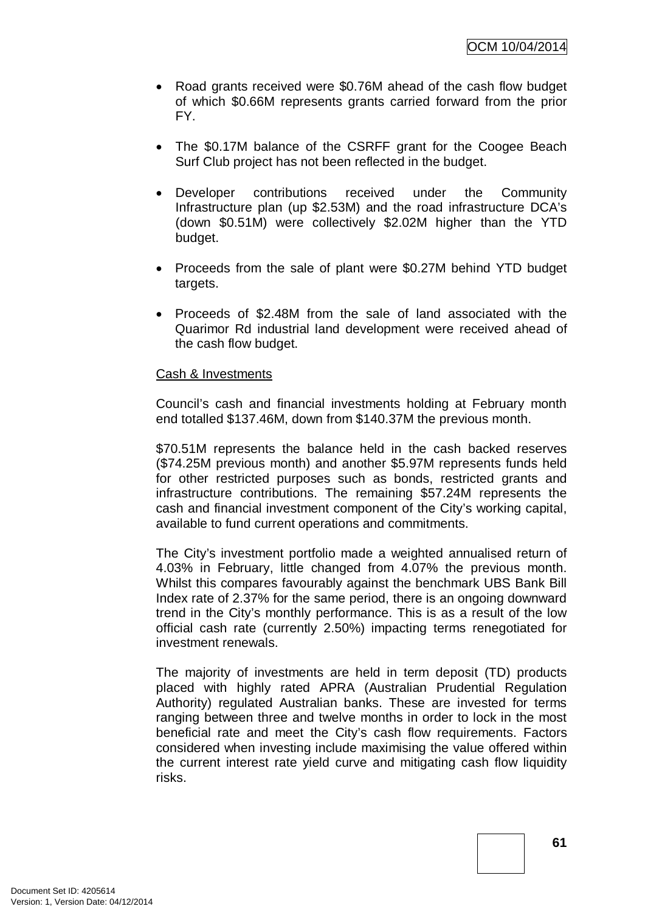- Road grants received were \$0.76M ahead of the cash flow budget of which \$0.66M represents grants carried forward from the prior FY.
- The \$0.17M balance of the CSRFF grant for the Coogee Beach Surf Club project has not been reflected in the budget.
- Developer contributions received under the Community Infrastructure plan (up \$2.53M) and the road infrastructure DCA's (down \$0.51M) were collectively \$2.02M higher than the YTD budget.
- Proceeds from the sale of plant were \$0.27M behind YTD budget targets.
- Proceeds of \$2.48M from the sale of land associated with the Quarimor Rd industrial land development were received ahead of the cash flow budget.

#### Cash & Investments

Council's cash and financial investments holding at February month end totalled \$137.46M, down from \$140.37M the previous month.

\$70.51M represents the balance held in the cash backed reserves (\$74.25M previous month) and another \$5.97M represents funds held for other restricted purposes such as bonds, restricted grants and infrastructure contributions. The remaining \$57.24M represents the cash and financial investment component of the City's working capital, available to fund current operations and commitments.

The City's investment portfolio made a weighted annualised return of 4.03% in February, little changed from 4.07% the previous month. Whilst this compares favourably against the benchmark UBS Bank Bill Index rate of 2.37% for the same period, there is an ongoing downward trend in the City's monthly performance. This is as a result of the low official cash rate (currently 2.50%) impacting terms renegotiated for investment renewals.

The majority of investments are held in term deposit (TD) products placed with highly rated APRA (Australian Prudential Regulation Authority) regulated Australian banks. These are invested for terms ranging between three and twelve months in order to lock in the most beneficial rate and meet the City's cash flow requirements. Factors considered when investing include maximising the value offered within the current interest rate yield curve and mitigating cash flow liquidity risks.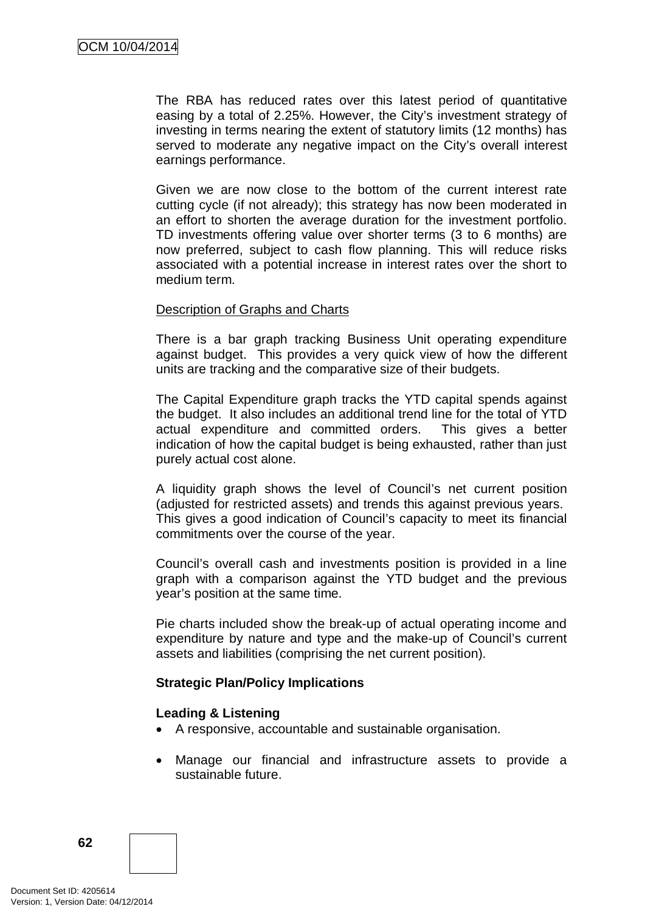The RBA has reduced rates over this latest period of quantitative easing by a total of 2.25%. However, the City's investment strategy of investing in terms nearing the extent of statutory limits (12 months) has served to moderate any negative impact on the City's overall interest earnings performance.

Given we are now close to the bottom of the current interest rate cutting cycle (if not already); this strategy has now been moderated in an effort to shorten the average duration for the investment portfolio. TD investments offering value over shorter terms (3 to 6 months) are now preferred, subject to cash flow planning. This will reduce risks associated with a potential increase in interest rates over the short to medium term.

#### Description of Graphs and Charts

There is a bar graph tracking Business Unit operating expenditure against budget. This provides a very quick view of how the different units are tracking and the comparative size of their budgets.

The Capital Expenditure graph tracks the YTD capital spends against the budget. It also includes an additional trend line for the total of YTD actual expenditure and committed orders. This gives a better indication of how the capital budget is being exhausted, rather than just purely actual cost alone.

A liquidity graph shows the level of Council's net current position (adjusted for restricted assets) and trends this against previous years. This gives a good indication of Council's capacity to meet its financial commitments over the course of the year.

Council's overall cash and investments position is provided in a line graph with a comparison against the YTD budget and the previous year's position at the same time.

Pie charts included show the break-up of actual operating income and expenditure by nature and type and the make-up of Council's current assets and liabilities (comprising the net current position).

#### **Strategic Plan/Policy Implications**

#### **Leading & Listening**

- A responsive, accountable and sustainable organisation.
- Manage our financial and infrastructure assets to provide a sustainable future.

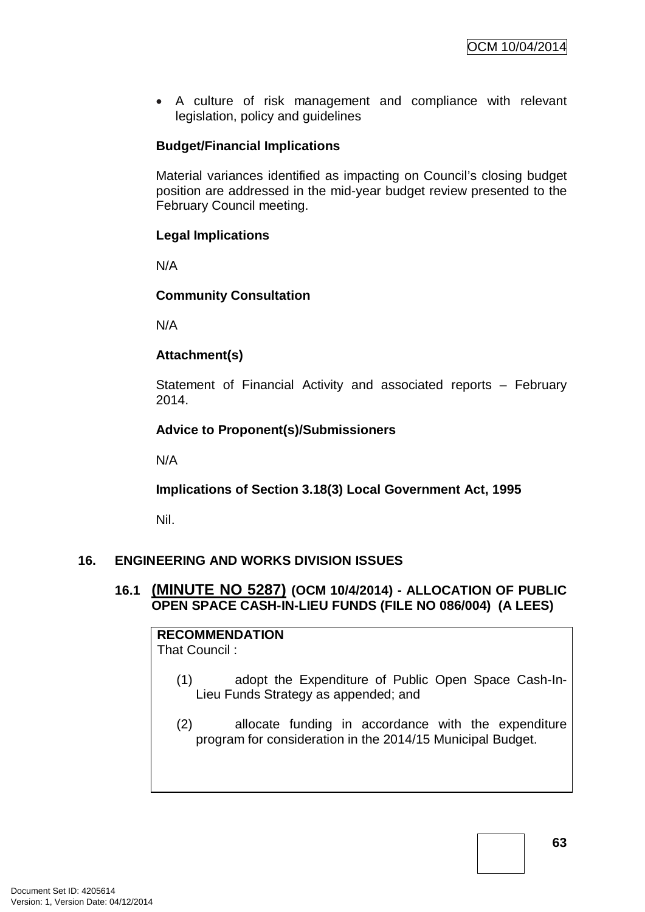• A culture of risk management and compliance with relevant legislation, policy and guidelines

# **Budget/Financial Implications**

Material variances identified as impacting on Council's closing budget position are addressed in the mid-year budget review presented to the February Council meeting.

### **Legal Implications**

N/A

### **Community Consultation**

N/A

## **Attachment(s)**

Statement of Financial Activity and associated reports – February 2014.

## **Advice to Proponent(s)/Submissioners**

N/A

# **Implications of Section 3.18(3) Local Government Act, 1995**

Nil.

### **16. ENGINEERING AND WORKS DIVISION ISSUES**

## **16.1 (MINUTE NO 5287) (OCM 10/4/2014) - ALLOCATION OF PUBLIC OPEN SPACE CASH-IN-LIEU FUNDS (FILE NO 086/004) (A LEES)**

**RECOMMENDATION** That Council :

- (1) adopt the Expenditure of Public Open Space Cash-In-Lieu Funds Strategy as appended; and
- (2) allocate funding in accordance with the expenditure program for consideration in the 2014/15 Municipal Budget.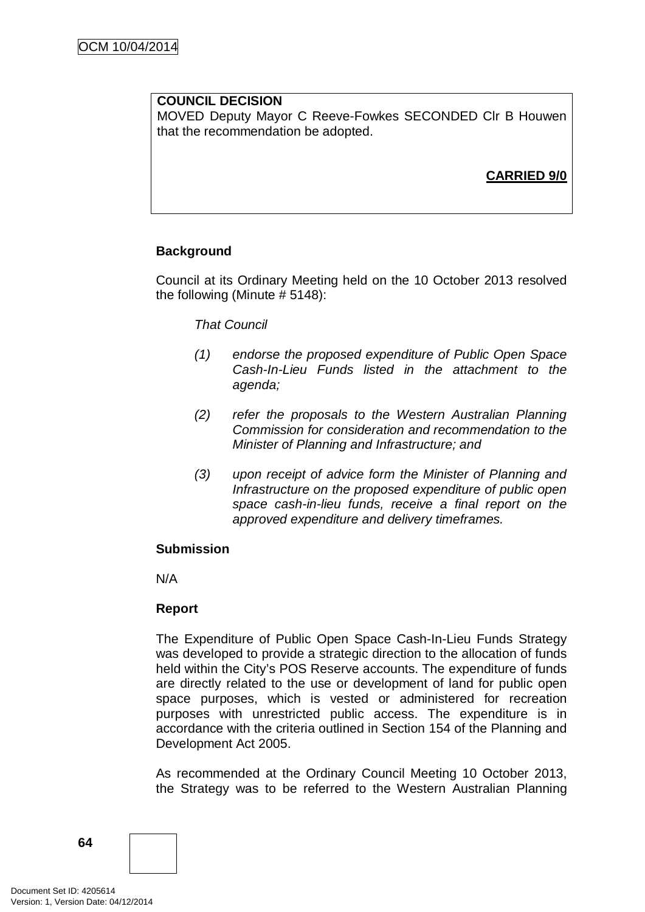### **COUNCIL DECISION**

MOVED Deputy Mayor C Reeve-Fowkes SECONDED Clr B Houwen that the recommendation be adopted.

# **CARRIED 9/0**

## **Background**

Council at its Ordinary Meeting held on the 10 October 2013 resolved the following (Minute # 5148):

#### *That Council*

- *(1) endorse the proposed expenditure of Public Open Space Cash-In-Lieu Funds listed in the attachment to the agenda;*
- *(2) refer the proposals to the Western Australian Planning Commission for consideration and recommendation to the Minister of Planning and Infrastructure; and*
- *(3) upon receipt of advice form the Minister of Planning and Infrastructure on the proposed expenditure of public open space cash-in-lieu funds, receive a final report on the approved expenditure and delivery timeframes.*

### **Submission**

N/A

### **Report**

The Expenditure of Public Open Space Cash-In-Lieu Funds Strategy was developed to provide a strategic direction to the allocation of funds held within the City's POS Reserve accounts. The expenditure of funds are directly related to the use or development of land for public open space purposes, which is vested or administered for recreation purposes with unrestricted public access. The expenditure is in accordance with the criteria outlined in Section 154 of the Planning and Development Act 2005.

As recommended at the Ordinary Council Meeting 10 October 2013, the Strategy was to be referred to the Western Australian Planning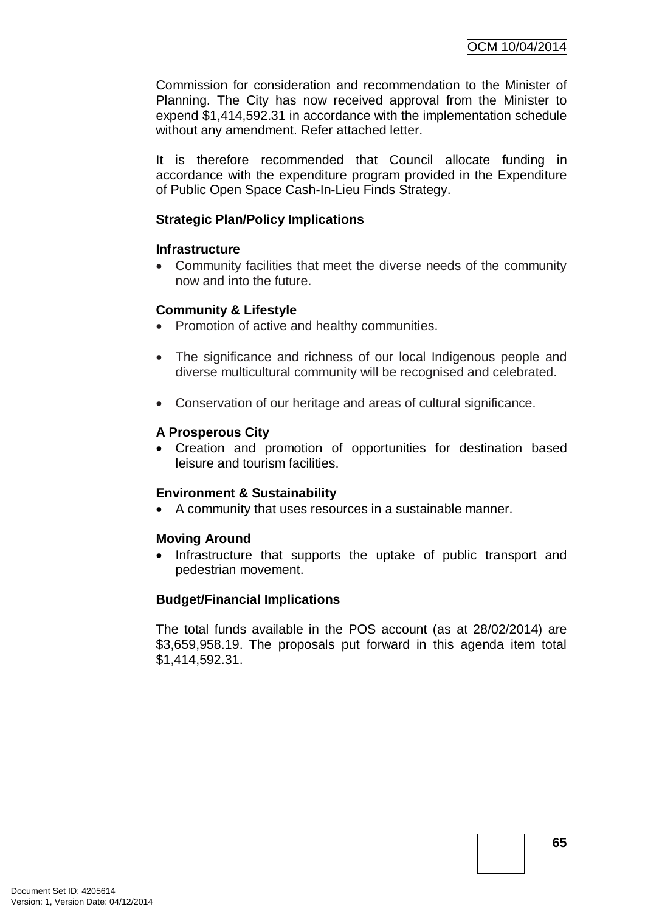Commission for consideration and recommendation to the Minister of Planning. The City has now received approval from the Minister to expend \$1,414,592.31 in accordance with the implementation schedule without any amendment. Refer attached letter.

It is therefore recommended that Council allocate funding in accordance with the expenditure program provided in the Expenditure of Public Open Space Cash-In-Lieu Finds Strategy.

### **Strategic Plan/Policy Implications**

#### **Infrastructure**

• Community facilities that meet the diverse needs of the community now and into the future.

#### **Community & Lifestyle**

- Promotion of active and healthy communities.
- The significance and richness of our local Indigenous people and diverse multicultural community will be recognised and celebrated.
- Conservation of our heritage and areas of cultural significance.

### **A Prosperous City**

• Creation and promotion of opportunities for destination based leisure and tourism facilities.

#### **Environment & Sustainability**

• A community that uses resources in a sustainable manner.

### **Moving Around**

• Infrastructure that supports the uptake of public transport and pedestrian movement.

#### **Budget/Financial Implications**

The total funds available in the POS account (as at 28/02/2014) are \$3,659,958.19. The proposals put forward in this agenda item total \$1,414,592.31.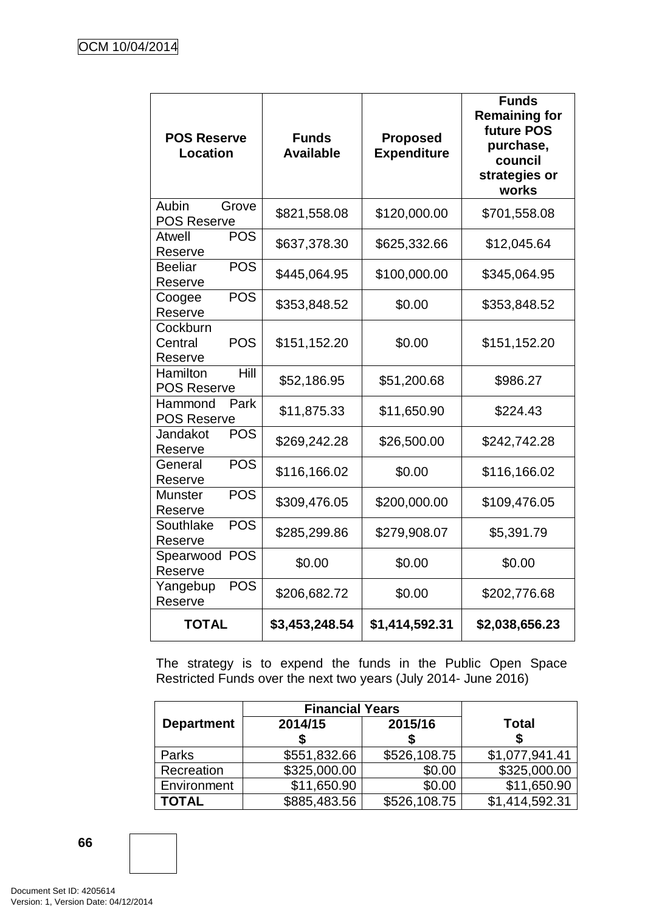| <b>POS Reserve</b><br><b>Location</b> |            | <b>Funds</b><br><b>Available</b> | <b>Proposed</b><br><b>Expenditure</b> | <b>Funds</b><br><b>Remaining for</b><br><b>future POS</b><br>purchase,<br>council<br>strategies or<br>works |
|---------------------------------------|------------|----------------------------------|---------------------------------------|-------------------------------------------------------------------------------------------------------------|
| Aubin<br><b>POS Reserve</b>           | Grove      | \$821,558.08                     | \$120,000.00                          | \$701,558.08                                                                                                |
| Atwell<br>Reserve                     | <b>POS</b> | \$637,378.30                     | \$625,332.66                          | \$12,045.64                                                                                                 |
| <b>Beeliar</b><br>Reserve             | <b>POS</b> | \$445,064.95                     | \$100,000.00                          | \$345,064.95                                                                                                |
| Coogee<br>Reserve                     | <b>POS</b> | \$353,848.52                     | \$0.00                                | \$353,848.52                                                                                                |
| Cockburn<br>Central<br>Reserve        | <b>POS</b> | \$151,152.20                     | \$0.00                                | \$151,152.20                                                                                                |
| Hamilton<br><b>POS Reserve</b>        | Hill       | \$52,186.95                      | \$51,200.68                           | \$986.27                                                                                                    |
| Hammond<br><b>POS Reserve</b>         | Park       | \$11,875.33                      | \$11,650.90                           | \$224.43                                                                                                    |
| Jandakot<br>Reserve                   | <b>POS</b> | \$269,242.28                     | \$26,500.00                           | \$242,742.28                                                                                                |
| General<br>Reserve                    | <b>POS</b> | \$116,166.02                     | \$0.00                                | \$116,166.02                                                                                                |
| <b>Munster</b><br>Reserve             | <b>POS</b> | \$309,476.05                     | \$200,000.00                          | \$109,476.05                                                                                                |
| Southlake<br>Reserve                  | <b>POS</b> | \$285,299.86                     | \$279,908.07                          | \$5,391.79                                                                                                  |
| Spearwood<br>Reserve                  | <b>POS</b> | \$0.00                           | \$0.00                                | \$0.00                                                                                                      |
| Yangebup<br>Reserve                   | <b>POS</b> | \$206,682.72                     | \$0.00                                | \$202,776.68                                                                                                |
| <b>TOTAL</b>                          |            | \$3,453,248.54                   | \$1,414,592.31                        | \$2,038,656.23                                                                                              |

The strategy is to expend the funds in the Public Open Space Restricted Funds over the next two years (July 2014- June 2016)

|                   | <b>Financial Years</b> |              |                |
|-------------------|------------------------|--------------|----------------|
| <b>Department</b> | 2014/15                | 2015/16      | <b>Total</b>   |
|                   |                        |              |                |
| Parks             | \$551,832.66           | \$526,108.75 | \$1,077,941.41 |
| Recreation        | \$325,000.00           | \$0.00       | \$325,000.00   |
| Environment       | \$11,650.90            | \$0.00       | \$11,650.90    |
| <b>TOTAL</b>      | \$885,483.56           | \$526,108.75 | \$1,414,592.31 |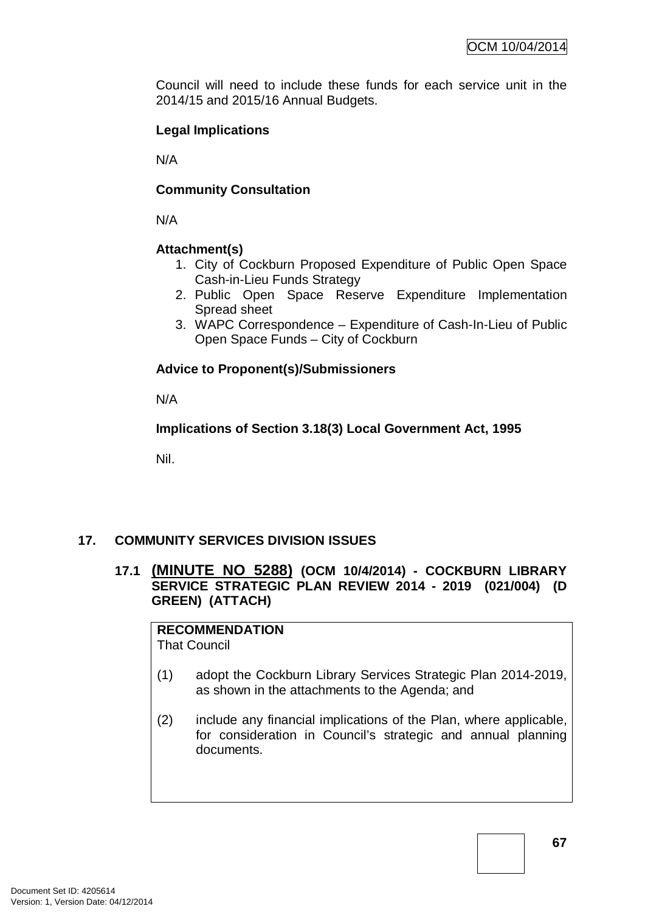Council will need to include these funds for each service unit in the 2014/15 and 2015/16 Annual Budgets.

# **Legal Implications**

N/A

## **Community Consultation**

N/A

### **Attachment(s)**

- 1. City of Cockburn Proposed Expenditure of Public Open Space Cash-in-Lieu Funds Strategy
- 2. Public Open Space Reserve Expenditure Implementation Spread sheet
- 3. WAPC Correspondence Expenditure of Cash-In-Lieu of Public Open Space Funds – City of Cockburn

## **Advice to Proponent(s)/Submissioners**

N/A

**Implications of Section 3.18(3) Local Government Act, 1995**

Nil.

# **17. COMMUNITY SERVICES DIVISION ISSUES**

# **17.1 (MINUTE NO 5288) (OCM 10/4/2014) - COCKBURN LIBRARY SERVICE STRATEGIC PLAN REVIEW 2014 - 2019 (021/004) (D GREEN) (ATTACH)**

**RECOMMENDATION** That Council

- (1) adopt the Cockburn Library Services Strategic Plan 2014-2019, as shown in the attachments to the Agenda; and
- (2) include any financial implications of the Plan, where applicable, for consideration in Council's strategic and annual planning documents.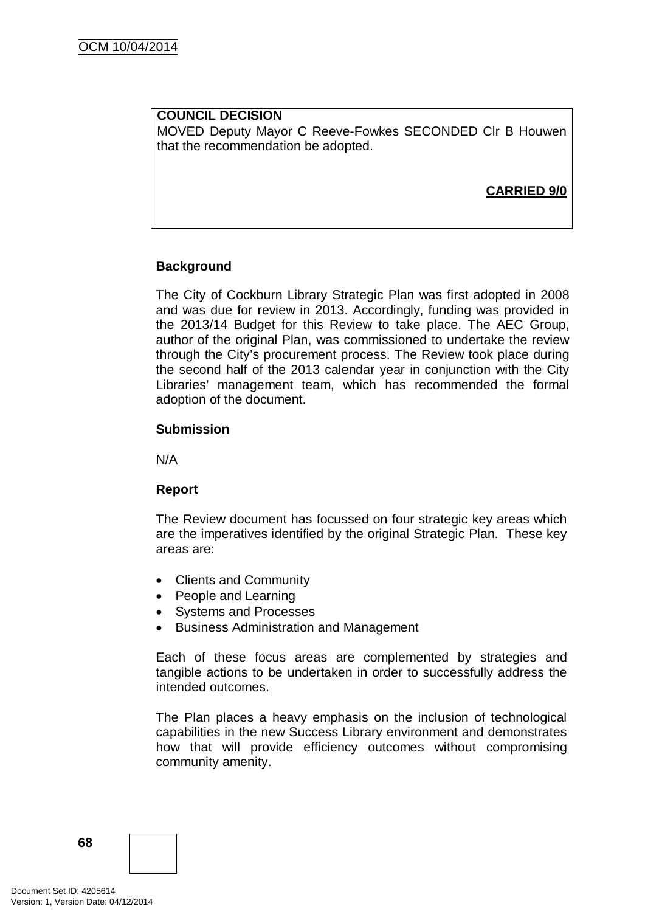**COUNCIL DECISION** MOVED Deputy Mayor C Reeve-Fowkes SECONDED Clr B Houwen that the recommendation be adopted.

**CARRIED 9/0**

## **Background**

The City of Cockburn Library Strategic Plan was first adopted in 2008 and was due for review in 2013. Accordingly, funding was provided in the 2013/14 Budget for this Review to take place. The AEC Group, author of the original Plan, was commissioned to undertake the review through the City's procurement process. The Review took place during the second half of the 2013 calendar year in conjunction with the City Libraries' management team, which has recommended the formal adoption of the document.

#### **Submission**

N/A

### **Report**

The Review document has focussed on four strategic key areas which are the imperatives identified by the original Strategic Plan. These key areas are:

- Clients and Community
- People and Learning
- Systems and Processes
- Business Administration and Management

Each of these focus areas are complemented by strategies and tangible actions to be undertaken in order to successfully address the intended outcomes.

The Plan places a heavy emphasis on the inclusion of technological capabilities in the new Success Library environment and demonstrates how that will provide efficiency outcomes without compromising community amenity.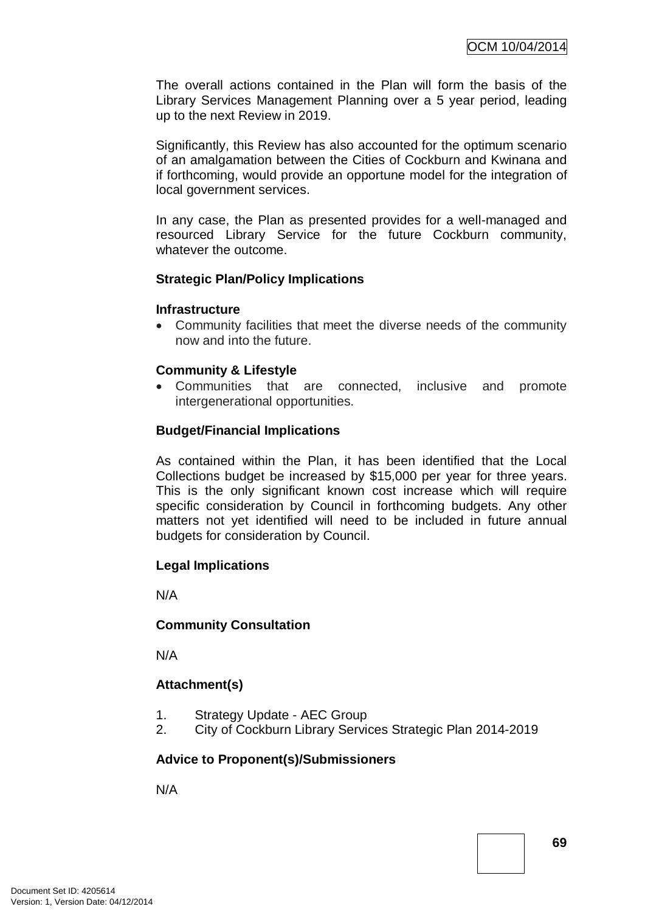The overall actions contained in the Plan will form the basis of the Library Services Management Planning over a 5 year period, leading up to the next Review in 2019.

Significantly, this Review has also accounted for the optimum scenario of an amalgamation between the Cities of Cockburn and Kwinana and if forthcoming, would provide an opportune model for the integration of local government services.

In any case, the Plan as presented provides for a well-managed and resourced Library Service for the future Cockburn community, whatever the outcome.

# **Strategic Plan/Policy Implications**

#### **Infrastructure**

• Community facilities that meet the diverse needs of the community now and into the future.

# **Community & Lifestyle**

• Communities that are connected, inclusive and promote intergenerational opportunities.

# **Budget/Financial Implications**

As contained within the Plan, it has been identified that the Local Collections budget be increased by \$15,000 per year for three years. This is the only significant known cost increase which will require specific consideration by Council in forthcoming budgets. Any other matters not yet identified will need to be included in future annual budgets for consideration by Council.

# **Legal Implications**

N/A

## **Community Consultation**

N/A

# **Attachment(s)**

- 1. Strategy Update AEC Group
- 2. City of Cockburn Library Services Strategic Plan 2014-2019

## **Advice to Proponent(s)/Submissioners**

N/A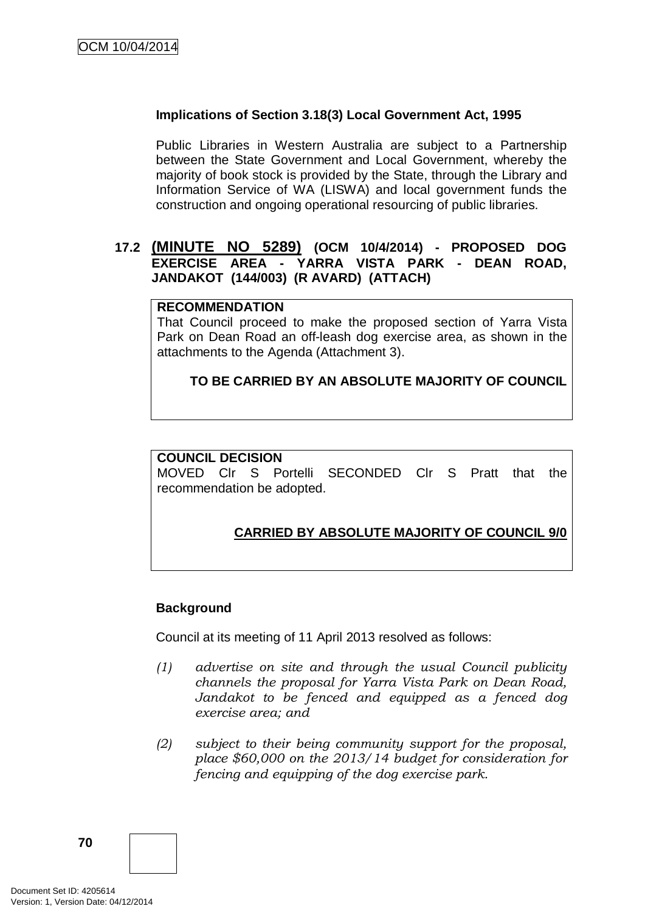## **Implications of Section 3.18(3) Local Government Act, 1995**

Public Libraries in Western Australia are subject to a Partnership between the State Government and Local Government, whereby the majority of book stock is provided by the State, through the Library and Information Service of WA (LISWA) and local government funds the construction and ongoing operational resourcing of public libraries.

# **17.2 (MINUTE NO 5289) (OCM 10/4/2014) - PROPOSED DOG EXERCISE AREA - YARRA VISTA PARK - DEAN ROAD, JANDAKOT (144/003) (R AVARD) (ATTACH)**

#### **RECOMMENDATION**

That Council proceed to make the proposed section of Yarra Vista Park on Dean Road an off-leash dog exercise area, as shown in the attachments to the Agenda (Attachment 3).

# **TO BE CARRIED BY AN ABSOLUTE MAJORITY OF COUNCIL**

#### **COUNCIL DECISION**

MOVED Clr S Portelli SECONDED Clr S Pratt that the recommendation be adopted.

# **CARRIED BY ABSOLUTE MAJORITY OF COUNCIL 9/0**

## **Background**

Council at its meeting of 11 April 2013 resolved as follows:

- *(1) advertise on site and through the usual Council publicity channels the proposal for Yarra Vista Park on Dean Road, Jandakot to be fenced and equipped as a fenced dog exercise area; and*
- *(2) subject to their being community support for the proposal, place \$60,000 on the 2013/14 budget for consideration for fencing and equipping of the dog exercise park.*

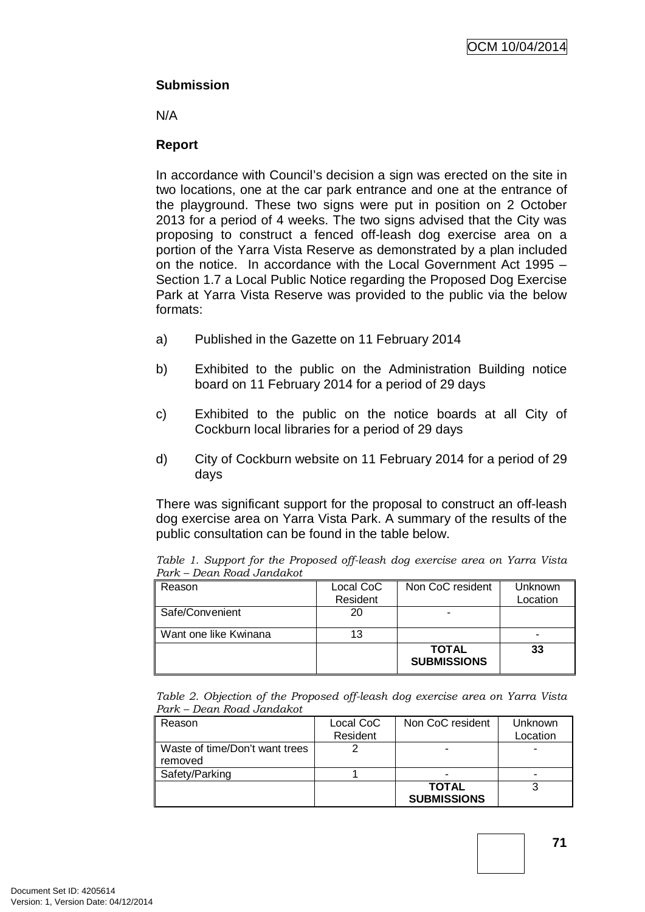OCM 10/04/2014

## **Submission**

N/A

## **Report**

In accordance with Council's decision a sign was erected on the site in two locations, one at the car park entrance and one at the entrance of the playground. These two signs were put in position on 2 October 2013 for a period of 4 weeks. The two signs advised that the City was proposing to construct a fenced off-leash dog exercise area on a portion of the Yarra Vista Reserve as demonstrated by a plan included on the notice. In accordance with the Local Government Act 1995 – Section 1.7 a Local Public Notice regarding the Proposed Dog Exercise Park at Yarra Vista Reserve was provided to the public via the below formats:

- a) Published in the Gazette on 11 February 2014
- b) Exhibited to the public on the Administration Building notice board on 11 February 2014 for a period of 29 days
- c) Exhibited to the public on the notice boards at all City of Cockburn local libraries for a period of 29 days
- d) City of Cockburn website on 11 February 2014 for a period of 29 days

There was significant support for the proposal to construct an off-leash dog exercise area on Yarra Vista Park. A summary of the results of the public consultation can be found in the table below.

| Reason                | Local CoC<br>Resident | Non CoC resident                   | Unknown<br>Location |
|-----------------------|-----------------------|------------------------------------|---------------------|
| Safe/Convenient       | 20                    |                                    |                     |
| Want one like Kwinana | 13                    |                                    |                     |
|                       |                       | <b>TOTAL</b><br><b>SUBMISSIONS</b> | 33                  |

*Table 1. Support for the Proposed off-leash dog exercise area on Yarra Vista Park – Dean Road Jandakot*

*Table 2. Objection of the Proposed off-leash dog exercise area on Yarra Vista Park – Dean Road Jandakot* 

| Reason                         | Local CoC<br>Resident | Non CoC resident   | Unknown<br>Location |
|--------------------------------|-----------------------|--------------------|---------------------|
| Waste of time/Don't want trees |                       |                    |                     |
| removed                        |                       |                    |                     |
| Safety/Parking                 |                       |                    |                     |
|                                |                       | <b>TOTAL</b>       |                     |
|                                |                       | <b>SUBMISSIONS</b> |                     |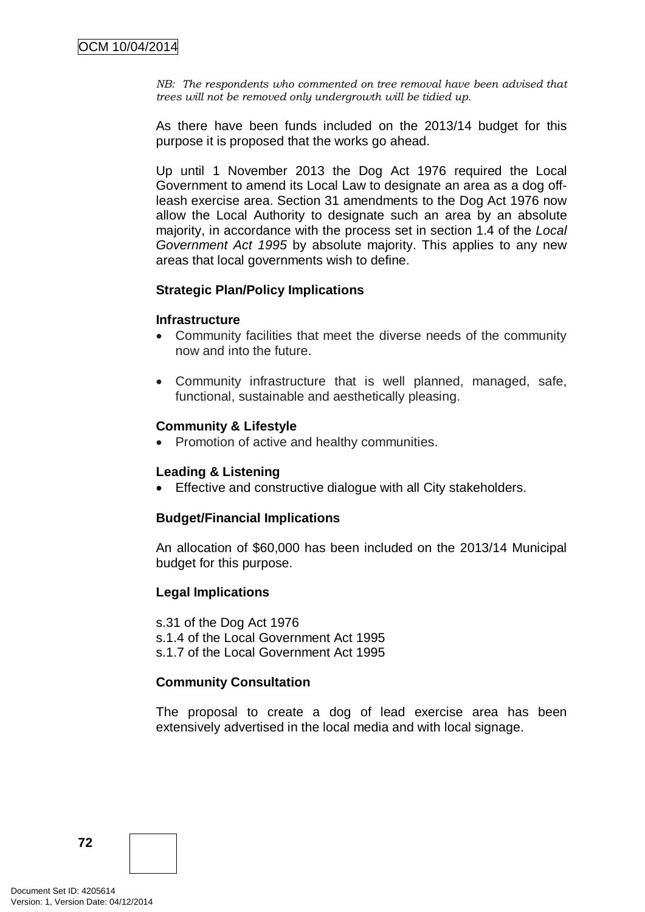*NB: The respondents who commented on tree removal have been advised that trees will not be removed only undergrowth will be tidied up.*

As there have been funds included on the 2013/14 budget for this purpose it is proposed that the works go ahead.

Up until 1 November 2013 the Dog Act 1976 required the Local Government to amend its Local Law to designate an area as a dog offleash exercise area. Section 31 amendments to the Dog Act 1976 now allow the Local Authority to designate such an area by an absolute majority, in accordance with the process set in section 1.4 of the *Local Government Act 1995* by absolute majority. This applies to any new areas that local governments wish to define.

#### **Strategic Plan/Policy Implications**

#### **Infrastructure**

- Community facilities that meet the diverse needs of the community now and into the future.
- Community infrastructure that is well planned, managed, safe, functional, sustainable and aesthetically pleasing.

#### **Community & Lifestyle**

• Promotion of active and healthy communities.

#### **Leading & Listening**

• Effective and constructive dialogue with all City stakeholders.

#### **Budget/Financial Implications**

An allocation of \$60,000 has been included on the 2013/14 Municipal budget for this purpose.

#### **Legal Implications**

s.31 of the Dog Act 1976 s.1.4 of the Local Government Act 1995 s.1.7 of the Local Government Act 1995

#### **Community Consultation**

The proposal to create a dog of lead exercise area has been extensively advertised in the local media and with local signage.

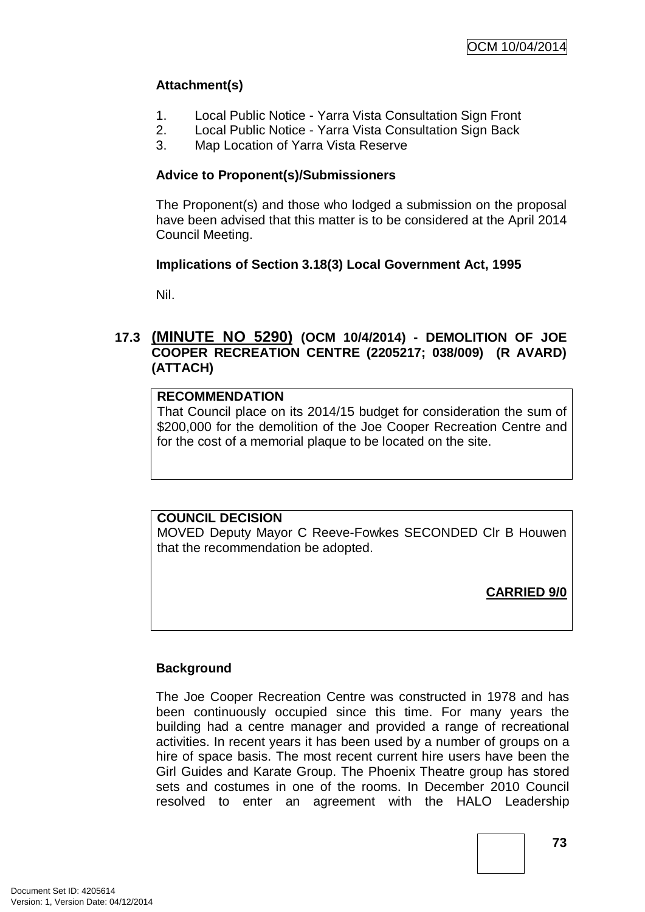# **Attachment(s)**

- 1. Local Public Notice Yarra Vista Consultation Sign Front
- 2. Local Public Notice Yarra Vista Consultation Sign Back
- 3. Map Location of Yarra Vista Reserve

# **Advice to Proponent(s)/Submissioners**

The Proponent(s) and those who lodged a submission on the proposal have been advised that this matter is to be considered at the April 2014 Council Meeting.

# **Implications of Section 3.18(3) Local Government Act, 1995**

Nil.

# **17.3 (MINUTE NO 5290) (OCM 10/4/2014) - DEMOLITION OF JOE COOPER RECREATION CENTRE (2205217; 038/009) (R AVARD) (ATTACH)**

# **RECOMMENDATION**

That Council place on its 2014/15 budget for consideration the sum of \$200,000 for the demolition of the Joe Cooper Recreation Centre and for the cost of a memorial plaque to be located on the site.

# **COUNCIL DECISION**

MOVED Deputy Mayor C Reeve-Fowkes SECONDED Clr B Houwen that the recommendation be adopted.

**CARRIED 9/0**

# **Background**

The Joe Cooper Recreation Centre was constructed in 1978 and has been continuously occupied since this time. For many years the building had a centre manager and provided a range of recreational activities. In recent years it has been used by a number of groups on a hire of space basis. The most recent current hire users have been the Girl Guides and Karate Group. The Phoenix Theatre group has stored sets and costumes in one of the rooms. In December 2010 Council resolved to enter an agreement with the HALO Leadership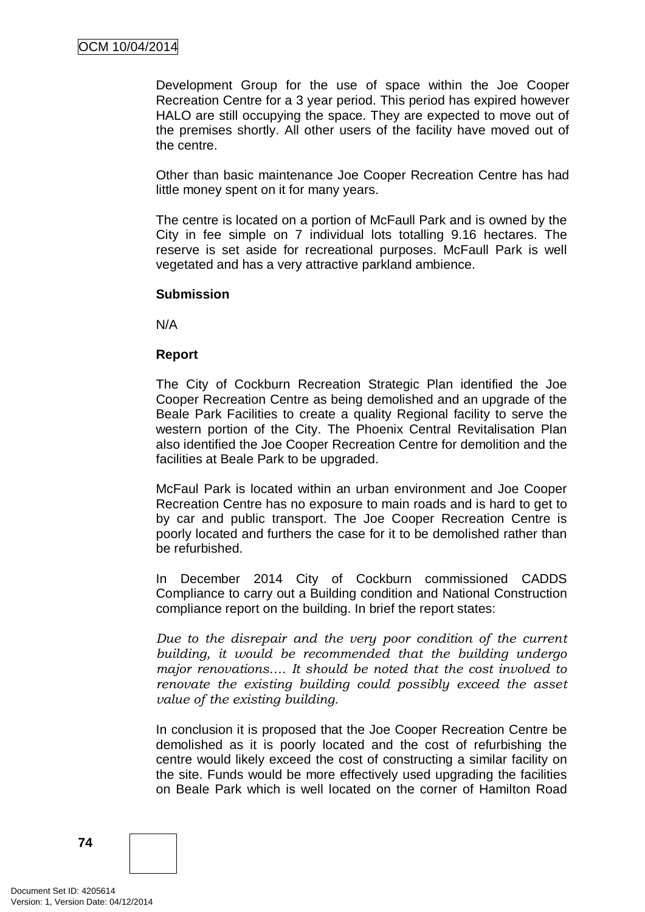Development Group for the use of space within the Joe Cooper Recreation Centre for a 3 year period. This period has expired however HALO are still occupying the space. They are expected to move out of the premises shortly. All other users of the facility have moved out of the centre.

Other than basic maintenance Joe Cooper Recreation Centre has had little money spent on it for many years.

The centre is located on a portion of McFaull Park and is owned by the City in fee simple on 7 individual lots totalling 9.16 hectares. The reserve is set aside for recreational purposes. McFaull Park is well vegetated and has a very attractive parkland ambience.

#### **Submission**

N/A

#### **Report**

The City of Cockburn Recreation Strategic Plan identified the Joe Cooper Recreation Centre as being demolished and an upgrade of the Beale Park Facilities to create a quality Regional facility to serve the western portion of the City. The Phoenix Central Revitalisation Plan also identified the Joe Cooper Recreation Centre for demolition and the facilities at Beale Park to be upgraded.

McFaul Park is located within an urban environment and Joe Cooper Recreation Centre has no exposure to main roads and is hard to get to by car and public transport. The Joe Cooper Recreation Centre is poorly located and furthers the case for it to be demolished rather than be refurbished.

In December 2014 City of Cockburn commissioned CADDS Compliance to carry out a Building condition and National Construction compliance report on the building. In brief the report states:

*Due to the disrepair and the very poor condition of the current building, it would be recommended that the building undergo major renovations…. It should be noted that the cost involved to renovate the existing building could possibly exceed the asset value of the existing building.*

In conclusion it is proposed that the Joe Cooper Recreation Centre be demolished as it is poorly located and the cost of refurbishing the centre would likely exceed the cost of constructing a similar facility on the site. Funds would be more effectively used upgrading the facilities on Beale Park which is well located on the corner of Hamilton Road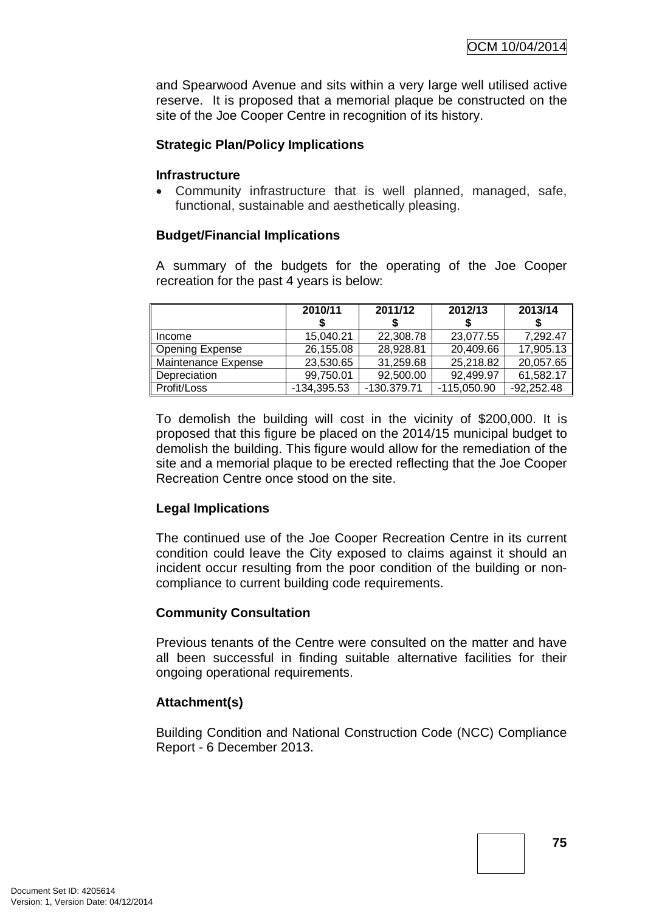OCM 10/04/2014

and Spearwood Avenue and sits within a very large well utilised active reserve. It is proposed that a memorial plaque be constructed on the site of the Joe Cooper Centre in recognition of its history.

#### **Strategic Plan/Policy Implications**

#### **Infrastructure**

• Community infrastructure that is well planned, managed, safe, functional, sustainable and aesthetically pleasing.

#### **Budget/Financial Implications**

A summary of the budgets for the operating of the Joe Cooper recreation for the past 4 years is below:

|                        | 2010/11       | 2011/12       | 2012/13       | 2013/14      |
|------------------------|---------------|---------------|---------------|--------------|
| Income                 | 15,040.21     | 22,308.78     | 23,077.55     | 7,292.47     |
| <b>Opening Expense</b> | 26,155.08     | 28,928.81     | 20,409.66     | 17,905.13    |
| Maintenance Expense    | 23,530.65     | 31,259.68     | 25,218.82     | 20,057.65    |
| Depreciation           | 99,750.01     | 92,500.00     | 92,499.97     | 61,582.17    |
| Profit/Loss            | $-134,395.53$ | $-130.379.71$ | $-115,050.90$ | $-92,252.48$ |

To demolish the building will cost in the vicinity of \$200,000. It is proposed that this figure be placed on the 2014/15 municipal budget to demolish the building. This figure would allow for the remediation of the site and a memorial plaque to be erected reflecting that the Joe Cooper Recreation Centre once stood on the site.

#### **Legal Implications**

The continued use of the Joe Cooper Recreation Centre in its current condition could leave the City exposed to claims against it should an incident occur resulting from the poor condition of the building or noncompliance to current building code requirements.

#### **Community Consultation**

Previous tenants of the Centre were consulted on the matter and have all been successful in finding suitable alternative facilities for their ongoing operational requirements.

## **Attachment(s)**

Building Condition and National Construction Code (NCC) Compliance Report - 6 December 2013.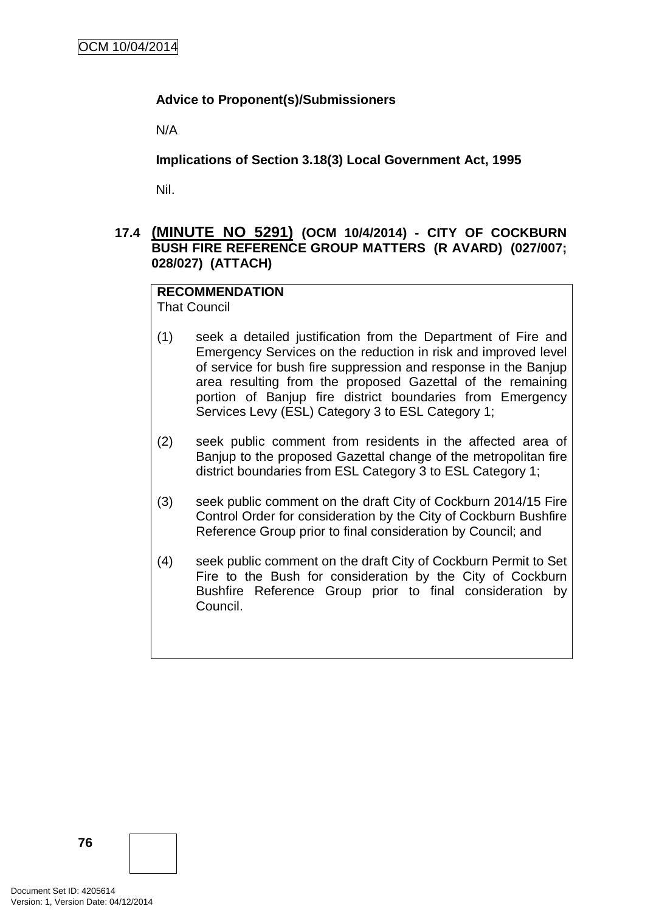## **Advice to Proponent(s)/Submissioners**

N/A

**Implications of Section 3.18(3) Local Government Act, 1995**

Nil.

# **17.4 (MINUTE NO 5291) (OCM 10/4/2014) - CITY OF COCKBURN BUSH FIRE REFERENCE GROUP MATTERS (R AVARD) (027/007; 028/027) (ATTACH)**

#### **RECOMMENDATION** That Council

- (1) seek a detailed justification from the Department of Fire and Emergency Services on the reduction in risk and improved level of service for bush fire suppression and response in the Banjup area resulting from the proposed Gazettal of the remaining portion of Banjup fire district boundaries from Emergency Services Levy (ESL) Category 3 to ESL Category 1;
- (2) seek public comment from residents in the affected area of Banjup to the proposed Gazettal change of the metropolitan fire district boundaries from ESL Category 3 to ESL Category 1;
- (3) seek public comment on the draft City of Cockburn 2014/15 Fire Control Order for consideration by the City of Cockburn Bushfire Reference Group prior to final consideration by Council; and
- (4) seek public comment on the draft City of Cockburn Permit to Set Fire to the Bush for consideration by the City of Cockburn Bushfire Reference Group prior to final consideration by Council.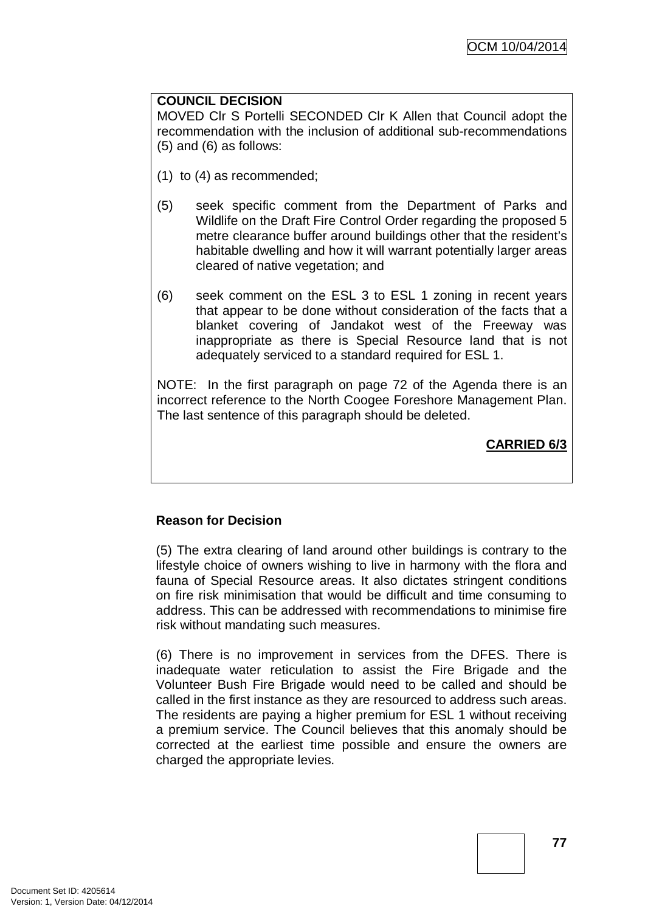# **COUNCIL DECISION**

MOVED Clr S Portelli SECONDED Clr K Allen that Council adopt the recommendation with the inclusion of additional sub-recommendations (5) and (6) as follows:

- (1) to (4) as recommended;
- (5) seek specific comment from the Department of Parks and Wildlife on the Draft Fire Control Order regarding the proposed 5 metre clearance buffer around buildings other that the resident's habitable dwelling and how it will warrant potentially larger areas cleared of native vegetation; and
- (6) seek comment on the ESL 3 to ESL 1 zoning in recent years that appear to be done without consideration of the facts that a blanket covering of Jandakot west of the Freeway was inappropriate as there is Special Resource land that is not adequately serviced to a standard required for ESL 1.

NOTE: In the first paragraph on page 72 of the Agenda there is an incorrect reference to the North Coogee Foreshore Management Plan. The last sentence of this paragraph should be deleted.

**CARRIED 6/3**

## **Reason for Decision**

(5) The extra clearing of land around other buildings is contrary to the lifestyle choice of owners wishing to live in harmony with the flora and fauna of Special Resource areas. It also dictates stringent conditions on fire risk minimisation that would be difficult and time consuming to address. This can be addressed with recommendations to minimise fire risk without mandating such measures.

(6) There is no improvement in services from the DFES. There is inadequate water reticulation to assist the Fire Brigade and the Volunteer Bush Fire Brigade would need to be called and should be called in the first instance as they are resourced to address such areas. The residents are paying a higher premium for ESL 1 without receiving a premium service. The Council believes that this anomaly should be corrected at the earliest time possible and ensure the owners are charged the appropriate levies.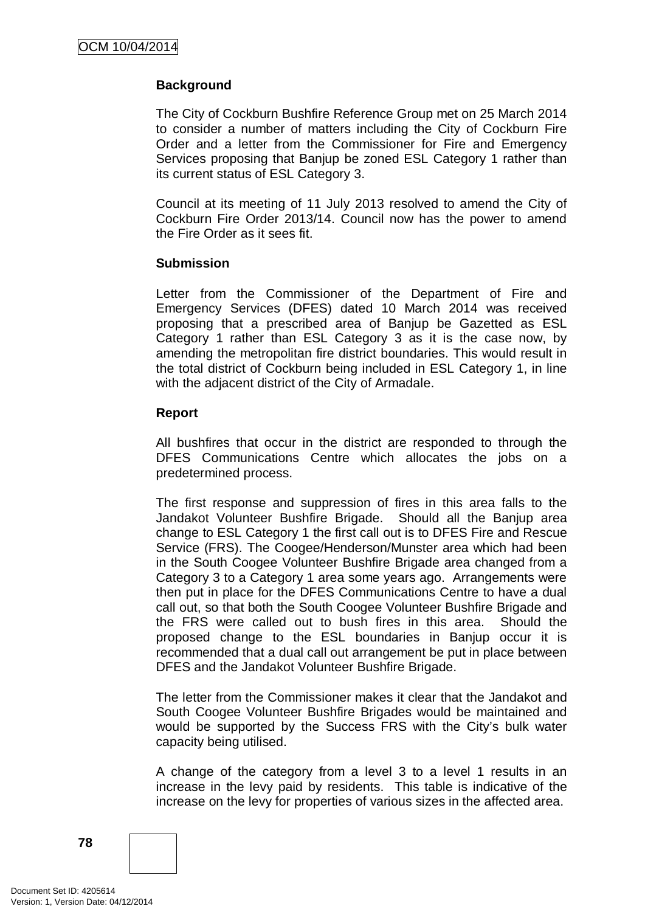# **Background**

The City of Cockburn Bushfire Reference Group met on 25 March 2014 to consider a number of matters including the City of Cockburn Fire Order and a letter from the Commissioner for Fire and Emergency Services proposing that Banjup be zoned ESL Category 1 rather than its current status of ESL Category 3.

Council at its meeting of 11 July 2013 resolved to amend the City of Cockburn Fire Order 2013/14. Council now has the power to amend the Fire Order as it sees fit.

#### **Submission**

Letter from the Commissioner of the Department of Fire and Emergency Services (DFES) dated 10 March 2014 was received proposing that a prescribed area of Banjup be Gazetted as ESL Category 1 rather than ESL Category 3 as it is the case now, by amending the metropolitan fire district boundaries. This would result in the total district of Cockburn being included in ESL Category 1, in line with the adjacent district of the City of Armadale.

## **Report**

All bushfires that occur in the district are responded to through the DFES Communications Centre which allocates the jobs on a predetermined process.

The first response and suppression of fires in this area falls to the Jandakot Volunteer Bushfire Brigade. Should all the Banjup area change to ESL Category 1 the first call out is to DFES Fire and Rescue Service (FRS). The Coogee/Henderson/Munster area which had been in the South Coogee Volunteer Bushfire Brigade area changed from a Category 3 to a Category 1 area some years ago. Arrangements were then put in place for the DFES Communications Centre to have a dual call out, so that both the South Coogee Volunteer Bushfire Brigade and the FRS were called out to bush fires in this area. Should the proposed change to the ESL boundaries in Banjup occur it is recommended that a dual call out arrangement be put in place between DFES and the Jandakot Volunteer Bushfire Brigade.

The letter from the Commissioner makes it clear that the Jandakot and South Coogee Volunteer Bushfire Brigades would be maintained and would be supported by the Success FRS with the City's bulk water capacity being utilised.

A change of the category from a level 3 to a level 1 results in an increase in the levy paid by residents. This table is indicative of the increase on the levy for properties of various sizes in the affected area.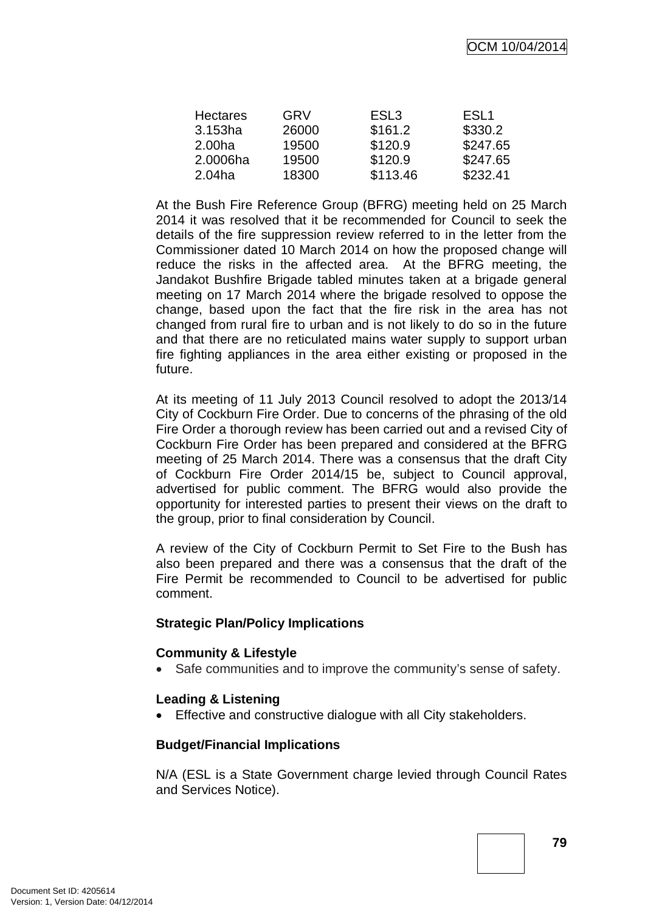| <b>Hectares</b> | GRV   | ESL <sub>3</sub> | ESL <sub>1</sub> |
|-----------------|-------|------------------|------------------|
| 3.153ha         | 26000 | \$161.2          | \$330.2          |
| 2.00ha          | 19500 | \$120.9          | \$247.65         |
| 2.0006ha        | 19500 | \$120.9          | \$247.65         |
| 2.04ha          | 18300 | \$113.46         | \$232.41         |

At the Bush Fire Reference Group (BFRG) meeting held on 25 March 2014 it was resolved that it be recommended for Council to seek the details of the fire suppression review referred to in the letter from the Commissioner dated 10 March 2014 on how the proposed change will reduce the risks in the affected area. At the BFRG meeting, the Jandakot Bushfire Brigade tabled minutes taken at a brigade general meeting on 17 March 2014 where the brigade resolved to oppose the change, based upon the fact that the fire risk in the area has not changed from rural fire to urban and is not likely to do so in the future and that there are no reticulated mains water supply to support urban fire fighting appliances in the area either existing or proposed in the future.

At its meeting of 11 July 2013 Council resolved to adopt the 2013/14 City of Cockburn Fire Order. Due to concerns of the phrasing of the old Fire Order a thorough review has been carried out and a revised City of Cockburn Fire Order has been prepared and considered at the BFRG meeting of 25 March 2014. There was a consensus that the draft City of Cockburn Fire Order 2014/15 be, subject to Council approval, advertised for public comment. The BFRG would also provide the opportunity for interested parties to present their views on the draft to the group, prior to final consideration by Council.

A review of the City of Cockburn Permit to Set Fire to the Bush has also been prepared and there was a consensus that the draft of the Fire Permit be recommended to Council to be advertised for public comment.

## **Strategic Plan/Policy Implications**

#### **Community & Lifestyle**

• Safe communities and to improve the community's sense of safety.

## **Leading & Listening**

• Effective and constructive dialogue with all City stakeholders.

#### **Budget/Financial Implications**

N/A (ESL is a State Government charge levied through Council Rates and Services Notice).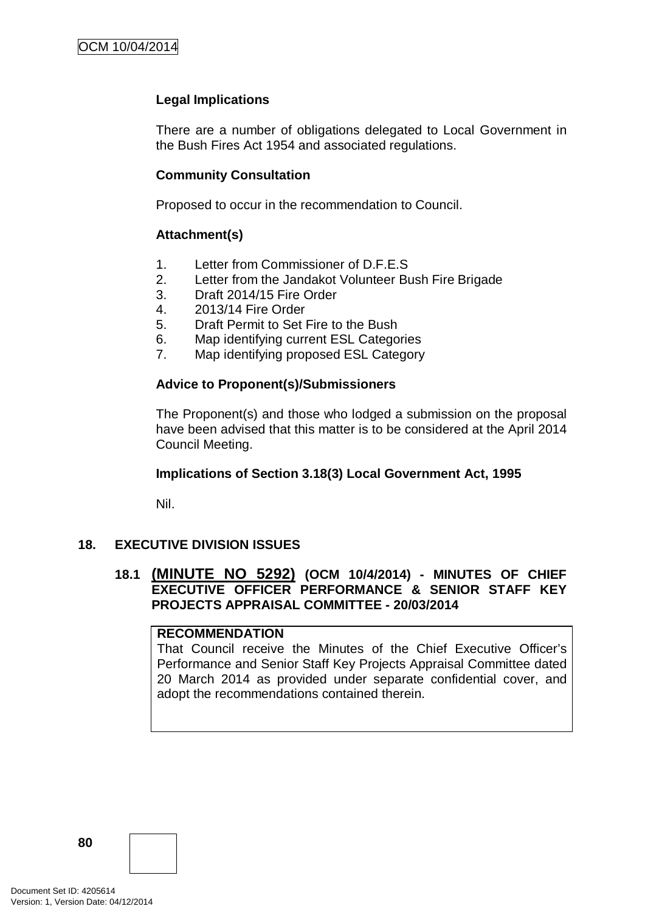## **Legal Implications**

There are a number of obligations delegated to Local Government in the Bush Fires Act 1954 and associated regulations.

#### **Community Consultation**

Proposed to occur in the recommendation to Council.

#### **Attachment(s)**

- 1. Letter from Commissioner of D.F.E.S
- 2. Letter from the Jandakot Volunteer Bush Fire Brigade
- 3. Draft 2014/15 Fire Order
- 4. 2013/14 Fire Order
- 5. Draft Permit to Set Fire to the Bush
- 6. Map identifying current ESL Categories
- 7. Map identifying proposed ESL Category

#### **Advice to Proponent(s)/Submissioners**

The Proponent(s) and those who lodged a submission on the proposal have been advised that this matter is to be considered at the April 2014 Council Meeting.

#### **Implications of Section 3.18(3) Local Government Act, 1995**

Nil.

## **18. EXECUTIVE DIVISION ISSUES**

## **18.1 (MINUTE NO 5292) (OCM 10/4/2014) - MINUTES OF CHIEF EXECUTIVE OFFICER PERFORMANCE & SENIOR STAFF KEY PROJECTS APPRAISAL COMMITTEE - 20/03/2014**

#### **RECOMMENDATION**

That Council receive the Minutes of the Chief Executive Officer's Performance and Senior Staff Key Projects Appraisal Committee dated 20 March 2014 as provided under separate confidential cover, and adopt the recommendations contained therein.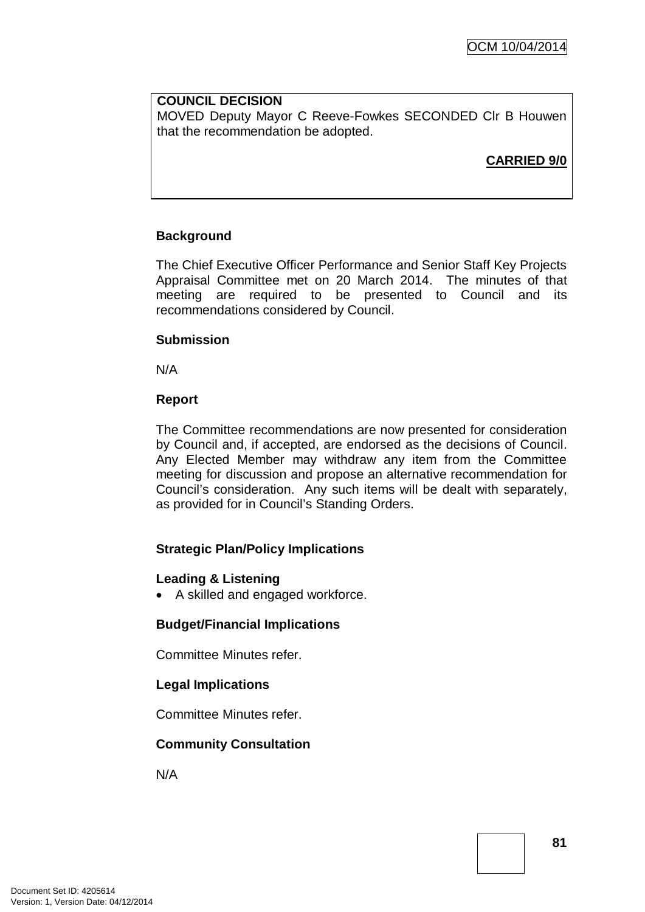## **COUNCIL DECISION**

MOVED Deputy Mayor C Reeve-Fowkes SECONDED Clr B Houwen that the recommendation be adopted.

# **CARRIED 9/0**

# **Background**

The Chief Executive Officer Performance and Senior Staff Key Projects Appraisal Committee met on 20 March 2014. The minutes of that meeting are required to be presented to Council and its recommendations considered by Council.

#### **Submission**

N/A

#### **Report**

The Committee recommendations are now presented for consideration by Council and, if accepted, are endorsed as the decisions of Council. Any Elected Member may withdraw any item from the Committee meeting for discussion and propose an alternative recommendation for Council's consideration. Any such items will be dealt with separately, as provided for in Council's Standing Orders.

## **Strategic Plan/Policy Implications**

## **Leading & Listening**

• A skilled and engaged workforce.

## **Budget/Financial Implications**

Committee Minutes refer.

## **Legal Implications**

Committee Minutes refer.

## **Community Consultation**

N/A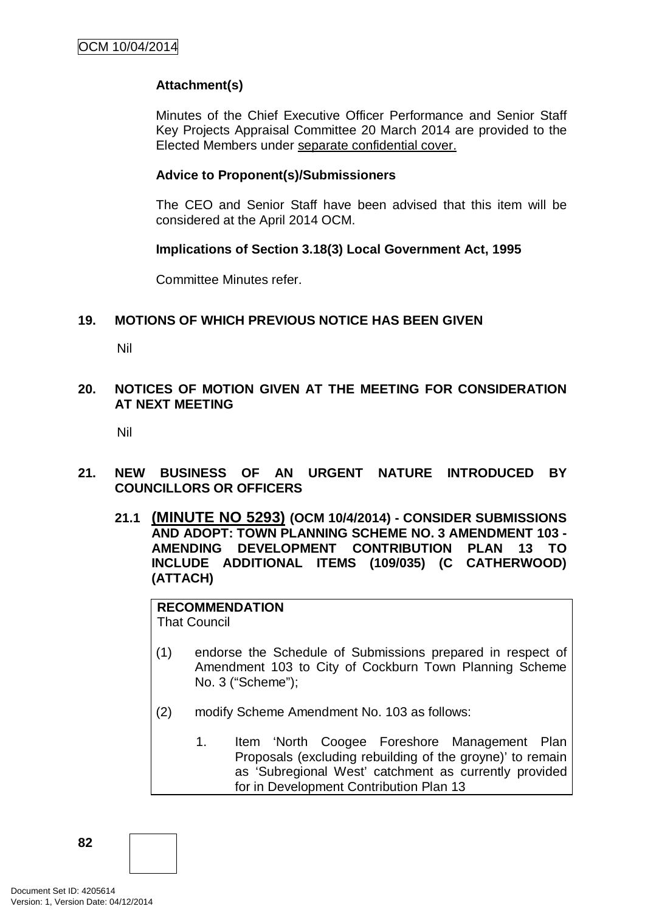# **Attachment(s)**

Minutes of the Chief Executive Officer Performance and Senior Staff Key Projects Appraisal Committee 20 March 2014 are provided to the Elected Members under separate confidential cover.

## **Advice to Proponent(s)/Submissioners**

The CEO and Senior Staff have been advised that this item will be considered at the April 2014 OCM.

## **Implications of Section 3.18(3) Local Government Act, 1995**

Committee Minutes refer.

# **19. MOTIONS OF WHICH PREVIOUS NOTICE HAS BEEN GIVEN**

Nil

## **20. NOTICES OF MOTION GIVEN AT THE MEETING FOR CONSIDERATION AT NEXT MEETING**

Nil

# **21. NEW BUSINESS OF AN URGENT NATURE INTRODUCED BY COUNCILLORS OR OFFICERS**

**21.1 (MINUTE NO 5293) (OCM 10/4/2014) - CONSIDER SUBMISSIONS AND ADOPT: TOWN PLANNING SCHEME NO. 3 AMENDMENT 103 - AMENDING DEVELOPMENT CONTRIBUTION PLAN 13 TO INCLUDE ADDITIONAL ITEMS (109/035) (C CATHERWOOD) (ATTACH)**

**RECOMMENDATION** That Council

- (1) endorse the Schedule of Submissions prepared in respect of Amendment 103 to City of Cockburn Town Planning Scheme No. 3 ("Scheme");
- (2) modify Scheme Amendment No. 103 as follows:
	- 1. Item 'North Coogee Foreshore Management Plan Proposals (excluding rebuilding of the groyne)' to remain as 'Subregional West' catchment as currently provided for in Development Contribution Plan 13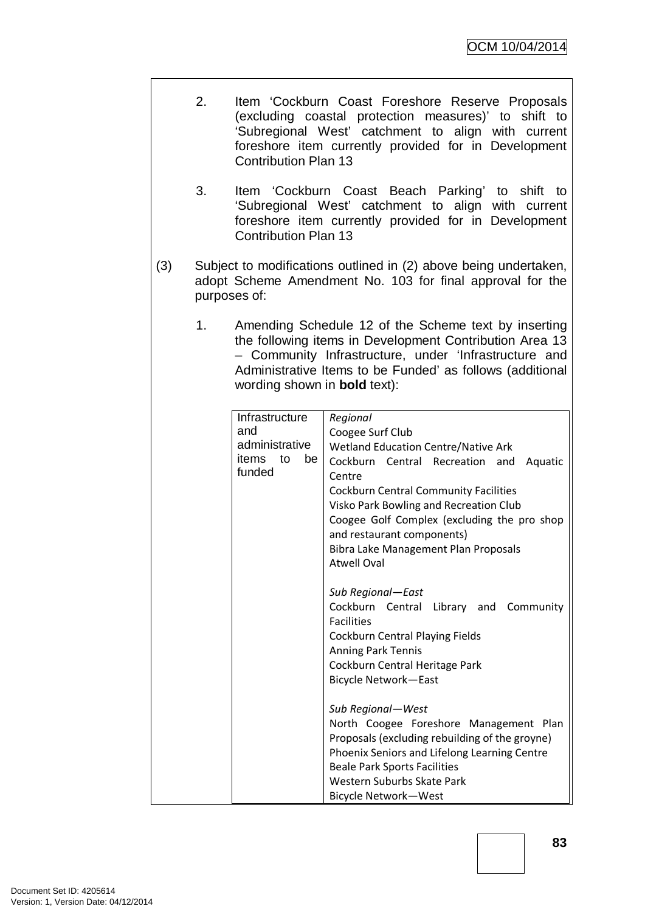- 2. Item 'Cockburn Coast Foreshore Reserve Proposals (excluding coastal protection measures)' to shift to 'Subregional West' catchment to align with current foreshore item currently provided for in Development Contribution Plan 13
- 3. Item 'Cockburn Coast Beach Parking' to shift to 'Subregional West' catchment to align with current foreshore item currently provided for in Development Contribution Plan 13
- (3) Subject to modifications outlined in (2) above being undertaken, adopt Scheme Amendment No. 103 for final approval for the purposes of:
	- 1. Amending Schedule 12 of the Scheme text by inserting the following items in Development Contribution Area 13 – Community Infrastructure, under 'Infrastructure and Administrative Items to be Funded' as follows (additional wording shown in **bold** text):

| Infrastructure<br>and<br>administrative<br>items to<br>be<br>funded | Regional<br>Coogee Surf Club<br>Wetland Education Centre/Native Ark<br>Cockburn Central<br>Recreation<br>and<br>Aquatic<br>Centre<br><b>Cockburn Central Community Facilities</b><br>Visko Park Bowling and Recreation Club<br>Coogee Golf Complex (excluding the pro shop<br>and restaurant components)<br>Bibra Lake Management Plan Proposals<br><b>Atwell Oval</b> |
|---------------------------------------------------------------------|------------------------------------------------------------------------------------------------------------------------------------------------------------------------------------------------------------------------------------------------------------------------------------------------------------------------------------------------------------------------|
|                                                                     | Sub Regional-East<br>Cockburn Central<br>Library and Community<br><b>Facilities</b><br><b>Cockburn Central Playing Fields</b><br>Anning Park Tennis<br>Cockburn Central Heritage Park<br><b>Bicycle Network-East</b>                                                                                                                                                   |
|                                                                     | Sub Regional-West<br>North Coogee Foreshore Management Plan<br>Proposals (excluding rebuilding of the groyne)<br>Phoenix Seniors and Lifelong Learning Centre<br><b>Beale Park Sports Facilities</b><br><b>Western Suburbs Skate Park</b><br>Bicycle Network-West                                                                                                      |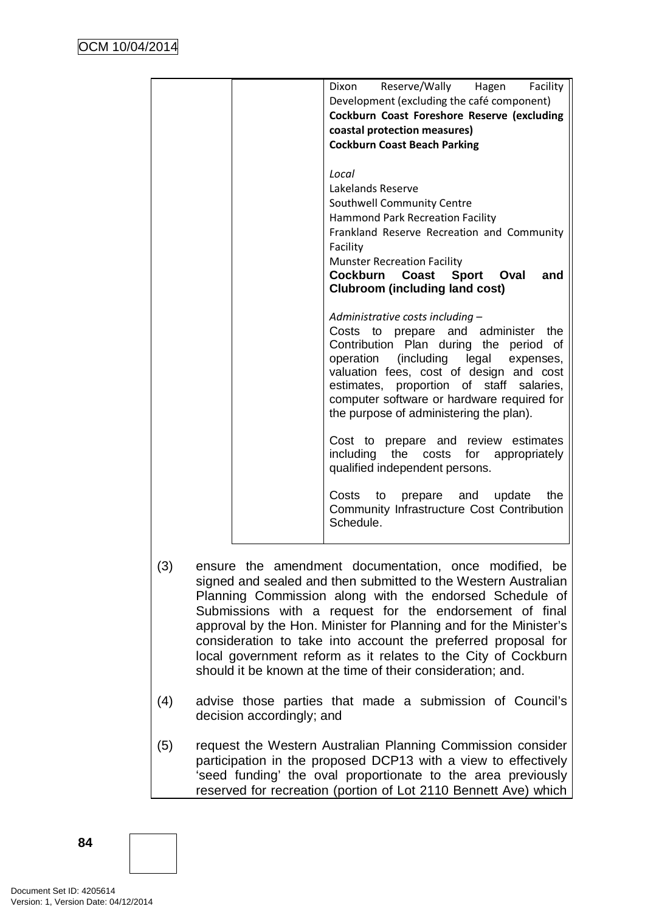| Reserve/Wally<br>Facility<br>Dixon<br>Hagen<br>Development (excluding the café component)<br>Cockburn Coast Foreshore Reserve (excluding<br>coastal protection measures)<br><b>Cockburn Coast Beach Parking</b>                                                                                                                                          |  |
|----------------------------------------------------------------------------------------------------------------------------------------------------------------------------------------------------------------------------------------------------------------------------------------------------------------------------------------------------------|--|
| Local<br>Lakelands Reserve<br>Southwell Community Centre<br><b>Hammond Park Recreation Facility</b><br>Frankland Reserve Recreation and Community<br>Facility<br><b>Munster Recreation Facility</b><br>Coast<br>Cockburn<br>Sport Oval<br>and<br><b>Clubroom (including land cost)</b>                                                                   |  |
| Administrative costs including -<br>Costs to prepare and administer<br>the<br>Contribution Plan during the period of<br>(including legal<br>operation<br>expenses,<br>valuation fees, cost of design and cost<br>estimates, proportion of<br>staff<br>salaries,<br>computer software or hardware required for<br>the purpose of administering the plan). |  |
| Cost to prepare and review estimates<br>including<br>the<br>costs<br>for<br>appropriately<br>qualified independent persons.                                                                                                                                                                                                                              |  |
| Costs<br>the<br>to<br>prepare and<br>update<br>Community Infrastructure Cost Contribution<br>Schedule.                                                                                                                                                                                                                                                   |  |

- (3) ensure the amendment documentation, once modified, be signed and sealed and then submitted to the Western Australian Planning Commission along with the endorsed Schedule of Submissions with a request for the endorsement of final approval by the Hon. Minister for Planning and for the Minister's consideration to take into account the preferred proposal for local government reform as it relates to the City of Cockburn should it be known at the time of their consideration; and.
- (4) advise those parties that made a submission of Council's decision accordingly; and
- (5) request the Western Australian Planning Commission consider participation in the proposed DCP13 with a view to effectively 'seed funding' the oval proportionate to the area previously reserved for recreation (portion of Lot 2110 Bennett Ave) which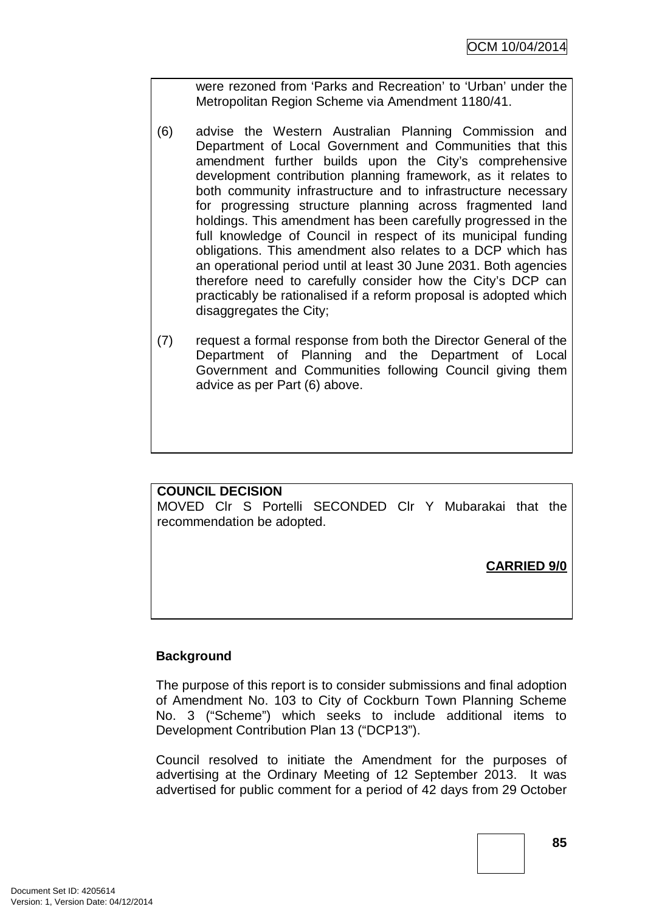were rezoned from 'Parks and Recreation' to 'Urban' under the Metropolitan Region Scheme via Amendment 1180/41.

- (6) advise the Western Australian Planning Commission and Department of Local Government and Communities that this amendment further builds upon the City's comprehensive development contribution planning framework, as it relates to both community infrastructure and to infrastructure necessary for progressing structure planning across fragmented land holdings. This amendment has been carefully progressed in the full knowledge of Council in respect of its municipal funding obligations. This amendment also relates to a DCP which has an operational period until at least 30 June 2031. Both agencies therefore need to carefully consider how the City's DCP can practicably be rationalised if a reform proposal is adopted which disaggregates the City;
- (7) request a formal response from both the Director General of the Department of Planning and the Department of Local Government and Communities following Council giving them advice as per Part (6) above.

# **COUNCIL DECISION**

MOVED Clr S Portelli SECONDED Clr Y Mubarakai that the recommendation be adopted.

**CARRIED 9/0**

# **Background**

The purpose of this report is to consider submissions and final adoption of Amendment No. 103 to City of Cockburn Town Planning Scheme No. 3 ("Scheme") which seeks to include additional items to Development Contribution Plan 13 ("DCP13").

Council resolved to initiate the Amendment for the purposes of advertising at the Ordinary Meeting of 12 September 2013. It was advertised for public comment for a period of 42 days from 29 October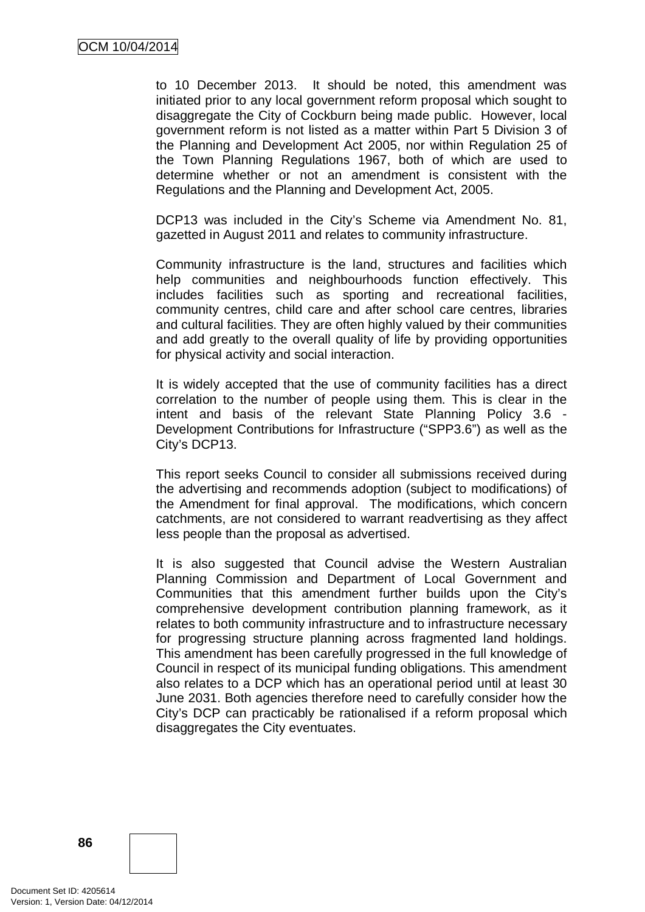to 10 December 2013. It should be noted, this amendment was initiated prior to any local government reform proposal which sought to disaggregate the City of Cockburn being made public. However, local government reform is not listed as a matter within Part 5 Division 3 of the Planning and Development Act 2005, nor within Regulation 25 of the Town Planning Regulations 1967, both of which are used to determine whether or not an amendment is consistent with the Regulations and the Planning and Development Act, 2005.

DCP13 was included in the City's Scheme via Amendment No. 81, gazetted in August 2011 and relates to community infrastructure.

Community infrastructure is the land, structures and facilities which help communities and neighbourhoods function effectively. This includes facilities such as sporting and recreational facilities, community centres, child care and after school care centres, libraries and cultural facilities. They are often highly valued by their communities and add greatly to the overall quality of life by providing opportunities for physical activity and social interaction.

It is widely accepted that the use of community facilities has a direct correlation to the number of people using them. This is clear in the intent and basis of the relevant State Planning Policy 3.6 - Development Contributions for Infrastructure ("SPP3.6") as well as the City's DCP13.

This report seeks Council to consider all submissions received during the advertising and recommends adoption (subject to modifications) of the Amendment for final approval. The modifications, which concern catchments, are not considered to warrant readvertising as they affect less people than the proposal as advertised.

It is also suggested that Council advise the Western Australian Planning Commission and Department of Local Government and Communities that this amendment further builds upon the City's comprehensive development contribution planning framework, as it relates to both community infrastructure and to infrastructure necessary for progressing structure planning across fragmented land holdings. This amendment has been carefully progressed in the full knowledge of Council in respect of its municipal funding obligations. This amendment also relates to a DCP which has an operational period until at least 30 June 2031. Both agencies therefore need to carefully consider how the City's DCP can practicably be rationalised if a reform proposal which disaggregates the City eventuates.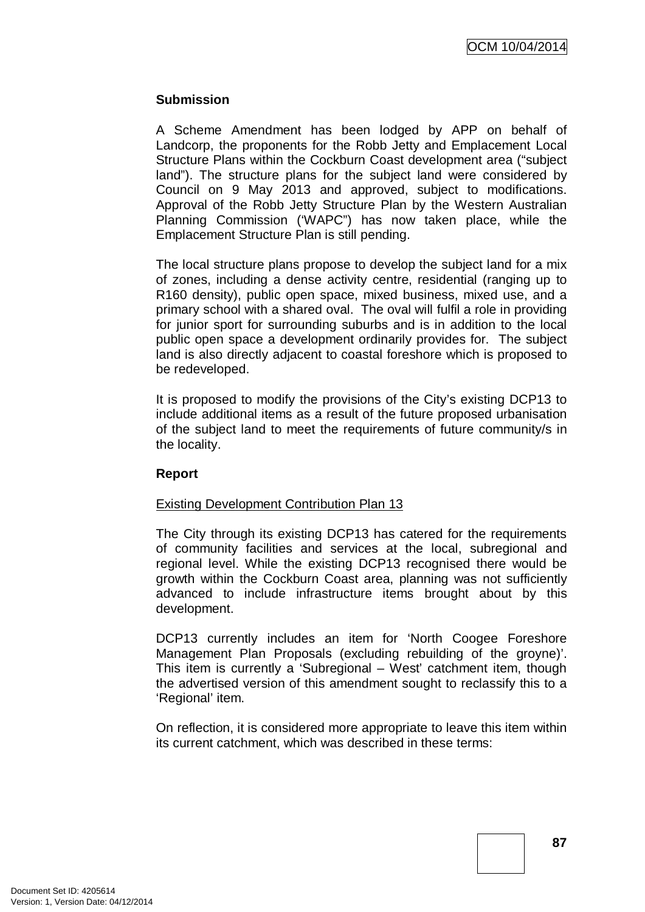#### **Submission**

A Scheme Amendment has been lodged by APP on behalf of Landcorp, the proponents for the Robb Jetty and Emplacement Local Structure Plans within the Cockburn Coast development area ("subject land"). The structure plans for the subject land were considered by Council on 9 May 2013 and approved, subject to modifications. Approval of the Robb Jetty Structure Plan by the Western Australian Planning Commission ('WAPC") has now taken place, while the Emplacement Structure Plan is still pending.

The local structure plans propose to develop the subject land for a mix of zones, including a dense activity centre, residential (ranging up to R160 density), public open space, mixed business, mixed use, and a primary school with a shared oval. The oval will fulfil a role in providing for junior sport for surrounding suburbs and is in addition to the local public open space a development ordinarily provides for. The subject land is also directly adjacent to coastal foreshore which is proposed to be redeveloped.

It is proposed to modify the provisions of the City's existing DCP13 to include additional items as a result of the future proposed urbanisation of the subject land to meet the requirements of future community/s in the locality.

## **Report**

#### Existing Development Contribution Plan 13

The City through its existing DCP13 has catered for the requirements of community facilities and services at the local, subregional and regional level. While the existing DCP13 recognised there would be growth within the Cockburn Coast area, planning was not sufficiently advanced to include infrastructure items brought about by this development.

DCP13 currently includes an item for 'North Coogee Foreshore Management Plan Proposals (excluding rebuilding of the groyne)'. This item is currently a 'Subregional – West' catchment item, though the advertised version of this amendment sought to reclassify this to a 'Regional' item.

On reflection, it is considered more appropriate to leave this item within its current catchment, which was described in these terms: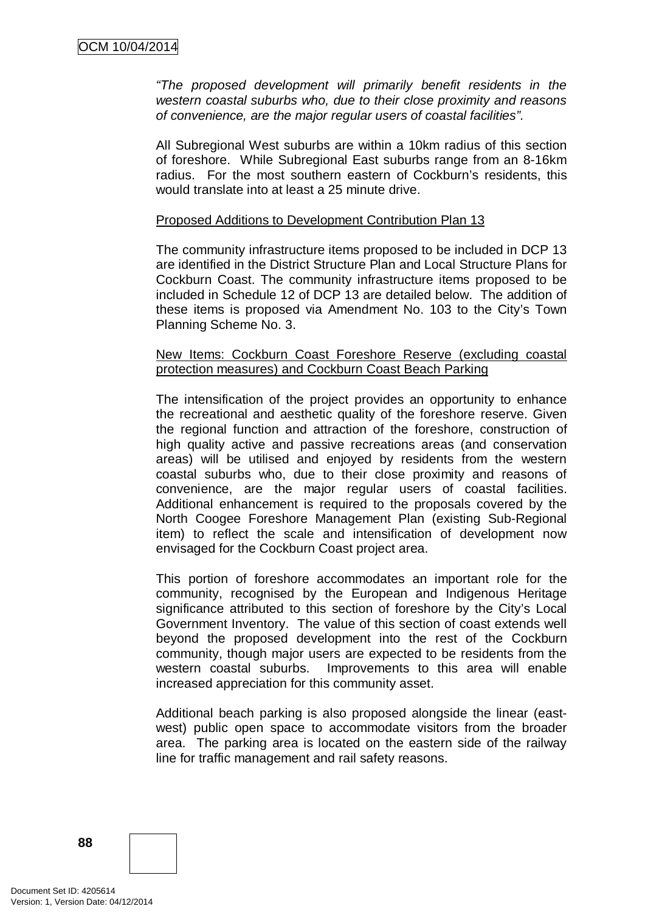*"The proposed development will primarily benefit residents in the western coastal suburbs who, due to their close proximity and reasons of convenience, are the major regular users of coastal facilities".*

All Subregional West suburbs are within a 10km radius of this section of foreshore. While Subregional East suburbs range from an 8-16km radius. For the most southern eastern of Cockburn's residents, this would translate into at least a 25 minute drive.

#### Proposed Additions to Development Contribution Plan 13

The community infrastructure items proposed to be included in DCP 13 are identified in the District Structure Plan and Local Structure Plans for Cockburn Coast. The community infrastructure items proposed to be included in Schedule 12 of DCP 13 are detailed below. The addition of these items is proposed via Amendment No. 103 to the City's Town Planning Scheme No. 3.

#### New Items: Cockburn Coast Foreshore Reserve (excluding coastal protection measures) and Cockburn Coast Beach Parking

The intensification of the project provides an opportunity to enhance the recreational and aesthetic quality of the foreshore reserve. Given the regional function and attraction of the foreshore, construction of high quality active and passive recreations areas (and conservation areas) will be utilised and enjoyed by residents from the western coastal suburbs who, due to their close proximity and reasons of convenience, are the major regular users of coastal facilities. Additional enhancement is required to the proposals covered by the North Coogee Foreshore Management Plan (existing Sub-Regional item) to reflect the scale and intensification of development now envisaged for the Cockburn Coast project area.

This portion of foreshore accommodates an important role for the community, recognised by the European and Indigenous Heritage significance attributed to this section of foreshore by the City's Local Government Inventory. The value of this section of coast extends well beyond the proposed development into the rest of the Cockburn community, though major users are expected to be residents from the western coastal suburbs. Improvements to this area will enable increased appreciation for this community asset.

Additional beach parking is also proposed alongside the linear (eastwest) public open space to accommodate visitors from the broader area. The parking area is located on the eastern side of the railway line for traffic management and rail safety reasons.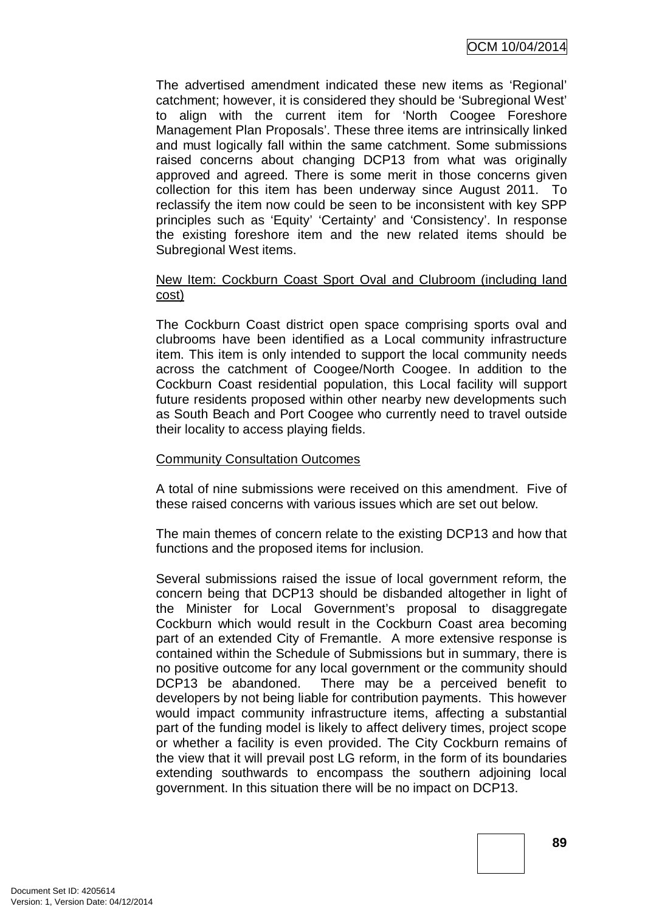The advertised amendment indicated these new items as 'Regional' catchment; however, it is considered they should be 'Subregional West' to align with the current item for 'North Coogee Foreshore Management Plan Proposals'. These three items are intrinsically linked and must logically fall within the same catchment. Some submissions raised concerns about changing DCP13 from what was originally approved and agreed. There is some merit in those concerns given collection for this item has been underway since August 2011. To reclassify the item now could be seen to be inconsistent with key SPP principles such as 'Equity' 'Certainty' and 'Consistency'. In response the existing foreshore item and the new related items should be Subregional West items.

## New Item: Cockburn Coast Sport Oval and Clubroom (including land cost)

The Cockburn Coast district open space comprising sports oval and clubrooms have been identified as a Local community infrastructure item. This item is only intended to support the local community needs across the catchment of Coogee/North Coogee. In addition to the Cockburn Coast residential population, this Local facility will support future residents proposed within other nearby new developments such as South Beach and Port Coogee who currently need to travel outside their locality to access playing fields.

## Community Consultation Outcomes

A total of nine submissions were received on this amendment. Five of these raised concerns with various issues which are set out below.

The main themes of concern relate to the existing DCP13 and how that functions and the proposed items for inclusion.

Several submissions raised the issue of local government reform, the concern being that DCP13 should be disbanded altogether in light of the Minister for Local Government's proposal to disaggregate Cockburn which would result in the Cockburn Coast area becoming part of an extended City of Fremantle. A more extensive response is contained within the Schedule of Submissions but in summary, there is no positive outcome for any local government or the community should DCP13 be abandoned. There may be a perceived benefit to developers by not being liable for contribution payments. This however would impact community infrastructure items, affecting a substantial part of the funding model is likely to affect delivery times, project scope or whether a facility is even provided. The City Cockburn remains of the view that it will prevail post LG reform, in the form of its boundaries extending southwards to encompass the southern adjoining local government. In this situation there will be no impact on DCP13.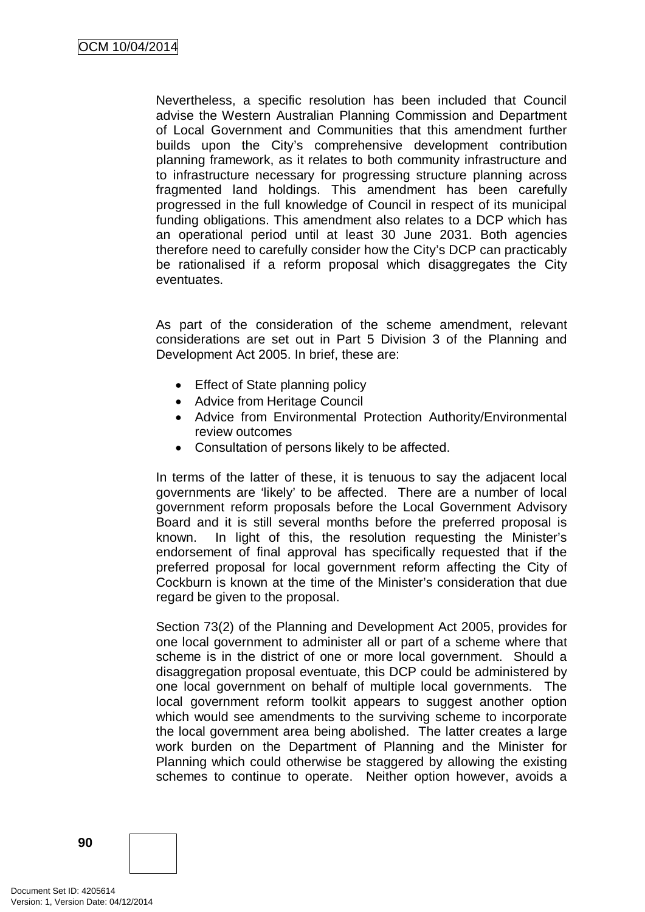Nevertheless, a specific resolution has been included that Council advise the Western Australian Planning Commission and Department of Local Government and Communities that this amendment further builds upon the City's comprehensive development contribution planning framework, as it relates to both community infrastructure and to infrastructure necessary for progressing structure planning across fragmented land holdings. This amendment has been carefully progressed in the full knowledge of Council in respect of its municipal funding obligations. This amendment also relates to a DCP which has an operational period until at least 30 June 2031. Both agencies therefore need to carefully consider how the City's DCP can practicably be rationalised if a reform proposal which disaggregates the City eventuates.

As part of the consideration of the scheme amendment, relevant considerations are set out in Part 5 Division 3 of the Planning and Development Act 2005. In brief, these are:

- Effect of State planning policy
- Advice from Heritage Council
- Advice from Environmental Protection Authority/Environmental review outcomes
- Consultation of persons likely to be affected.

In terms of the latter of these, it is tenuous to say the adjacent local governments are 'likely' to be affected. There are a number of local government reform proposals before the Local Government Advisory Board and it is still several months before the preferred proposal is known. In light of this, the resolution requesting the Minister's endorsement of final approval has specifically requested that if the preferred proposal for local government reform affecting the City of Cockburn is known at the time of the Minister's consideration that due regard be given to the proposal.

Section 73(2) of the Planning and Development Act 2005, provides for one local government to administer all or part of a scheme where that scheme is in the district of one or more local government. Should a disaggregation proposal eventuate, this DCP could be administered by one local government on behalf of multiple local governments. The local government reform toolkit appears to suggest another option which would see amendments to the surviving scheme to incorporate the local government area being abolished. The latter creates a large work burden on the Department of Planning and the Minister for Planning which could otherwise be staggered by allowing the existing schemes to continue to operate. Neither option however, avoids a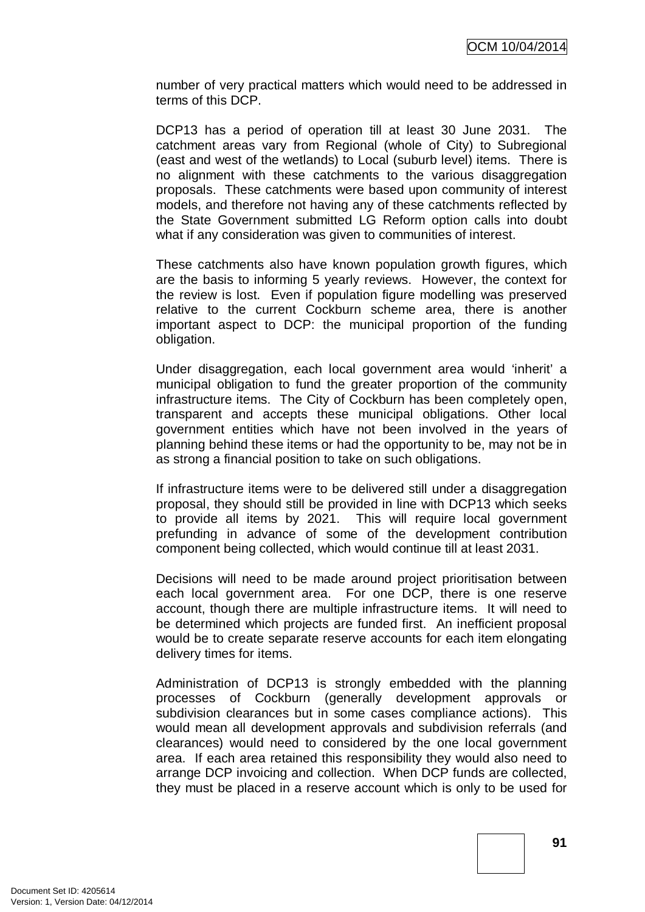number of very practical matters which would need to be addressed in terms of this DCP.

DCP13 has a period of operation till at least 30 June 2031. The catchment areas vary from Regional (whole of City) to Subregional (east and west of the wetlands) to Local (suburb level) items. There is no alignment with these catchments to the various disaggregation proposals. These catchments were based upon community of interest models, and therefore not having any of these catchments reflected by the State Government submitted LG Reform option calls into doubt what if any consideration was given to communities of interest.

These catchments also have known population growth figures, which are the basis to informing 5 yearly reviews. However, the context for the review is lost. Even if population figure modelling was preserved relative to the current Cockburn scheme area, there is another important aspect to DCP: the municipal proportion of the funding obligation.

Under disaggregation, each local government area would 'inherit' a municipal obligation to fund the greater proportion of the community infrastructure items. The City of Cockburn has been completely open, transparent and accepts these municipal obligations. Other local government entities which have not been involved in the years of planning behind these items or had the opportunity to be, may not be in as strong a financial position to take on such obligations.

If infrastructure items were to be delivered still under a disaggregation proposal, they should still be provided in line with DCP13 which seeks to provide all items by 2021. This will require local government prefunding in advance of some of the development contribution component being collected, which would continue till at least 2031.

Decisions will need to be made around project prioritisation between each local government area. For one DCP, there is one reserve account, though there are multiple infrastructure items. It will need to be determined which projects are funded first. An inefficient proposal would be to create separate reserve accounts for each item elongating delivery times for items.

Administration of DCP13 is strongly embedded with the planning processes of Cockburn (generally development approvals or subdivision clearances but in some cases compliance actions). This would mean all development approvals and subdivision referrals (and clearances) would need to considered by the one local government area. If each area retained this responsibility they would also need to arrange DCP invoicing and collection. When DCP funds are collected, they must be placed in a reserve account which is only to be used for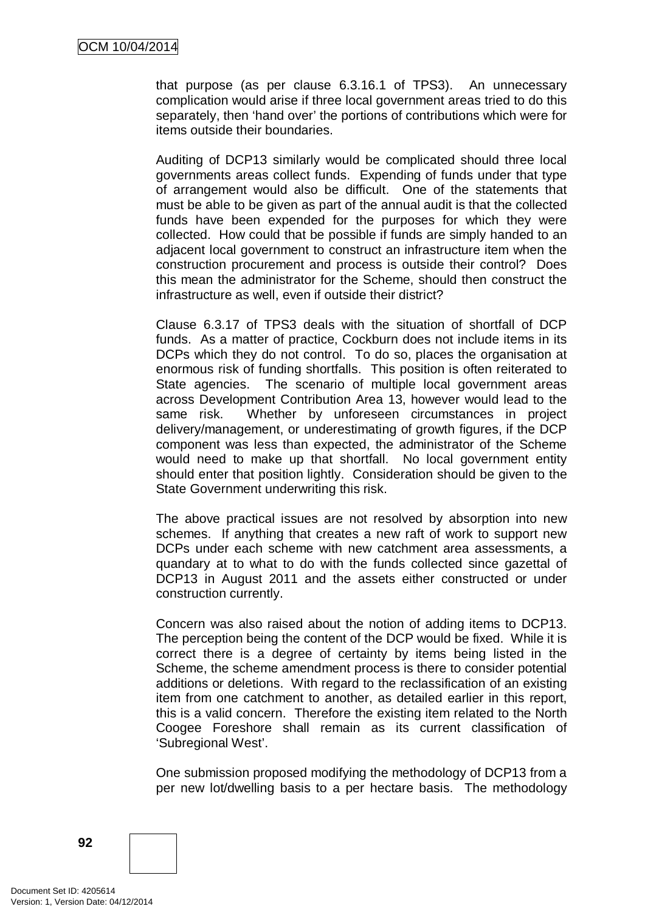that purpose (as per clause 6.3.16.1 of TPS3). An unnecessary complication would arise if three local government areas tried to do this separately, then 'hand over' the portions of contributions which were for items outside their boundaries.

Auditing of DCP13 similarly would be complicated should three local governments areas collect funds. Expending of funds under that type of arrangement would also be difficult. One of the statements that must be able to be given as part of the annual audit is that the collected funds have been expended for the purposes for which they were collected. How could that be possible if funds are simply handed to an adjacent local government to construct an infrastructure item when the construction procurement and process is outside their control? Does this mean the administrator for the Scheme, should then construct the infrastructure as well, even if outside their district?

Clause 6.3.17 of TPS3 deals with the situation of shortfall of DCP funds. As a matter of practice, Cockburn does not include items in its DCPs which they do not control. To do so, places the organisation at enormous risk of funding shortfalls. This position is often reiterated to State agencies. The scenario of multiple local government areas across Development Contribution Area 13, however would lead to the same risk. Whether by unforeseen circumstances in project delivery/management, or underestimating of growth figures, if the DCP component was less than expected, the administrator of the Scheme would need to make up that shortfall. No local government entity should enter that position lightly. Consideration should be given to the State Government underwriting this risk.

The above practical issues are not resolved by absorption into new schemes. If anything that creates a new raft of work to support new DCPs under each scheme with new catchment area assessments, a quandary at to what to do with the funds collected since gazettal of DCP13 in August 2011 and the assets either constructed or under construction currently.

Concern was also raised about the notion of adding items to DCP13. The perception being the content of the DCP would be fixed. While it is correct there is a degree of certainty by items being listed in the Scheme, the scheme amendment process is there to consider potential additions or deletions. With regard to the reclassification of an existing item from one catchment to another, as detailed earlier in this report, this is a valid concern. Therefore the existing item related to the North Coogee Foreshore shall remain as its current classification of 'Subregional West'.

One submission proposed modifying the methodology of DCP13 from a per new lot/dwelling basis to a per hectare basis. The methodology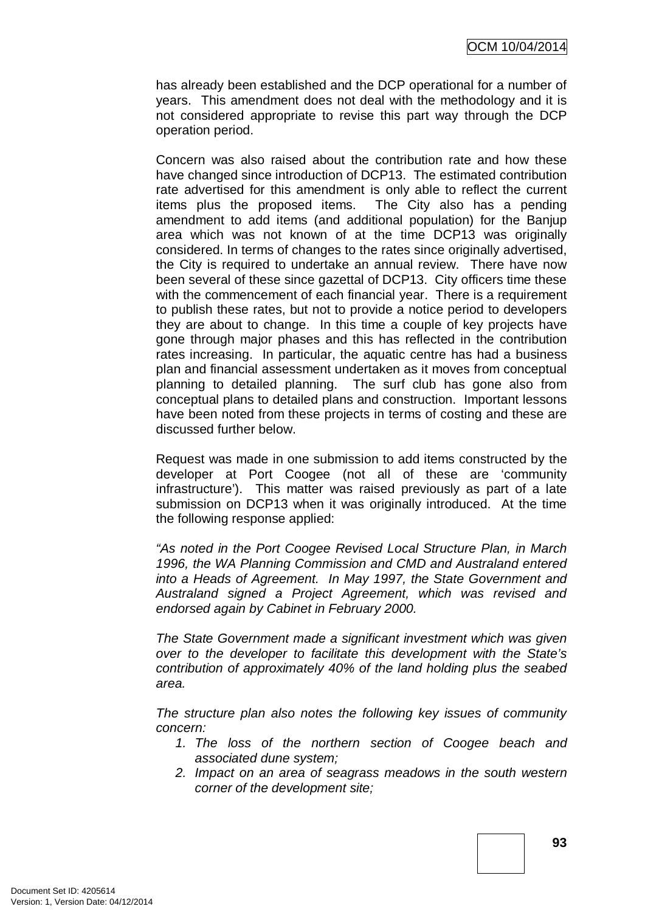has already been established and the DCP operational for a number of years. This amendment does not deal with the methodology and it is not considered appropriate to revise this part way through the DCP operation period.

Concern was also raised about the contribution rate and how these have changed since introduction of DCP13. The estimated contribution rate advertised for this amendment is only able to reflect the current items plus the proposed items. The City also has a pending amendment to add items (and additional population) for the Banjup area which was not known of at the time DCP13 was originally considered. In terms of changes to the rates since originally advertised, the City is required to undertake an annual review. There have now been several of these since gazettal of DCP13. City officers time these with the commencement of each financial year. There is a requirement to publish these rates, but not to provide a notice period to developers they are about to change. In this time a couple of key projects have gone through major phases and this has reflected in the contribution rates increasing. In particular, the aquatic centre has had a business plan and financial assessment undertaken as it moves from conceptual planning to detailed planning. The surf club has gone also from conceptual plans to detailed plans and construction. Important lessons have been noted from these projects in terms of costing and these are discussed further below.

Request was made in one submission to add items constructed by the developer at Port Coogee (not all of these are 'community infrastructure'). This matter was raised previously as part of a late submission on DCP13 when it was originally introduced. At the time the following response applied:

*"As noted in the Port Coogee Revised Local Structure Plan, in March 1996, the WA Planning Commission and CMD and Australand entered into a Heads of Agreement. In May 1997, the State Government and Australand signed a Project Agreement, which was revised and endorsed again by Cabinet in February 2000.* 

*The State Government made a significant investment which was given over to the developer to facilitate this development with the State's contribution of approximately 40% of the land holding plus the seabed area.*

*The structure plan also notes the following key issues of community concern:*

- *1. The loss of the northern section of Coogee beach and associated dune system;*
- *2. Impact on an area of seagrass meadows in the south western corner of the development site;*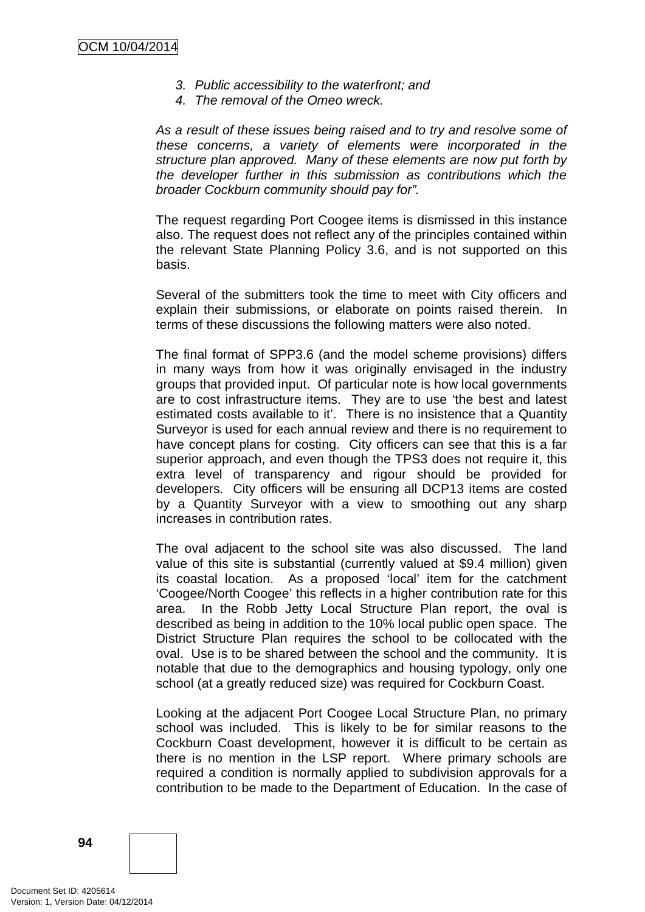- *3. Public accessibility to the waterfront; and*
- *4. The removal of the Omeo wreck.*

*As a result of these issues being raised and to try and resolve some of these concerns, a variety of elements were incorporated in the structure plan approved. Many of these elements are now put forth by the developer further in this submission as contributions which the broader Cockburn community should pay for".*

The request regarding Port Coogee items is dismissed in this instance also. The request does not reflect any of the principles contained within the relevant State Planning Policy 3.6, and is not supported on this basis.

Several of the submitters took the time to meet with City officers and explain their submissions, or elaborate on points raised therein. In terms of these discussions the following matters were also noted.

The final format of SPP3.6 (and the model scheme provisions) differs in many ways from how it was originally envisaged in the industry groups that provided input. Of particular note is how local governments are to cost infrastructure items. They are to use 'the best and latest estimated costs available to it'. There is no insistence that a Quantity Surveyor is used for each annual review and there is no requirement to have concept plans for costing. City officers can see that this is a far superior approach, and even though the TPS3 does not require it, this extra level of transparency and rigour should be provided for developers. City officers will be ensuring all DCP13 items are costed by a Quantity Surveyor with a view to smoothing out any sharp increases in contribution rates.

The oval adjacent to the school site was also discussed. The land value of this site is substantial (currently valued at \$9.4 million) given its coastal location. As a proposed 'local' item for the catchment 'Coogee/North Coogee' this reflects in a higher contribution rate for this area. In the Robb Jetty Local Structure Plan report, the oval is described as being in addition to the 10% local public open space. The District Structure Plan requires the school to be collocated with the oval. Use is to be shared between the school and the community. It is notable that due to the demographics and housing typology, only one school (at a greatly reduced size) was required for Cockburn Coast.

Looking at the adjacent Port Coogee Local Structure Plan, no primary school was included. This is likely to be for similar reasons to the Cockburn Coast development, however it is difficult to be certain as there is no mention in the LSP report. Where primary schools are required a condition is normally applied to subdivision approvals for a contribution to be made to the Department of Education. In the case of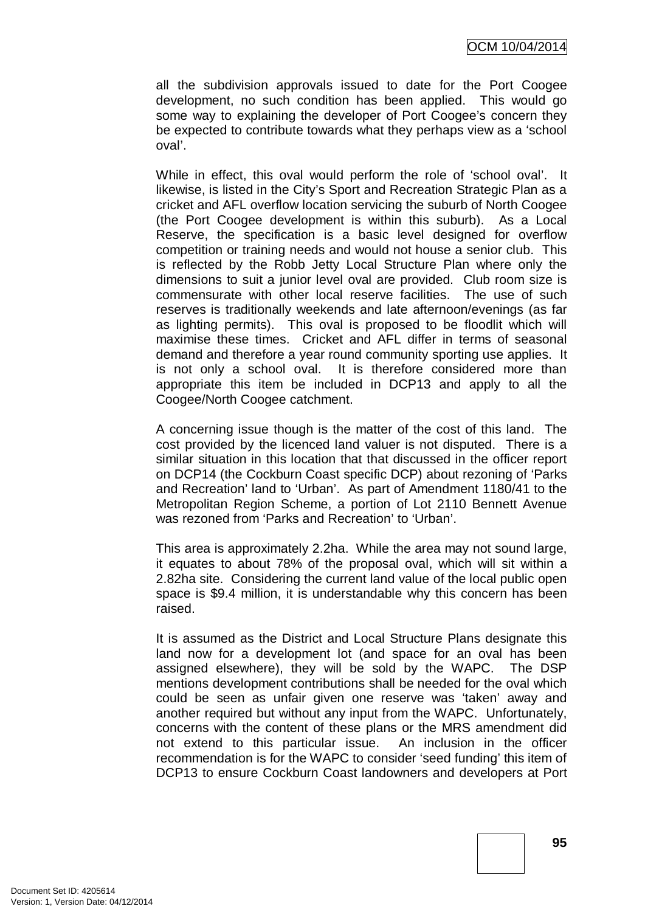all the subdivision approvals issued to date for the Port Coogee development, no such condition has been applied. This would go some way to explaining the developer of Port Coogee's concern they be expected to contribute towards what they perhaps view as a 'school oval'.

While in effect, this oval would perform the role of 'school oval'. It likewise, is listed in the City's Sport and Recreation Strategic Plan as a cricket and AFL overflow location servicing the suburb of North Coogee (the Port Coogee development is within this suburb). As a Local Reserve, the specification is a basic level designed for overflow competition or training needs and would not house a senior club. This is reflected by the Robb Jetty Local Structure Plan where only the dimensions to suit a junior level oval are provided. Club room size is commensurate with other local reserve facilities. The use of such reserves is traditionally weekends and late afternoon/evenings (as far as lighting permits). This oval is proposed to be floodlit which will maximise these times. Cricket and AFL differ in terms of seasonal demand and therefore a year round community sporting use applies. It is not only a school oval. It is therefore considered more than appropriate this item be included in DCP13 and apply to all the Coogee/North Coogee catchment.

A concerning issue though is the matter of the cost of this land. The cost provided by the licenced land valuer is not disputed. There is a similar situation in this location that that discussed in the officer report on DCP14 (the Cockburn Coast specific DCP) about rezoning of 'Parks and Recreation' land to 'Urban'. As part of Amendment 1180/41 to the Metropolitan Region Scheme, a portion of Lot 2110 Bennett Avenue was rezoned from 'Parks and Recreation' to 'Urban'.

This area is approximately 2.2ha. While the area may not sound large, it equates to about 78% of the proposal oval, which will sit within a 2.82ha site. Considering the current land value of the local public open space is \$9.4 million, it is understandable why this concern has been raised.

It is assumed as the District and Local Structure Plans designate this land now for a development lot (and space for an oval has been assigned elsewhere), they will be sold by the WAPC. The DSP mentions development contributions shall be needed for the oval which could be seen as unfair given one reserve was 'taken' away and another required but without any input from the WAPC. Unfortunately, concerns with the content of these plans or the MRS amendment did not extend to this particular issue. An inclusion in the officer recommendation is for the WAPC to consider 'seed funding' this item of DCP13 to ensure Cockburn Coast landowners and developers at Port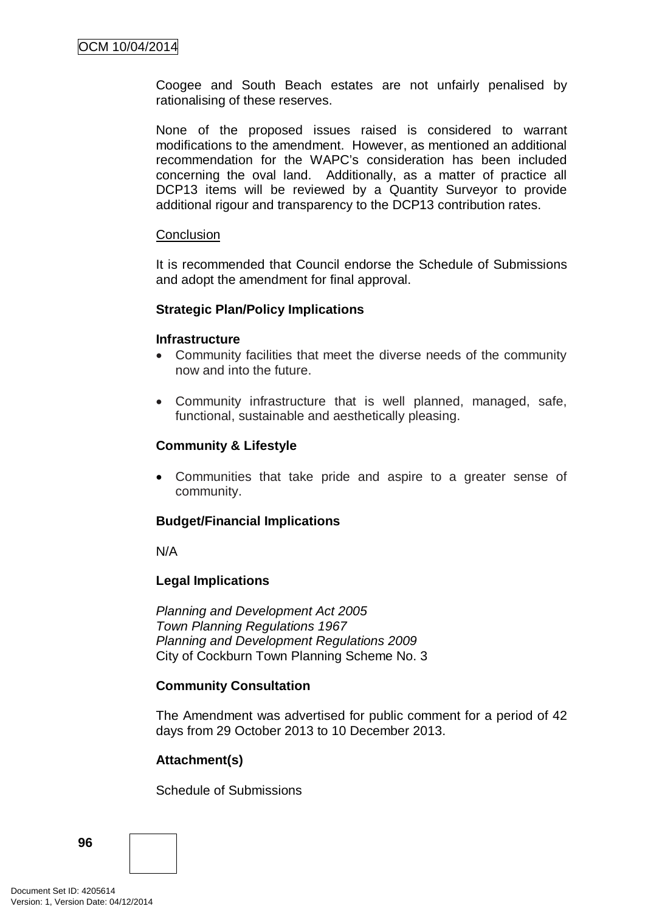Coogee and South Beach estates are not unfairly penalised by rationalising of these reserves.

None of the proposed issues raised is considered to warrant modifications to the amendment. However, as mentioned an additional recommendation for the WAPC's consideration has been included concerning the oval land. Additionally, as a matter of practice all DCP13 items will be reviewed by a Quantity Surveyor to provide additional rigour and transparency to the DCP13 contribution rates.

#### **Conclusion**

It is recommended that Council endorse the Schedule of Submissions and adopt the amendment for final approval.

## **Strategic Plan/Policy Implications**

#### **Infrastructure**

- Community facilities that meet the diverse needs of the community now and into the future.
- Community infrastructure that is well planned, managed, safe, functional, sustainable and aesthetically pleasing.

# **Community & Lifestyle**

• Communities that take pride and aspire to a greater sense of community.

## **Budget/Financial Implications**

N/A

## **Legal Implications**

*Planning and Development Act 2005 Town Planning Regulations 1967 Planning and Development Regulations 2009* City of Cockburn Town Planning Scheme No. 3

## **Community Consultation**

The Amendment was advertised for public comment for a period of 42 days from 29 October 2013 to 10 December 2013.

## **Attachment(s)**

Schedule of Submissions

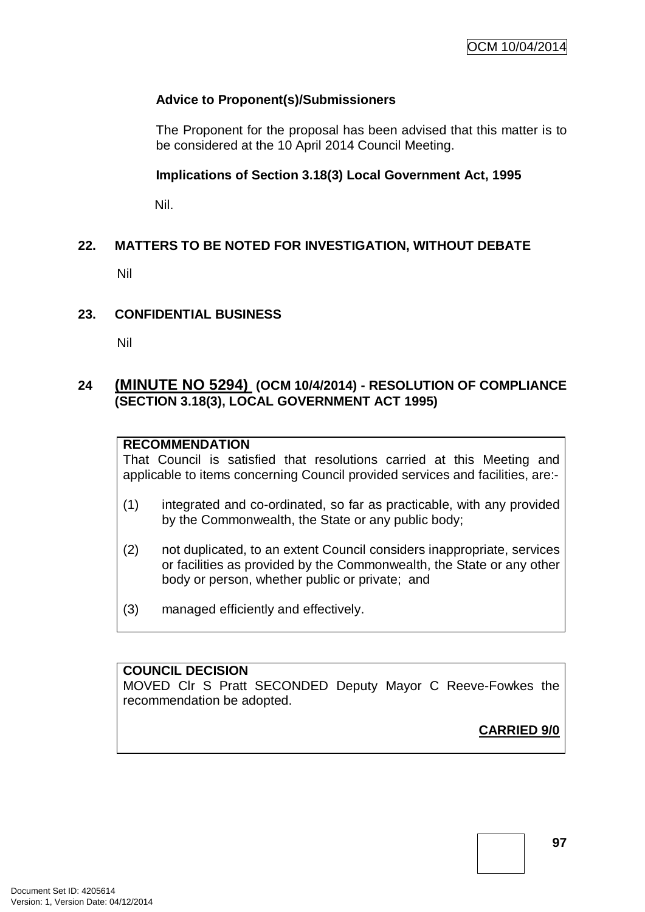# **Advice to Proponent(s)/Submissioners**

The Proponent for the proposal has been advised that this matter is to be considered at the 10 April 2014 Council Meeting.

#### **Implications of Section 3.18(3) Local Government Act, 1995**

Nil.

# **22. MATTERS TO BE NOTED FOR INVESTIGATION, WITHOUT DEBATE**

Nil

#### **23. CONFIDENTIAL BUSINESS**

Nil

## **24 (MINUTE NO 5294) (OCM 10/4/2014) - RESOLUTION OF COMPLIANCE (SECTION 3.18(3), LOCAL GOVERNMENT ACT 1995)**

## **RECOMMENDATION**

That Council is satisfied that resolutions carried at this Meeting and applicable to items concerning Council provided services and facilities, are:-

- (1) integrated and co-ordinated, so far as practicable, with any provided by the Commonwealth, the State or any public body;
- (2) not duplicated, to an extent Council considers inappropriate, services or facilities as provided by the Commonwealth, the State or any other body or person, whether public or private; and
- (3) managed efficiently and effectively.

## **COUNCIL DECISION**

MOVED Clr S Pratt SECONDED Deputy Mayor C Reeve-Fowkes the recommendation be adopted.

**CARRIED 9/0**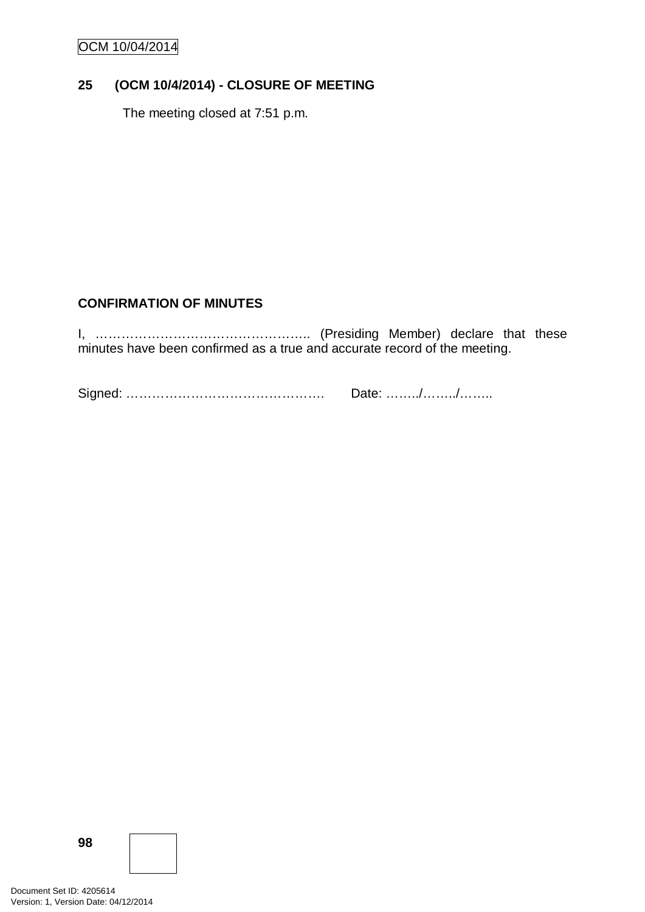# OCM 10/04/2014

# **25 (OCM 10/4/2014) - CLOSURE OF MEETING**

The meeting closed at 7:51 p.m.

# **CONFIRMATION OF MINUTES**

I, ………………………………………….. (Presiding Member) declare that these minutes have been confirmed as a true and accurate record of the meeting.

Signed: ………………………………………. Date: ……../……../……..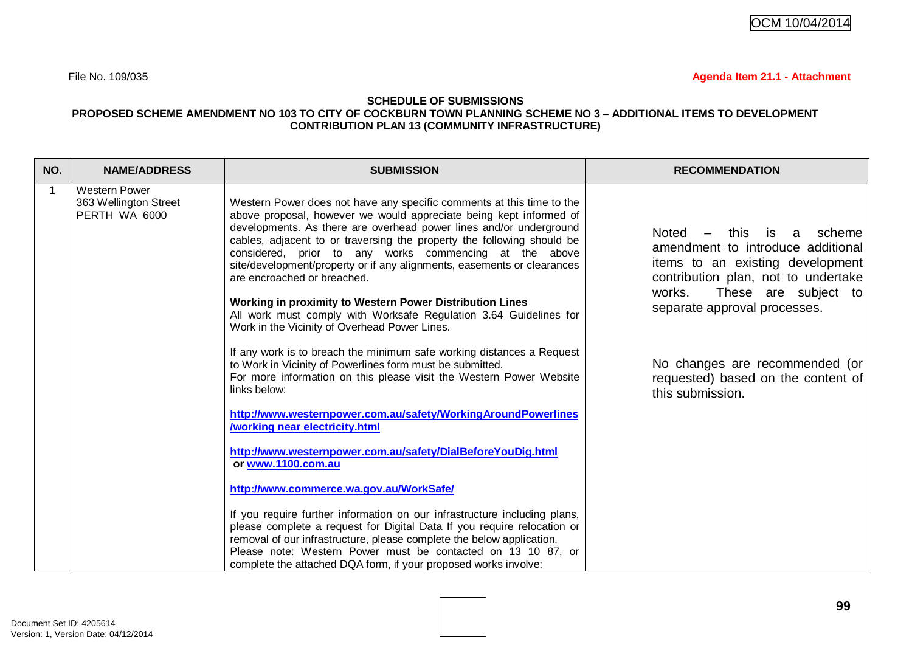#### **SCHEDULE OF SUBMISSIONS PROPOSED SCHEME AMENDMENT NO 103 TO CITY OF COCKBURN TOWN PLANNING SCHEME NO 3 – ADDITIONAL ITEMS TO DEVELOPMENT CONTRIBUTION PLAN 13 (COMMUNITY INFRASTRUCTURE)**

| NO. | <b>NAME/ADDRESS</b>                                            | <b>SUBMISSION</b>                                                                                                                                                                                                                                                                                                                                                                                                                                                                                                                                                                                                                                        | <b>RECOMMENDATION</b>                                                                                                                                                                                                   |
|-----|----------------------------------------------------------------|----------------------------------------------------------------------------------------------------------------------------------------------------------------------------------------------------------------------------------------------------------------------------------------------------------------------------------------------------------------------------------------------------------------------------------------------------------------------------------------------------------------------------------------------------------------------------------------------------------------------------------------------------------|-------------------------------------------------------------------------------------------------------------------------------------------------------------------------------------------------------------------------|
|     | <b>Western Power</b><br>363 Wellington Street<br>PERTH WA 6000 | Western Power does not have any specific comments at this time to the<br>above proposal, however we would appreciate being kept informed of<br>developments. As there are overhead power lines and/or underground<br>cables, adjacent to or traversing the property the following should be<br>considered, prior to any works commencing at the above<br>site/development/property or if any alignments, easements or clearances<br>are encroached or breached.<br><b>Working in proximity to Western Power Distribution Lines</b><br>All work must comply with Worksafe Regulation 3.64 Guidelines for<br>Work in the Vicinity of Overhead Power Lines. | Noted $-$<br>this is<br>scheme<br>a a<br>amendment to introduce additional<br>items to an existing development<br>contribution plan, not to undertake<br>These are subject to<br>works.<br>separate approval processes. |
|     |                                                                | If any work is to breach the minimum safe working distances a Request<br>to Work in Vicinity of Powerlines form must be submitted.<br>For more information on this please visit the Western Power Website<br>links below:<br>http://www.westernpower.com.au/safety/WorkingAroundPowerlines                                                                                                                                                                                                                                                                                                                                                               | No changes are recommended (or<br>requested) based on the content of<br>this submission.                                                                                                                                |
|     |                                                                | <b>/working near electricity.html</b>                                                                                                                                                                                                                                                                                                                                                                                                                                                                                                                                                                                                                    |                                                                                                                                                                                                                         |
|     |                                                                | http://www.westernpower.com.au/safety/DialBeforeYouDig.html<br>or www.1100.com.au                                                                                                                                                                                                                                                                                                                                                                                                                                                                                                                                                                        |                                                                                                                                                                                                                         |
|     |                                                                | http://www.commerce.wa.gov.au/WorkSafe/                                                                                                                                                                                                                                                                                                                                                                                                                                                                                                                                                                                                                  |                                                                                                                                                                                                                         |
|     |                                                                | If you require further information on our infrastructure including plans,<br>please complete a request for Digital Data If you require relocation or<br>removal of our infrastructure, please complete the below application.<br>Please note: Western Power must be contacted on 13 10 87, or<br>complete the attached DQA form, if your proposed works involve:                                                                                                                                                                                                                                                                                         |                                                                                                                                                                                                                         |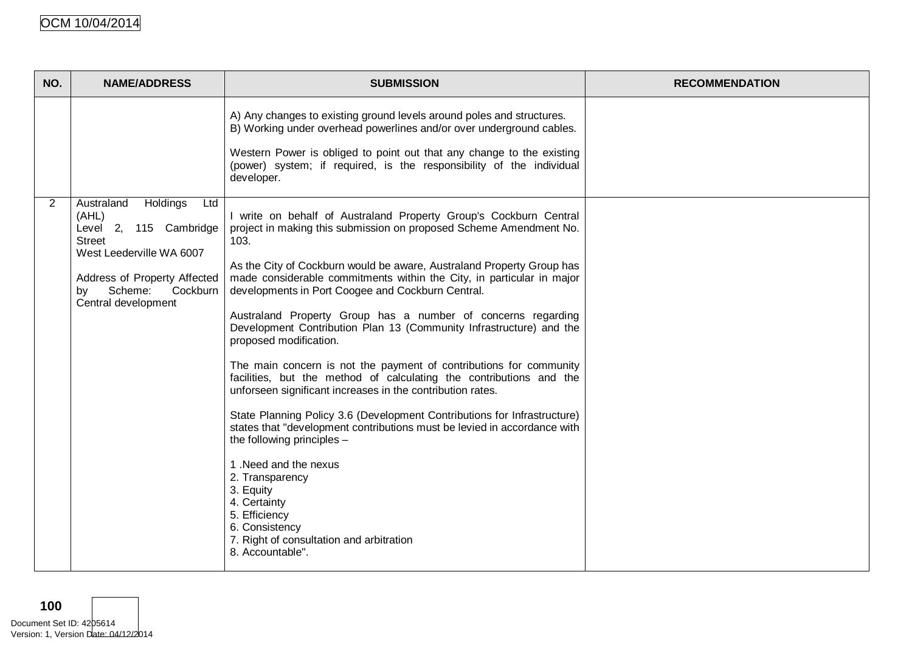| NO. | <b>NAME/ADDRESS</b>                                                                                                                                                  | <b>SUBMISSION</b>                                                                                                                                                                                                                                                                                                                                                                                                                                                                                                                                                                                                                                                                                                                                                                               | <b>RECOMMENDATION</b> |
|-----|----------------------------------------------------------------------------------------------------------------------------------------------------------------------|-------------------------------------------------------------------------------------------------------------------------------------------------------------------------------------------------------------------------------------------------------------------------------------------------------------------------------------------------------------------------------------------------------------------------------------------------------------------------------------------------------------------------------------------------------------------------------------------------------------------------------------------------------------------------------------------------------------------------------------------------------------------------------------------------|-----------------------|
| 2   | Australand<br>Holdings<br>Ltd<br>(AHL)<br>Level 2, 115 Cambridge<br><b>Street</b><br>West Leederville WA 6007<br>Address of Property Affected<br>Scheme:<br>Cockburn | A) Any changes to existing ground levels around poles and structures.<br>B) Working under overhead powerlines and/or over underground cables.<br>Western Power is obliged to point out that any change to the existing<br>(power) system; if required, is the responsibility of the individual<br>developer.<br>I write on behalf of Australand Property Group's Cockburn Central<br>project in making this submission on proposed Scheme Amendment No.<br>103.<br>As the City of Cockburn would be aware, Australand Property Group has<br>made considerable commitments within the City, in particular in major                                                                                                                                                                               |                       |
|     | by<br>Central development                                                                                                                                            | developments in Port Coogee and Cockburn Central.<br>Australand Property Group has a number of concerns regarding<br>Development Contribution Plan 13 (Community Infrastructure) and the<br>proposed modification.<br>The main concern is not the payment of contributions for community<br>facilities, but the method of calculating the contributions and the<br>unforseen significant increases in the contribution rates.<br>State Planning Policy 3.6 (Development Contributions for Infrastructure)<br>states that "development contributions must be levied in accordance with<br>the following principles -<br>1. Need and the nexus<br>2. Transparency<br>3. Equity<br>4. Certainty<br>5. Efficiency<br>6. Consistency<br>7. Right of consultation and arbitration<br>8. Accountable". |                       |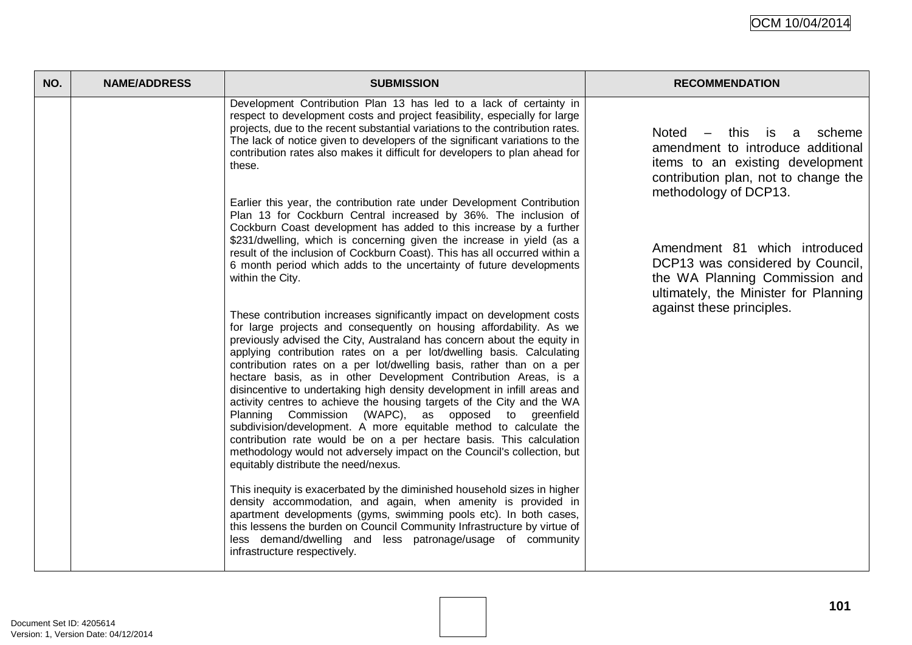| NO. | <b>NAME/ADDRESS</b> | <b>SUBMISSION</b>                                                                                                                                                                                                                                                                                                                                                                                                                                                                                                                                                                                                                                                                                                                                                                                                                                                                                                        | <b>RECOMMENDATION</b>                                                                                                                                                 |
|-----|---------------------|--------------------------------------------------------------------------------------------------------------------------------------------------------------------------------------------------------------------------------------------------------------------------------------------------------------------------------------------------------------------------------------------------------------------------------------------------------------------------------------------------------------------------------------------------------------------------------------------------------------------------------------------------------------------------------------------------------------------------------------------------------------------------------------------------------------------------------------------------------------------------------------------------------------------------|-----------------------------------------------------------------------------------------------------------------------------------------------------------------------|
|     |                     | Development Contribution Plan 13 has led to a lack of certainty in<br>respect to development costs and project feasibility, especially for large<br>projects, due to the recent substantial variations to the contribution rates.<br>The lack of notice given to developers of the significant variations to the<br>contribution rates also makes it difficult for developers to plan ahead for<br>these.                                                                                                                                                                                                                                                                                                                                                                                                                                                                                                                | Noted $-$ this is a scheme<br>amendment to introduce additional<br>items to an existing development<br>contribution plan, not to change the                           |
|     |                     | Earlier this year, the contribution rate under Development Contribution<br>Plan 13 for Cockburn Central increased by 36%. The inclusion of<br>Cockburn Coast development has added to this increase by a further<br>\$231/dwelling, which is concerning given the increase in yield (as a<br>result of the inclusion of Cockburn Coast). This has all occurred within a<br>6 month period which adds to the uncertainty of future developments<br>within the City.                                                                                                                                                                                                                                                                                                                                                                                                                                                       | methodology of DCP13.<br>Amendment 81 which introduced<br>DCP13 was considered by Council,<br>the WA Planning Commission and<br>ultimately, the Minister for Planning |
|     |                     | These contribution increases significantly impact on development costs<br>for large projects and consequently on housing affordability. As we<br>previously advised the City, Australand has concern about the equity in<br>applying contribution rates on a per lot/dwelling basis. Calculating<br>contribution rates on a per lot/dwelling basis, rather than on a per<br>hectare basis, as in other Development Contribution Areas, is a<br>disincentive to undertaking high density development in infill areas and<br>activity centres to achieve the housing targets of the City and the WA<br>Planning Commission (WAPC), as opposed to greenfield<br>subdivision/development. A more equitable method to calculate the<br>contribution rate would be on a per hectare basis. This calculation<br>methodology would not adversely impact on the Council's collection, but<br>equitably distribute the need/nexus. | against these principles.                                                                                                                                             |
|     |                     | This inequity is exacerbated by the diminished household sizes in higher<br>density accommodation, and again, when amenity is provided in<br>apartment developments (gyms, swimming pools etc). In both cases,<br>this lessens the burden on Council Community Infrastructure by virtue of<br>less demand/dwelling and less patronage/usage of community<br>infrastructure respectively.                                                                                                                                                                                                                                                                                                                                                                                                                                                                                                                                 |                                                                                                                                                                       |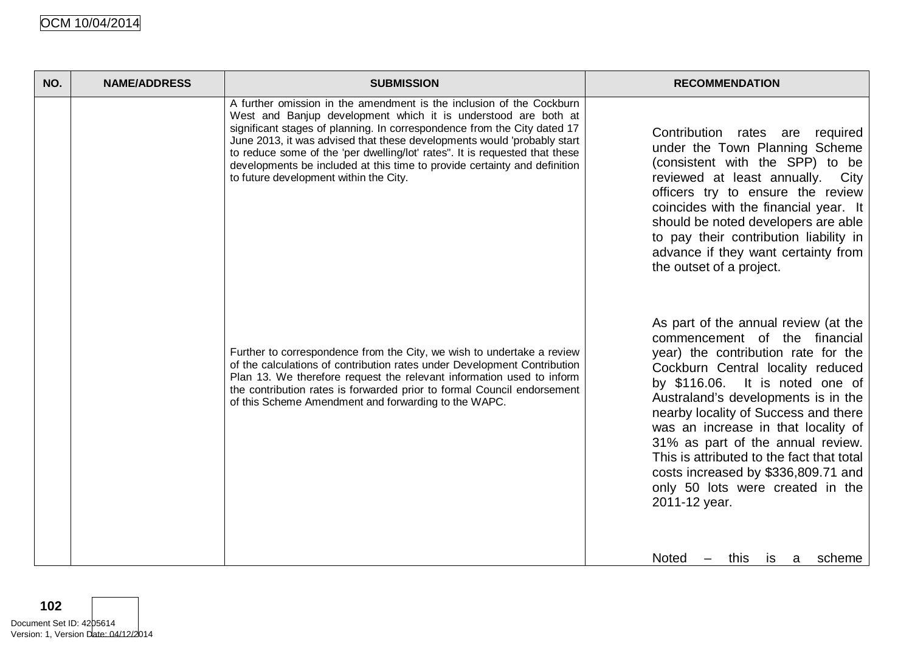| NO. | <b>NAME/ADDRESS</b> | <b>SUBMISSION</b>                                                                                                                                                                                                                                                                                                                                                                                                                                                                                   | <b>RECOMMENDATION</b>                                                                                                                                                                                                                                                                                                                                                                                                                                                                    |
|-----|---------------------|-----------------------------------------------------------------------------------------------------------------------------------------------------------------------------------------------------------------------------------------------------------------------------------------------------------------------------------------------------------------------------------------------------------------------------------------------------------------------------------------------------|------------------------------------------------------------------------------------------------------------------------------------------------------------------------------------------------------------------------------------------------------------------------------------------------------------------------------------------------------------------------------------------------------------------------------------------------------------------------------------------|
|     |                     | A further omission in the amendment is the inclusion of the Cockburn<br>West and Banjup development which it is understood are both at<br>significant stages of planning. In correspondence from the City dated 17<br>June 2013, it was advised that these developments would 'probably start<br>to reduce some of the 'per dwelling/lot' rates". It is requested that these<br>developments be included at this time to provide certainty and definition<br>to future development within the City. | Contribution rates are<br>required<br>under the Town Planning Scheme<br>(consistent with the SPP) to be<br>reviewed at least annually.<br>City<br>officers try to ensure the review<br>coincides with the financial year. It<br>should be noted developers are able<br>to pay their contribution liability in<br>advance if they want certainty from<br>the outset of a project.                                                                                                         |
|     |                     | Further to correspondence from the City, we wish to undertake a review<br>of the calculations of contribution rates under Development Contribution<br>Plan 13. We therefore request the relevant information used to inform<br>the contribution rates is forwarded prior to formal Council endorsement<br>of this Scheme Amendment and forwarding to the WAPC.                                                                                                                                      | As part of the annual review (at the<br>commencement of the financial<br>year) the contribution rate for the<br>Cockburn Central locality reduced<br>by \$116.06. It is noted one of<br>Australand's developments is in the<br>nearby locality of Success and there<br>was an increase in that locality of<br>31% as part of the annual review.<br>This is attributed to the fact that total<br>costs increased by \$336,809.71 and<br>only 50 lots were created in the<br>2011-12 year. |
|     |                     |                                                                                                                                                                                                                                                                                                                                                                                                                                                                                                     | <b>Noted</b><br>scheme<br>this<br>IS<br>a                                                                                                                                                                                                                                                                                                                                                                                                                                                |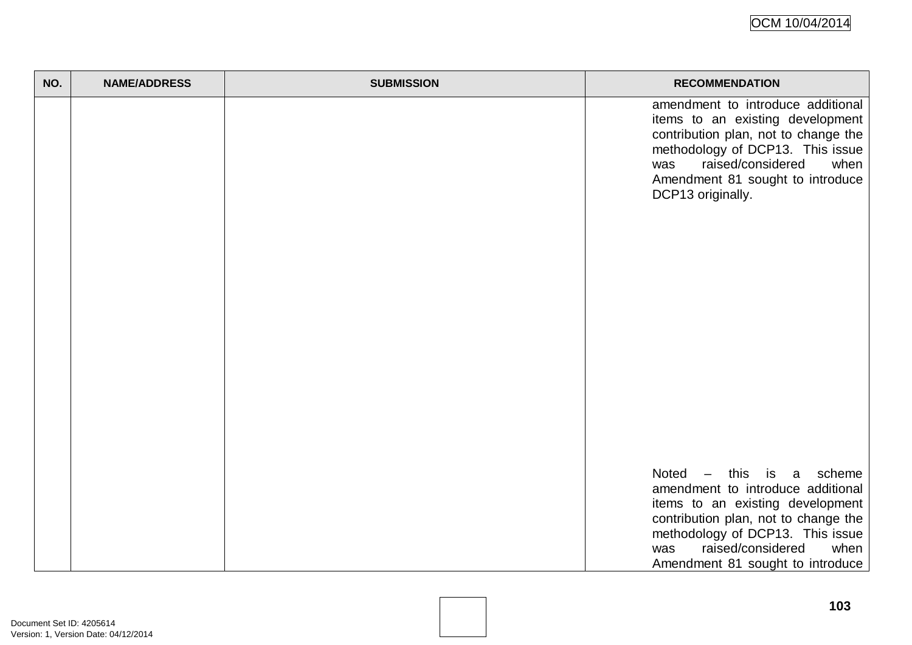| NO. | <b>NAME/ADDRESS</b> | <b>SUBMISSION</b> | <b>RECOMMENDATION</b>                                                                                                                                                                                                                                                   |
|-----|---------------------|-------------------|-------------------------------------------------------------------------------------------------------------------------------------------------------------------------------------------------------------------------------------------------------------------------|
|     |                     |                   | amendment to introduce additional<br>items to an existing development<br>contribution plan, not to change the<br>methodology of DCP13. This issue<br>raised/considered<br>when<br>was<br>Amendment 81 sought to introduce<br>DCP13 originally.                          |
|     |                     |                   |                                                                                                                                                                                                                                                                         |
|     |                     |                   |                                                                                                                                                                                                                                                                         |
|     |                     |                   | Noted $-$<br>this is<br>scheme<br>$\alpha$<br>amendment to introduce additional<br>items to an existing development<br>contribution plan, not to change the<br>methodology of DCP13. This issue<br>raised/considered<br>when<br>was<br>Amendment 81 sought to introduce |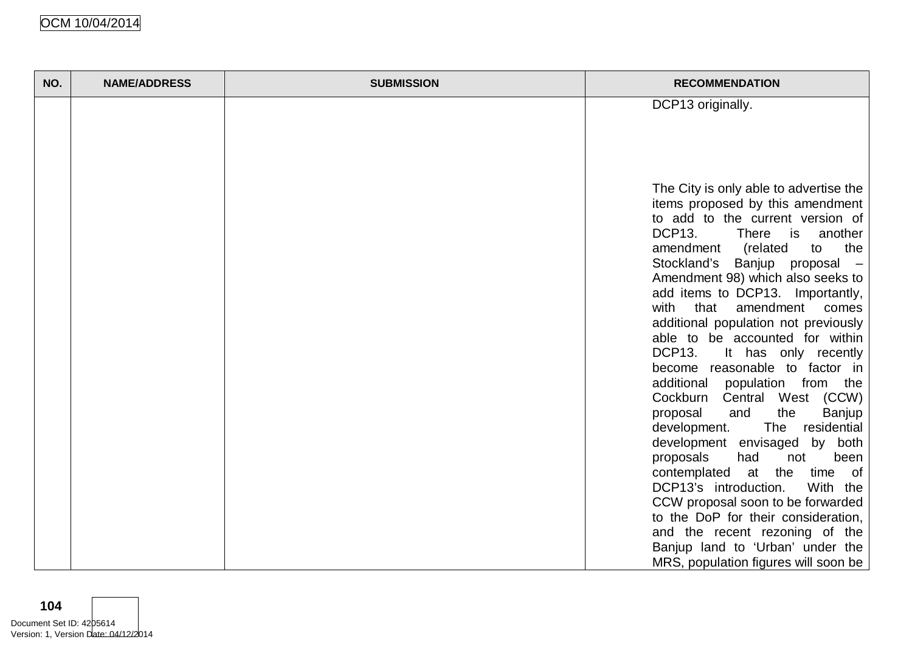| NO. | <b>NAME/ADDRESS</b> | <b>SUBMISSION</b> | <b>RECOMMENDATION</b>                                                                                                                                                                                                                                                                                             |
|-----|---------------------|-------------------|-------------------------------------------------------------------------------------------------------------------------------------------------------------------------------------------------------------------------------------------------------------------------------------------------------------------|
|     |                     |                   | DCP13 originally.                                                                                                                                                                                                                                                                                                 |
|     |                     |                   |                                                                                                                                                                                                                                                                                                                   |
|     |                     |                   |                                                                                                                                                                                                                                                                                                                   |
|     |                     |                   |                                                                                                                                                                                                                                                                                                                   |
|     |                     |                   | The City is only able to advertise the<br>items proposed by this amendment<br>to add to the current version of<br><b>DCP13.</b><br><b>There</b><br>another<br>is<br>amendment<br>(related<br>the<br>to<br>Stockland's Banjup<br>proposal<br>Amendment 98) which also seeks to<br>add items to DCP13. Importantly, |
|     |                     |                   | amendment<br>with<br>that<br>comes<br>additional population not previously                                                                                                                                                                                                                                        |
|     |                     |                   | able to be accounted for within                                                                                                                                                                                                                                                                                   |
|     |                     |                   | <b>DCP13.</b><br>It has only recently<br>become reasonable to factor in                                                                                                                                                                                                                                           |
|     |                     |                   | additional<br>population from the                                                                                                                                                                                                                                                                                 |
|     |                     |                   | Cockburn<br>Central West<br>(CCW)                                                                                                                                                                                                                                                                                 |
|     |                     |                   | the<br>and<br>Banjup<br>proposal<br>residential<br><b>The</b>                                                                                                                                                                                                                                                     |
|     |                     |                   | development.<br>development envisaged<br>by both                                                                                                                                                                                                                                                                  |
|     |                     |                   | proposals<br>had<br>been<br>not                                                                                                                                                                                                                                                                                   |
|     |                     |                   | contemplated<br>the<br>time<br>at<br>$\circ$ of<br>DCP13's introduction.<br>With the                                                                                                                                                                                                                              |
|     |                     |                   | CCW proposal soon to be forwarded                                                                                                                                                                                                                                                                                 |
|     |                     |                   | to the DoP for their consideration,                                                                                                                                                                                                                                                                               |
|     |                     |                   | and the recent rezoning of the                                                                                                                                                                                                                                                                                    |
|     |                     |                   | Banjup land to 'Urban' under the                                                                                                                                                                                                                                                                                  |
|     |                     |                   | MRS, population figures will soon be                                                                                                                                                                                                                                                                              |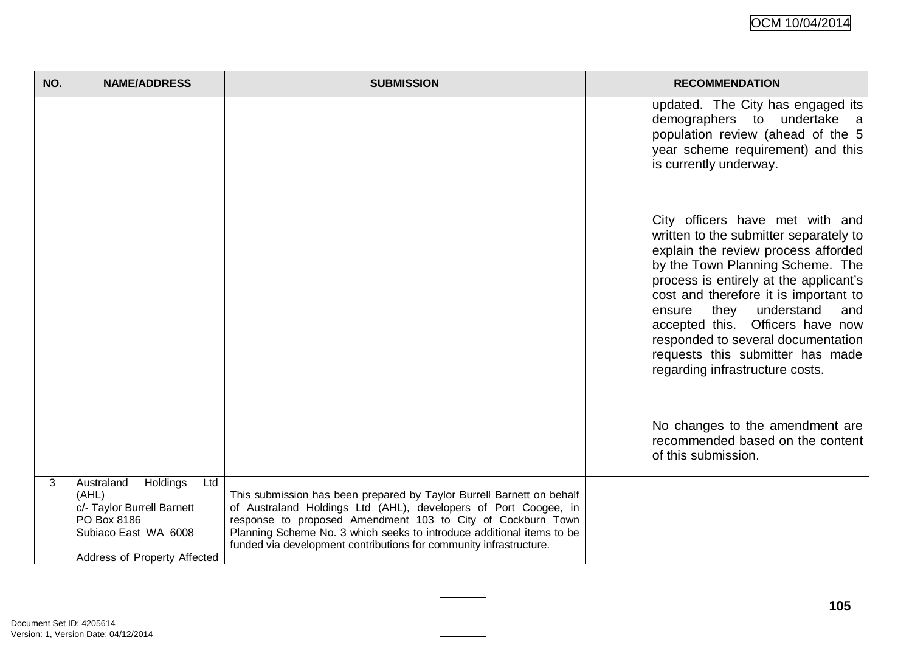| NO. | <b>NAME/ADDRESS</b>                                                                                                                         | <b>SUBMISSION</b>                                                                                                                                                                                                                                                                                                                                      | <b>RECOMMENDATION</b>                                                                                                                                                                                                                                                                                                                                                                                                           |
|-----|---------------------------------------------------------------------------------------------------------------------------------------------|--------------------------------------------------------------------------------------------------------------------------------------------------------------------------------------------------------------------------------------------------------------------------------------------------------------------------------------------------------|---------------------------------------------------------------------------------------------------------------------------------------------------------------------------------------------------------------------------------------------------------------------------------------------------------------------------------------------------------------------------------------------------------------------------------|
|     |                                                                                                                                             |                                                                                                                                                                                                                                                                                                                                                        | updated. The City has engaged its<br>demographers to undertake a<br>population review (ahead of the 5<br>year scheme requirement) and this<br>is currently underway.                                                                                                                                                                                                                                                            |
|     |                                                                                                                                             |                                                                                                                                                                                                                                                                                                                                                        | City officers have met with and<br>written to the submitter separately to<br>explain the review process afforded<br>by the Town Planning Scheme. The<br>process is entirely at the applicant's<br>cost and therefore it is important to<br>understand<br>they<br>ensure<br>and<br>accepted this. Officers have now<br>responded to several documentation<br>requests this submitter has made<br>regarding infrastructure costs. |
|     |                                                                                                                                             |                                                                                                                                                                                                                                                                                                                                                        | No changes to the amendment are<br>recommended based on the content<br>of this submission.                                                                                                                                                                                                                                                                                                                                      |
| 3   | Holdings<br>Ltd<br>Australand<br>(AHL)<br>c/- Taylor Burrell Barnett<br>PO Box 8186<br>Subiaco East WA 6008<br>Address of Property Affected | This submission has been prepared by Taylor Burrell Barnett on behalf<br>of Australand Holdings Ltd (AHL), developers of Port Coogee, in<br>response to proposed Amendment 103 to City of Cockburn Town<br>Planning Scheme No. 3 which seeks to introduce additional items to be<br>funded via development contributions for community infrastructure. |                                                                                                                                                                                                                                                                                                                                                                                                                                 |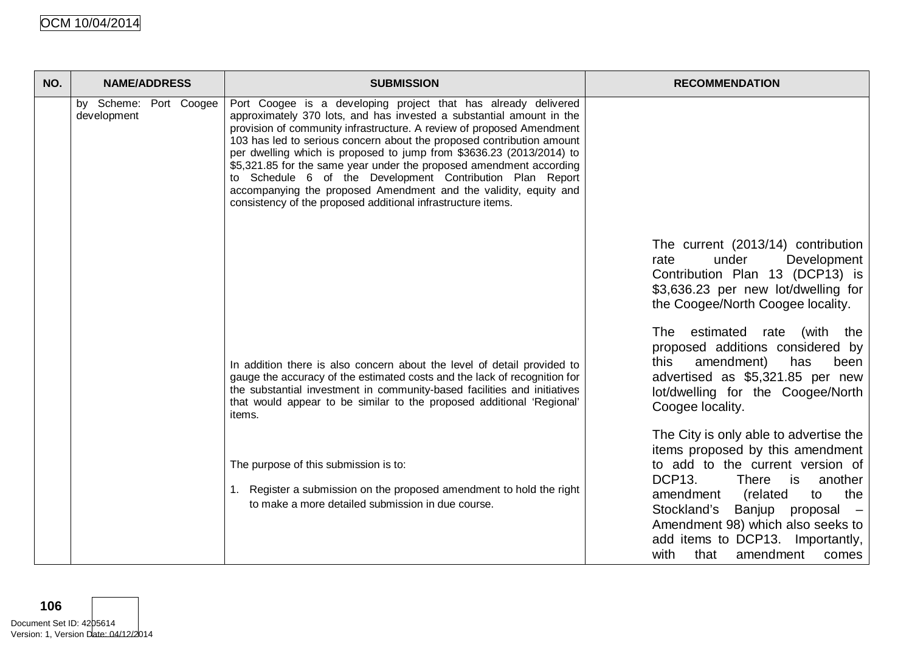| NO. | <b>NAME/ADDRESS</b>                   | <b>SUBMISSION</b>                                                                                                                                                                                                                                                                                                                                                                                                                                                                                                                                                                                                                        | <b>RECOMMENDATION</b>                                                                                                                                                                                                                                                                                                                                      |
|-----|---------------------------------------|------------------------------------------------------------------------------------------------------------------------------------------------------------------------------------------------------------------------------------------------------------------------------------------------------------------------------------------------------------------------------------------------------------------------------------------------------------------------------------------------------------------------------------------------------------------------------------------------------------------------------------------|------------------------------------------------------------------------------------------------------------------------------------------------------------------------------------------------------------------------------------------------------------------------------------------------------------------------------------------------------------|
|     | by Scheme: Port Coogee<br>development | Port Coogee is a developing project that has already delivered<br>approximately 370 lots, and has invested a substantial amount in the<br>provision of community infrastructure. A review of proposed Amendment<br>103 has led to serious concern about the proposed contribution amount<br>per dwelling which is proposed to jump from \$3636.23 (2013/2014) to<br>\$5,321.85 for the same year under the proposed amendment according<br>to Schedule 6 of the Development Contribution Plan Report<br>accompanying the proposed Amendment and the validity, equity and<br>consistency of the proposed additional infrastructure items. |                                                                                                                                                                                                                                                                                                                                                            |
|     |                                       |                                                                                                                                                                                                                                                                                                                                                                                                                                                                                                                                                                                                                                          | The current (2013/14) contribution<br>under<br>Development<br>rate<br>Contribution Plan 13 (DCP13) is<br>\$3,636.23 per new lot/dwelling for<br>the Coogee/North Coogee locality.                                                                                                                                                                          |
|     |                                       | In addition there is also concern about the level of detail provided to<br>gauge the accuracy of the estimated costs and the lack of recognition for<br>the substantial investment in community-based facilities and initiatives<br>that would appear to be similar to the proposed additional 'Regional'<br><i>items.</i>                                                                                                                                                                                                                                                                                                               | The estimated<br>rate (with<br>the<br>proposed additions considered by<br>this<br>amendment)<br>has<br>been<br>advertised as \$5,321.85 per new<br>lot/dwelling for the Coogee/North<br>Coogee locality.                                                                                                                                                   |
|     |                                       | The purpose of this submission is to:<br>1. Register a submission on the proposed amendment to hold the right<br>to make a more detailed submission in due course.                                                                                                                                                                                                                                                                                                                                                                                                                                                                       | The City is only able to advertise the<br>items proposed by this amendment<br>to add to the current version of<br><b>DCP13.</b><br><b>There</b><br>another<br>is<br>amendment<br>(related<br>to<br>the<br>Banjup<br>Stockland's<br>proposal<br>Amendment 98) which also seeks to<br>add items to DCP13. Importantly,<br>with<br>that<br>amendment<br>comes |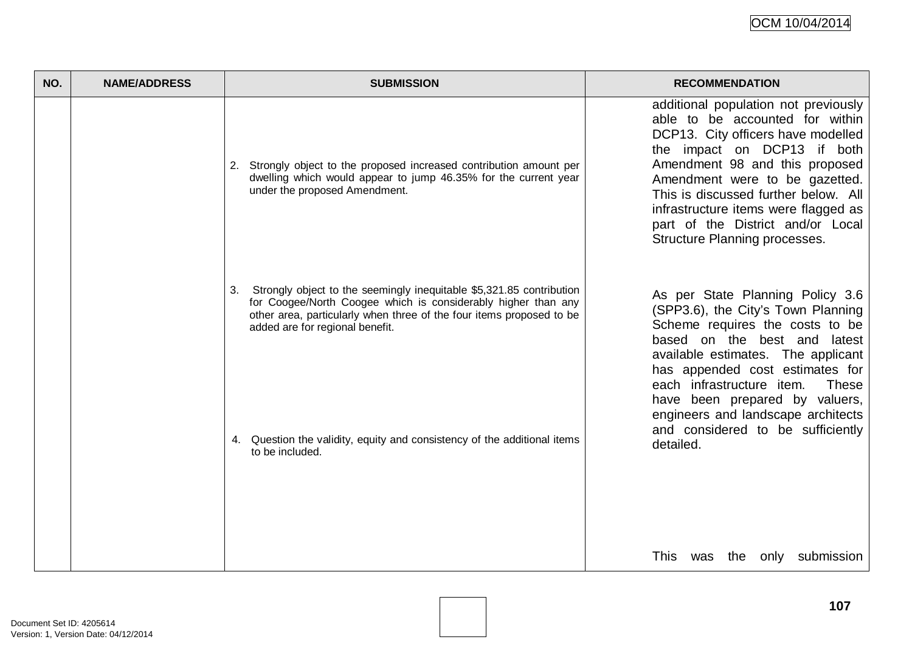| NO. | <b>NAME/ADDRESS</b> | <b>SUBMISSION</b>                                                                                                                                                                                                                                      | <b>RECOMMENDATION</b>                                                                                                                                                                                                                                                                                                                                                  |
|-----|---------------------|--------------------------------------------------------------------------------------------------------------------------------------------------------------------------------------------------------------------------------------------------------|------------------------------------------------------------------------------------------------------------------------------------------------------------------------------------------------------------------------------------------------------------------------------------------------------------------------------------------------------------------------|
|     |                     | 2. Strongly object to the proposed increased contribution amount per<br>dwelling which would appear to jump 46.35% for the current year<br>under the proposed Amendment.                                                                               | additional population not previously<br>able to be accounted for within<br>DCP13. City officers have modelled<br>the impact on DCP13 if both<br>Amendment 98 and this proposed<br>Amendment were to be gazetted.<br>This is discussed further below. All<br>infrastructure items were flagged as<br>part of the District and/or Local<br>Structure Planning processes. |
|     |                     | Strongly object to the seemingly inequitable \$5,321.85 contribution<br>3.<br>for Coogee/North Coogee which is considerably higher than any<br>other area, particularly when three of the four items proposed to be<br>added are for regional benefit. | As per State Planning Policy 3.6<br>(SPP3.6), the City's Town Planning<br>Scheme requires the costs to be<br>based on the best and latest<br>available estimates. The applicant<br>has appended cost estimates for<br>each infrastructure item.<br><b>These</b><br>have been prepared by valuers,<br>engineers and landscape architects                                |
|     |                     | 4. Question the validity, equity and consistency of the additional items<br>to be included.                                                                                                                                                            | and considered to be sufficiently<br>detailed.                                                                                                                                                                                                                                                                                                                         |
|     |                     |                                                                                                                                                                                                                                                        | <b>This</b><br>submission<br>was the<br>only                                                                                                                                                                                                                                                                                                                           |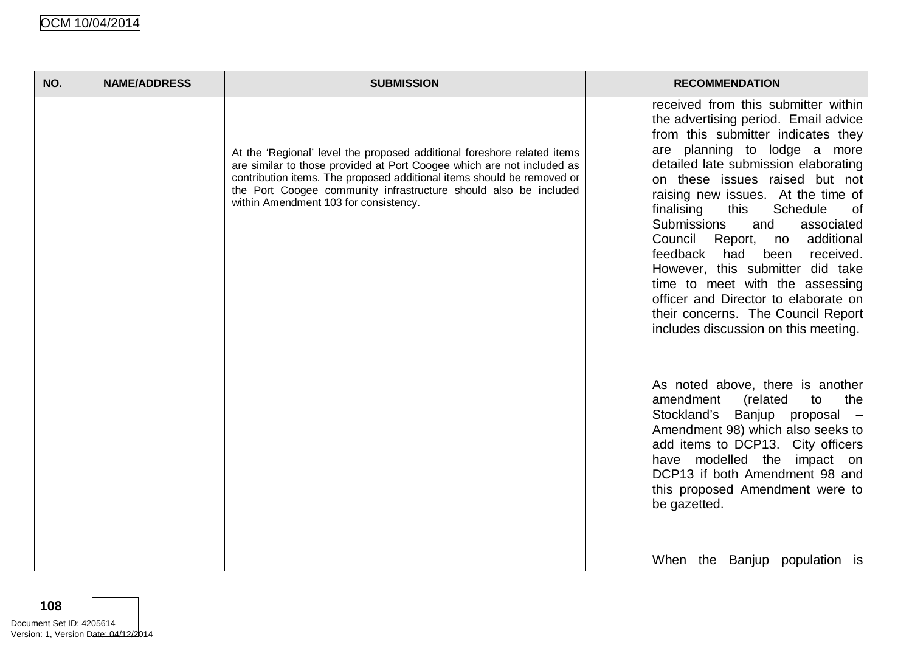| NO. | <b>NAME/ADDRESS</b> | <b>SUBMISSION</b>                                                                                                                                                                                                                                                                                                                        | <b>RECOMMENDATION</b>                                                                                                                                                                                                                                                                                                                                                                                                                                                                                                                                                                                                         |
|-----|---------------------|------------------------------------------------------------------------------------------------------------------------------------------------------------------------------------------------------------------------------------------------------------------------------------------------------------------------------------------|-------------------------------------------------------------------------------------------------------------------------------------------------------------------------------------------------------------------------------------------------------------------------------------------------------------------------------------------------------------------------------------------------------------------------------------------------------------------------------------------------------------------------------------------------------------------------------------------------------------------------------|
|     |                     | At the 'Regional' level the proposed additional foreshore related items<br>are similar to those provided at Port Coogee which are not included as<br>contribution items. The proposed additional items should be removed or<br>the Port Coogee community infrastructure should also be included<br>within Amendment 103 for consistency. | received from this submitter within<br>the advertising period. Email advice<br>from this submitter indicates they<br>are planning to lodge a more<br>detailed late submission elaborating<br>on these issues raised but not<br>raising new issues. At the time of<br>Schedule<br>finalising<br>this<br>0f<br><b>Submissions</b><br>and<br>associated<br>additional<br>Council Report, no<br>feedback<br>received.<br>had<br>been<br>However, this submitter did take<br>time to meet with the assessing<br>officer and Director to elaborate on<br>their concerns. The Council Report<br>includes discussion on this meeting. |
|     |                     |                                                                                                                                                                                                                                                                                                                                          | As noted above, there is another<br>amendment<br>(related<br>to<br>the<br>Stockland's Banjup proposal -<br>Amendment 98) which also seeks to<br>add items to DCP13. City officers<br>have modelled the impact on<br>DCP13 if both Amendment 98 and<br>this proposed Amendment were to<br>be gazetted.<br>When the Banjup population is                                                                                                                                                                                                                                                                                        |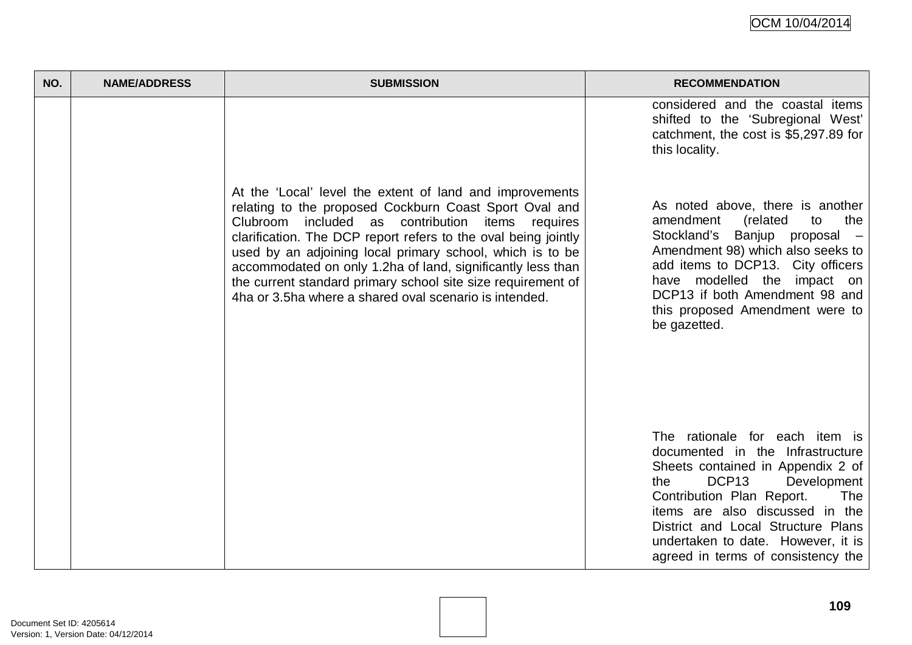| NO. | <b>NAME/ADDRESS</b> | <b>SUBMISSION</b>                                                                                                                                                                                                                                                                                                                                                                                                                                                                              | <b>RECOMMENDATION</b>                                                                                                                                                                                                                                                                                                                              |
|-----|---------------------|------------------------------------------------------------------------------------------------------------------------------------------------------------------------------------------------------------------------------------------------------------------------------------------------------------------------------------------------------------------------------------------------------------------------------------------------------------------------------------------------|----------------------------------------------------------------------------------------------------------------------------------------------------------------------------------------------------------------------------------------------------------------------------------------------------------------------------------------------------|
|     |                     |                                                                                                                                                                                                                                                                                                                                                                                                                                                                                                | considered and the coastal items<br>shifted to the 'Subregional West'<br>catchment, the cost is \$5,297.89 for<br>this locality.                                                                                                                                                                                                                   |
|     |                     | At the 'Local' level the extent of land and improvements<br>relating to the proposed Cockburn Coast Sport Oval and<br>Clubroom included as contribution items requires<br>clarification. The DCP report refers to the oval being jointly<br>used by an adjoining local primary school, which is to be<br>accommodated on only 1.2ha of land, significantly less than<br>the current standard primary school site size requirement of<br>4ha or 3.5ha where a shared oval scenario is intended. | As noted above, there is another<br>amendment<br>(related<br>to<br>the<br>Stockland's Banjup proposal -<br>Amendment 98) which also seeks to<br>add items to DCP13. City officers<br>have modelled the impact on<br>DCP13 if both Amendment 98 and<br>this proposed Amendment were to<br>be gazetted.                                              |
|     |                     |                                                                                                                                                                                                                                                                                                                                                                                                                                                                                                | The rationale for each item is<br>documented in the Infrastructure<br>Sheets contained in Appendix 2 of<br>DCP <sub>13</sub><br>Development<br>the<br>Contribution Plan Report.<br><b>The</b><br>items are also discussed in the<br>District and Local Structure Plans<br>undertaken to date. However, it is<br>agreed in terms of consistency the |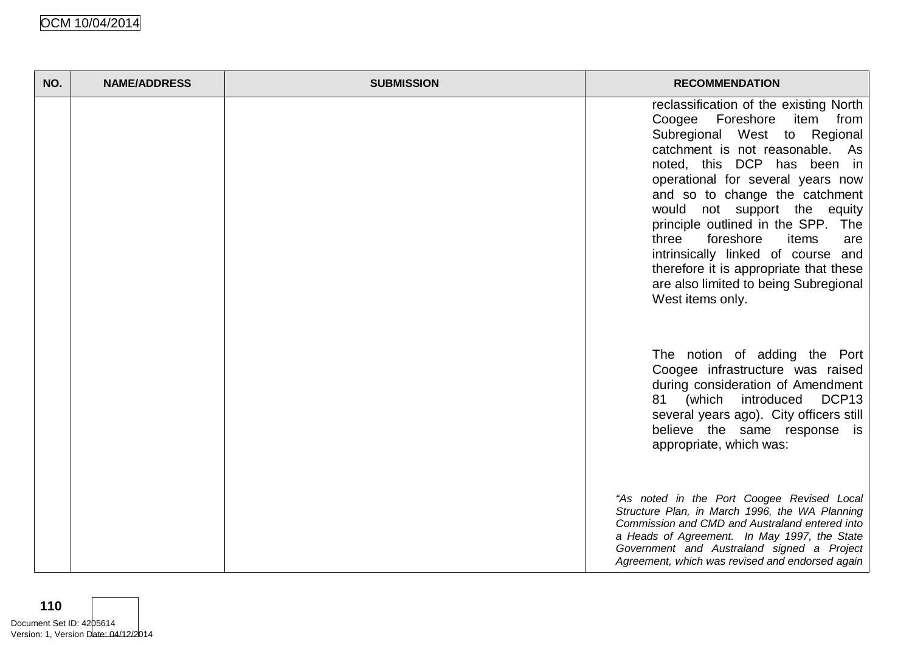| NO. | <b>NAME/ADDRESS</b> | <b>SUBMISSION</b> | <b>RECOMMENDATION</b>                                                                                                                                                                                                                                                                                                                                                                                                                                                                                     |
|-----|---------------------|-------------------|-----------------------------------------------------------------------------------------------------------------------------------------------------------------------------------------------------------------------------------------------------------------------------------------------------------------------------------------------------------------------------------------------------------------------------------------------------------------------------------------------------------|
|     |                     |                   | reclassification of the existing North<br>Coogee Foreshore<br>item from<br>Subregional West to Regional<br>catchment is not reasonable. As<br>noted, this DCP has been in<br>operational for several years now<br>and so to change the catchment<br>would not support the equity<br>principle outlined in the SPP. The<br>three<br>foreshore<br>items<br>are<br>intrinsically linked of course and<br>therefore it is appropriate that these<br>are also limited to being Subregional<br>West items only. |
|     |                     |                   | The notion of adding the Port<br>Coogee infrastructure was raised<br>during consideration of Amendment<br>(which introduced DCP13<br>81<br>several years ago). City officers still<br>believe the same response is<br>appropriate, which was:                                                                                                                                                                                                                                                             |
|     |                     |                   | "As noted in the Port Coogee Revised Local<br>Structure Plan, in March 1996, the WA Planning<br>Commission and CMD and Australand entered into<br>a Heads of Agreement. In May 1997, the State<br>Government and Australand signed a Project<br>Agreement, which was revised and endorsed again                                                                                                                                                                                                           |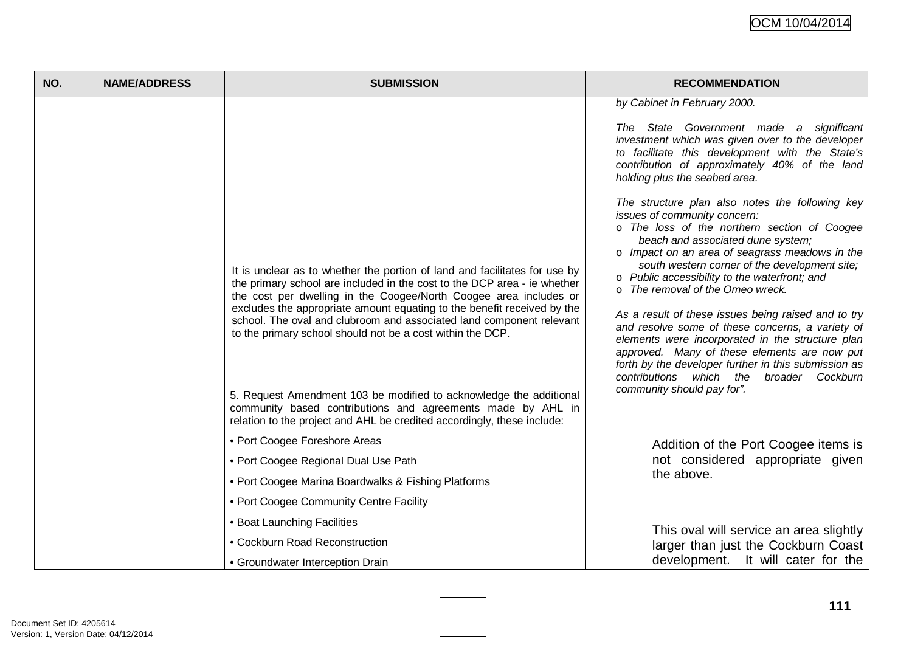| NO. | <b>NAME/ADDRESS</b> | <b>SUBMISSION</b>                                                                                                                                                                                                                                                                                                                                                                                                                                                                                                                                                                                                                                            | <b>RECOMMENDATION</b>                                                                                                                                                                                                                                                                                                                                                                                                                                                                                                                                                                                                                                                                                                                                                                                                                                                                                                                                                           |
|-----|---------------------|--------------------------------------------------------------------------------------------------------------------------------------------------------------------------------------------------------------------------------------------------------------------------------------------------------------------------------------------------------------------------------------------------------------------------------------------------------------------------------------------------------------------------------------------------------------------------------------------------------------------------------------------------------------|---------------------------------------------------------------------------------------------------------------------------------------------------------------------------------------------------------------------------------------------------------------------------------------------------------------------------------------------------------------------------------------------------------------------------------------------------------------------------------------------------------------------------------------------------------------------------------------------------------------------------------------------------------------------------------------------------------------------------------------------------------------------------------------------------------------------------------------------------------------------------------------------------------------------------------------------------------------------------------|
|     |                     | It is unclear as to whether the portion of land and facilitates for use by<br>the primary school are included in the cost to the DCP area - ie whether<br>the cost per dwelling in the Coogee/North Coogee area includes or<br>excludes the appropriate amount equating to the benefit received by the<br>school. The oval and clubroom and associated land component relevant<br>to the primary school should not be a cost within the DCP.<br>5. Request Amendment 103 be modified to acknowledge the additional<br>community based contributions and agreements made by AHL in<br>relation to the project and AHL be credited accordingly, these include: | by Cabinet in February 2000.<br>The State Government made a significant<br>investment which was given over to the developer<br>to facilitate this development with the State's<br>contribution of approximately 40% of the land<br>holding plus the seabed area.<br>The structure plan also notes the following key<br>issues of community concern:<br>o The loss of the northern section of Coogee<br>beach and associated dune system;<br>o Impact on an area of seagrass meadows in the<br>south western corner of the development site;<br>o Public accessibility to the waterfront; and<br>The removal of the Omeo wreck.<br>As a result of these issues being raised and to try<br>and resolve some of these concerns, a variety of<br>elements were incorporated in the structure plan<br>approved. Many of these elements are now put<br>forth by the developer further in this submission as<br>contributions which the broader Cockburn<br>community should pay for". |
|     |                     | • Port Coogee Foreshore Areas                                                                                                                                                                                                                                                                                                                                                                                                                                                                                                                                                                                                                                | Addition of the Port Coogee items is                                                                                                                                                                                                                                                                                                                                                                                                                                                                                                                                                                                                                                                                                                                                                                                                                                                                                                                                            |
|     |                     | • Port Coogee Regional Dual Use Path                                                                                                                                                                                                                                                                                                                                                                                                                                                                                                                                                                                                                         | not considered appropriate given                                                                                                                                                                                                                                                                                                                                                                                                                                                                                                                                                                                                                                                                                                                                                                                                                                                                                                                                                |
|     |                     | • Port Coogee Marina Boardwalks & Fishing Platforms                                                                                                                                                                                                                                                                                                                                                                                                                                                                                                                                                                                                          | the above.                                                                                                                                                                                                                                                                                                                                                                                                                                                                                                                                                                                                                                                                                                                                                                                                                                                                                                                                                                      |
|     |                     | • Port Coogee Community Centre Facility                                                                                                                                                                                                                                                                                                                                                                                                                                                                                                                                                                                                                      |                                                                                                                                                                                                                                                                                                                                                                                                                                                                                                                                                                                                                                                                                                                                                                                                                                                                                                                                                                                 |
|     |                     | • Boat Launching Facilities                                                                                                                                                                                                                                                                                                                                                                                                                                                                                                                                                                                                                                  | This oval will service an area slightly                                                                                                                                                                                                                                                                                                                                                                                                                                                                                                                                                                                                                                                                                                                                                                                                                                                                                                                                         |
|     |                     | • Cockburn Road Reconstruction                                                                                                                                                                                                                                                                                                                                                                                                                                                                                                                                                                                                                               | larger than just the Cockburn Coast                                                                                                                                                                                                                                                                                                                                                                                                                                                                                                                                                                                                                                                                                                                                                                                                                                                                                                                                             |
|     |                     | • Groundwater Interception Drain                                                                                                                                                                                                                                                                                                                                                                                                                                                                                                                                                                                                                             | development. It will cater for the                                                                                                                                                                                                                                                                                                                                                                                                                                                                                                                                                                                                                                                                                                                                                                                                                                                                                                                                              |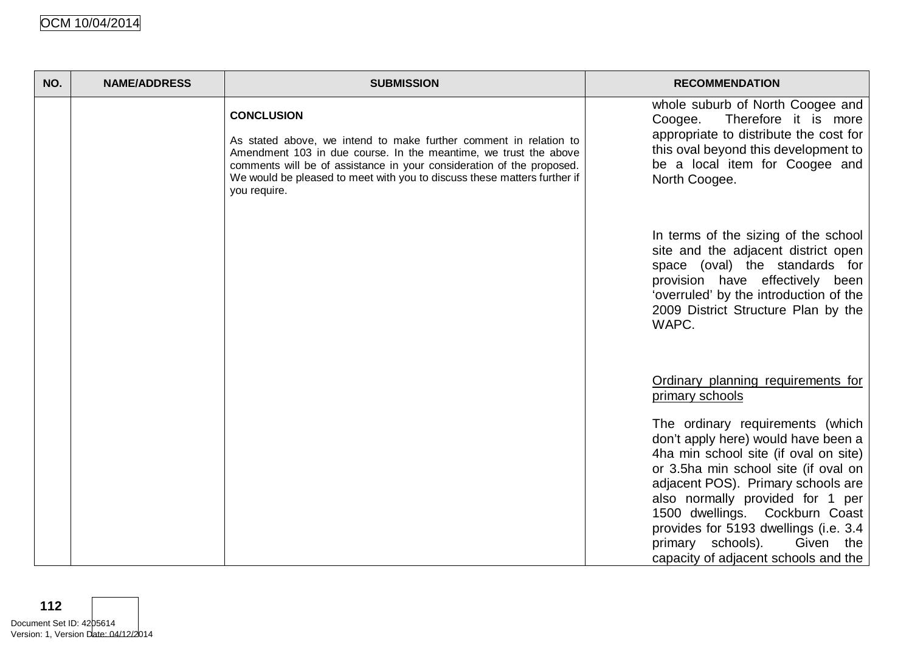| NO. | <b>NAME/ADDRESS</b> | <b>SUBMISSION</b>                                                                                                                                                                                                                                                                                                               | <b>RECOMMENDATION</b>                                                                                                                                                                                                                                                                                                                                                                    |
|-----|---------------------|---------------------------------------------------------------------------------------------------------------------------------------------------------------------------------------------------------------------------------------------------------------------------------------------------------------------------------|------------------------------------------------------------------------------------------------------------------------------------------------------------------------------------------------------------------------------------------------------------------------------------------------------------------------------------------------------------------------------------------|
|     |                     | <b>CONCLUSION</b><br>As stated above, we intend to make further comment in relation to<br>Amendment 103 in due course. In the meantime, we trust the above<br>comments will be of assistance in your consideration of the proposed.<br>We would be pleased to meet with you to discuss these matters further if<br>you require. | whole suburb of North Coogee and<br>Therefore it is more<br>Coogee.<br>appropriate to distribute the cost for<br>this oval beyond this development to<br>be a local item for Coogee and<br>North Coogee.                                                                                                                                                                                 |
|     |                     |                                                                                                                                                                                                                                                                                                                                 | In terms of the sizing of the school<br>site and the adjacent district open<br>space (oval) the standards for<br>provision have effectively been<br>'overruled' by the introduction of the<br>2009 District Structure Plan by the<br>WAPC.                                                                                                                                               |
|     |                     |                                                                                                                                                                                                                                                                                                                                 | Ordinary planning requirements for<br>primary schools                                                                                                                                                                                                                                                                                                                                    |
|     |                     |                                                                                                                                                                                                                                                                                                                                 | The ordinary requirements (which<br>don't apply here) would have been a<br>4ha min school site (if oval on site)<br>or 3.5ha min school site (if oval on<br>adjacent POS). Primary schools are<br>also normally provided for 1 per<br>1500 dwellings. Cockburn Coast<br>provides for 5193 dwellings (i.e. 3.4)<br>primary schools).<br>Given the<br>capacity of adjacent schools and the |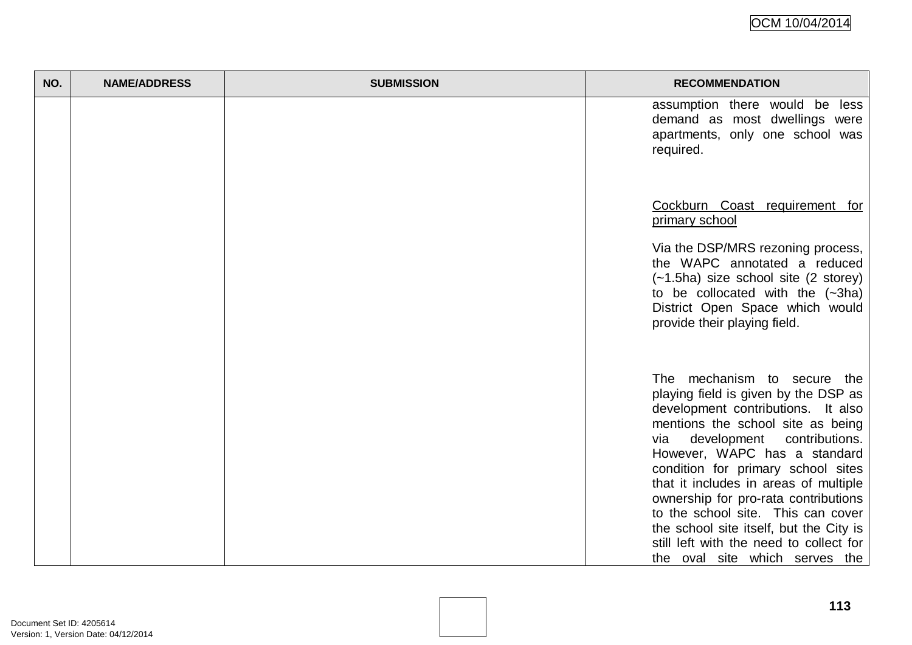| NO. | <b>NAME/ADDRESS</b> | <b>SUBMISSION</b> | <b>RECOMMENDATION</b>                                                                                                                                                                                                                                                                                                                                                                                                                                                                                       |
|-----|---------------------|-------------------|-------------------------------------------------------------------------------------------------------------------------------------------------------------------------------------------------------------------------------------------------------------------------------------------------------------------------------------------------------------------------------------------------------------------------------------------------------------------------------------------------------------|
|     |                     |                   | assumption there would be<br>less<br>demand as most dwellings were<br>apartments, only one school was<br>required.                                                                                                                                                                                                                                                                                                                                                                                          |
|     |                     |                   | Cockburn Coast requirement for<br>primary school                                                                                                                                                                                                                                                                                                                                                                                                                                                            |
|     |                     |                   | Via the DSP/MRS rezoning process,<br>the WAPC annotated a reduced<br>(~1.5ha) size school site (2 storey)<br>to be collocated with the $(-3ha)$<br>District Open Space which would<br>provide their playing field.                                                                                                                                                                                                                                                                                          |
|     |                     |                   | The mechanism to secure the<br>playing field is given by the DSP as<br>development contributions. It also<br>mentions the school site as being<br>development<br>contributions.<br>via<br>However, WAPC has a standard<br>condition for primary school sites<br>that it includes in areas of multiple<br>ownership for pro-rata contributions<br>to the school site. This can cover<br>the school site itself, but the City is<br>still left with the need to collect for<br>the oval site which serves the |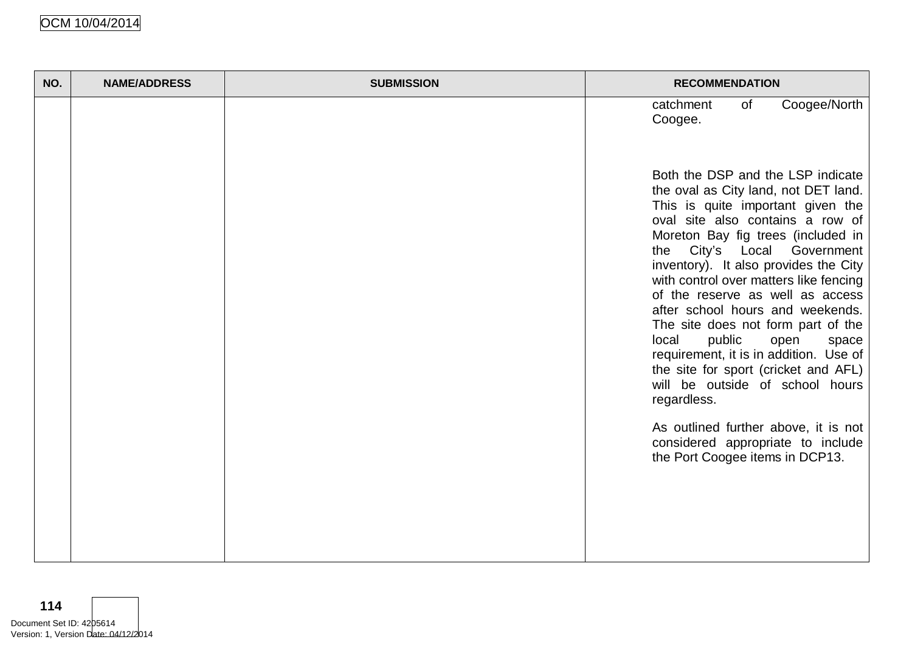| NO. | <b>NAME/ADDRESS</b> | <b>SUBMISSION</b> | <b>RECOMMENDATION</b>                                                                                                                                                                                                                                                                                                                                                                                                                                                                                                                                                                               |
|-----|---------------------|-------------------|-----------------------------------------------------------------------------------------------------------------------------------------------------------------------------------------------------------------------------------------------------------------------------------------------------------------------------------------------------------------------------------------------------------------------------------------------------------------------------------------------------------------------------------------------------------------------------------------------------|
|     |                     |                   | Coogee/North<br>catchment<br>of<br>Coogee.                                                                                                                                                                                                                                                                                                                                                                                                                                                                                                                                                          |
|     |                     |                   | Both the DSP and the LSP indicate<br>the oval as City land, not DET land.<br>This is quite important given the<br>oval site also contains a row of<br>Moreton Bay fig trees (included in<br>the City's Local<br>Government<br>inventory). It also provides the City<br>with control over matters like fencing<br>of the reserve as well as access<br>after school hours and weekends.<br>The site does not form part of the<br>public<br>local<br>open<br>space<br>requirement, it is in addition. Use of<br>the site for sport (cricket and AFL)<br>will be outside of school hours<br>regardless. |
|     |                     |                   | As outlined further above, it is not<br>considered appropriate to include<br>the Port Coogee items in DCP13.                                                                                                                                                                                                                                                                                                                                                                                                                                                                                        |
|     |                     |                   |                                                                                                                                                                                                                                                                                                                                                                                                                                                                                                                                                                                                     |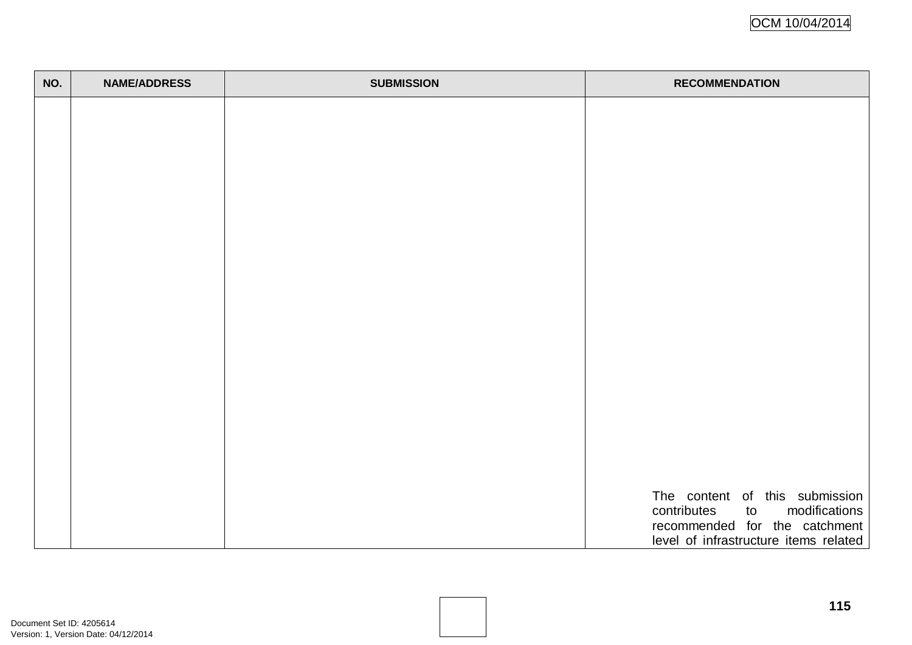| NO. | <b>NAME/ADDRESS</b> | <b>SUBMISSION</b> | <b>RECOMMENDATION</b>                                                           |
|-----|---------------------|-------------------|---------------------------------------------------------------------------------|
|     |                     |                   |                                                                                 |
|     |                     |                   |                                                                                 |
|     |                     |                   |                                                                                 |
|     |                     |                   |                                                                                 |
|     |                     |                   |                                                                                 |
|     |                     |                   |                                                                                 |
|     |                     |                   |                                                                                 |
|     |                     |                   |                                                                                 |
|     |                     |                   |                                                                                 |
|     |                     |                   |                                                                                 |
|     |                     |                   |                                                                                 |
|     |                     |                   |                                                                                 |
|     |                     |                   |                                                                                 |
|     |                     |                   |                                                                                 |
|     |                     |                   |                                                                                 |
|     |                     |                   | The content of this submission<br>contributes<br>$\mathsf{to}$<br>modifications |
|     |                     |                   | recommended for the catchment<br>level of infrastructure items related          |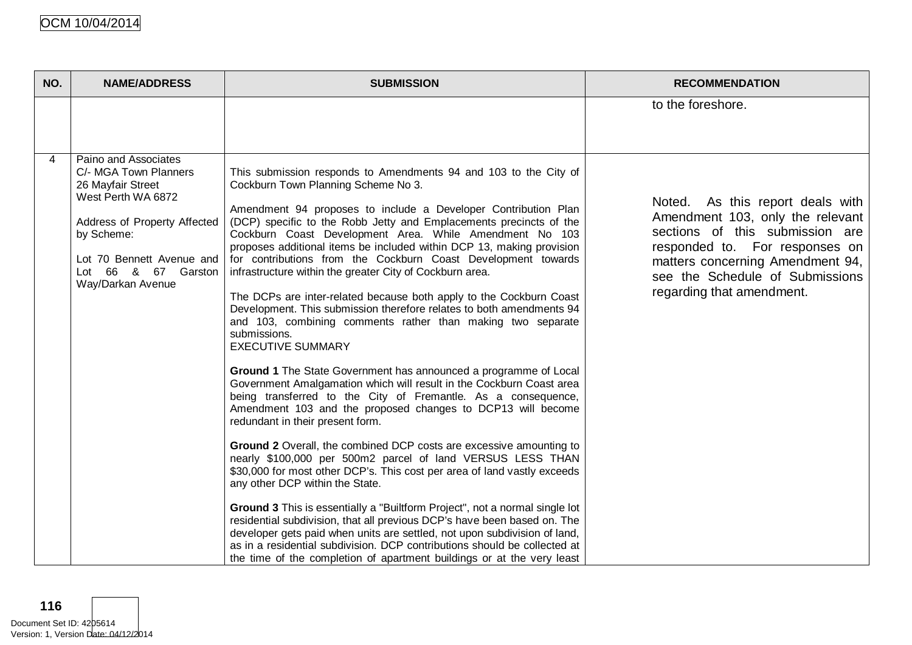| NO. | <b>NAME/ADDRESS</b>                                                                                                                                                                                             | <b>SUBMISSION</b>                                                                                                                                                                                                                                                                                                                                                                                                                                                                                                                                                                                                                                                                                                                                                                                                                                                                                                                                                                                                                                                                                                                                                                                                                                                                                                                                                                                                                                                                                                                                                                                                                                                                                                                             | <b>RECOMMENDATION</b>                                                                                                                                                                                                                         |
|-----|-----------------------------------------------------------------------------------------------------------------------------------------------------------------------------------------------------------------|-----------------------------------------------------------------------------------------------------------------------------------------------------------------------------------------------------------------------------------------------------------------------------------------------------------------------------------------------------------------------------------------------------------------------------------------------------------------------------------------------------------------------------------------------------------------------------------------------------------------------------------------------------------------------------------------------------------------------------------------------------------------------------------------------------------------------------------------------------------------------------------------------------------------------------------------------------------------------------------------------------------------------------------------------------------------------------------------------------------------------------------------------------------------------------------------------------------------------------------------------------------------------------------------------------------------------------------------------------------------------------------------------------------------------------------------------------------------------------------------------------------------------------------------------------------------------------------------------------------------------------------------------------------------------------------------------------------------------------------------------|-----------------------------------------------------------------------------------------------------------------------------------------------------------------------------------------------------------------------------------------------|
|     |                                                                                                                                                                                                                 |                                                                                                                                                                                                                                                                                                                                                                                                                                                                                                                                                                                                                                                                                                                                                                                                                                                                                                                                                                                                                                                                                                                                                                                                                                                                                                                                                                                                                                                                                                                                                                                                                                                                                                                                               | to the foreshore.                                                                                                                                                                                                                             |
| 4   | Paino and Associates<br>C/- MGA Town Planners<br>26 Mayfair Street<br>West Perth WA 6872<br>Address of Property Affected<br>by Scheme:<br>Lot 70 Bennett Avenue and<br>Lot 66 & 67 Garston<br>Way/Darkan Avenue | This submission responds to Amendments 94 and 103 to the City of<br>Cockburn Town Planning Scheme No 3.<br>Amendment 94 proposes to include a Developer Contribution Plan<br>(DCP) specific to the Robb Jetty and Emplacements precincts of the<br>Cockburn Coast Development Area. While Amendment No 103<br>proposes additional items be included within DCP 13, making provision<br>for contributions from the Cockburn Coast Development towards<br>infrastructure within the greater City of Cockburn area.<br>The DCPs are inter-related because both apply to the Cockburn Coast<br>Development. This submission therefore relates to both amendments 94<br>and 103, combining comments rather than making two separate<br>submissions.<br><b>EXECUTIVE SUMMARY</b><br>Ground 1 The State Government has announced a programme of Local<br>Government Amalgamation which will result in the Cockburn Coast area<br>being transferred to the City of Fremantle. As a consequence,<br>Amendment 103 and the proposed changes to DCP13 will become<br>redundant in their present form.<br>Ground 2 Overall, the combined DCP costs are excessive amounting to<br>nearly \$100,000 per 500m2 parcel of land VERSUS LESS THAN<br>\$30,000 for most other DCP's. This cost per area of land vastly exceeds<br>any other DCP within the State.<br>Ground 3 This is essentially a "Builtform Project", not a normal single lot<br>residential subdivision, that all previous DCP's have been based on. The<br>developer gets paid when units are settled, not upon subdivision of land,<br>as in a residential subdivision. DCP contributions should be collected at<br>the time of the completion of apartment buildings or at the very least | Noted. As this report deals with<br>Amendment 103, only the relevant<br>sections of this submission are<br>responded to. For responses on<br>matters concerning Amendment 94,<br>see the Schedule of Submissions<br>regarding that amendment. |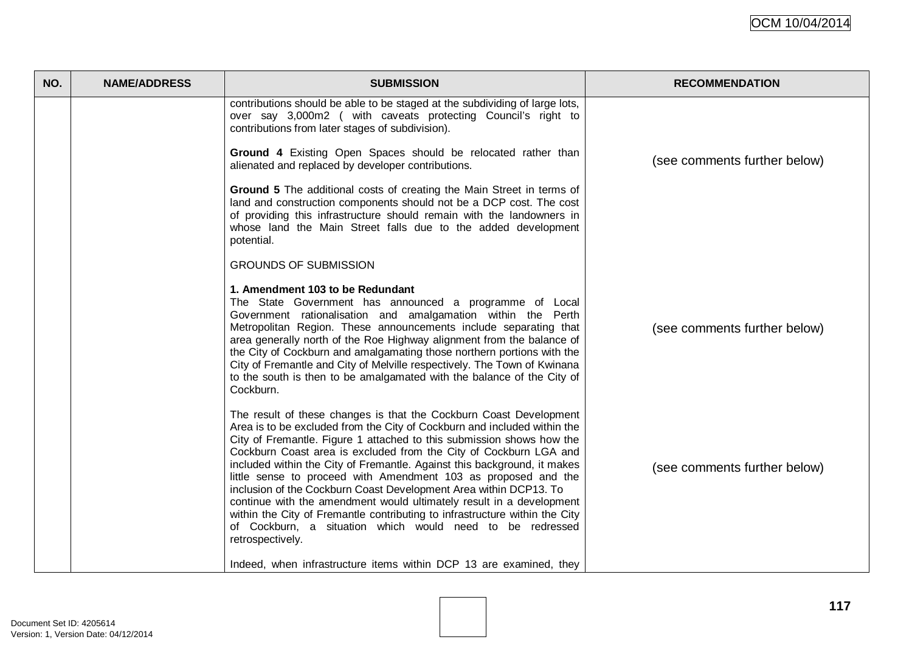| NO. | <b>NAME/ADDRESS</b> | <b>SUBMISSION</b>                                                                                                                                                                                                                                                                                                                                                                                                                                                                                                                                                                                                                                                                                                                                       | <b>RECOMMENDATION</b>        |
|-----|---------------------|---------------------------------------------------------------------------------------------------------------------------------------------------------------------------------------------------------------------------------------------------------------------------------------------------------------------------------------------------------------------------------------------------------------------------------------------------------------------------------------------------------------------------------------------------------------------------------------------------------------------------------------------------------------------------------------------------------------------------------------------------------|------------------------------|
|     |                     | contributions should be able to be staged at the subdividing of large lots,<br>over say 3,000m2 ( with caveats protecting Council's right to<br>contributions from later stages of subdivision).                                                                                                                                                                                                                                                                                                                                                                                                                                                                                                                                                        |                              |
|     |                     | Ground 4 Existing Open Spaces should be relocated rather than<br>alienated and replaced by developer contributions.                                                                                                                                                                                                                                                                                                                                                                                                                                                                                                                                                                                                                                     | (see comments further below) |
|     |                     | <b>Ground 5</b> The additional costs of creating the Main Street in terms of<br>land and construction components should not be a DCP cost. The cost<br>of providing this infrastructure should remain with the landowners in<br>whose land the Main Street falls due to the added development<br>potential.                                                                                                                                                                                                                                                                                                                                                                                                                                             |                              |
|     |                     | <b>GROUNDS OF SUBMISSION</b>                                                                                                                                                                                                                                                                                                                                                                                                                                                                                                                                                                                                                                                                                                                            |                              |
|     |                     | 1. Amendment 103 to be Redundant<br>The State Government has announced a programme of Local<br>Government rationalisation and amalgamation within the Perth<br>Metropolitan Region. These announcements include separating that<br>area generally north of the Roe Highway alignment from the balance of<br>the City of Cockburn and amalgamating those northern portions with the<br>City of Fremantle and City of Melville respectively. The Town of Kwinana<br>to the south is then to be amalgamated with the balance of the City of<br>Cockburn.                                                                                                                                                                                                   | (see comments further below) |
|     |                     | The result of these changes is that the Cockburn Coast Development<br>Area is to be excluded from the City of Cockburn and included within the<br>City of Fremantle. Figure 1 attached to this submission shows how the<br>Cockburn Coast area is excluded from the City of Cockburn LGA and<br>included within the City of Fremantle. Against this background, it makes<br>little sense to proceed with Amendment 103 as proposed and the<br>inclusion of the Cockburn Coast Development Area within DCP13. To<br>continue with the amendment would ultimately result in a development<br>within the City of Fremantle contributing to infrastructure within the City<br>of Cockburn, a situation which would need to be redressed<br>retrospectively. | (see comments further below) |
|     |                     | Indeed, when infrastructure items within DCP 13 are examined, they                                                                                                                                                                                                                                                                                                                                                                                                                                                                                                                                                                                                                                                                                      |                              |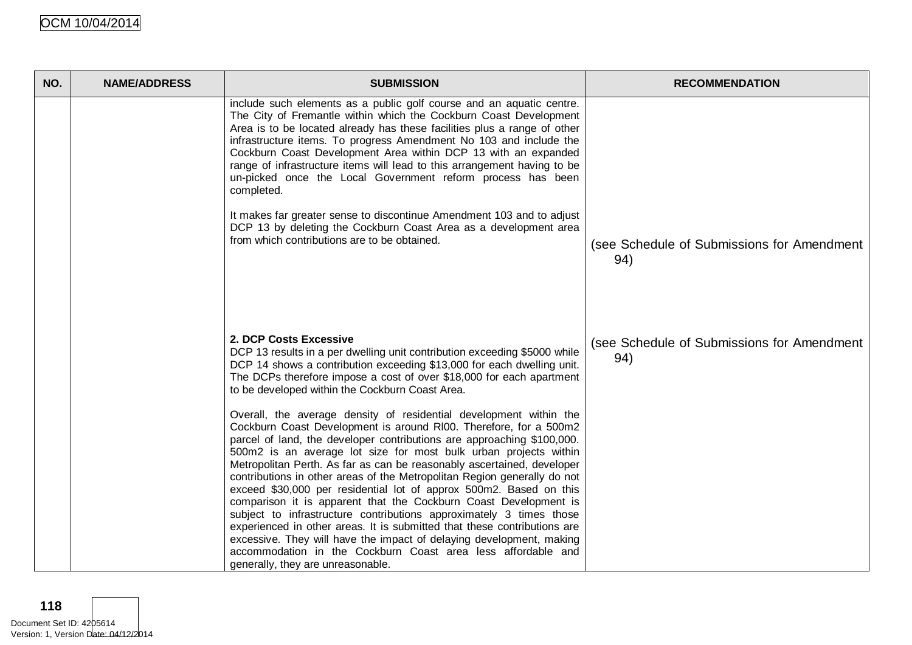| NO. | <b>NAME/ADDRESS</b> | <b>SUBMISSION</b>                                                                                                                                                                                                                                                                                                                                                                                                                                                                                                                                                                                                                                                                                                                                                                                                                                                                                                     | <b>RECOMMENDATION</b>                             |
|-----|---------------------|-----------------------------------------------------------------------------------------------------------------------------------------------------------------------------------------------------------------------------------------------------------------------------------------------------------------------------------------------------------------------------------------------------------------------------------------------------------------------------------------------------------------------------------------------------------------------------------------------------------------------------------------------------------------------------------------------------------------------------------------------------------------------------------------------------------------------------------------------------------------------------------------------------------------------|---------------------------------------------------|
|     |                     | include such elements as a public golf course and an aquatic centre.<br>The City of Fremantle within which the Cockburn Coast Development<br>Area is to be located already has these facilities plus a range of other<br>infrastructure items. To progress Amendment No 103 and include the<br>Cockburn Coast Development Area within DCP 13 with an expanded<br>range of infrastructure items will lead to this arrangement having to be<br>un-picked once the Local Government reform process has been<br>completed.<br>It makes far greater sense to discontinue Amendment 103 and to adjust<br>DCP 13 by deleting the Cockburn Coast Area as a development area<br>from which contributions are to be obtained.                                                                                                                                                                                                   | (see Schedule of Submissions for Amendment<br>94) |
|     |                     | 2. DCP Costs Excessive<br>DCP 13 results in a per dwelling unit contribution exceeding \$5000 while<br>DCP 14 shows a contribution exceeding \$13,000 for each dwelling unit.<br>The DCPs therefore impose a cost of over \$18,000 for each apartment<br>to be developed within the Cockburn Coast Area.                                                                                                                                                                                                                                                                                                                                                                                                                                                                                                                                                                                                              | (see Schedule of Submissions for Amendment<br>94) |
|     |                     | Overall, the average density of residential development within the<br>Cockburn Coast Development is around RI00. Therefore, for a 500m2<br>parcel of land, the developer contributions are approaching \$100,000.<br>500m2 is an average lot size for most bulk urban projects within<br>Metropolitan Perth. As far as can be reasonably ascertained, developer<br>contributions in other areas of the Metropolitan Region generally do not<br>exceed \$30,000 per residential lot of approx 500m2. Based on this<br>comparison it is apparent that the Cockburn Coast Development is<br>subject to infrastructure contributions approximately 3 times those<br>experienced in other areas. It is submitted that these contributions are<br>excessive. They will have the impact of delaying development, making<br>accommodation in the Cockburn Coast area less affordable and<br>generally, they are unreasonable. |                                                   |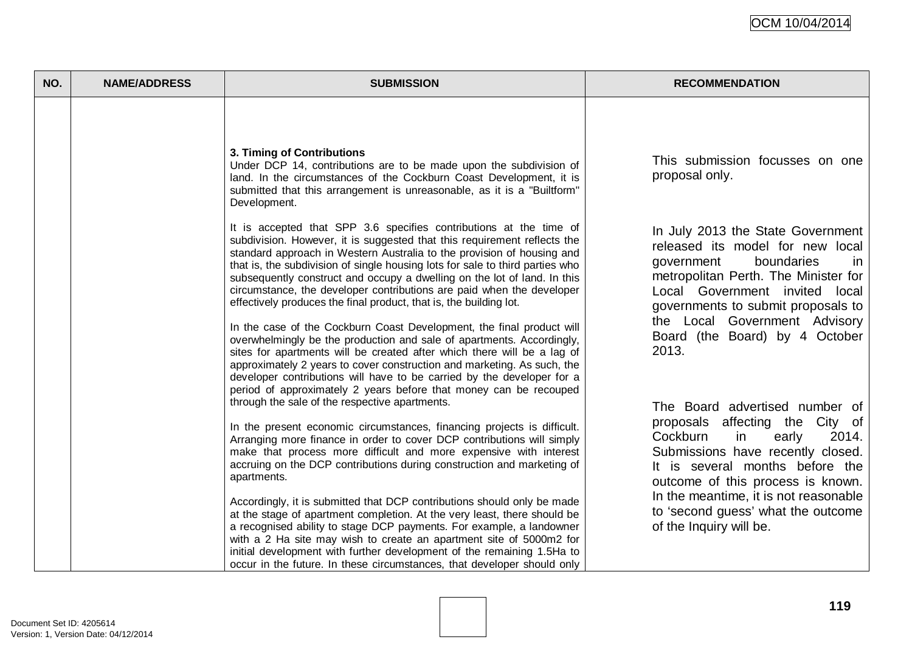| NO. | <b>NAME/ADDRESS</b> | <b>SUBMISSION</b>                                                                                                                                                                                                                                                                                                                                                                                                                                                                                                                                                                                                                                                                      | <b>RECOMMENDATION</b>                                                                                                                                                                                                                                                                                 |
|-----|---------------------|----------------------------------------------------------------------------------------------------------------------------------------------------------------------------------------------------------------------------------------------------------------------------------------------------------------------------------------------------------------------------------------------------------------------------------------------------------------------------------------------------------------------------------------------------------------------------------------------------------------------------------------------------------------------------------------|-------------------------------------------------------------------------------------------------------------------------------------------------------------------------------------------------------------------------------------------------------------------------------------------------------|
|     |                     | 3. Timing of Contributions<br>Under DCP 14, contributions are to be made upon the subdivision of<br>land. In the circumstances of the Cockburn Coast Development, it is<br>submitted that this arrangement is unreasonable, as it is a "Builtform"<br>Development.                                                                                                                                                                                                                                                                                                                                                                                                                     | This submission focusses on one<br>proposal only.                                                                                                                                                                                                                                                     |
|     |                     | It is accepted that SPP 3.6 specifies contributions at the time of<br>subdivision. However, it is suggested that this requirement reflects the<br>standard approach in Western Australia to the provision of housing and<br>that is, the subdivision of single housing lots for sale to third parties who<br>subsequently construct and occupy a dwelling on the lot of land. In this<br>circumstance, the developer contributions are paid when the developer<br>effectively produces the final product, that is, the building lot.<br>In the case of the Cockburn Coast Development, the final product will<br>overwhelmingly be the production and sale of apartments. Accordingly, | In July 2013 the State Government<br>released its model for new local<br>government<br>boundaries<br><sub>in</sub><br>metropolitan Perth. The Minister for<br>Local Government invited local<br>governments to submit proposals to<br>the Local Government Advisory<br>Board (the Board) by 4 October |
|     |                     | sites for apartments will be created after which there will be a lag of<br>approximately 2 years to cover construction and marketing. As such, the<br>developer contributions will have to be carried by the developer for a<br>period of approximately 2 years before that money can be recouped<br>through the sale of the respective apartments.                                                                                                                                                                                                                                                                                                                                    | 2013.<br>The Board advertised number of                                                                                                                                                                                                                                                               |
|     |                     | In the present economic circumstances, financing projects is difficult.<br>Arranging more finance in order to cover DCP contributions will simply<br>make that process more difficult and more expensive with interest<br>accruing on the DCP contributions during construction and marketing of<br>apartments.                                                                                                                                                                                                                                                                                                                                                                        | proposals affecting the City of<br>Cockburn<br>2014.<br>in<br>early<br>Submissions have recently closed.<br>It is several months before the<br>outcome of this process is known.                                                                                                                      |
|     |                     | Accordingly, it is submitted that DCP contributions should only be made<br>at the stage of apartment completion. At the very least, there should be<br>a recognised ability to stage DCP payments. For example, a landowner<br>with a 2 Ha site may wish to create an apartment site of 5000m2 for<br>initial development with further development of the remaining 1.5Ha to<br>occur in the future. In these circumstances, that developer should only                                                                                                                                                                                                                                | In the meantime, it is not reasonable<br>to 'second guess' what the outcome<br>of the Inquiry will be.                                                                                                                                                                                                |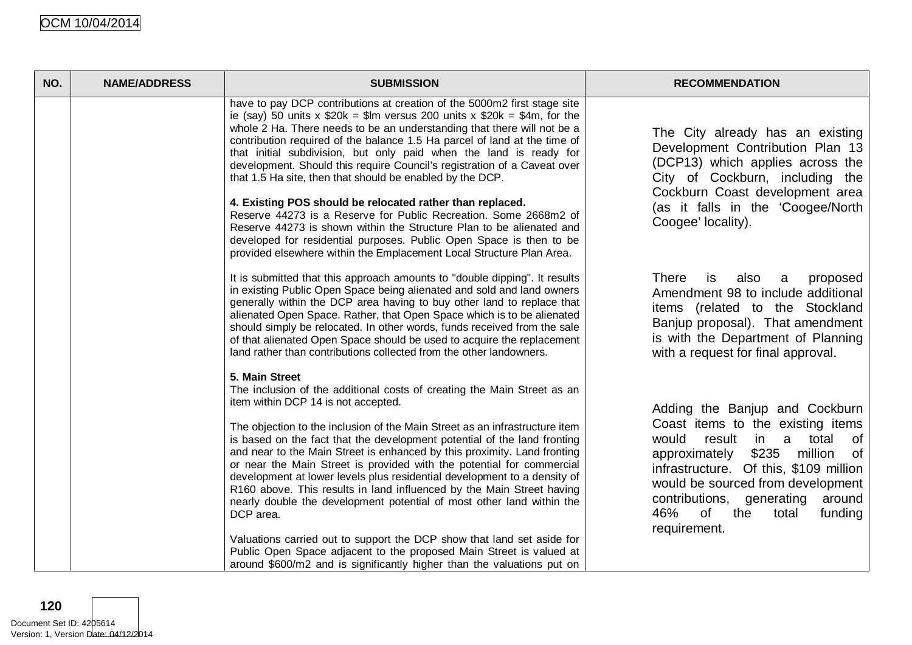| NO. | <b>NAME/ADDRESS</b> | <b>SUBMISSION</b>                                                                                                                                                                                                                                                                                                                                                                                                                                                                                                                                                                                                                                                                                                                                                                                                                                                                                                      | <b>RECOMMENDATION</b>                                                                                                                                                                                                                                                                                                                            |
|-----|---------------------|------------------------------------------------------------------------------------------------------------------------------------------------------------------------------------------------------------------------------------------------------------------------------------------------------------------------------------------------------------------------------------------------------------------------------------------------------------------------------------------------------------------------------------------------------------------------------------------------------------------------------------------------------------------------------------------------------------------------------------------------------------------------------------------------------------------------------------------------------------------------------------------------------------------------|--------------------------------------------------------------------------------------------------------------------------------------------------------------------------------------------------------------------------------------------------------------------------------------------------------------------------------------------------|
|     |                     | have to pay DCP contributions at creation of the 5000m2 first stage site<br>ie (say) 50 units x $$20k = $lm$ versus 200 units x $$20k = $4m$ , for the<br>whole 2 Ha. There needs to be an understanding that there will not be a<br>contribution required of the balance 1.5 Ha parcel of land at the time of<br>that initial subdivision, but only paid when the land is ready for<br>development. Should this require Council's registration of a Caveat over<br>that 1.5 Ha site, then that should be enabled by the DCP.<br>4. Existing POS should be relocated rather than replaced.<br>Reserve 44273 is a Reserve for Public Recreation. Some 2668m2 of<br>Reserve 44273 is shown within the Structure Plan to be alienated and<br>developed for residential purposes. Public Open Space is then to be<br>provided elsewhere within the Emplacement Local Structure Plan Area.                                  | The City already has an existing<br>Development Contribution Plan 13<br>(DCP13) which applies across the<br>City of Cockburn, including the<br>Cockburn Coast development area<br>(as it falls in the 'Coogee/North<br>Coogee' locality).                                                                                                        |
|     |                     | It is submitted that this approach amounts to "double dipping". It results<br>in existing Public Open Space being alienated and sold and land owners<br>generally within the DCP area having to buy other land to replace that<br>alienated Open Space. Rather, that Open Space which is to be alienated<br>should simply be relocated. In other words, funds received from the sale<br>of that alienated Open Space should be used to acquire the replacement<br>land rather than contributions collected from the other landowners.                                                                                                                                                                                                                                                                                                                                                                                  | <b>There</b><br>is<br>also<br>proposed<br>a<br>Amendment 98 to include additional<br>items (related to the Stockland<br>Banjup proposal). That amendment<br>is with the Department of Planning<br>with a request for final approval.                                                                                                             |
|     |                     | 5. Main Street<br>The inclusion of the additional costs of creating the Main Street as an<br>item within DCP 14 is not accepted.<br>The objection to the inclusion of the Main Street as an infrastructure item<br>is based on the fact that the development potential of the land fronting<br>and near to the Main Street is enhanced by this proximity. Land fronting<br>or near the Main Street is provided with the potential for commercial<br>development at lower levels plus residential development to a density of<br>R160 above. This results in land influenced by the Main Street having<br>nearly double the development potential of most other land within the<br>DCP area.<br>Valuations carried out to support the DCP show that land set aside for<br>Public Open Space adjacent to the proposed Main Street is valued at<br>around \$600/m2 and is significantly higher than the valuations put on | Adding the Banjup and Cockburn<br>Coast items to the existing items<br>result<br>in<br>$\alpha$<br>total<br>would<br>of<br>\$235<br>million<br>approximately<br>of<br>infrastructure. Of this, \$109 million<br>would be sourced from development<br>contributions, generating<br>around<br>46%<br>of<br>the<br>total<br>funding<br>requirement. |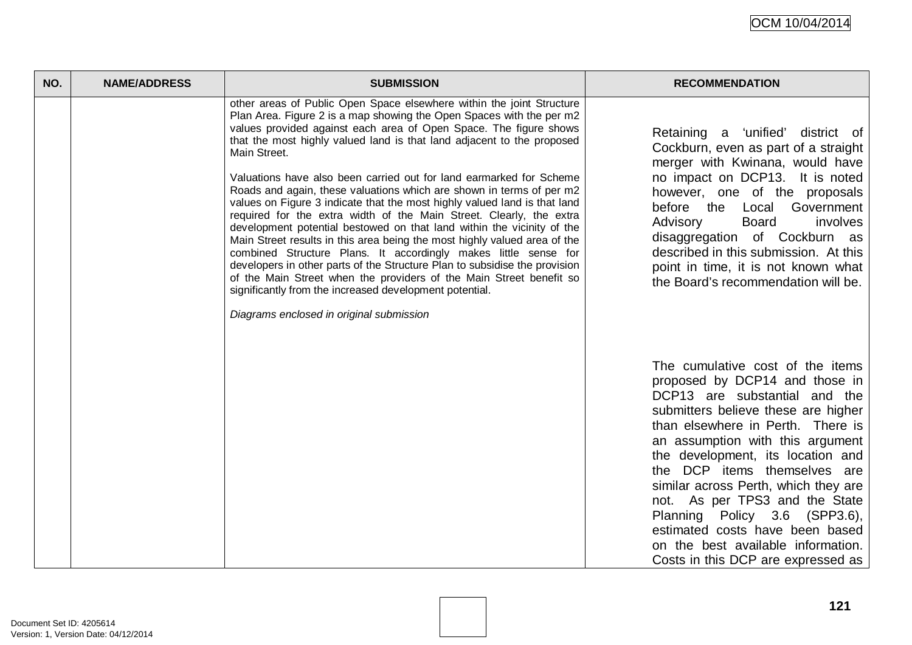| NO. | <b>NAME/ADDRESS</b> | <b>SUBMISSION</b>                                                                                                                                                                                                                                                                                                                                                                                                                                                                                                                                                                                                                                                                                                                                                                                                                                                                                                                                                                                                                                                                                     | <b>RECOMMENDATION</b>                                                                                                                                                                                                                                                                                                                                                                                                                                                                                              |
|-----|---------------------|-------------------------------------------------------------------------------------------------------------------------------------------------------------------------------------------------------------------------------------------------------------------------------------------------------------------------------------------------------------------------------------------------------------------------------------------------------------------------------------------------------------------------------------------------------------------------------------------------------------------------------------------------------------------------------------------------------------------------------------------------------------------------------------------------------------------------------------------------------------------------------------------------------------------------------------------------------------------------------------------------------------------------------------------------------------------------------------------------------|--------------------------------------------------------------------------------------------------------------------------------------------------------------------------------------------------------------------------------------------------------------------------------------------------------------------------------------------------------------------------------------------------------------------------------------------------------------------------------------------------------------------|
|     |                     | other areas of Public Open Space elsewhere within the joint Structure<br>Plan Area. Figure 2 is a map showing the Open Spaces with the per m2<br>values provided against each area of Open Space. The figure shows<br>that the most highly valued land is that land adjacent to the proposed<br>Main Street.<br>Valuations have also been carried out for land earmarked for Scheme<br>Roads and again, these valuations which are shown in terms of per m2<br>values on Figure 3 indicate that the most highly valued land is that land<br>required for the extra width of the Main Street. Clearly, the extra<br>development potential bestowed on that land within the vicinity of the<br>Main Street results in this area being the most highly valued area of the<br>combined Structure Plans. It accordingly makes little sense for<br>developers in other parts of the Structure Plan to subsidise the provision<br>of the Main Street when the providers of the Main Street benefit so<br>significantly from the increased development potential.<br>Diagrams enclosed in original submission | Retaining a 'unified' district of<br>Cockburn, even as part of a straight<br>merger with Kwinana, would have<br>no impact on DCP13. It is noted<br>however, one of the proposals<br>Government<br>before the Local<br>Advisory<br><b>Board</b><br>involves<br>disaggregation of Cockburn as<br>described in this submission. At this<br>point in time, it is not known what<br>the Board's recommendation will be.                                                                                                 |
|     |                     |                                                                                                                                                                                                                                                                                                                                                                                                                                                                                                                                                                                                                                                                                                                                                                                                                                                                                                                                                                                                                                                                                                       | The cumulative cost of the items<br>proposed by DCP14 and those in<br>DCP13 are substantial and the<br>submitters believe these are higher<br>than elsewhere in Perth. There is<br>an assumption with this argument<br>the development, its location and<br>the DCP items themselves are<br>similar across Perth, which they are<br>not. As per TPS3 and the State<br>Planning Policy 3.6 (SPP3.6),<br>estimated costs have been based<br>on the best available information.<br>Costs in this DCP are expressed as |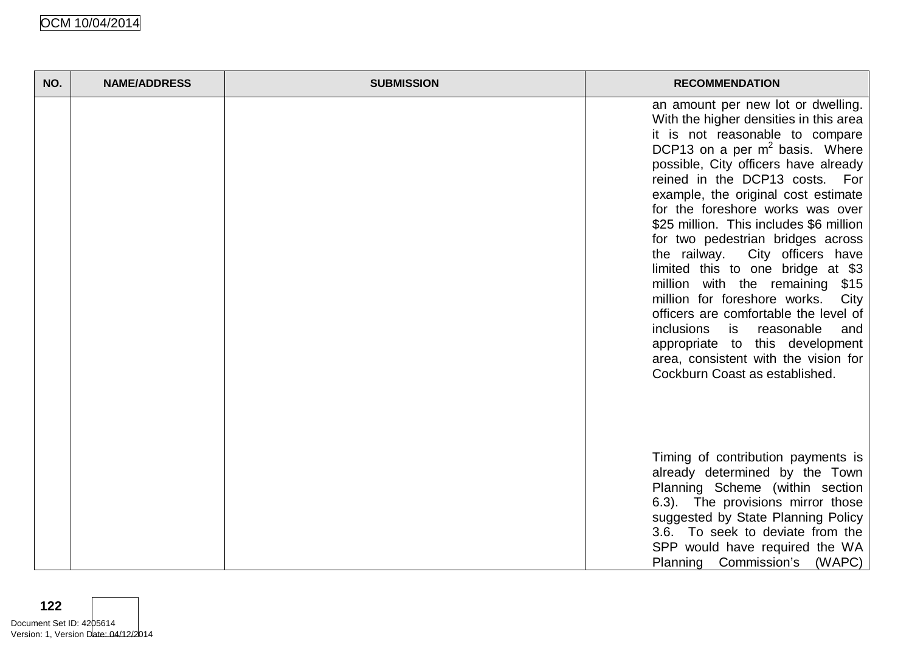| NO. | <b>NAME/ADDRESS</b> | <b>SUBMISSION</b> | <b>RECOMMENDATION</b>                                                                                                                                                                                                                                                                                                                                                                                                                                                                                                                                                                                                                                                                                                                             |
|-----|---------------------|-------------------|---------------------------------------------------------------------------------------------------------------------------------------------------------------------------------------------------------------------------------------------------------------------------------------------------------------------------------------------------------------------------------------------------------------------------------------------------------------------------------------------------------------------------------------------------------------------------------------------------------------------------------------------------------------------------------------------------------------------------------------------------|
|     |                     |                   | an amount per new lot or dwelling.<br>With the higher densities in this area<br>it is not reasonable to compare<br>DCP13 on a per $m^2$ basis. Where<br>possible, City officers have already<br>reined in the DCP13 costs. For<br>example, the original cost estimate<br>for the foreshore works was over<br>\$25 million. This includes \$6 million<br>for two pedestrian bridges across<br>the railway.<br>City officers have<br>limited this to one bridge at \$3<br>million with the remaining<br>\$15<br>million for foreshore works.<br>City<br>officers are comfortable the level of<br>inclusions<br>reasonable<br>is<br>and<br>appropriate to this development<br>area, consistent with the vision for<br>Cockburn Coast as established. |
|     |                     |                   | Timing of contribution payments is<br>already determined by the Town<br>Planning Scheme (within section<br>6.3). The provisions mirror those<br>suggested by State Planning Policy<br>3.6. To seek to deviate from the<br>SPP would have required the WA<br>Planning Commission's<br>(WAPC)                                                                                                                                                                                                                                                                                                                                                                                                                                                       |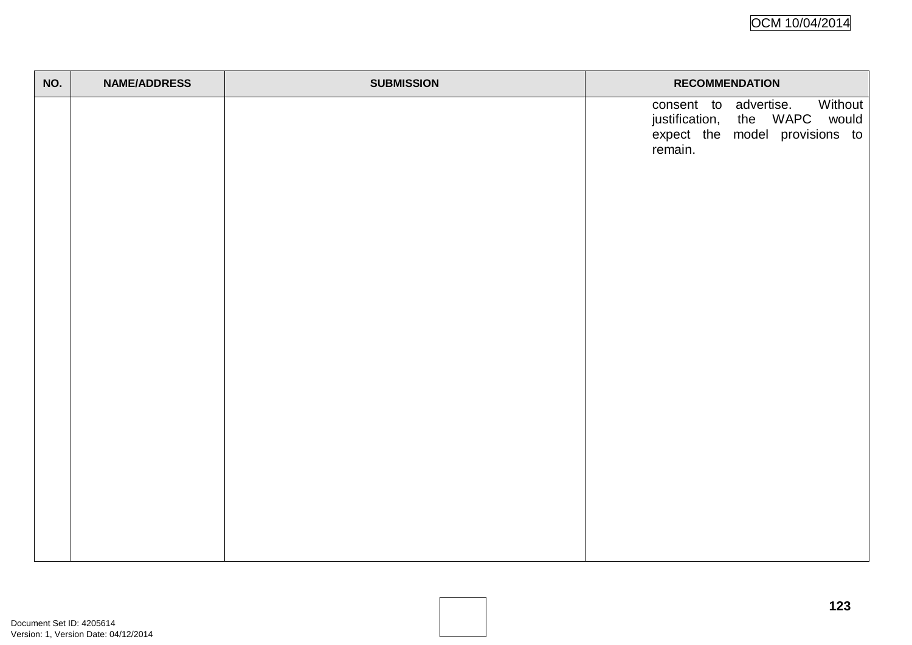

| NO. | <b>NAME/ADDRESS</b> | <b>SUBMISSION</b> | <b>RECOMMENDATION</b>                                                                                                                                                                                                                                                                                                                                                                                   |
|-----|---------------------|-------------------|---------------------------------------------------------------------------------------------------------------------------------------------------------------------------------------------------------------------------------------------------------------------------------------------------------------------------------------------------------------------------------------------------------|
|     |                     |                   | Without<br>consent to advertise.<br>justification, the WAPC would<br>$\left  \begin{array}{cccc} 1 & 0 & 0 & 0 & 0 \\ 0 & 0 & 0 & 0 & 0 \\ 0 & 0 & 0 & 0 & 0 \\ 0 & 0 & 0 & 0 & 0 \\ 0 & 0 & 0 & 0 & 0 \\ 0 & 0 & 0 & 0 & 0 \\ 0 & 0 & 0 & 0 & 0 \\ 0 & 0 & 0 & 0 & 0 \\ 0 & 0 & 0 & 0 & 0 \\ 0 & 0 & 0 & 0 & 0 \\ 0 & 0 & 0 & 0 & 0 \\ 0 & 0 & 0 & 0 & 0 \\ 0 & 0 & 0 & 0 & 0 \\ 0 & 0 & 0 & 0 & 0 \\$ |
|     |                     |                   |                                                                                                                                                                                                                                                                                                                                                                                                         |
|     |                     |                   |                                                                                                                                                                                                                                                                                                                                                                                                         |
|     |                     |                   |                                                                                                                                                                                                                                                                                                                                                                                                         |
|     |                     |                   |                                                                                                                                                                                                                                                                                                                                                                                                         |
|     |                     |                   |                                                                                                                                                                                                                                                                                                                                                                                                         |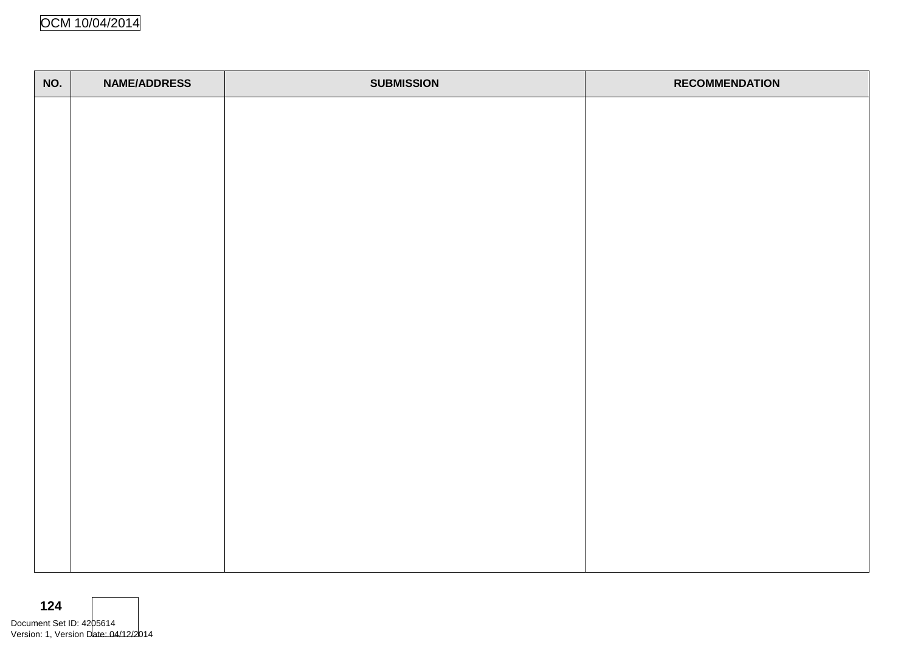| NO. | <b>NAME/ADDRESS</b> | <b>SUBMISSION</b> | <b>RECOMMENDATION</b> |
|-----|---------------------|-------------------|-----------------------|
|     |                     |                   |                       |
|     |                     |                   |                       |
|     |                     |                   |                       |
|     |                     |                   |                       |
|     |                     |                   |                       |
|     |                     |                   |                       |
|     |                     |                   |                       |
|     |                     |                   |                       |
|     |                     |                   |                       |
|     |                     |                   |                       |
|     |                     |                   |                       |
|     |                     |                   |                       |
|     |                     |                   |                       |
|     |                     |                   |                       |
|     |                     |                   |                       |
|     |                     |                   |                       |
|     |                     |                   |                       |
|     |                     |                   |                       |
|     |                     |                   |                       |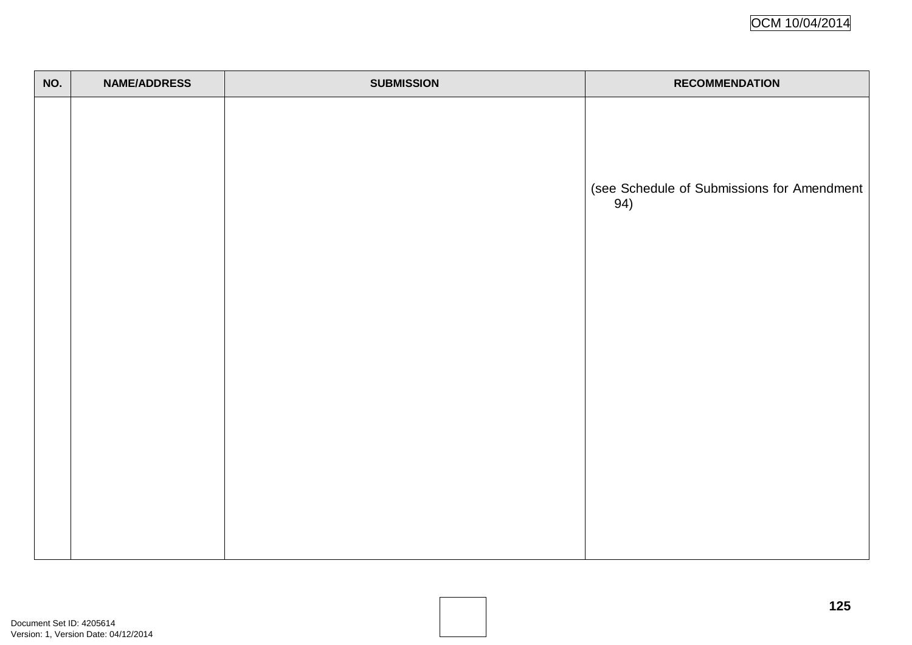| NO. | <b>NAME/ADDRESS</b> | <b>SUBMISSION</b> | <b>RECOMMENDATION</b>                             |
|-----|---------------------|-------------------|---------------------------------------------------|
|     |                     |                   | (see Schedule of Submissions for Amendment<br>94) |
|     |                     |                   |                                                   |
|     |                     |                   |                                                   |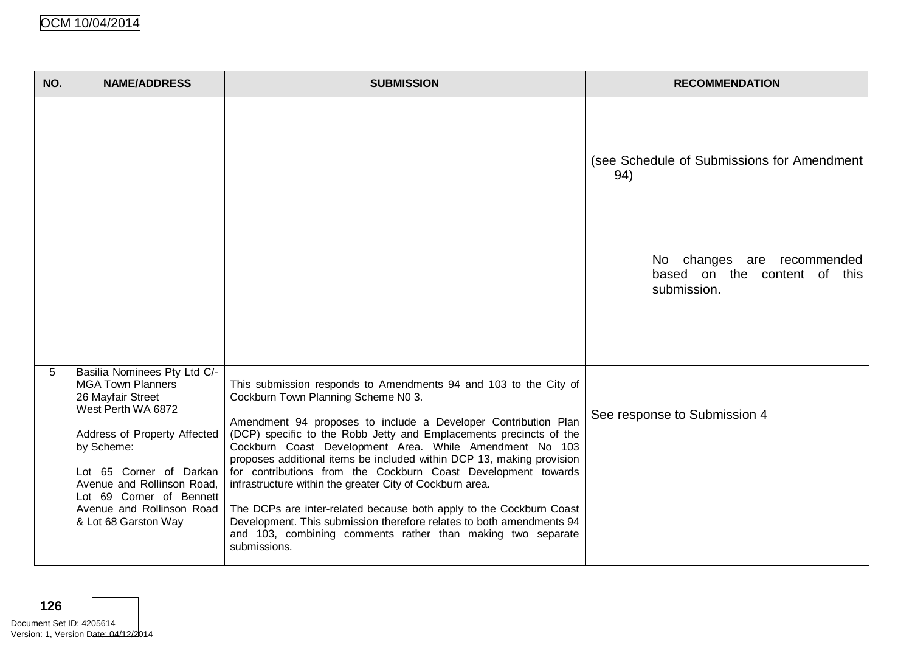| NO. | <b>NAME/ADDRESS</b>                                                                                                                                                                                                                                              | <b>SUBMISSION</b>                                                                                                                                                                                                                                                                                                                                                                                                                                                                                                                                                                                                                                                                                                                                                        | <b>RECOMMENDATION</b>                                                                                                             |
|-----|------------------------------------------------------------------------------------------------------------------------------------------------------------------------------------------------------------------------------------------------------------------|--------------------------------------------------------------------------------------------------------------------------------------------------------------------------------------------------------------------------------------------------------------------------------------------------------------------------------------------------------------------------------------------------------------------------------------------------------------------------------------------------------------------------------------------------------------------------------------------------------------------------------------------------------------------------------------------------------------------------------------------------------------------------|-----------------------------------------------------------------------------------------------------------------------------------|
|     |                                                                                                                                                                                                                                                                  |                                                                                                                                                                                                                                                                                                                                                                                                                                                                                                                                                                                                                                                                                                                                                                          | (see Schedule of Submissions for Amendment<br>94)<br>No changes are recommended<br>based on the content of<br>this<br>submission. |
| 5   | Basilia Nominees Pty Ltd C/-<br><b>MGA Town Planners</b><br>26 Mayfair Street<br>West Perth WA 6872<br>Address of Property Affected<br>by Scheme:<br>Avenue and Rollinson Road,<br>Lot 69 Corner of Bennett<br>Avenue and Rollinson Road<br>& Lot 68 Garston Way | This submission responds to Amendments 94 and 103 to the City of<br>Cockburn Town Planning Scheme N0 3.<br>Amendment 94 proposes to include a Developer Contribution Plan<br>(DCP) specific to the Robb Jetty and Emplacements precincts of the<br>Cockburn Coast Development Area. While Amendment No 103<br>proposes additional items be included within DCP 13, making provision<br>Lot 65 Corner of Darkan   for contributions from the Cockburn Coast Development towards<br>infrastructure within the greater City of Cockburn area.<br>The DCPs are inter-related because both apply to the Cockburn Coast<br>Development. This submission therefore relates to both amendments 94<br>and 103, combining comments rather than making two separate<br>submissions. | See response to Submission 4                                                                                                      |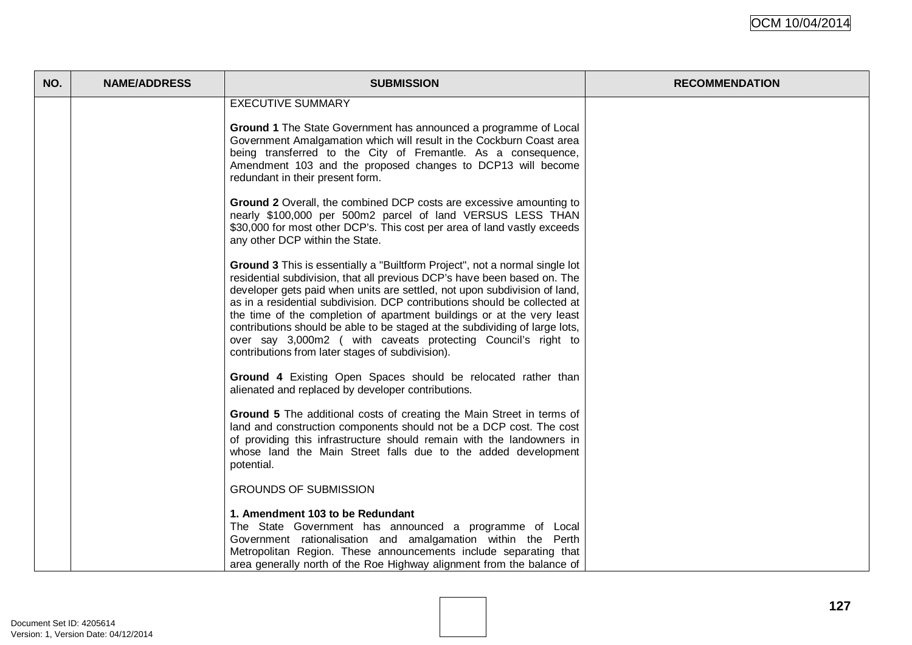| NO. | <b>NAME/ADDRESS</b> | <b>SUBMISSION</b>                                                                                                                                                                                                                                                                                                                                                                                                                                                                                                                                                                               | <b>RECOMMENDATION</b> |
|-----|---------------------|-------------------------------------------------------------------------------------------------------------------------------------------------------------------------------------------------------------------------------------------------------------------------------------------------------------------------------------------------------------------------------------------------------------------------------------------------------------------------------------------------------------------------------------------------------------------------------------------------|-----------------------|
|     |                     | <b>EXECUTIVE SUMMARY</b>                                                                                                                                                                                                                                                                                                                                                                                                                                                                                                                                                                        |                       |
|     |                     | <b>Ground 1</b> The State Government has announced a programme of Local<br>Government Amalgamation which will result in the Cockburn Coast area<br>being transferred to the City of Fremantle. As a consequence,<br>Amendment 103 and the proposed changes to DCP13 will become<br>redundant in their present form.                                                                                                                                                                                                                                                                             |                       |
|     |                     | <b>Ground 2</b> Overall, the combined DCP costs are excessive amounting to<br>nearly \$100,000 per 500m2 parcel of land VERSUS LESS THAN<br>\$30,000 for most other DCP's. This cost per area of land vastly exceeds<br>any other DCP within the State.                                                                                                                                                                                                                                                                                                                                         |                       |
|     |                     | Ground 3 This is essentially a "Builtform Project", not a normal single lot<br>residential subdivision, that all previous DCP's have been based on. The<br>developer gets paid when units are settled, not upon subdivision of land,<br>as in a residential subdivision. DCP contributions should be collected at<br>the time of the completion of apartment buildings or at the very least<br>contributions should be able to be staged at the subdividing of large lots,<br>over say 3,000m2 ( with caveats protecting Council's right to<br>contributions from later stages of subdivision). |                       |
|     |                     | Ground 4 Existing Open Spaces should be relocated rather than<br>alienated and replaced by developer contributions.                                                                                                                                                                                                                                                                                                                                                                                                                                                                             |                       |
|     |                     | Ground 5 The additional costs of creating the Main Street in terms of<br>land and construction components should not be a DCP cost. The cost<br>of providing this infrastructure should remain with the landowners in<br>whose land the Main Street falls due to the added development<br>potential.                                                                                                                                                                                                                                                                                            |                       |
|     |                     | <b>GROUNDS OF SUBMISSION</b>                                                                                                                                                                                                                                                                                                                                                                                                                                                                                                                                                                    |                       |
|     |                     | 1. Amendment 103 to be Redundant<br>The State Government has announced a programme of Local<br>Government rationalisation and amalgamation within the Perth<br>Metropolitan Region. These announcements include separating that<br>area generally north of the Roe Highway alignment from the balance of                                                                                                                                                                                                                                                                                        |                       |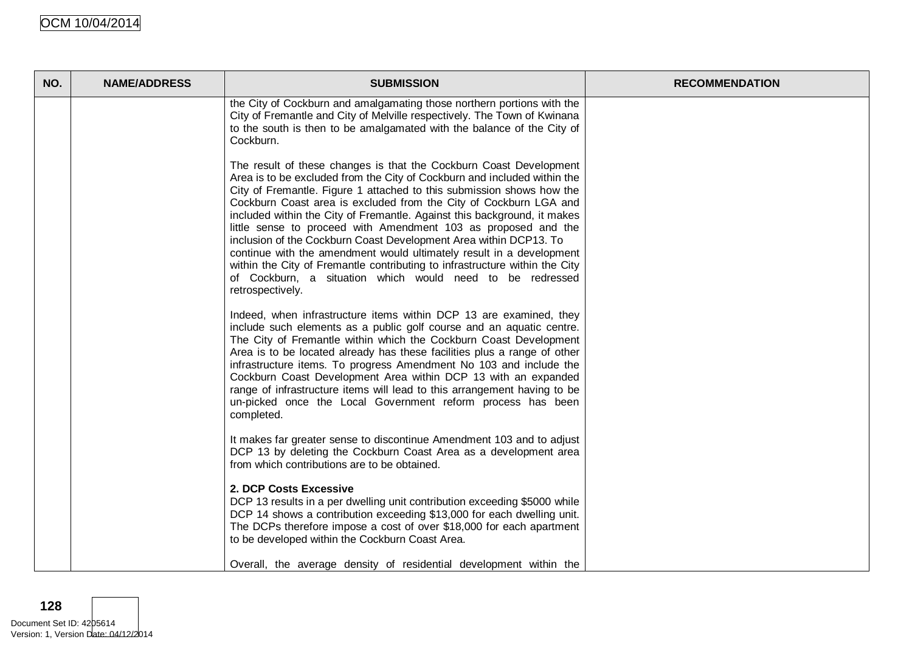| NO. | <b>NAME/ADDRESS</b> | <b>SUBMISSION</b>                                                                                                                                                                                                                                                                                                                                                                                                                                                                                                                                                                                                                                                                                                                                       | <b>RECOMMENDATION</b> |
|-----|---------------------|---------------------------------------------------------------------------------------------------------------------------------------------------------------------------------------------------------------------------------------------------------------------------------------------------------------------------------------------------------------------------------------------------------------------------------------------------------------------------------------------------------------------------------------------------------------------------------------------------------------------------------------------------------------------------------------------------------------------------------------------------------|-----------------------|
|     |                     | the City of Cockburn and amalgamating those northern portions with the<br>City of Fremantle and City of Melville respectively. The Town of Kwinana<br>to the south is then to be amalgamated with the balance of the City of<br>Cockburn.                                                                                                                                                                                                                                                                                                                                                                                                                                                                                                               |                       |
|     |                     | The result of these changes is that the Cockburn Coast Development<br>Area is to be excluded from the City of Cockburn and included within the<br>City of Fremantle. Figure 1 attached to this submission shows how the<br>Cockburn Coast area is excluded from the City of Cockburn LGA and<br>included within the City of Fremantle. Against this background, it makes<br>little sense to proceed with Amendment 103 as proposed and the<br>inclusion of the Cockburn Coast Development Area within DCP13. To<br>continue with the amendment would ultimately result in a development<br>within the City of Fremantle contributing to infrastructure within the City<br>of Cockburn, a situation which would need to be redressed<br>retrospectively. |                       |
|     |                     | Indeed, when infrastructure items within DCP 13 are examined, they<br>include such elements as a public golf course and an aquatic centre.<br>The City of Fremantle within which the Cockburn Coast Development<br>Area is to be located already has these facilities plus a range of other<br>infrastructure items. To progress Amendment No 103 and include the<br>Cockburn Coast Development Area within DCP 13 with an expanded<br>range of infrastructure items will lead to this arrangement having to be<br>un-picked once the Local Government reform process has been<br>completed.                                                                                                                                                            |                       |
|     |                     | It makes far greater sense to discontinue Amendment 103 and to adjust<br>DCP 13 by deleting the Cockburn Coast Area as a development area<br>from which contributions are to be obtained.                                                                                                                                                                                                                                                                                                                                                                                                                                                                                                                                                               |                       |
|     |                     | 2. DCP Costs Excessive<br>DCP 13 results in a per dwelling unit contribution exceeding \$5000 while<br>DCP 14 shows a contribution exceeding \$13,000 for each dwelling unit.<br>The DCPs therefore impose a cost of over \$18,000 for each apartment<br>to be developed within the Cockburn Coast Area.                                                                                                                                                                                                                                                                                                                                                                                                                                                |                       |
|     |                     | Overall, the average density of residential development within the                                                                                                                                                                                                                                                                                                                                                                                                                                                                                                                                                                                                                                                                                      |                       |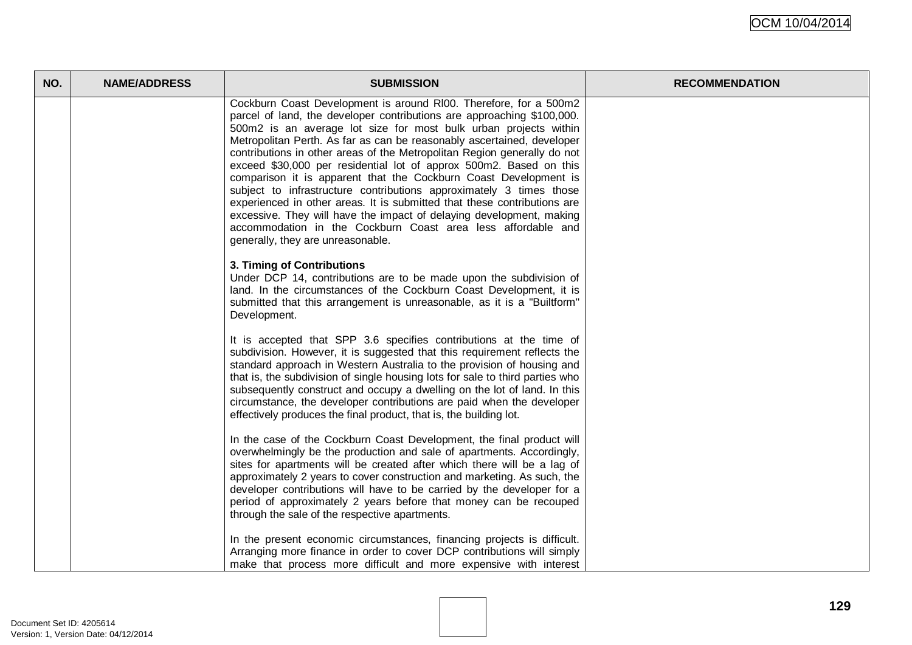| NO. | <b>NAME/ADDRESS</b> | <b>SUBMISSION</b>                                                                                                                                                                                                                                                                                                                                                                                                                                                                                                                                                                                                                                                                                                                                                                                                                               | <b>RECOMMENDATION</b> |
|-----|---------------------|-------------------------------------------------------------------------------------------------------------------------------------------------------------------------------------------------------------------------------------------------------------------------------------------------------------------------------------------------------------------------------------------------------------------------------------------------------------------------------------------------------------------------------------------------------------------------------------------------------------------------------------------------------------------------------------------------------------------------------------------------------------------------------------------------------------------------------------------------|-----------------------|
|     |                     | Cockburn Coast Development is around RI00. Therefore, for a 500m2<br>parcel of land, the developer contributions are approaching \$100,000.<br>500m2 is an average lot size for most bulk urban projects within<br>Metropolitan Perth. As far as can be reasonably ascertained, developer<br>contributions in other areas of the Metropolitan Region generally do not<br>exceed \$30,000 per residential lot of approx 500m2. Based on this<br>comparison it is apparent that the Cockburn Coast Development is<br>subject to infrastructure contributions approximately 3 times those<br>experienced in other areas. It is submitted that these contributions are<br>excessive. They will have the impact of delaying development, making<br>accommodation in the Cockburn Coast area less affordable and<br>generally, they are unreasonable. |                       |
|     |                     | 3. Timing of Contributions<br>Under DCP 14, contributions are to be made upon the subdivision of<br>land. In the circumstances of the Cockburn Coast Development, it is<br>submitted that this arrangement is unreasonable, as it is a "Builtform"<br>Development.                                                                                                                                                                                                                                                                                                                                                                                                                                                                                                                                                                              |                       |
|     |                     | It is accepted that SPP 3.6 specifies contributions at the time of<br>subdivision. However, it is suggested that this requirement reflects the<br>standard approach in Western Australia to the provision of housing and<br>that is, the subdivision of single housing lots for sale to third parties who<br>subsequently construct and occupy a dwelling on the lot of land. In this<br>circumstance, the developer contributions are paid when the developer<br>effectively produces the final product, that is, the building lot.                                                                                                                                                                                                                                                                                                            |                       |
|     |                     | In the case of the Cockburn Coast Development, the final product will<br>overwhelmingly be the production and sale of apartments. Accordingly,<br>sites for apartments will be created after which there will be a lag of<br>approximately 2 years to cover construction and marketing. As such, the<br>developer contributions will have to be carried by the developer for a<br>period of approximately 2 years before that money can be recouped<br>through the sale of the respective apartments.                                                                                                                                                                                                                                                                                                                                           |                       |
|     |                     | In the present economic circumstances, financing projects is difficult.<br>Arranging more finance in order to cover DCP contributions will simply<br>make that process more difficult and more expensive with interest                                                                                                                                                                                                                                                                                                                                                                                                                                                                                                                                                                                                                          |                       |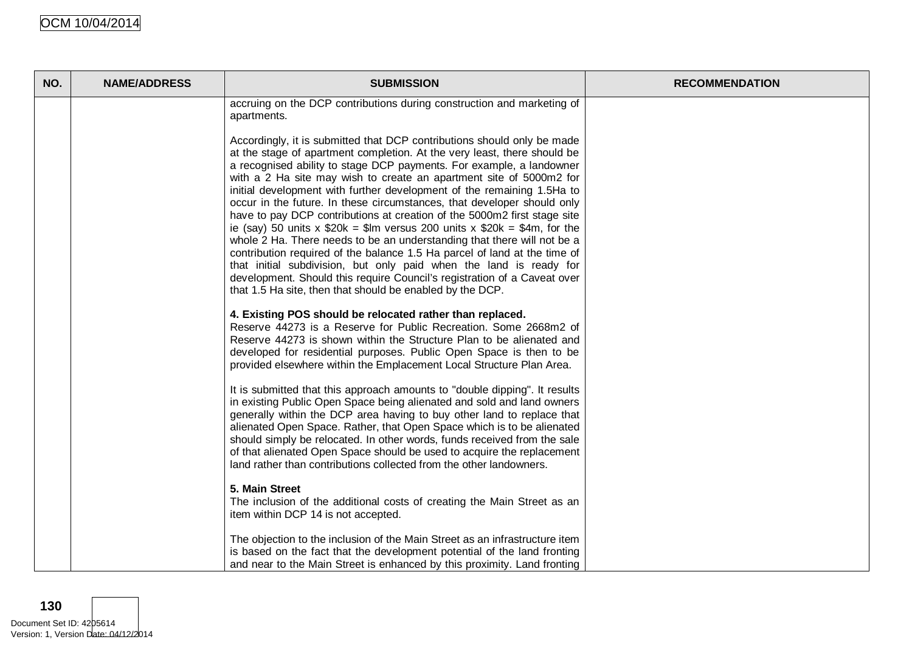| NO. | <b>NAME/ADDRESS</b> | <b>SUBMISSION</b>                                                                                                                                                                                                                                                                                                                                                                                                                                                                                                                                                                                                                                                                                                                                                                                                                                                                                                                                                                        | <b>RECOMMENDATION</b> |
|-----|---------------------|------------------------------------------------------------------------------------------------------------------------------------------------------------------------------------------------------------------------------------------------------------------------------------------------------------------------------------------------------------------------------------------------------------------------------------------------------------------------------------------------------------------------------------------------------------------------------------------------------------------------------------------------------------------------------------------------------------------------------------------------------------------------------------------------------------------------------------------------------------------------------------------------------------------------------------------------------------------------------------------|-----------------------|
|     |                     | accruing on the DCP contributions during construction and marketing of<br>apartments.                                                                                                                                                                                                                                                                                                                                                                                                                                                                                                                                                                                                                                                                                                                                                                                                                                                                                                    |                       |
|     |                     | Accordingly, it is submitted that DCP contributions should only be made<br>at the stage of apartment completion. At the very least, there should be<br>a recognised ability to stage DCP payments. For example, a landowner<br>with a 2 Ha site may wish to create an apartment site of 5000m2 for<br>initial development with further development of the remaining 1.5Ha to<br>occur in the future. In these circumstances, that developer should only<br>have to pay DCP contributions at creation of the 5000m2 first stage site<br>ie (say) 50 units x $$20k = $lm$ versus 200 units x $$20k = $4m$ , for the<br>whole 2 Ha. There needs to be an understanding that there will not be a<br>contribution required of the balance 1.5 Ha parcel of land at the time of<br>that initial subdivision, but only paid when the land is ready for<br>development. Should this require Council's registration of a Caveat over<br>that 1.5 Ha site, then that should be enabled by the DCP. |                       |
|     |                     | 4. Existing POS should be relocated rather than replaced.<br>Reserve 44273 is a Reserve for Public Recreation. Some 2668m2 of<br>Reserve 44273 is shown within the Structure Plan to be alienated and<br>developed for residential purposes. Public Open Space is then to be<br>provided elsewhere within the Emplacement Local Structure Plan Area.                                                                                                                                                                                                                                                                                                                                                                                                                                                                                                                                                                                                                                     |                       |
|     |                     | It is submitted that this approach amounts to "double dipping". It results<br>in existing Public Open Space being alienated and sold and land owners<br>generally within the DCP area having to buy other land to replace that<br>alienated Open Space. Rather, that Open Space which is to be alienated<br>should simply be relocated. In other words, funds received from the sale<br>of that alienated Open Space should be used to acquire the replacement<br>land rather than contributions collected from the other landowners.                                                                                                                                                                                                                                                                                                                                                                                                                                                    |                       |
|     |                     | 5. Main Street<br>The inclusion of the additional costs of creating the Main Street as an<br>item within DCP 14 is not accepted.                                                                                                                                                                                                                                                                                                                                                                                                                                                                                                                                                                                                                                                                                                                                                                                                                                                         |                       |
|     |                     | The objection to the inclusion of the Main Street as an infrastructure item<br>is based on the fact that the development potential of the land fronting<br>and near to the Main Street is enhanced by this proximity. Land fronting                                                                                                                                                                                                                                                                                                                                                                                                                                                                                                                                                                                                                                                                                                                                                      |                       |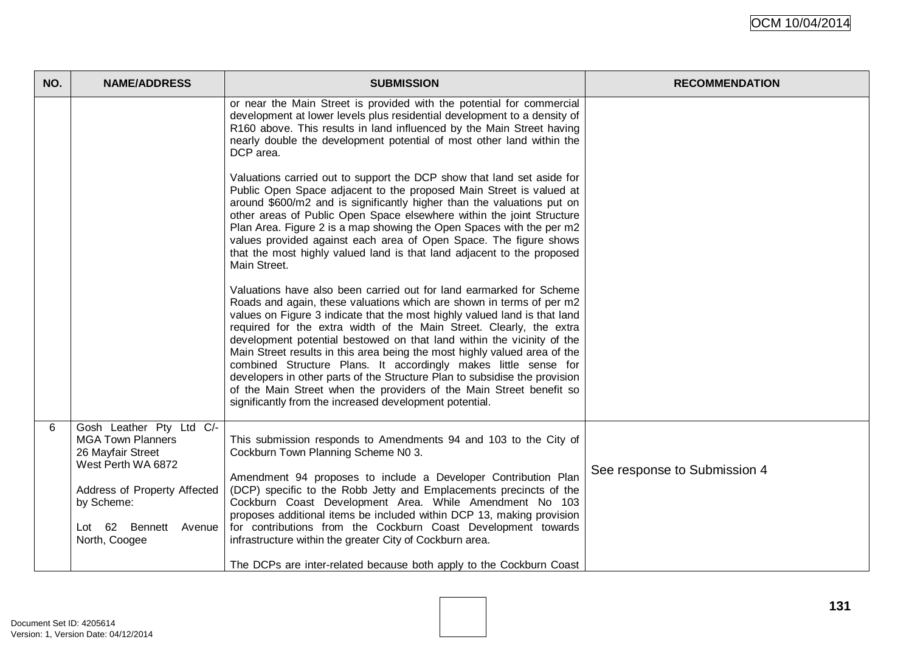| NO. | <b>NAME/ADDRESS</b>                                                                                             | <b>SUBMISSION</b>                                                                                                                                                                                                                                                                                                                                                                                                                                                                                                                                                                                                                                                                                                                         | <b>RECOMMENDATION</b>        |
|-----|-----------------------------------------------------------------------------------------------------------------|-------------------------------------------------------------------------------------------------------------------------------------------------------------------------------------------------------------------------------------------------------------------------------------------------------------------------------------------------------------------------------------------------------------------------------------------------------------------------------------------------------------------------------------------------------------------------------------------------------------------------------------------------------------------------------------------------------------------------------------------|------------------------------|
|     |                                                                                                                 | or near the Main Street is provided with the potential for commercial<br>development at lower levels plus residential development to a density of<br>R160 above. This results in land influenced by the Main Street having<br>nearly double the development potential of most other land within the<br>DCP area.                                                                                                                                                                                                                                                                                                                                                                                                                          |                              |
|     |                                                                                                                 | Valuations carried out to support the DCP show that land set aside for<br>Public Open Space adjacent to the proposed Main Street is valued at<br>around \$600/m2 and is significantly higher than the valuations put on<br>other areas of Public Open Space elsewhere within the joint Structure<br>Plan Area. Figure 2 is a map showing the Open Spaces with the per m2<br>values provided against each area of Open Space. The figure shows<br>that the most highly valued land is that land adjacent to the proposed<br>Main Street.                                                                                                                                                                                                   |                              |
|     |                                                                                                                 | Valuations have also been carried out for land earmarked for Scheme<br>Roads and again, these valuations which are shown in terms of per m2<br>values on Figure 3 indicate that the most highly valued land is that land<br>required for the extra width of the Main Street. Clearly, the extra<br>development potential bestowed on that land within the vicinity of the<br>Main Street results in this area being the most highly valued area of the<br>combined Structure Plans. It accordingly makes little sense for<br>developers in other parts of the Structure Plan to subsidise the provision<br>of the Main Street when the providers of the Main Street benefit so<br>significantly from the increased development potential. |                              |
| 6   | Gosh Leather Pty Ltd C/-<br><b>MGA Town Planners</b><br>26 Mayfair Street                                       | This submission responds to Amendments 94 and 103 to the City of<br>Cockburn Town Planning Scheme N0 3.                                                                                                                                                                                                                                                                                                                                                                                                                                                                                                                                                                                                                                   |                              |
|     | West Perth WA 6872<br>Address of Property Affected<br>by Scheme:<br>Lot $62$<br>Bennett Avenue<br>North, Coogee | Amendment 94 proposes to include a Developer Contribution Plan<br>(DCP) specific to the Robb Jetty and Emplacements precincts of the<br>Cockburn Coast Development Area. While Amendment No 103<br>proposes additional items be included within DCP 13, making provision<br>for contributions from the Cockburn Coast Development towards<br>infrastructure within the greater City of Cockburn area.                                                                                                                                                                                                                                                                                                                                     | See response to Submission 4 |
|     |                                                                                                                 | The DCPs are inter-related because both apply to the Cockburn Coast                                                                                                                                                                                                                                                                                                                                                                                                                                                                                                                                                                                                                                                                       |                              |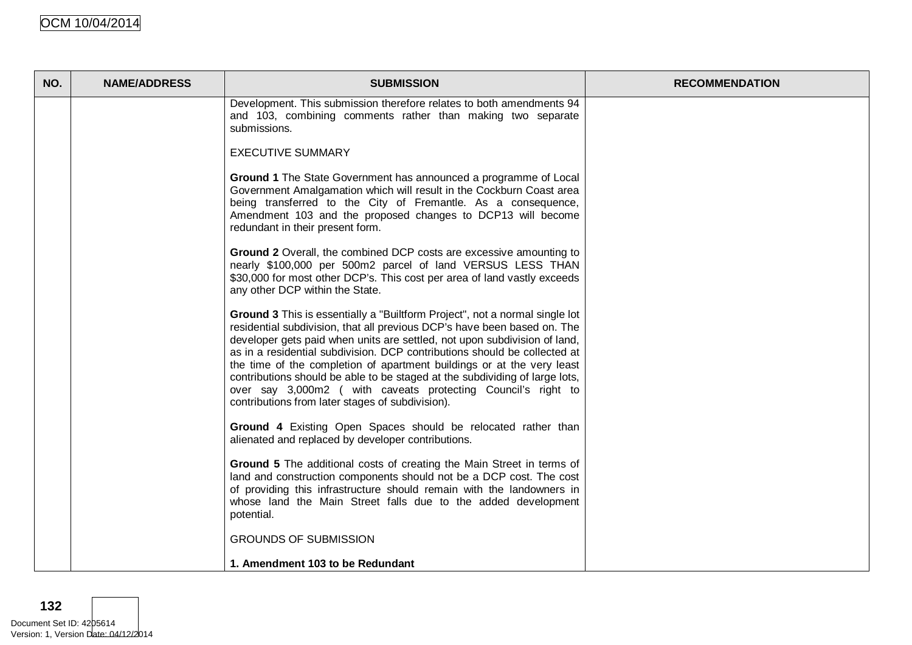| NO. | <b>NAME/ADDRESS</b> | <b>SUBMISSION</b>                                                                                                                                                                                                                                                                                                                                                                                                                                                                                                                                                                               | <b>RECOMMENDATION</b> |
|-----|---------------------|-------------------------------------------------------------------------------------------------------------------------------------------------------------------------------------------------------------------------------------------------------------------------------------------------------------------------------------------------------------------------------------------------------------------------------------------------------------------------------------------------------------------------------------------------------------------------------------------------|-----------------------|
|     |                     | Development. This submission therefore relates to both amendments 94<br>and 103, combining comments rather than making two separate<br>submissions.                                                                                                                                                                                                                                                                                                                                                                                                                                             |                       |
|     |                     | <b>EXECUTIVE SUMMARY</b>                                                                                                                                                                                                                                                                                                                                                                                                                                                                                                                                                                        |                       |
|     |                     | <b>Ground 1</b> The State Government has announced a programme of Local<br>Government Amalgamation which will result in the Cockburn Coast area<br>being transferred to the City of Fremantle. As a consequence,<br>Amendment 103 and the proposed changes to DCP13 will become<br>redundant in their present form.                                                                                                                                                                                                                                                                             |                       |
|     |                     | Ground 2 Overall, the combined DCP costs are excessive amounting to<br>nearly \$100,000 per 500m2 parcel of land VERSUS LESS THAN<br>\$30,000 for most other DCP's. This cost per area of land vastly exceeds<br>any other DCP within the State.                                                                                                                                                                                                                                                                                                                                                |                       |
|     |                     | Ground 3 This is essentially a "Builtform Project", not a normal single lot<br>residential subdivision, that all previous DCP's have been based on. The<br>developer gets paid when units are settled, not upon subdivision of land,<br>as in a residential subdivision. DCP contributions should be collected at<br>the time of the completion of apartment buildings or at the very least<br>contributions should be able to be staged at the subdividing of large lots,<br>over say 3,000m2 ( with caveats protecting Council's right to<br>contributions from later stages of subdivision). |                       |
|     |                     | <b>Ground 4</b> Existing Open Spaces should be relocated rather than<br>alienated and replaced by developer contributions.                                                                                                                                                                                                                                                                                                                                                                                                                                                                      |                       |
|     |                     | Ground 5 The additional costs of creating the Main Street in terms of<br>land and construction components should not be a DCP cost. The cost<br>of providing this infrastructure should remain with the landowners in<br>whose land the Main Street falls due to the added development<br>potential.                                                                                                                                                                                                                                                                                            |                       |
|     |                     | <b>GROUNDS OF SUBMISSION</b>                                                                                                                                                                                                                                                                                                                                                                                                                                                                                                                                                                    |                       |
|     |                     | 1. Amendment 103 to be Redundant                                                                                                                                                                                                                                                                                                                                                                                                                                                                                                                                                                |                       |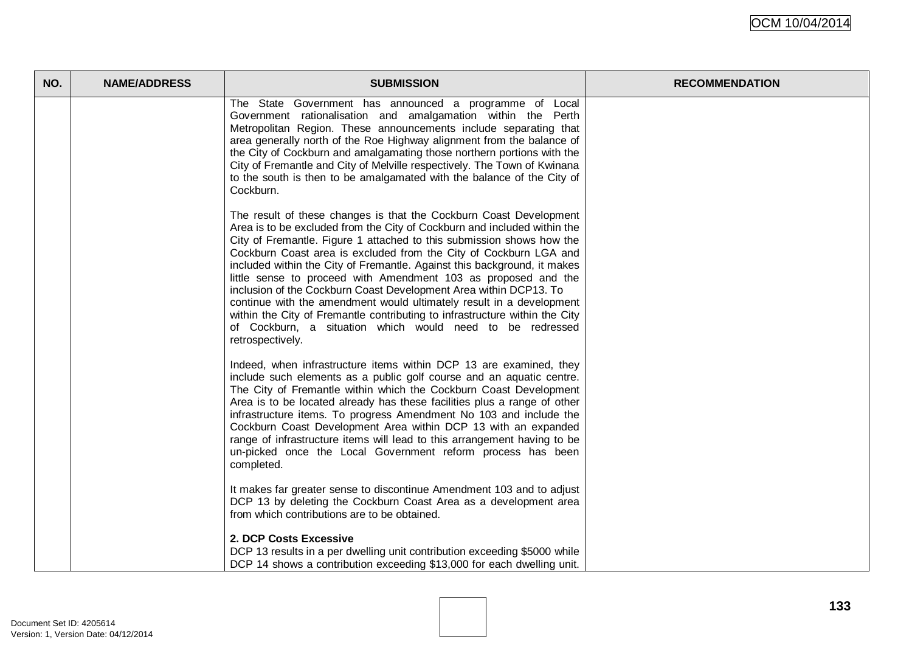| NO. | <b>NAME/ADDRESS</b> | <b>SUBMISSION</b>                                                                                                                                                                                                                                                                                                                                                                                                                                                                                                                                                                                                                                                                                                                                       | <b>RECOMMENDATION</b> |
|-----|---------------------|---------------------------------------------------------------------------------------------------------------------------------------------------------------------------------------------------------------------------------------------------------------------------------------------------------------------------------------------------------------------------------------------------------------------------------------------------------------------------------------------------------------------------------------------------------------------------------------------------------------------------------------------------------------------------------------------------------------------------------------------------------|-----------------------|
|     |                     | The State Government has announced a programme of Local<br>Government rationalisation and amalgamation within the Perth<br>Metropolitan Region. These announcements include separating that<br>area generally north of the Roe Highway alignment from the balance of<br>the City of Cockburn and amalgamating those northern portions with the<br>City of Fremantle and City of Melville respectively. The Town of Kwinana<br>to the south is then to be amalgamated with the balance of the City of<br>Cockburn.                                                                                                                                                                                                                                       |                       |
|     |                     | The result of these changes is that the Cockburn Coast Development<br>Area is to be excluded from the City of Cockburn and included within the<br>City of Fremantle. Figure 1 attached to this submission shows how the<br>Cockburn Coast area is excluded from the City of Cockburn LGA and<br>included within the City of Fremantle. Against this background, it makes<br>little sense to proceed with Amendment 103 as proposed and the<br>inclusion of the Cockburn Coast Development Area within DCP13. To<br>continue with the amendment would ultimately result in a development<br>within the City of Fremantle contributing to infrastructure within the City<br>of Cockburn, a situation which would need to be redressed<br>retrospectively. |                       |
|     |                     | Indeed, when infrastructure items within DCP 13 are examined, they<br>include such elements as a public golf course and an aquatic centre.<br>The City of Fremantle within which the Cockburn Coast Development<br>Area is to be located already has these facilities plus a range of other<br>infrastructure items. To progress Amendment No 103 and include the<br>Cockburn Coast Development Area within DCP 13 with an expanded<br>range of infrastructure items will lead to this arrangement having to be<br>un-picked once the Local Government reform process has been<br>completed.                                                                                                                                                            |                       |
|     |                     | It makes far greater sense to discontinue Amendment 103 and to adjust<br>DCP 13 by deleting the Cockburn Coast Area as a development area<br>from which contributions are to be obtained.                                                                                                                                                                                                                                                                                                                                                                                                                                                                                                                                                               |                       |
|     |                     | 2. DCP Costs Excessive<br>DCP 13 results in a per dwelling unit contribution exceeding \$5000 while<br>DCP 14 shows a contribution exceeding \$13,000 for each dwelling unit.                                                                                                                                                                                                                                                                                                                                                                                                                                                                                                                                                                           |                       |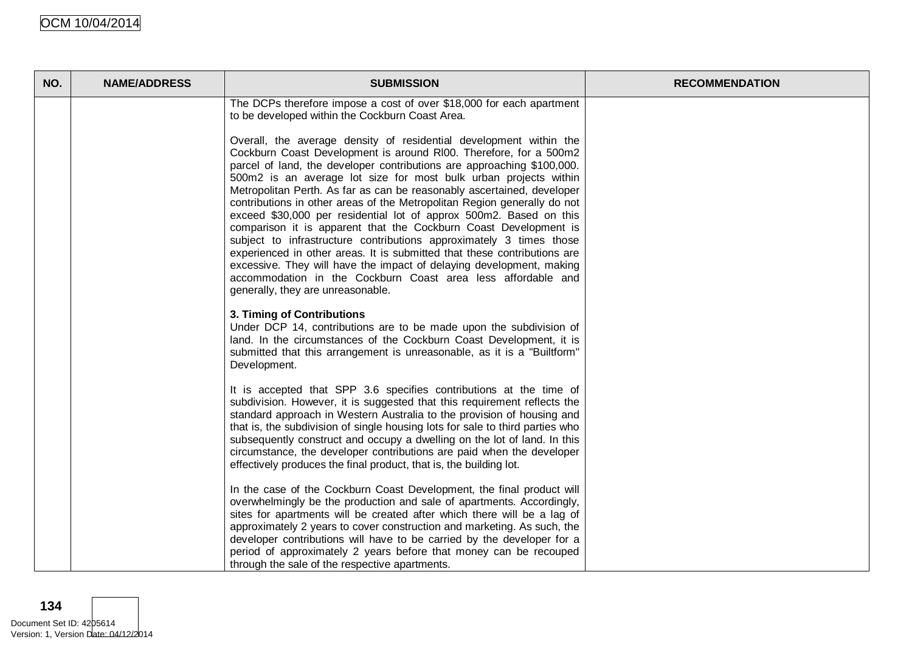| NO. | <b>NAME/ADDRESS</b> | <b>SUBMISSION</b>                                                                                                                                                                                                                                                                                                                                                                                                                                                                                                                                                                                                                                                                                                                                                                                                                                                                                                     | <b>RECOMMENDATION</b> |
|-----|---------------------|-----------------------------------------------------------------------------------------------------------------------------------------------------------------------------------------------------------------------------------------------------------------------------------------------------------------------------------------------------------------------------------------------------------------------------------------------------------------------------------------------------------------------------------------------------------------------------------------------------------------------------------------------------------------------------------------------------------------------------------------------------------------------------------------------------------------------------------------------------------------------------------------------------------------------|-----------------------|
|     |                     | The DCPs therefore impose a cost of over \$18,000 for each apartment<br>to be developed within the Cockburn Coast Area.                                                                                                                                                                                                                                                                                                                                                                                                                                                                                                                                                                                                                                                                                                                                                                                               |                       |
|     |                     | Overall, the average density of residential development within the<br>Cockburn Coast Development is around RI00. Therefore, for a 500m2<br>parcel of land, the developer contributions are approaching \$100,000.<br>500m2 is an average lot size for most bulk urban projects within<br>Metropolitan Perth. As far as can be reasonably ascertained, developer<br>contributions in other areas of the Metropolitan Region generally do not<br>exceed \$30,000 per residential lot of approx 500m2. Based on this<br>comparison it is apparent that the Cockburn Coast Development is<br>subject to infrastructure contributions approximately 3 times those<br>experienced in other areas. It is submitted that these contributions are<br>excessive. They will have the impact of delaying development, making<br>accommodation in the Cockburn Coast area less affordable and<br>generally, they are unreasonable. |                       |
|     |                     | 3. Timing of Contributions<br>Under DCP 14, contributions are to be made upon the subdivision of<br>land. In the circumstances of the Cockburn Coast Development, it is<br>submitted that this arrangement is unreasonable, as it is a "Builtform"<br>Development.                                                                                                                                                                                                                                                                                                                                                                                                                                                                                                                                                                                                                                                    |                       |
|     |                     | It is accepted that SPP 3.6 specifies contributions at the time of<br>subdivision. However, it is suggested that this requirement reflects the<br>standard approach in Western Australia to the provision of housing and<br>that is, the subdivision of single housing lots for sale to third parties who<br>subsequently construct and occupy a dwelling on the lot of land. In this<br>circumstance, the developer contributions are paid when the developer<br>effectively produces the final product, that is, the building lot.                                                                                                                                                                                                                                                                                                                                                                                  |                       |
|     |                     | In the case of the Cockburn Coast Development, the final product will<br>overwhelmingly be the production and sale of apartments. Accordingly,<br>sites for apartments will be created after which there will be a lag of<br>approximately 2 years to cover construction and marketing. As such, the<br>developer contributions will have to be carried by the developer for a<br>period of approximately 2 years before that money can be recouped<br>through the sale of the respective apartments.                                                                                                                                                                                                                                                                                                                                                                                                                 |                       |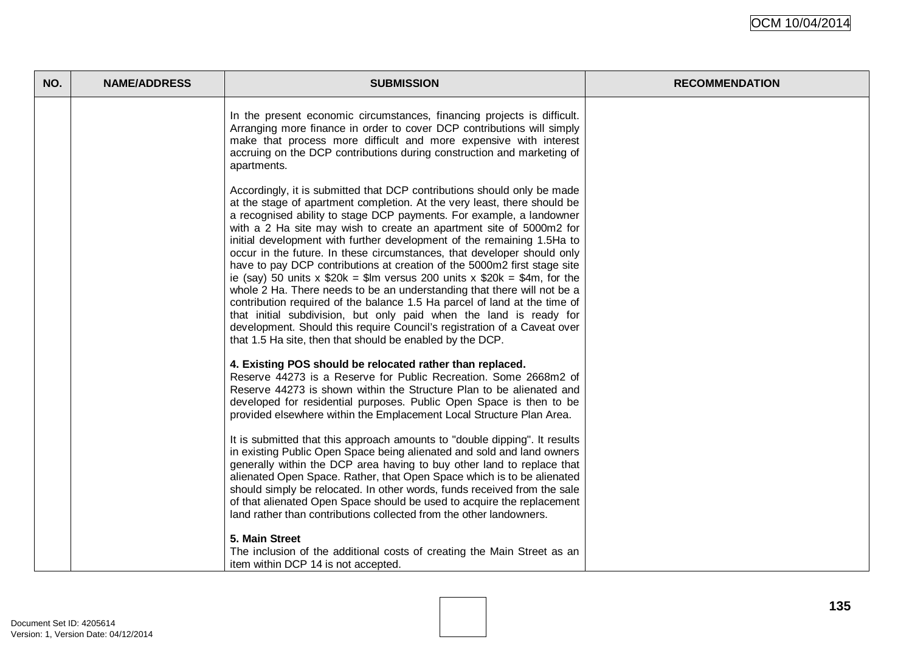| NO. | <b>NAME/ADDRESS</b> | <b>SUBMISSION</b>                                                                                                                                                                                                                                                                                                                                                                                                                                                                                                                                                                                                                                                                                                                                                                                                                                                                                                                                                                        | <b>RECOMMENDATION</b> |
|-----|---------------------|------------------------------------------------------------------------------------------------------------------------------------------------------------------------------------------------------------------------------------------------------------------------------------------------------------------------------------------------------------------------------------------------------------------------------------------------------------------------------------------------------------------------------------------------------------------------------------------------------------------------------------------------------------------------------------------------------------------------------------------------------------------------------------------------------------------------------------------------------------------------------------------------------------------------------------------------------------------------------------------|-----------------------|
|     |                     | In the present economic circumstances, financing projects is difficult.<br>Arranging more finance in order to cover DCP contributions will simply<br>make that process more difficult and more expensive with interest<br>accruing on the DCP contributions during construction and marketing of<br>apartments.                                                                                                                                                                                                                                                                                                                                                                                                                                                                                                                                                                                                                                                                          |                       |
|     |                     | Accordingly, it is submitted that DCP contributions should only be made<br>at the stage of apartment completion. At the very least, there should be<br>a recognised ability to stage DCP payments. For example, a landowner<br>with a 2 Ha site may wish to create an apartment site of 5000m2 for<br>initial development with further development of the remaining 1.5Ha to<br>occur in the future. In these circumstances, that developer should only<br>have to pay DCP contributions at creation of the 5000m2 first stage site<br>ie (say) 50 units x $$20k = $lm$ versus 200 units x $$20k = $4m$ , for the<br>whole 2 Ha. There needs to be an understanding that there will not be a<br>contribution required of the balance 1.5 Ha parcel of land at the time of<br>that initial subdivision, but only paid when the land is ready for<br>development. Should this require Council's registration of a Caveat over<br>that 1.5 Ha site, then that should be enabled by the DCP. |                       |
|     |                     | 4. Existing POS should be relocated rather than replaced.<br>Reserve 44273 is a Reserve for Public Recreation. Some 2668m2 of<br>Reserve 44273 is shown within the Structure Plan to be alienated and<br>developed for residential purposes. Public Open Space is then to be<br>provided elsewhere within the Emplacement Local Structure Plan Area.                                                                                                                                                                                                                                                                                                                                                                                                                                                                                                                                                                                                                                     |                       |
|     |                     | It is submitted that this approach amounts to "double dipping". It results<br>in existing Public Open Space being alienated and sold and land owners<br>generally within the DCP area having to buy other land to replace that<br>alienated Open Space. Rather, that Open Space which is to be alienated<br>should simply be relocated. In other words, funds received from the sale<br>of that alienated Open Space should be used to acquire the replacement<br>land rather than contributions collected from the other landowners.                                                                                                                                                                                                                                                                                                                                                                                                                                                    |                       |
|     |                     | 5. Main Street<br>The inclusion of the additional costs of creating the Main Street as an<br>item within DCP 14 is not accepted.                                                                                                                                                                                                                                                                                                                                                                                                                                                                                                                                                                                                                                                                                                                                                                                                                                                         |                       |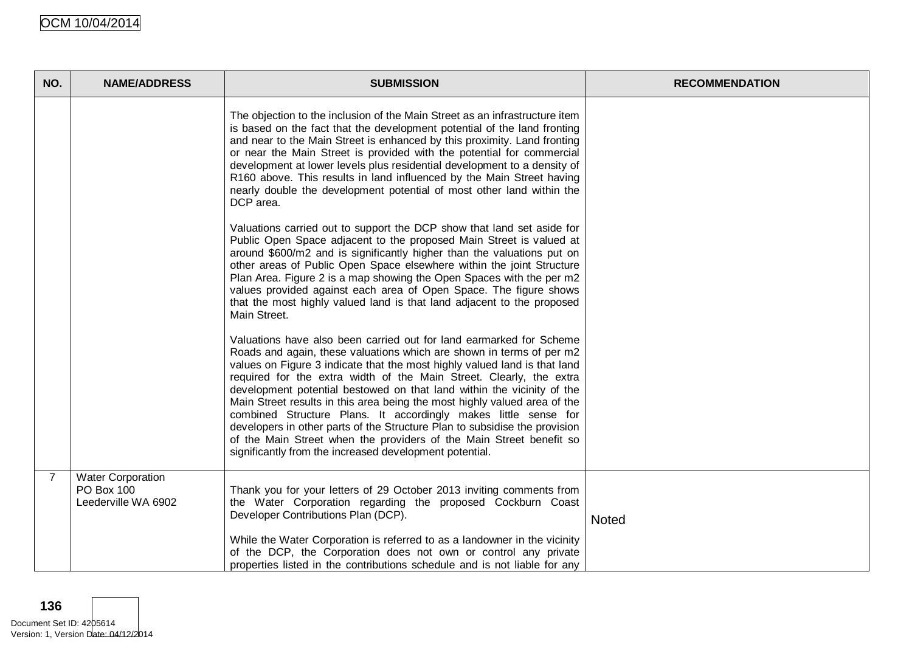| NO.            | <b>NAME/ADDRESS</b>                                           | <b>SUBMISSION</b>                                                                                                                                                                                                                                                                                                                                                                                                                                                                                                                                                                                                                                                                                                                         | <b>RECOMMENDATION</b> |
|----------------|---------------------------------------------------------------|-------------------------------------------------------------------------------------------------------------------------------------------------------------------------------------------------------------------------------------------------------------------------------------------------------------------------------------------------------------------------------------------------------------------------------------------------------------------------------------------------------------------------------------------------------------------------------------------------------------------------------------------------------------------------------------------------------------------------------------------|-----------------------|
|                |                                                               | The objection to the inclusion of the Main Street as an infrastructure item<br>is based on the fact that the development potential of the land fronting<br>and near to the Main Street is enhanced by this proximity. Land fronting<br>or near the Main Street is provided with the potential for commercial<br>development at lower levels plus residential development to a density of<br>R160 above. This results in land influenced by the Main Street having<br>nearly double the development potential of most other land within the<br>DCP area.                                                                                                                                                                                   |                       |
|                |                                                               | Valuations carried out to support the DCP show that land set aside for<br>Public Open Space adjacent to the proposed Main Street is valued at<br>around \$600/m2 and is significantly higher than the valuations put on<br>other areas of Public Open Space elsewhere within the joint Structure<br>Plan Area. Figure 2 is a map showing the Open Spaces with the per m2<br>values provided against each area of Open Space. The figure shows<br>that the most highly valued land is that land adjacent to the proposed<br>Main Street.                                                                                                                                                                                                   |                       |
|                |                                                               | Valuations have also been carried out for land earmarked for Scheme<br>Roads and again, these valuations which are shown in terms of per m2<br>values on Figure 3 indicate that the most highly valued land is that land<br>required for the extra width of the Main Street. Clearly, the extra<br>development potential bestowed on that land within the vicinity of the<br>Main Street results in this area being the most highly valued area of the<br>combined Structure Plans. It accordingly makes little sense for<br>developers in other parts of the Structure Plan to subsidise the provision<br>of the Main Street when the providers of the Main Street benefit so<br>significantly from the increased development potential. |                       |
| $\overline{7}$ | <b>Water Corporation</b><br>PO Box 100<br>Leederville WA 6902 | Thank you for your letters of 29 October 2013 inviting comments from<br>the Water Corporation regarding the proposed Cockburn Coast<br>Developer Contributions Plan (DCP).<br>While the Water Corporation is referred to as a landowner in the vicinity<br>of the DCP, the Corporation does not own or control any private<br>properties listed in the contributions schedule and is not liable for any                                                                                                                                                                                                                                                                                                                                   | <b>Noted</b>          |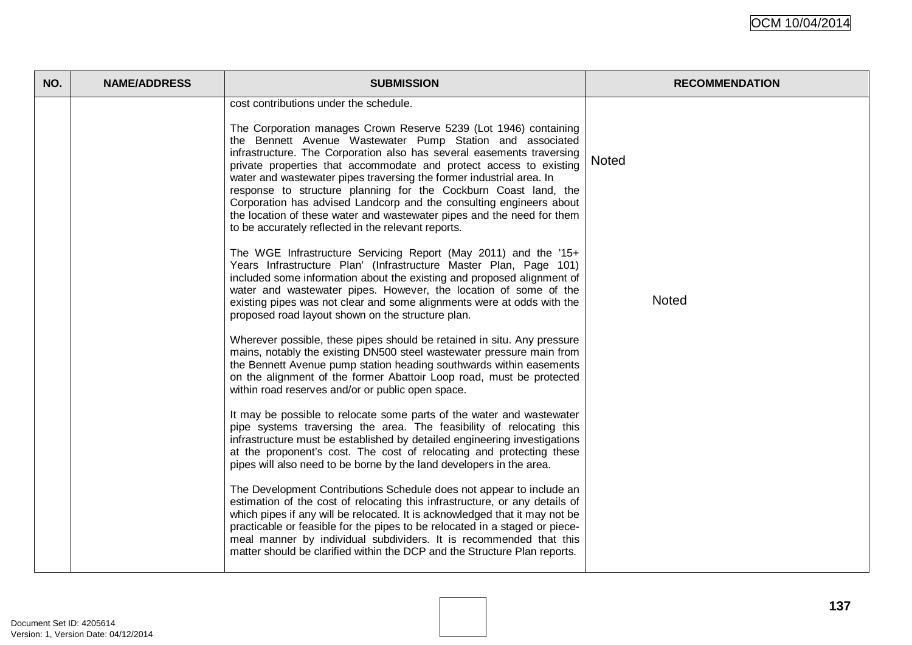| NO. | <b>NAME/ADDRESS</b> | <b>SUBMISSION</b>                                                                                                                                                                                                                                                                                                                                                                                                                                                                                                                                                                                                                                                                                                                                                                                                                                                                                                                                                                                                                                                                                                                                                                                                                                                                                                                                                                                                                                                                                                                                                                                                                                                                                                                                                                                                                                                                                                                                                                                                                                                                                                                                                                                                               | <b>RECOMMENDATION</b>        |
|-----|---------------------|---------------------------------------------------------------------------------------------------------------------------------------------------------------------------------------------------------------------------------------------------------------------------------------------------------------------------------------------------------------------------------------------------------------------------------------------------------------------------------------------------------------------------------------------------------------------------------------------------------------------------------------------------------------------------------------------------------------------------------------------------------------------------------------------------------------------------------------------------------------------------------------------------------------------------------------------------------------------------------------------------------------------------------------------------------------------------------------------------------------------------------------------------------------------------------------------------------------------------------------------------------------------------------------------------------------------------------------------------------------------------------------------------------------------------------------------------------------------------------------------------------------------------------------------------------------------------------------------------------------------------------------------------------------------------------------------------------------------------------------------------------------------------------------------------------------------------------------------------------------------------------------------------------------------------------------------------------------------------------------------------------------------------------------------------------------------------------------------------------------------------------------------------------------------------------------------------------------------------------|------------------------------|
|     |                     | cost contributions under the schedule.<br>The Corporation manages Crown Reserve 5239 (Lot 1946) containing<br>the Bennett Avenue Wastewater Pump Station and associated<br>infrastructure. The Corporation also has several easements traversing<br>private properties that accommodate and protect access to existing<br>water and wastewater pipes traversing the former industrial area. In<br>response to structure planning for the Cockburn Coast land, the<br>Corporation has advised Landcorp and the consulting engineers about<br>the location of these water and wastewater pipes and the need for them<br>to be accurately reflected in the relevant reports.<br>The WGE Infrastructure Servicing Report (May 2011) and the '15+<br>Years Infrastructure Plan' (Infrastructure Master Plan, Page 101)<br>included some information about the existing and proposed alignment of<br>water and wastewater pipes. However, the location of some of the<br>existing pipes was not clear and some alignments were at odds with the<br>proposed road layout shown on the structure plan.<br>Wherever possible, these pipes should be retained in situ. Any pressure<br>mains, notably the existing DN500 steel wastewater pressure main from<br>the Bennett Avenue pump station heading southwards within easements<br>on the alignment of the former Abattoir Loop road, must be protected<br>within road reserves and/or or public open space.<br>It may be possible to relocate some parts of the water and wastewater<br>pipe systems traversing the area. The feasibility of relocating this<br>infrastructure must be established by detailed engineering investigations<br>at the proponent's cost. The cost of relocating and protecting these<br>pipes will also need to be borne by the land developers in the area.<br>The Development Contributions Schedule does not appear to include an<br>estimation of the cost of relocating this infrastructure, or any details of<br>which pipes if any will be relocated. It is acknowledged that it may not be<br>practicable or feasible for the pipes to be relocated in a staged or piece-<br>meal manner by individual subdividers. It is recommended that this | <b>Noted</b><br><b>Noted</b> |
|     |                     | matter should be clarified within the DCP and the Structure Plan reports.                                                                                                                                                                                                                                                                                                                                                                                                                                                                                                                                                                                                                                                                                                                                                                                                                                                                                                                                                                                                                                                                                                                                                                                                                                                                                                                                                                                                                                                                                                                                                                                                                                                                                                                                                                                                                                                                                                                                                                                                                                                                                                                                                       |                              |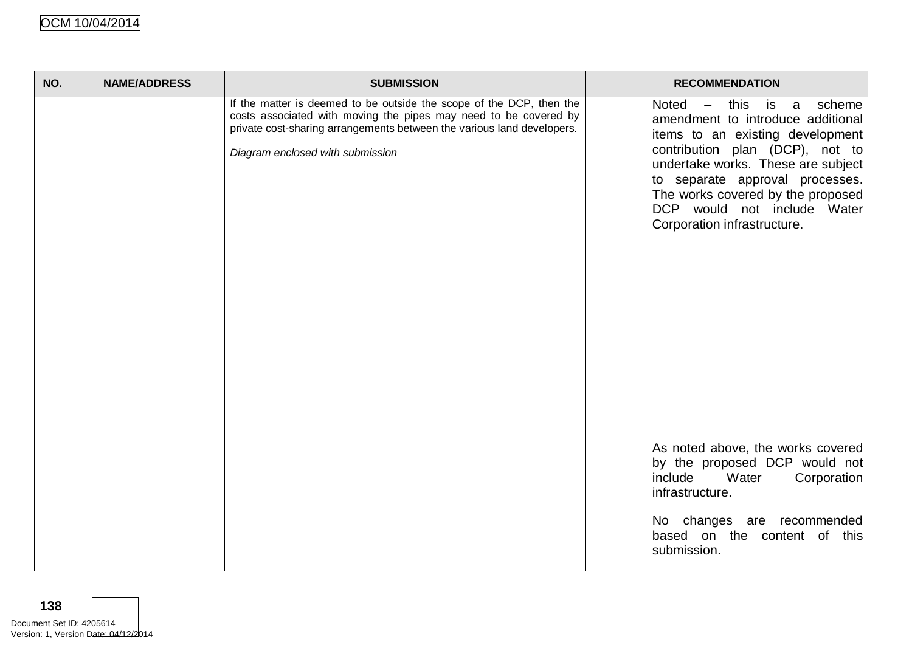| NO. | <b>NAME/ADDRESS</b> | <b>SUBMISSION</b>                                                                                                                                                                                                                                      | <b>RECOMMENDATION</b>                                                                                                                                                                                                                                                                                                 |
|-----|---------------------|--------------------------------------------------------------------------------------------------------------------------------------------------------------------------------------------------------------------------------------------------------|-----------------------------------------------------------------------------------------------------------------------------------------------------------------------------------------------------------------------------------------------------------------------------------------------------------------------|
|     |                     | If the matter is deemed to be outside the scope of the DCP, then the<br>costs associated with moving the pipes may need to be covered by<br>private cost-sharing arrangements between the various land developers.<br>Diagram enclosed with submission | Noted $-$ this is a<br>scheme<br>amendment to introduce additional<br>items to an existing development<br>contribution plan (DCP), not to<br>undertake works. These are subject<br>to separate approval processes.<br>The works covered by the proposed<br>DCP would not include Water<br>Corporation infrastructure. |
|     |                     |                                                                                                                                                                                                                                                        | As noted above, the works covered<br>by the proposed DCP would not<br>Water<br>include<br>Corporation<br>infrastructure.                                                                                                                                                                                              |
|     |                     |                                                                                                                                                                                                                                                        | No changes are recommended<br>based on the content of this<br>submission.                                                                                                                                                                                                                                             |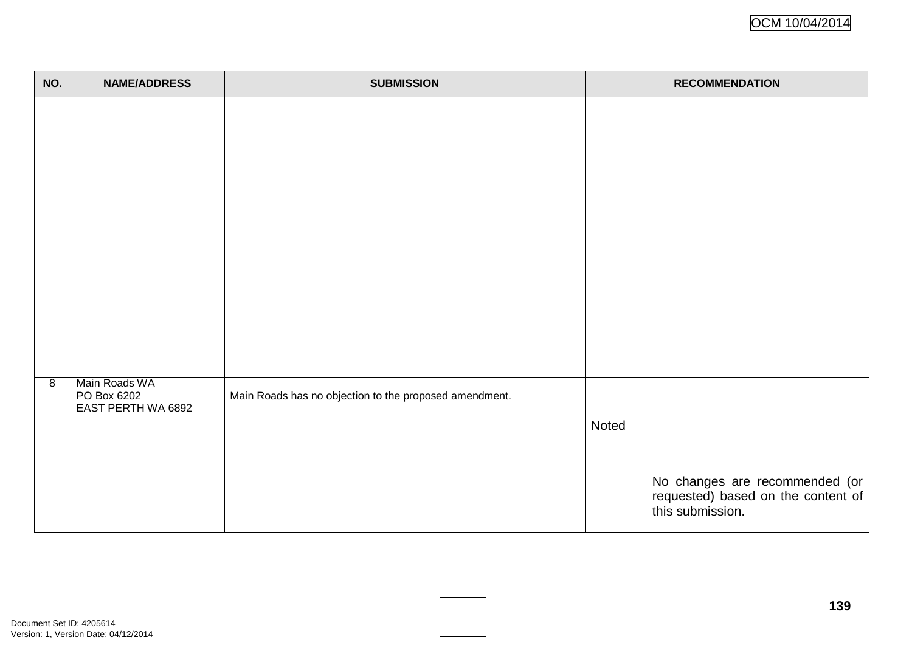| NO. | <b>NAME/ADDRESS</b>               | <b>SUBMISSION</b>                                      | <b>RECOMMENDATION</b>                                                                    |
|-----|-----------------------------------|--------------------------------------------------------|------------------------------------------------------------------------------------------|
|     |                                   |                                                        |                                                                                          |
|     |                                   |                                                        |                                                                                          |
|     |                                   |                                                        |                                                                                          |
|     |                                   |                                                        |                                                                                          |
|     |                                   |                                                        |                                                                                          |
|     |                                   |                                                        |                                                                                          |
|     |                                   |                                                        |                                                                                          |
|     |                                   |                                                        |                                                                                          |
|     |                                   |                                                        |                                                                                          |
|     |                                   |                                                        |                                                                                          |
| 8   | Main Roads WA                     |                                                        |                                                                                          |
|     | PO Box 6202<br>EAST PERTH WA 6892 | Main Roads has no objection to the proposed amendment. |                                                                                          |
|     |                                   |                                                        | Noted                                                                                    |
|     |                                   |                                                        |                                                                                          |
|     |                                   |                                                        | No changes are recommended (or<br>requested) based on the content of<br>this submission. |